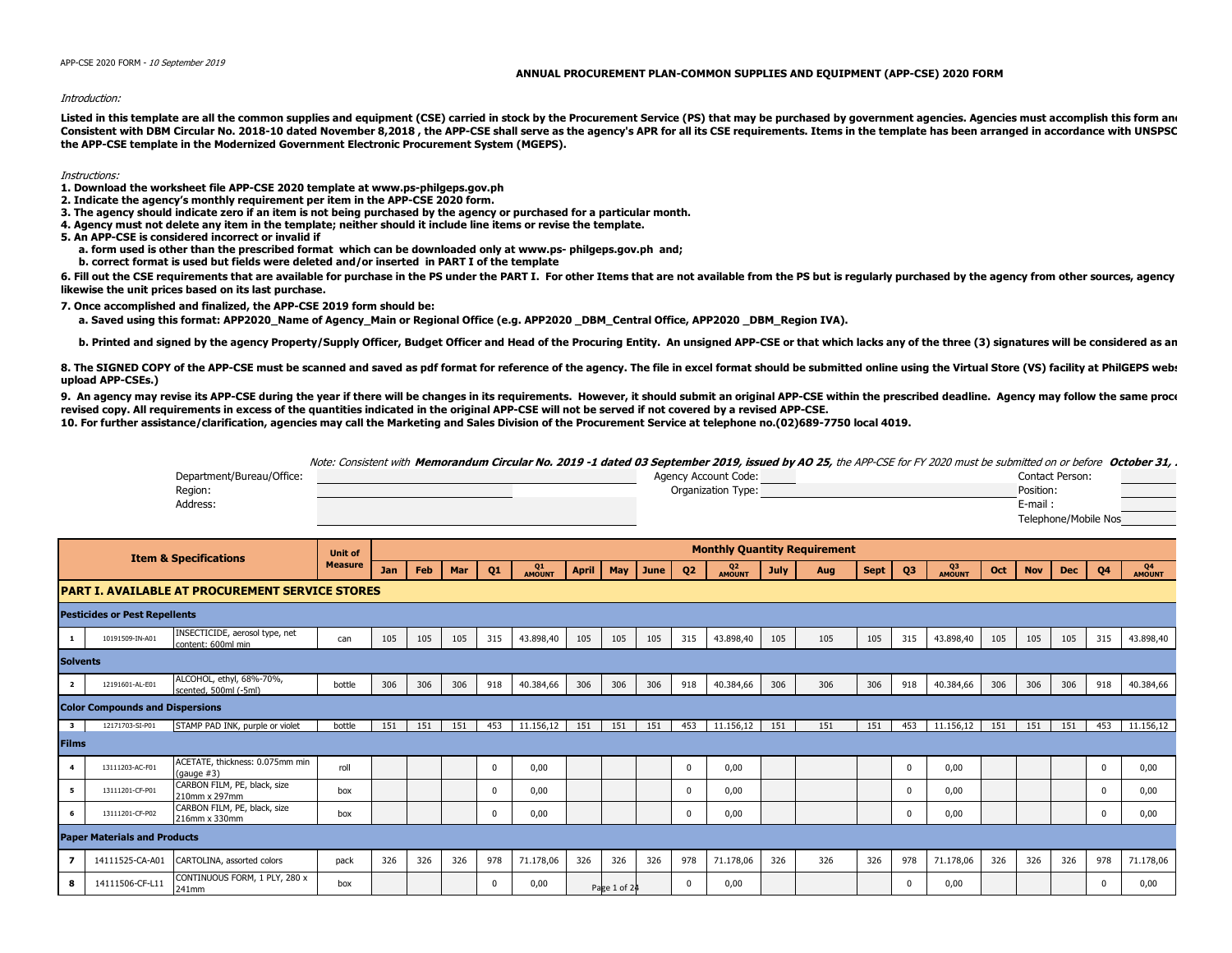## **ANNUAL PROCUREMENT PLAN-COMMON SUPPLIES AND EQUIPMENT (APP-CSE) 2020 FORM**

## Introduction:

Listed in this template are all the common supplies and equipment (CSE) carried in stock by the Procurement Service (PS) that may be purchased by government agencies. Agencies must accomplish this form and Consistent with DBM Circular No. 2018-10 dated November 8,2018, the APP-CSE shall serve as the agency's APR for all its CSE requirements. Items in the template has been arranged in accordance with UNSPSC **the APP-CSE template in the Modernized Government Electronic Procurement System (MGEPS).** 

## Instructions:

**1. Download the worksheet file APP-CSE 2020 template at www.ps-philgeps.gov.ph**

- **2. Indicate the agency's monthly requirement per item in the APP-CSE 2020 form.**
- **3. The agency should indicate zero if an item is not being purchased by the agency or purchased for a particular month.**
- **4. Agency must not delete any item in the template; neither should it include line items or revise the template.**
- **5. An APP-CSE is considered incorrect or invalid if**
	- **a. form used is other than the prescribed format which can be downloaded only at www.ps- philgeps.gov.ph and;**
	- **b. correct format is used but fields were deleted and/or inserted in PART I of the template**

6. Fill out the CSE requirements that are available for purchase in the PS under the PART I. For other Items that are not available from the PS but is reqularly purchased by the agency from other sources, agency **likewise the unit prices based on its last purchase.**

**7. Once accomplished and finalized, the APP-CSE 2019 form should be:**

a. Saved using this format: APP2020 Name of Agency Main or Regional Office (e.g. APP2020 DBM Central Office, APP2020 DBM Region IVA).

b. Printed and signed by the agency Property/Supply Officer, Budget Officer and Head of the Procuring Entity. An unsigned APP-CSE or that which lacks any of the three (3) signatures will be considered as an

8. The SIGNED COPY of the APP-CSE must be scanned and saved as pdf format for reference of the agency. The file in excel format should be submitted online using the Virtual Store (VS) facility at PhilGEPS web: **upload APP-CSEs.)**

9. An agency may revise its APP-CSE during the year if there will be changes in its requirements. However, it should submit an original APP-CSE within the prescribed deadline. Agency may follow the same proce **revised copy. All requirements in excess of the quantities indicated in the original APP-CSE will not be served if not covered by a revised APP-CSE.**

**10. For further assistance/clarification, agencies may call the Marketing and Sales Division of the Procurement Service at telephone no.(02)689-7750 local 4019.**

Note: Consistent with **Memorandum Circular No. 2019 -1 dated 03 September 2019, issued by AO 25,** the APP-CSE for FY 2020 must be submitted on or before **October 31, 2019**.

|                         |                                        | Department/Bureau/Office:                              |                |     |     |                |                     |              |     |              |                |                          | Agency Account Code: |     |                                     |                |                     |           |            |            | <b>Contact Person:</b> |                     |           |
|-------------------------|----------------------------------------|--------------------------------------------------------|----------------|-----|-----|----------------|---------------------|--------------|-----|--------------|----------------|--------------------------|----------------------|-----|-------------------------------------|----------------|---------------------|-----------|------------|------------|------------------------|---------------------|-----------|
|                         |                                        | Region:                                                |                |     |     |                |                     |              |     |              |                |                          | Organization Type:   |     |                                     |                |                     |           |            | Position:  |                        |                     |           |
|                         |                                        | Address:                                               |                |     |     |                |                     |              |     |              |                |                          |                      |     |                                     |                |                     |           |            | E-mail:    |                        |                     |           |
|                         |                                        |                                                        |                |     |     |                |                     |              |     |              |                |                          |                      |     |                                     |                |                     |           |            |            | Telephone/Mobile Nos   |                     |           |
|                         |                                        |                                                        |                |     |     |                |                     |              |     |              |                |                          |                      |     |                                     |                |                     |           |            |            |                        |                     |           |
|                         |                                        | <b>Item &amp; Specifications</b>                       | <b>Unit of</b> |     |     |                |                     |              |     |              |                |                          |                      |     | <b>Monthly Quantity Requirement</b> |                |                     |           |            |            |                        |                     |           |
|                         |                                        | <b>Measure</b>                                         | Jan            | Feb | Mar | Q <sub>1</sub> | Q1<br><b>AMOUNT</b> | <b>April</b> | May | June 1       | Q <sub>2</sub> | Q <sub>2</sub><br>AMOUNT | <b>July</b>          | Aug | Sept                                | Q <sub>3</sub> | QЗ<br><b>AMOUNT</b> | Oct       | <b>Nov</b> | <b>Dec</b> | Q <sub>4</sub>         | Q4<br><b>AMOUNT</b> |           |
|                         |                                        | <b>PART I. AVAILABLE AT PROCUREMENT SERVICE STORES</b> |                |     |     |                |                     |              |     |              |                |                          |                      |     |                                     |                |                     |           |            |            |                        |                     |           |
|                         | <b>Pesticides or Pest Repellents</b>   |                                                        |                |     |     |                |                     |              |     |              |                |                          |                      |     |                                     |                |                     |           |            |            |                        |                     |           |
| 1                       | 10191509-IN-A01                        | INSECTICIDE, aerosol type, net<br>content: 600ml min   | can            | 105 | 105 | 105            | 315                 | 43.898,40    | 105 | 105          | 105            | 315                      | 43.898,40            | 105 | 105                                 | 105            | 315                 | 43.898,40 | 105        | 105        | 105                    | 315                 | 43.898,40 |
| <b>Solvents</b>         |                                        |                                                        |                |     |     |                |                     |              |     |              |                |                          |                      |     |                                     |                |                     |           |            |            |                        |                     |           |
| $\overline{2}$          | 12191601-AL-E01                        | ALCOHOL, ethyl, 68%-70%,<br>scented, 500ml (-5ml)      | bottle         | 306 | 306 | 306            | 918                 | 40.384,66    | 306 | 306          | 306            | 918                      | 40.384,66            | 306 | 306                                 | 306            | 918                 | 40.384,66 | 306        | 306        | 306                    | 918                 | 40.384,66 |
|                         | <b>Color Compounds and Dispersions</b> |                                                        |                |     |     |                |                     |              |     |              |                |                          |                      |     |                                     |                |                     |           |            |            |                        |                     |           |
| $\overline{\mathbf{3}}$ | 12171703-SI-P01                        | STAMP PAD INK, purple or violet                        | bottle         | 151 | 151 | 151            | 453                 | 11.156.12    | 151 | 151          | 151            | 453                      | 11.156.12            | 151 | 151                                 | 151            | 453                 | 11.156.12 | 151        | 151        | 151                    | 453                 | 11.156,12 |
| <b>Films</b>            |                                        |                                                        |                |     |     |                |                     |              |     |              |                |                          |                      |     |                                     |                |                     |           |            |            |                        |                     |           |
| 4                       | 13111203-AC-F01                        | ACETATE, thickness: 0.075mm min<br>(qauge #3)          | roll           |     |     |                | $\Omega$            | 0,00         |     |              |                | $\mathbf 0$              | 0,00                 |     |                                     |                | $\Omega$            | 0,00      |            |            |                        | $\Omega$            | 0,00      |
| 5                       | 13111201-CF-P01                        | CARBON FILM, PE, black, size<br>210mm x 297mm          | box            |     |     |                | $\Omega$            | 0,00         |     |              |                | $^{\circ}$               | 0,00                 |     |                                     |                | $^{\circ}$          | 0,00      |            |            |                        | $\Omega$            | 0,00      |
| 6                       | 13111201-CF-P02                        | CARBON FILM, PE, black, size<br>216mm x 330mm          | box            |     |     |                | $\Omega$            | 0,00         |     |              |                | $\Omega$                 | 0,00                 |     |                                     |                | $\Omega$            | 0,00      |            |            |                        | $\Omega$            | 0,00      |
|                         | <b>Paper Materials and Products</b>    |                                                        |                |     |     |                |                     |              |     |              |                |                          |                      |     |                                     |                |                     |           |            |            |                        |                     |           |
| 7                       | 14111525-CA-A01                        | CARTOLINA, assorted colors                             | pack           | 326 | 326 | 326            | 978                 | 71.178,06    | 326 | 326          | 326            | 978                      | 71.178,06            | 326 | 326                                 | 326            | 978                 | 71.178,06 | 326        | 326        | 326                    | 978                 | 71.178,06 |
| 8                       | 14111506-CF-L11                        | CONTINUOUS FORM, 1 PLY, 280 x<br>241mm                 | box            |     |     |                | $\Omega$            | 0,00         |     | Page 1 of 24 |                | $\mathbf{0}$             | 0,00                 |     |                                     |                | 0                   | 0,00      |            |            |                        | $\Omega$            | 0,00      |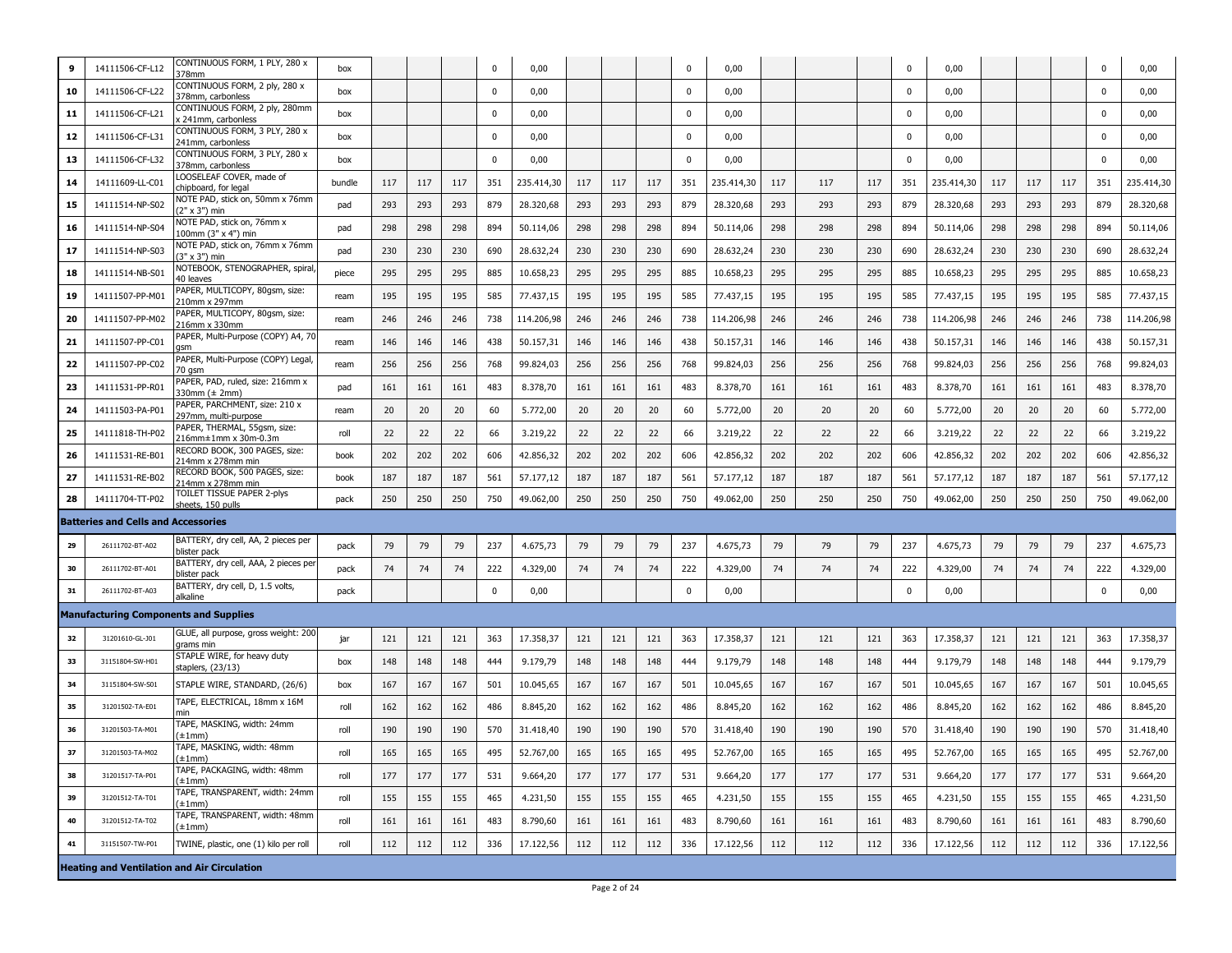| 9  | 14111506-CF-L12                            | CONTINUOUS FORM, 1 PLY, 280 x<br>378mm                | box    |     |     |     | 0           | 0,00       |     |     |     | $\mathbf 0$ | 0,00       |     |     |     | $\Omega$ | 0,00       |     |     |     | 0           | 0,00       |
|----|--------------------------------------------|-------------------------------------------------------|--------|-----|-----|-----|-------------|------------|-----|-----|-----|-------------|------------|-----|-----|-----|----------|------------|-----|-----|-----|-------------|------------|
| 10 | 14111506-CF-L22                            | CONTINUOUS FORM, 2 ply, 280 x<br>378mm, carbonless    | box    |     |     |     | 0           | 0,00       |     |     |     | $\mathbf 0$ | 0,00       |     |     |     | 0        | 0,00       |     |     |     | 0           | 0,00       |
| 11 | 14111506-CF-L21                            | CONTINUOUS FORM, 2 ply, 280mm<br>241mm, carbonless    | box    |     |     |     | 0           | 0,00       |     |     |     | 0           | 0,00       |     |     |     | 0        | 0,00       |     |     |     | 0           | 0,00       |
| 12 | 14111506-CF-L31                            | CONTINUOUS FORM, 3 PLY, 280 x<br>241mm, carbonless    | box    |     |     |     | 0           | 0,00       |     |     |     | $\mathbf 0$ | 0,00       |     |     |     | 0        | 0,00       |     |     |     | 0           | 0,00       |
| 13 | 14111506-CF-L32                            | CONTINUOUS FORM, 3 PLY, 280 x<br>378mm, carbonless    | box    |     |     |     | $\mathbf 0$ | 0,00       |     |     |     | $\mathbf 0$ | 0,00       |     |     |     | 0        | 0,00       |     |     |     | 0           | 0,00       |
| 14 | 14111609-LL-C01                            | LOOSELEAF COVER, made of<br>chipboard, for legal      | bundle | 117 | 117 | 117 | 351         | 235.414,30 | 117 | 117 | 117 | 351         | 235.414,30 | 117 | 117 | 117 | 351      | 235.414,30 | 117 | 117 | 117 | 351         | 235.414,30 |
| 15 | 14111514-NP-S02                            | NOTE PAD, stick on, 50mm x 76mm<br>(2" x 3") min      | pad    | 293 | 293 | 293 | 879         | 28.320,68  | 293 | 293 | 293 | 879         | 28.320,68  | 293 | 293 | 293 | 879      | 28.320,68  | 293 | 293 | 293 | 879         | 28.320,68  |
| 16 | 14111514-NP-S04                            | NOTE PAD, stick on, 76mm x<br>100mm (3" x 4") min     | pad    | 298 | 298 | 298 | 894         | 50.114,06  | 298 | 298 | 298 | 894         | 50.114,06  | 298 | 298 | 298 | 894      | 50.114,06  | 298 | 298 | 298 | 894         | 50.114,06  |
| 17 | 14111514-NP-S03                            | NOTE PAD, stick on, 76mm x 76mm<br>(3" x 3") min      | pad    | 230 | 230 | 230 | 690         | 28.632,24  | 230 | 230 | 230 | 690         | 28.632,24  | 230 | 230 | 230 | 690      | 28.632,24  | 230 | 230 | 230 | 690         | 28.632,24  |
| 18 | 14111514-NB-S01                            | NOTEBOOK, STENOGRAPHER, spiral<br>40 leaves           | piece  | 295 | 295 | 295 | 885         | 10.658,23  | 295 | 295 | 295 | 885         | 10.658,23  | 295 | 295 | 295 | 885      | 10.658,23  | 295 | 295 | 295 | 885         | 10.658,23  |
| 19 | 14111507-PP-M01                            | PAPER, MULTICOPY, 80gsm, size:<br>210mm x 297mm       | ream   | 195 | 195 | 195 | 585         | 77.437,15  | 195 | 195 | 195 | 585         | 77.437,15  | 195 | 195 | 195 | 585      | 77.437,15  | 195 | 195 | 195 | 585         | 77.437,15  |
| 20 | 14111507-PP-M02                            | PAPER, MULTICOPY, 80gsm, size:<br>216mm x 330mm       | ream   | 246 | 246 | 246 | 738         | 114.206,98 | 246 | 246 | 246 | 738         | 114.206,98 | 246 | 246 | 246 | 738      | 114.206,98 | 246 | 246 | 246 | 738         | 114.206,98 |
| 21 | 14111507-PP-C01                            | PAPER, Multi-Purpose (COPY) A4, 7<br>qsm              | ream   | 146 | 146 | 146 | 438         | 50.157,31  | 146 | 146 | 146 | 438         | 50.157,31  | 146 | 146 | 146 | 438      | 50.157,31  | 146 | 146 | 146 | 438         | 50.157,31  |
| 22 | 14111507-PP-C02                            | PAPER, Multi-Purpose (COPY) Legal<br>70 qsm           | ream   | 256 | 256 | 256 | 768         | 99.824,03  | 256 | 256 | 256 | 768         | 99.824,03  | 256 | 256 | 256 | 768      | 99.824,03  | 256 | 256 | 256 | 768         | 99.824,03  |
| 23 | 14111531-PP-R01                            | PAPER, PAD, ruled, size: 216mm x<br>330mm (± 2mm)     | pad    | 161 | 161 | 161 | 483         | 8.378,70   | 161 | 161 | 161 | 483         | 8.378,70   | 161 | 161 | 161 | 483      | 8.378,70   | 161 | 161 | 161 | 483         | 8.378,70   |
| 24 | 14111503-PA-P01                            | PAPER, PARCHMENT, size: 210 x<br>297mm, multi-purpose | ream   | 20  | 20  | 20  | 60          | 5.772,00   | 20  | 20  | 20  | 60          | 5.772,00   | 20  | 20  | 20  | 60       | 5.772,00   | 20  | 20  | 20  | 60          | 5.772,00   |
| 25 | 14111818-TH-P02                            | PAPER, THERMAL, 55gsm, size:<br>216mm±1mm x 30m-0.3m  | roll   | 22  | 22  | 22  | 66          | 3.219,22   | 22  | 22  | 22  | 66          | 3.219,22   | 22  | 22  | 22  | 66       | 3.219,22   | 22  | 22  | 22  | 66          | 3.219,22   |
| 26 | 14111531-RE-B01                            | RECORD BOOK, 300 PAGES, size:<br>214mm x 278mm min    | book   | 202 | 202 | 202 | 606         | 42.856,32  | 202 | 202 | 202 | 606         | 42.856,32  | 202 | 202 | 202 | 606      | 42.856,32  | 202 | 202 | 202 | 606         | 42.856,32  |
| 27 | 14111531-RE-B02                            | RECORD BOOK, 500 PAGES, size:<br>214mm x 278mm min    | book   | 187 | 187 | 187 | 561         | 57.177,12  | 187 | 187 | 187 | 561         | 57.177,12  | 187 | 187 | 187 | 561      | 57.177,12  | 187 | 187 | 187 | 561         | 57.177,12  |
| 28 | 14111704-TT-P02                            | TOILET TISSUE PAPER 2-plys<br>sheets, 150 pulls       | pack   | 250 | 250 | 250 | 750         | 49.062,00  | 250 | 250 | 250 | 750         | 49.062,00  | 250 | 250 | 250 | 750      | 49.062,00  | 250 | 250 | 250 | 750         | 49.062,00  |
|    | <b>Batteries and Cells and Accessories</b> |                                                       |        |     |     |     |             |            |     |     |     |             |            |     |     |     |          |            |     |     |     |             |            |
| 29 | 26111702-BT-A02                            | BATTERY, dry cell, AA, 2 pieces per<br>blister pack   | pack   | 79  | 79  | 79  | 237         | 4.675,73   | 79  | 79  | 79  | 237         | 4.675,73   | 79  | 79  | 79  | 237      | 4.675,73   | 79  | 79  | 79  | 237         | 4.675,73   |
| 30 | 26111702-BT-A01                            | BATTERY, dry cell, AAA, 2 pieces per<br>blister pack  | pack   | 74  | 74  | 74  | 222         | 4.329,00   | 74  | 74  | 74  | 222         | 4.329,00   | 74  | 74  | 74  | 222      | 4.329,00   | 74  | 74  | 74  | 222         | 4.329,00   |
| 31 | 26111702-BT-A03                            | BATTERY, dry cell, D, 1.5 volts,<br>alkaline          | pack   |     |     |     | $\mathbf 0$ | 0,00       |     |     |     | $\mathbf 0$ | 0,00       |     |     |     | 0        | 0,00       |     |     |     | $\mathbf 0$ | 0,00       |
|    |                                            | <b>Manufacturing Components and Supplies</b>          |        |     |     |     |             |            |     |     |     |             |            |     |     |     |          |            |     |     |     |             |            |
| 32 | 31201610-GL-J01                            | GLUE, all purpose, gross weight: 200<br>grams min     | jar    | 121 | 121 | 121 | 363         | 17.358,37  | 121 | 121 | 121 | 363         | 17.358,37  | 121 | 121 | 121 | 363      | 17.358,37  | 121 | 121 | 121 | 363         | 17.358,37  |
| 33 | 31151804-SW-H01                            | STAPLE WIRE, for heavy duty<br>staplers, (23/13)      | box    | 148 | 148 | 148 | 444         | 9.179,79   | 148 | 148 | 148 | 444         | 9.179,79   | 148 | 148 | 148 | 444      | 9.179,79   | 148 | 148 | 148 | 444         | 9.179,79   |
| 34 | 31151804-SW-S01                            | STAPLE WIRE, STANDARD, (26/6)                         | box    | 167 | 167 | 167 | 501         | 10.045,65  | 167 | 167 | 167 | 501         | 10.045,65  | 167 | 167 | 167 | 501      | 10.045,65  | 167 | 167 | 167 | 501         | 10.045,65  |
| 35 | 31201502-TA-E01                            | TAPE, ELECTRICAL, 18mm x 16M<br>min                   | roll   | 162 | 162 | 162 | 486         | 8.845,20   | 162 | 162 | 162 | 486         | 8.845,20   | 162 | 162 | 162 | 486      | 8.845,20   | 162 | 162 | 162 | 486         | 8.845,20   |
| 36 | 31201503-TA-M01                            | TAPE, MASKING, width: 24mm<br>±1mm)                   | roll   | 190 | 190 | 190 | 570         | 31.418,40  | 190 | 190 | 190 | 570         | 31.418,40  | 190 | 190 | 190 | 570      | 31.418,40  | 190 | 190 | 190 | 570         | 31.418,40  |
| 37 | 31201503-TA-M02                            | TAPE, MASKING, width: 48mm<br>$\pm 1$ mm)             | roll   | 165 | 165 | 165 | 495         | 52.767,00  | 165 | 165 | 165 | 495         | 52.767,00  | 165 | 165 | 165 | 495      | 52.767,00  | 165 | 165 | 165 | 495         | 52.767,00  |
| 38 | 31201517-TA-P01                            | TAPE, PACKAGING, width: 48mm<br>$\pm 1$ mm)           | roll   | 177 | 177 | 177 | 531         | 9.664,20   | 177 | 177 | 177 | 531         | 9.664,20   | 177 | 177 | 177 | 531      | 9.664,20   | 177 | 177 | 177 | 531         | 9.664,20   |
| 39 | 31201512-TA-T01                            | TAPE, TRANSPARENT, width: 24mm<br>$\pm 1$ mm)         | roll   | 155 | 155 | 155 | 465         | 4.231,50   | 155 | 155 | 155 | 465         | 4.231,50   | 155 | 155 | 155 | 465      | 4.231,50   | 155 | 155 | 155 | 465         | 4.231,50   |
| 40 | 31201512-TA-T02                            | TAPE, TRANSPARENT, width: 48mm<br>$\pm 1$ mm)         | roll   | 161 | 161 | 161 | 483         | 8.790,60   | 161 | 161 | 161 | 483         | 8.790,60   | 161 | 161 | 161 | 483      | 8.790,60   | 161 | 161 | 161 | 483         | 8.790,60   |
| 41 | 31151507-TW-P01                            | TWINE, plastic, one (1) kilo per roll                 | roll   | 112 | 112 | 112 | 336         | 17.122,56  | 112 | 112 | 112 | 336         | 17.122,56  | 112 | 112 | 112 | 336      | 17.122,56  | 112 | 112 | 112 | 336         | 17.122,56  |
|    |                                            | <b>Heating and Ventilation and Air Circulation</b>    |        |     |     |     |             |            |     |     |     |             |            |     |     |     |          |            |     |     |     |             |            |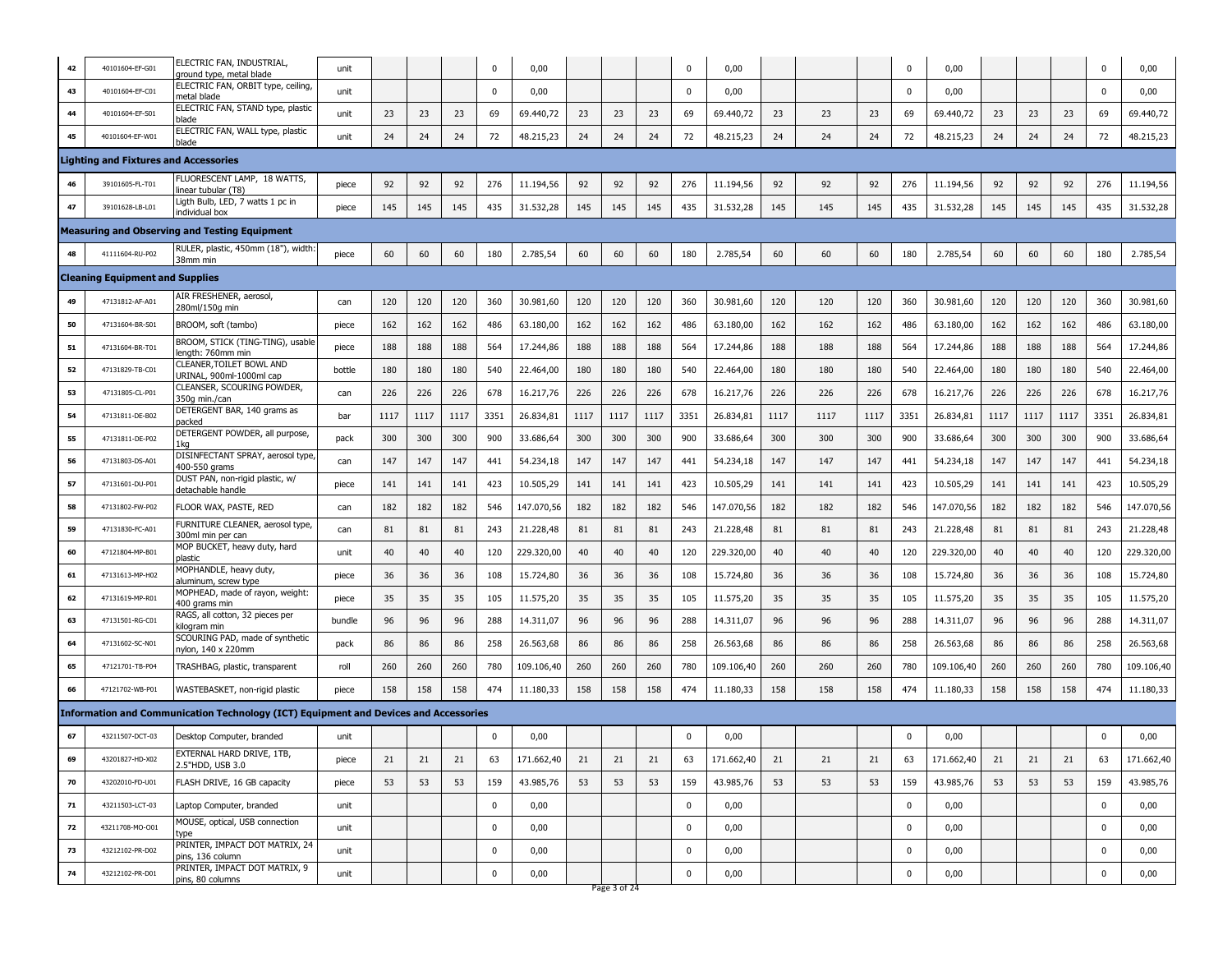| 42 | 40101604-EF-G01                              | ELECTRIC FAN, INDUSTRIAL,<br>ground type, metal blade                                       | unit   |      |      |      | $\mathbf 0$ | 0,00       |      |              |      | $\Omega$    | 0,00       |      |      |      | 0           | 0,00       |      |      |      | $\mathbf{0}$ | 0,00       |
|----|----------------------------------------------|---------------------------------------------------------------------------------------------|--------|------|------|------|-------------|------------|------|--------------|------|-------------|------------|------|------|------|-------------|------------|------|------|------|--------------|------------|
| 43 | 40101604-EF-C01                              | ELECTRIC FAN, ORBIT type, ceiling<br>netal blade                                            | unit   |      |      |      | $\mathbf 0$ | 0,00       |      |              |      | 0           | 0,00       |      |      |      | 0           | 0,00       |      |      |      | 0            | 0,00       |
| 44 | 40101604-EF-S01                              | ELECTRIC FAN, STAND type, plastic<br>ilade                                                  | unit   | 23   | 23   | 23   | 69          | 69.440,72  | 23   | 23           | 23   | 69          | 69.440,72  | 23   | 23   | 23   | 69          | 69.440,72  | 23   | 23   | 23   | 69           | 69.440,72  |
| 45 | 40101604-EF-W01                              | ELECTRIC FAN, WALL type, plastic<br>blade                                                   | unit   | 24   | 24   | 24   | 72          | 48.215,23  | 24   | 24           | 24   | 72          | 48.215,23  | 24   | 24   | 24   | 72          | 48.215,23  | 24   | 24   | 24   | 72           | 48.215,23  |
|    | <b>Lighting and Fixtures and Accessories</b> |                                                                                             |        |      |      |      |             |            |      |              |      |             |            |      |      |      |             |            |      |      |      |              |            |
| 46 | 39101605-FL-T01                              | FLUORESCENT LAMP, 18 WATTS,<br>inear tubular (T8)                                           | piece  | 92   | 92   | 92   | 276         | 11.194,56  | 92   | 92           | 92   | 276         | 11.194,56  | 92   | 92   | 92   | 276         | 11.194,56  | 92   | 92   | 92   | 276          | 11.194,56  |
| 47 | 39101628-LB-L01                              | Ligth Bulb, LED, 7 watts 1 pc in<br>individual box                                          | piece  | 145  | 145  | 145  | 435         | 31.532,28  | 145  | 145          | 145  | 435         | 31.532,28  | 145  | 145  | 145  | 435         | 31.532,28  | 145  | 145  | 145  | 435          | 31.532,28  |
|    |                                              | <b>Measuring and Observing and Testing Equipment</b>                                        |        |      |      |      |             |            |      |              |      |             |            |      |      |      |             |            |      |      |      |              |            |
| 48 | 41111604-RU-P02                              | RULER, plastic, 450mm (18"), width<br>38mm min                                              | piece  | 60   | 60   | 60   | 180         | 2.785,54   | 60   | 60           | 60   | 180         | 2.785,54   | 60   | 60   | 60   | 180         | 2.785,54   | 60   | 60   | 60   | 180          | 2.785,54   |
|    | <b>Cleaning Equipment and Supplies</b>       |                                                                                             |        |      |      |      |             |            |      |              |      |             |            |      |      |      |             |            |      |      |      |              |            |
| 49 | 47131812-AF-A01                              | AIR FRESHENER, aerosol,<br>280ml/150g min                                                   | can    | 120  | 120  | 120  | 360         | 30.981,60  | 120  | 120          | 120  | 360         | 30.981,60  | 120  | 120  | 120  | 360         | 30.981,60  | 120  | 120  | 120  | 360          | 30.981,60  |
| 50 | 47131604-BR-S01                              | BROOM, soft (tambo)                                                                         | piece  | 162  | 162  | 162  | 486         | 63.180,00  | 162  | 162          | 162  | 486         | 63.180,00  | 162  | 162  | 162  | 486         | 63.180,00  | 162  | 162  | 162  | 486          | 63.180,00  |
| 51 | 47131604-BR-T01                              | BROOM, STICK (TING-TING), usable<br>length: 760mm min                                       | piece  | 188  | 188  | 188  | 564         | 17.244,86  | 188  | 188          | 188  | 564         | 17.244,86  | 188  | 188  | 188  | 564         | 17.244,86  | 188  | 188  | 188  | 564          | 17.244,86  |
| 52 | 47131829-TB-C01                              | CLEANER, TOILET BOWL AND<br>URINAL, 900ml-1000ml cap                                        | bottle | 180  | 180  | 180  | 540         | 22.464,00  | 180  | 180          | 180  | 540         | 22.464,00  | 180  | 180  | 180  | 540         | 22.464,00  | 180  | 180  | 180  | 540          | 22.464,00  |
| 53 | 47131805-CL-P01                              | CLEANSER, SCOURING POWDER,<br>350g min./can                                                 | can    | 226  | 226  | 226  | 678         | 16.217,76  | 226  | 226          | 226  | 678         | 16.217,76  | 226  | 226  | 226  | 678         | 16.217,76  | 226  | 226  | 226  | 678          | 16.217,76  |
| 54 | 47131811-DE-B02                              | DETERGENT BAR, 140 grams as<br>oacked                                                       | bar    | 1117 | 1117 | 1117 | 3351        | 26.834,81  | 1117 | 1117         | 1117 | 3351        | 26.834,81  | 1117 | 1117 | 1117 | 3351        | 26.834,81  | 1117 | 1117 | 1117 | 3351         | 26.834,81  |
| 55 | 47131811-DE-P02                              | DETERGENT POWDER, all purpose,<br>l ka                                                      | pack   | 300  | 300  | 300  | 900         | 33.686,64  | 300  | 300          | 300  | 900         | 33.686,64  | 300  | 300  | 300  | 900         | 33.686,64  | 300  | 300  | 300  | 900          | 33.686,64  |
| 56 | 47131803-DS-A01                              | DISINFECTANT SPRAY, aerosol type<br>400-550 grams                                           | can    | 147  | 147  | 147  | 441         | 54.234,18  | 147  | 147          | 147  | 441         | 54.234,18  | 147  | 147  | 147  | 441         | 54.234,18  | 147  | 147  | 147  | 441          | 54.234,18  |
| 57 | 47131601-DU-P01                              | DUST PAN, non-rigid plastic, w/<br>ietachable handle                                        | piece  | 141  | 141  | 141  | 423         | 10.505,29  | 141  | 141          | 141  | 423         | 10.505,29  | 141  | 141  | 141  | 423         | 10.505,29  | 141  | 141  | 141  | 423          | 10.505,29  |
| 58 | 47131802-FW-P02                              | FLOOR WAX, PASTE, RED                                                                       | can    | 182  | 182  | 182  | 546         | 147.070,56 | 182  | 182          | 182  | 546         | 147.070,56 | 182  | 182  | 182  | 546         | 147.070,56 | 182  | 182  | 182  | 546          | 147.070,56 |
| 59 | 47131830-FC-A01                              | FURNITURE CLEANER, aerosol type,<br>300ml min per can                                       | can    | 81   | 81   | 81   | 243         | 21.228,48  | 81   | 81           | 81   | 243         | 21.228,48  | 81   | 81   | 81   | 243         | 21.228,48  | 81   | 81   | 81   | 243          | 21.228,48  |
| 60 | 47121804-MP-B01                              | MOP BUCKET, heavy duty, hard<br>olastic                                                     | unit   | 40   | 40   | 40   | 120         | 229.320,00 | 40   | 40           | 40   | 120         | 229.320,00 | 40   | 40   | 40   | 120         | 229.320,00 | 40   | 40   | 40   | 120          | 229.320,00 |
| 61 | 47131613-MP-H02                              | MOPHANDLE, heavy duty,<br>aluminum, screw type                                              | piece  | 36   | 36   | 36   | 108         | 15.724,80  | 36   | 36           | 36   | 108         | 15.724,80  | 36   | 36   | 36   | 108         | 15.724,80  | 36   | 36   | 36   | 108          | 15.724,80  |
| 62 | 47131619-MP-R01                              | MOPHEAD, made of rayon, weight:<br>400 grams min                                            | piece  | 35   | 35   | 35   | 105         | 11.575,20  | 35   | 35           | 35   | 105         | 11.575,20  | 35   | 35   | 35   | 105         | 11.575,20  | 35   | 35   | 35   | 105          | 11.575,20  |
| 63 | 47131501-RG-C01                              | RAGS, all cotton, 32 pieces per<br>kiloaram min                                             | bundle | 96   | 96   | 96   | 288         | 14.311,07  | 96   | 96           | 96   | 288         | 14.311,07  | 96   | 96   | 96   | 288         | 14.311,07  | 96   | 96   | 96   | 288          | 14.311,07  |
| 64 | 47131602-SC-N01                              | SCOURING PAD, made of synthetic<br>iylon, 140 x 220mm                                       | pack   | 86   | 86   | 86   | 258         | 26.563,68  | 86   | 86           | 86   | 258         | 26.563,68  | 86   | 86   | 86   | 258         | 26.563,68  | 86   | 86   | 86   | 258          | 26.563,68  |
| 65 | 47121701-TB-P04                              | TRASHBAG, plastic, transparent                                                              | roll   | 260  | 260  | 260  | 780         | 109.106,40 | 260  | 260          | 260  | 780         | 109.106,40 | 260  | 260  | 260  | 780         | 109.106,40 | 260  | 260  | 260  | 780          | 109.106,40 |
| 66 | 47121702-WB-P01                              | WASTEBASKET, non-rigid plastic                                                              | piece  | 158  | 158  | 158  | 474         | 11.180,33  | 158  | 158          | 158  | 474         | 11.180,33  | 158  | 158  | 158  | 474         | 11.180,33  | 158  | 158  | 158  | 474          | 11.180,33  |
|    |                                              | <b>Information and Communication Technology (ICT) Equipment and Devices and Accessories</b> |        |      |      |      |             |            |      |              |      |             |            |      |      |      |             |            |      |      |      |              |            |
| 67 | 43211507-DCT-03                              | Desktop Computer, branded                                                                   | unit   |      |      |      | $\mathbf 0$ | 0,00       |      |              |      | 0           | 0,00       |      |      |      | 0           | 0,00       |      |      |      | 0            | 0,00       |
| 69 | 43201827-HD-X02                              | EXTERNAL HARD DRIVE, 1TB,<br>2.5"HDD, USB 3.0                                               | piece  | 21   | 21   | 21   | 63          | 171.662,40 | 21   | 21           | 21   | 63          | 171.662,40 | 21   | 21   | 21   | 63          | 171.662,40 | 21   | 21   | 21   | 63           | 171.662,40 |
| 70 | 43202010-FD-U01                              | FLASH DRIVE, 16 GB capacity                                                                 | piece  | 53   | 53   | 53   | 159         | 43.985,76  | 53   | 53           | 53   | 159         | 43.985,76  | 53   | 53   | 53   | 159         | 43.985,76  | 53   | 53   | 53   | 159          | 43.985,76  |
| 71 | 43211503-LCT-03                              | Laptop Computer, branded                                                                    | unit   |      |      |      | $\mathbf 0$ | 0,00       |      |              |      | $\mathbf 0$ | 0,00       |      |      |      | $\mathbf 0$ | 0,00       |      |      |      | $\mathbf 0$  | 0,00       |
| 72 | 43211708-MO-O01                              | MOUSE, optical, USB connection<br>type                                                      | unit   |      |      |      | $\pmb{0}$   | 0,00       |      |              |      | $\mathbf 0$ | 0,00       |      |      |      | 0           | 0,00       |      |      |      | $\mathbf 0$  | 0,00       |
| 73 | 43212102-PR-D02                              | PRINTER, IMPACT DOT MATRIX, 24<br>pins, 136 column                                          | unit   |      |      |      | $\pmb{0}$   | 0,00       |      |              |      | $\mathbf 0$ | 0,00       |      |      |      | 0           | 0,00       |      |      |      | $\mathbf 0$  | 0,00       |
| 74 | 43212102-PR-D01                              | PRINTER, IMPACT DOT MATRIX, 9<br>pins, 80 columns                                           | unit   |      |      |      | $\mathbf 0$ | 0,00       |      | Page 3 of 24 |      | 0           | 0,00       |      |      |      | 0           | 0,00       |      |      |      | 0            | 0,00       |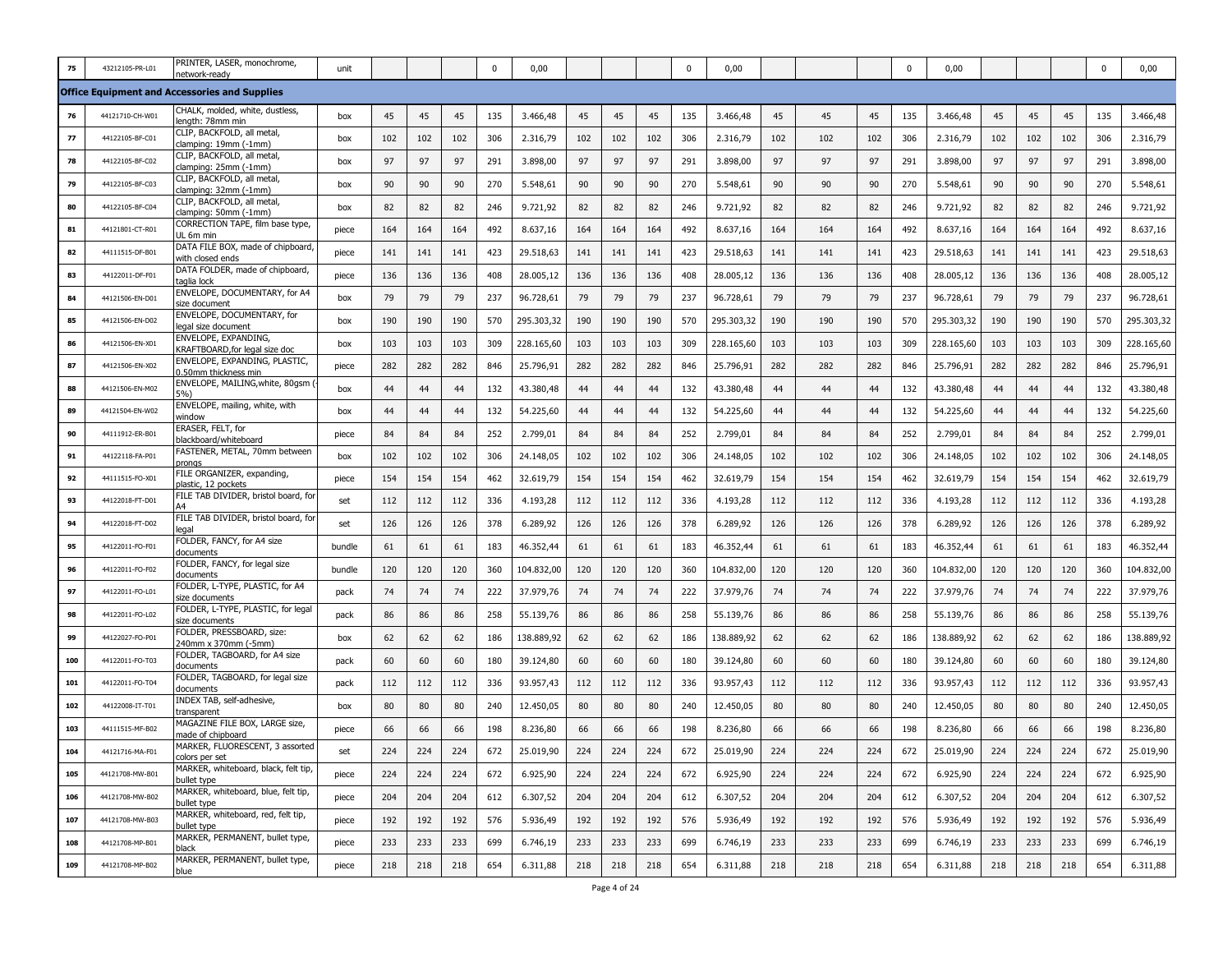| 75  | 43212105-PR-L01 | PRINTER, LASER, monochrome,<br>network-ready           | unit   |     |     |     | 0   | 0,00       |     |     |     | $\mathbf{0}$ | 0,00       |     |     |     | 0   | 0,00       |     |     |     | 0   | 0,00       |
|-----|-----------------|--------------------------------------------------------|--------|-----|-----|-----|-----|------------|-----|-----|-----|--------------|------------|-----|-----|-----|-----|------------|-----|-----|-----|-----|------------|
|     |                 | <b>Office Equipment and Accessories and Supplies</b>   |        |     |     |     |     |            |     |     |     |              |            |     |     |     |     |            |     |     |     |     |            |
| 76  | 44121710-CH-W01 | CHALK, molded, white, dustless,<br>length: 78mm min    | box    | 45  | 45  | 45  | 135 | 3.466,48   | 45  | 45  | 45  | 135          | 3.466,48   | 45  | 45  | 45  | 135 | 3.466,48   | 45  | 45  | 45  | 135 | 3.466,48   |
| 77  | 44122105-BF-C01 | CLIP, BACKFOLD, all metal,<br>clamping: 19mm (-1mm)    | box    | 102 | 102 | 102 | 306 | 2.316,79   | 102 | 102 | 102 | 306          | 2.316,79   | 102 | 102 | 102 | 306 | 2.316,79   | 102 | 102 | 102 | 306 | 2.316,79   |
| 78  | 44122105-BF-C02 | CLIP, BACKFOLD, all metal,<br>clamping: 25mm (-1mm)    | box    | 97  | 97  | 97  | 291 | 3.898,00   | 97  | 97  | 97  | 291          | 3.898,00   | 97  | 97  | 97  | 291 | 3.898,00   | 97  | 97  | 97  | 291 | 3.898,00   |
| 79  | 44122105-BF-C03 | CLIP, BACKFOLD, all metal,<br>clamping: 32mm (-1mm)    | box    | 90  | 90  | 90  | 270 | 5.548,61   | 90  | 90  | 90  | 270          | 5.548,61   | 90  | 90  | 90  | 270 | 5.548,61   | 90  | 90  | 90  | 270 | 5.548,61   |
| 80  | 44122105-BF-C04 | CLIP, BACKFOLD, all metal,<br>clamping: 50mm (-1mm)    | box    | 82  | 82  | 82  | 246 | 9.721,92   | 82  | 82  | 82  | 246          | 9.721,92   | 82  | 82  | 82  | 246 | 9.721,92   | 82  | 82  | 82  | 246 | 9.721,92   |
| 81  | 44121801-CT-R01 | CORRECTION TAPE, film base type<br>UL 6m min           | piece  | 164 | 164 | 164 | 492 | 8.637,16   | 164 | 164 | 164 | 492          | 8.637,16   | 164 | 164 | 164 | 492 | 8.637,16   | 164 | 164 | 164 | 492 | 8.637,16   |
| 82  | 44111515-DF-B01 | DATA FILE BOX, made of chipboard,<br>with closed ends  | piece  | 141 | 141 | 141 | 423 | 29.518,63  | 141 | 141 | 141 | 423          | 29.518,63  | 141 | 141 | 141 | 423 | 29.518,63  | 141 | 141 | 141 | 423 | 29.518,63  |
| 83  | 44122011-DF-F01 | DATA FOLDER, made of chipboard,<br>taglia lock         | piece  | 136 | 136 | 136 | 408 | 28.005,12  | 136 | 136 | 136 | 408          | 28.005,12  | 136 | 136 | 136 | 408 | 28.005,12  | 136 | 136 | 136 | 408 | 28.005,12  |
| 84  | 44121506-EN-D01 | ENVELOPE, DOCUMENTARY, for A4<br>size document         | box    | 79  | 79  | 79  | 237 | 96.728,61  | 79  | 79  | 79  | 237          | 96.728,61  | 79  | 79  | 79  | 237 | 96.728,61  | 79  | 79  | 79  | 237 | 96.728,61  |
| 85  | 44121506-EN-D02 | ENVELOPE, DOCUMENTARY, for<br>legal size document      | box    | 190 | 190 | 190 | 570 | 295.303,32 | 190 | 190 | 190 | 570          | 295.303,32 | 190 | 190 | 190 | 570 | 295.303,32 | 190 | 190 | 190 | 570 | 295.303,32 |
| 86  | 44121506-EN-X01 | ENVELOPE, EXPANDING,<br>KRAFTBOARD, for legal size doc | box    | 103 | 103 | 103 | 309 | 228.165,60 | 103 | 103 | 103 | 309          | 228.165,60 | 103 | 103 | 103 | 309 | 228.165,60 | 103 | 103 | 103 | 309 | 228.165,60 |
| 87  | 44121506-EN-X02 | ENVELOPE, EXPANDING, PLASTIC,<br>0.50mm thickness min  | piece  | 282 | 282 | 282 | 846 | 25.796,91  | 282 | 282 | 282 | 846          | 25.796,91  | 282 | 282 | 282 | 846 | 25.796,91  | 282 | 282 | 282 | 846 | 25.796,91  |
| 88  | 44121506-EN-M02 | ENVELOPE, MAILING, white, 80gsm<br>5%)                 | box    | 44  | 44  | 44  | 132 | 43.380,48  | 44  | 44  | 44  | 132          | 43.380,48  | 44  | 44  | 44  | 132 | 43.380,48  | 44  | 44  | 44  | 132 | 43.380,48  |
| 89  | 44121504-EN-W02 | ENVELOPE, mailing, white, with<br>window               | box    | 44  | 44  | 44  | 132 | 54.225,60  | 44  | 44  | 44  | 132          | 54.225,60  | 44  | 44  | 44  | 132 | 54.225,60  | 44  | 44  | 44  | 132 | 54.225,60  |
| 90  | 44111912-ER-B01 | ERASER, FELT, for<br>blackboard/whiteboard             | piece  | 84  | 84  | 84  | 252 | 2.799,01   | 84  | 84  | 84  | 252          | 2.799,01   | 84  | 84  | 84  | 252 | 2.799,01   | 84  | 84  | 84  | 252 | 2.799,01   |
| 91  | 44122118-FA-P01 | FASTENER, METAL, 70mm between<br>pronas                | box    | 102 | 102 | 102 | 306 | 24.148,05  | 102 | 102 | 102 | 306          | 24.148,05  | 102 | 102 | 102 | 306 | 24.148,05  | 102 | 102 | 102 | 306 | 24.148,05  |
| 92  | 44111515-FO-X01 | FILE ORGANIZER, expanding,<br>plastic, 12 pockets      | piece  | 154 | 154 | 154 | 462 | 32.619,79  | 154 | 154 | 154 | 462          | 32.619,79  | 154 | 154 | 154 | 462 | 32.619,79  | 154 | 154 | 154 | 462 | 32.619,79  |
| 93  | 44122018-FT-D01 | FILE TAB DIVIDER, bristol board, for                   | set    | 112 | 112 | 112 | 336 | 4.193,28   | 112 | 112 | 112 | 336          | 4.193,28   | 112 | 112 | 112 | 336 | 4.193,28   | 112 | 112 | 112 | 336 | 4.193,28   |
| 94  | 44122018-FT-D02 | FILE TAB DIVIDER, bristol board, for<br>egal           | set    | 126 | 126 | 126 | 378 | 6.289,92   | 126 | 126 | 126 | 378          | 6.289,92   | 126 | 126 | 126 | 378 | 6.289,92   | 126 | 126 | 126 | 378 | 6.289,92   |
| 95  | 44122011-FO-F01 | FOLDER, FANCY, for A4 size<br>documents                | bundle | 61  | 61  | 61  | 183 | 46.352,44  | 61  | 61  | 61  | 183          | 46.352,44  | 61  | 61  | 61  | 183 | 46.352,44  | 61  | 61  | 61  | 183 | 46.352,44  |
| 96  | 44122011-FO-F02 | FOLDER, FANCY, for legal size<br>documents             | bundle | 120 | 120 | 120 | 360 | 104.832,00 | 120 | 120 | 120 | 360          | 104.832,00 | 120 | 120 | 120 | 360 | 104.832,00 | 120 | 120 | 120 | 360 | 104.832,00 |
| 97  | 44122011-FO-L01 | FOLDER, L-TYPE, PLASTIC, for A4<br>size documents      | pack   | 74  | 74  | 74  | 222 | 37.979,76  | 74  | 74  | 74  | 222          | 37.979,76  | 74  | 74  | 74  | 222 | 37.979,76  | 74  | 74  | 74  | 222 | 37.979,76  |
| 98  | 44122011-FO-L02 | FOLDER, L-TYPE, PLASTIC, for legal<br>size documents   | pack   | 86  | 86  | 86  | 258 | 55.139,76  | 86  | 86  | 86  | 258          | 55.139,76  | 86  | 86  | 86  | 258 | 55.139,76  | 86  | 86  | 86  | 258 | 55.139,76  |
| 99  | 44122027-FO-P01 | OLDER, PRESSBOARD, size:<br>240mm x 370mm (-5mm)       | box    | 62  | 62  | 62  | 186 | 138.889,92 | 62  | 62  | 62  | 186          | 138.889,92 | 62  | 62  | 62  | 186 | 138.889,92 | 62  | 62  | 62  | 186 | 138.889,92 |
| 100 | 44122011-FO-T03 | FOLDER, TAGBOARD, for A4 size<br>documents             | pack   | 60  | 60  | 60  | 180 | 39.124,80  | 60  | 60  | 60  | 180          | 39.124,80  | 60  | 60  | 60  | 180 | 39.124,80  | 60  | 60  | 60  | 180 | 39.124,80  |
| 101 | 44122011-FO-T04 | FOLDER, TAGBOARD, for legal size<br>documents          | pack   | 112 | 112 | 112 | 336 | 93.957,43  | 112 | 112 | 112 | 336          | 93.957,43  | 112 | 112 | 112 | 336 | 93.957,43  | 112 | 112 | 112 | 336 | 93.957,43  |
| 102 | 44122008-IT-T01 | INDEX TAB, self-adhesive,<br>transparent               | box    | 80  | 80  | 80  | 240 | 12.450,05  | 80  | 80  | 80  | 240          | 12.450,05  | 80  | 80  | 80  | 240 | 12.450,05  | 80  | 80  | 80  | 240 | 12.450,05  |
| 103 | 44111515-MF-B02 | MAGAZINE FILE BOX, LARGE size,<br>nade of chipboard    | piece  | 66  | 66  | 66  | 198 | 8.236,80   | 66  | 66  | 66  | 198          | 8.236,80   | 66  | 66  | 66  | 198 | 8.236,80   | 66  | 66  | 66  | 198 | 8.236,80   |
| 104 | 44121716-MA-F01 | MARKER, FLUORESCENT, 3 assorted<br>colors per set      | set    | 224 | 224 | 224 | 672 | 25.019,90  | 224 | 224 | 224 | 672          | 25.019,90  | 224 | 224 | 224 | 672 | 25.019,90  | 224 | 224 | 224 | 672 | 25.019,90  |
| 105 | 44121708-MW-B01 | MARKER, whiteboard, black, felt tip,<br>bullet type    | piece  | 224 | 224 | 224 | 672 | 6.925,90   | 224 | 224 | 224 | 672          | 6.925,90   | 224 | 224 | 224 | 672 | 6.925,90   | 224 | 224 | 224 | 672 | 6.925,90   |
| 106 | 44121708-MW-B02 | MARKER, whiteboard, blue, felt tip,<br>bullet type     | piece  | 204 | 204 | 204 | 612 | 6.307,52   | 204 | 204 | 204 | 612          | 6.307,52   | 204 | 204 | 204 | 612 | 6.307,52   | 204 | 204 | 204 | 612 | 6.307,52   |
| 107 | 44121708-MW-B03 | MARKER, whiteboard, red, felt tip,<br>bullet type      | piece  | 192 | 192 | 192 | 576 | 5.936,49   | 192 | 192 | 192 | 576          | 5.936,49   | 192 | 192 | 192 | 576 | 5.936,49   | 192 | 192 | 192 | 576 | 5.936,49   |
| 108 | 44121708-MP-B01 | MARKER, PERMANENT, bullet type,<br>black               | piece  | 233 | 233 | 233 | 699 | 6.746,19   | 233 | 233 | 233 | 699          | 6.746,19   | 233 | 233 | 233 | 699 | 6.746,19   | 233 | 233 | 233 | 699 | 6.746,19   |
| 109 | 44121708-MP-B02 | MARKER, PERMANENT, bullet type,<br>blue                | piece  | 218 | 218 | 218 | 654 | 6.311,88   | 218 | 218 | 218 | 654          | 6.311,88   | 218 | 218 | 218 | 654 | 6.311,88   | 218 | 218 | 218 | 654 | 6.311,88   |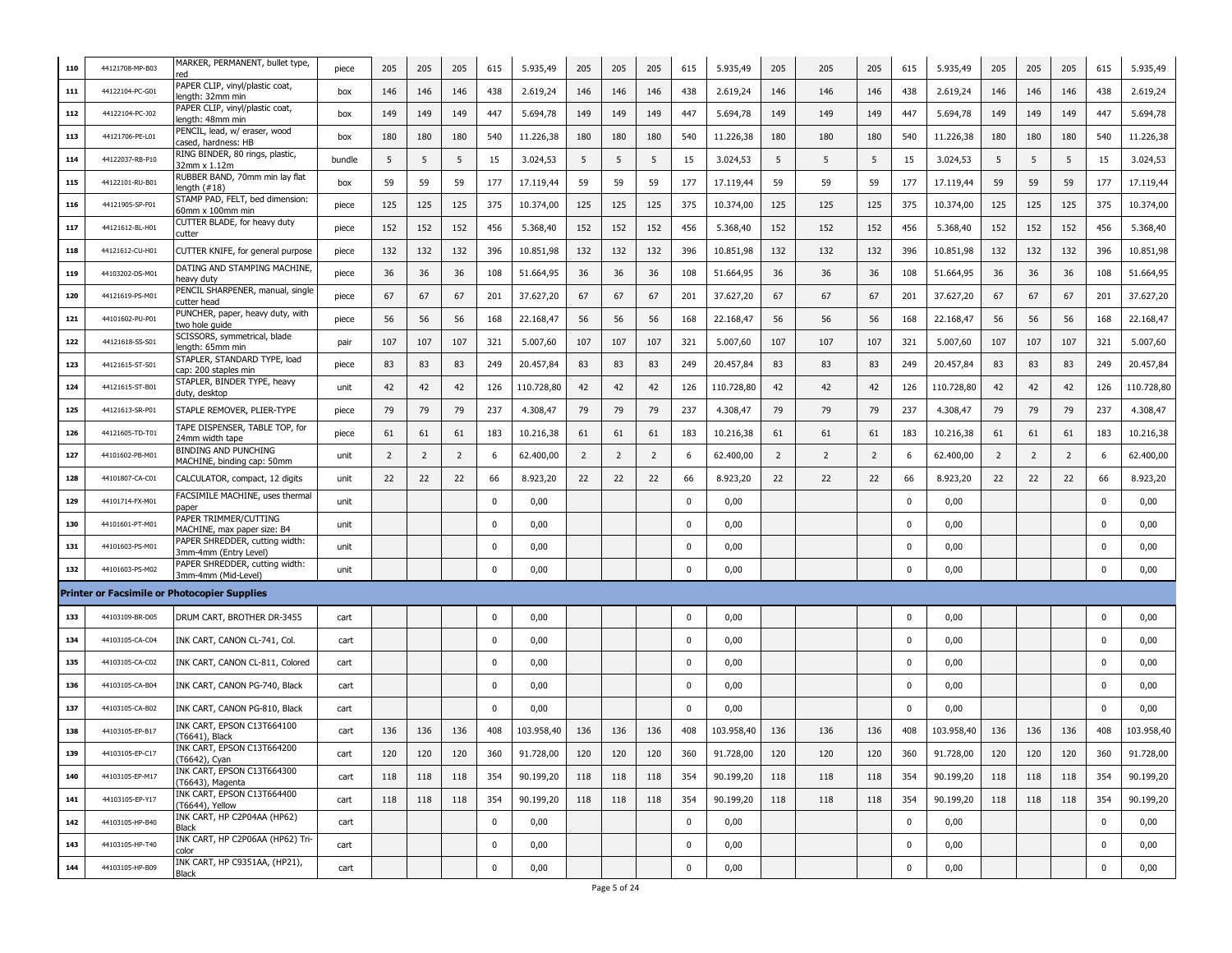| 110 | 44121708-MP-B03 | MARKER, PERMANENT, bullet type,                           | piece  | 205            | 205            | 205            | 615         | 5.935,49   | 205            | 205            | 205            | 615         | 5.935,49   | 205            | 205            | 205            | 615         | 5.935,49   | 205            | 205            | 205            | 615         | 5.935,49   |
|-----|-----------------|-----------------------------------------------------------|--------|----------------|----------------|----------------|-------------|------------|----------------|----------------|----------------|-------------|------------|----------------|----------------|----------------|-------------|------------|----------------|----------------|----------------|-------------|------------|
| 111 | 44122104-PC-G01 | PAPER CLIP, vinyl/plastic coat,<br>length: 32mm min       | box    | 146            | 146            | 146            | 438         | 2.619,24   | 146            | 146            | 146            | 438         | 2.619,24   | 146            | 146            | 146            | 438         | 2.619,24   | 146            | 146            | 146            | 438         | 2.619,24   |
| 112 | 44122104-PC-J02 | PAPER CLIP, vinyl/plastic coat,<br>ength: 48mm min        | box    | 149            | 149            | 149            | 447         | 5.694,78   | 149            | 149            | 149            | 447         | 5.694,78   | 149            | 149            | 149            | 447         | 5.694,78   | 149            | 149            | 149            | 447         | 5.694,78   |
| 113 | 44121706-PE-L01 | PENCIL, lead, w/ eraser, wood<br>cased, hardness: HB      | box    | 180            | 180            | 180            | 540         | 11.226,38  | 180            | 180            | 180            | 540         | 11.226,38  | 180            | 180            | 180            | 540         | 11.226,38  | 180            | 180            | 180            | 540         | 11.226,38  |
| 114 | 44122037-RB-P10 | RING BINDER, 80 rings, plastic,<br>32mm x 1.12m           | bundle | 5              | 5              | 5              | 15          | 3.024,53   | 5              | 5              | 5              | 15          | 3.024,53   | 5              | 5              | 5              | 15          | 3.024,53   | 5              | 5              | 5              | 15          | 3.024,53   |
| 115 | 44122101-RU-B01 | RUBBER BAND, 70mm min lay flat<br>length (#18)            | box    | 59             | 59             | 59             | 177         | 17.119,44  | 59             | 59             | 59             | 177         | 17.119,44  | 59             | 59             | 59             | 177         | 17.119,44  | 59             | 59             | 59             | 177         | 17.119,44  |
| 116 | 44121905-SP-F01 | STAMP PAD, FELT, bed dimension:<br>60mm x 100mm min       | piece  | 125            | 125            | 125            | 375         | 10.374,00  | 125            | 125            | 125            | 375         | 10.374,00  | 125            | 125            | 125            | 375         | 10.374,00  | 125            | 125            | 125            | 375         | 10.374,00  |
| 117 | 44121612-BL-H01 | CUTTER BLADE, for heavy duty<br>cutter                    | piece  | 152            | 152            | 152            | 456         | 5.368,40   | 152            | 152            | 152            | 456         | 5.368,40   | 152            | 152            | 152            | 456         | 5.368,40   | 152            | 152            | 152            | 456         | 5.368,40   |
| 118 | 44121612-CU-H01 | CUTTER KNIFE, for general purpose                         | piece  | 132            | 132            | 132            | 396         | 10.851,98  | 132            | 132            | 132            | 396         | 10.851,98  | 132            | 132            | 132            | 396         | 10.851,98  | 132            | 132            | 132            | 396         | 10.851,98  |
| 119 | 44103202-DS-M01 | DATING AND STAMPING MACHINE,<br>heavy duty                | piece  | 36             | 36             | 36             | 108         | 51.664,95  | 36             | 36             | 36             | 108         | 51.664,95  | 36             | 36             | 36             | 108         | 51.664,95  | 36             | 36             | 36             | 108         | 51.664,95  |
| 120 | 44121619-PS-M01 | PENCIL SHARPENER, manual, single<br>cutter head           | piece  | 67             | 67             | 67             | 201         | 37.627,20  | 67             | 67             | 67             | 201         | 37.627,20  | 67             | 67             | 67             | 201         | 37.627,20  | 67             | 67             | 67             | 201         | 37.627,20  |
| 121 | 44101602-PU-P01 | PUNCHER, paper, heavy duty, with<br>two hole guide        | piece  | 56             | 56             | 56             | 168         | 22.168,47  | 56             | 56             | 56             | 168         | 22.168,47  | 56             | 56             | 56             | 168         | 22.168,47  | 56             | 56             | 56             | 168         | 22.168,47  |
| 122 | 44121618-SS-S01 | SCISSORS, symmetrical, blade<br>length: 65mm min          | pair   | 107            | 107            | 107            | 321         | 5.007,60   | 107            | 107            | 107            | 321         | 5.007,60   | 107            | 107            | 107            | 321         | 5.007,60   | 107            | 107            | 107            | 321         | 5.007,60   |
| 123 | 44121615-ST-S01 | STAPLER, STANDARD TYPE, load<br>cap: 200 staples min      | piece  | 83             | 83             | 83             | 249         | 20.457,84  | 83             | 83             | 83             | 249         | 20.457,84  | 83             | 83             | 83             | 249         | 20.457,84  | 83             | 83             | 83             | 249         | 20.457,84  |
| 124 | 44121615-ST-B01 | STAPLER, BINDER TYPE, heavy<br>duty, desktop              | unit   | 42             | 42             | 42             | 126         | 110.728,80 | 42             | 42             | 42             | 126         | 110.728,80 | 42             | 42             | 42             | 126         | 110.728,80 | 42             | 42             | 42             | 126         | 110.728,80 |
| 125 | 44121613-SR-P01 | STAPLE REMOVER, PLIER-TYPE                                | piece  | 79             | 79             | 79             | 237         | 4.308,47   | 79             | 79             | 79             | 237         | 4.308,47   | 79             | 79             | 79             | 237         | 4.308,47   | 79             | 79             | 79             | 237         | 4.308,47   |
| 126 | 44121605-TD-T01 | TAPE DISPENSER, TABLE TOP, for<br>24mm width tape         | piece  | 61             | 61             | 61             | 183         | 10.216,38  | 61             | 61             | 61             | 183         | 10.216,38  | 61             | 61             | 61             | 183         | 10.216,38  | 61             | 61             | 61             | 183         | 10.216,38  |
| 127 | 44101602-PB-M01 | <b>BINDING AND PUNCHING</b><br>MACHINE, binding cap: 50mm | unit   | $\overline{2}$ | $\overline{2}$ | $\overline{2}$ | 6           | 62.400,00  | $\overline{2}$ | $\overline{2}$ | $\overline{2}$ | 6           | 62.400,00  | $\overline{2}$ | $\overline{2}$ | $\overline{2}$ | 6           | 62.400,00  | $\overline{2}$ | $\overline{2}$ | $\overline{2}$ | 6           | 62.400,00  |
| 128 | 44101807-CA-C01 | CALCULATOR, compact, 12 digits                            | unit   | 22             | 22             | 22             | 66          | 8.923,20   | 22             | 22             | 22             | 66          | 8.923,20   | 22             | 22             | 22             | 66          | 8.923,20   | 22             | 22             | 22             | 66          | 8.923,20   |
| 129 | 44101714-FX-M01 | FACSIMILE MACHINE, uses thermal<br>paper                  | unit   |                |                |                | $\mathbf 0$ | 0,00       |                |                |                | 0           | 0,00       |                |                |                | 0           | 0,00       |                |                |                | $\mathbf 0$ | 0,00       |
| 130 | 44101601-PT-M01 | PAPER TRIMMER/CUTTING<br>MACHINE, max paper size: B4      | unit   |                |                |                | $\mathbf 0$ | 0,00       |                |                |                | 0           | 0,00       |                |                |                | 0           | 0,00       |                |                |                | 0           | 0,00       |
| 131 | 44101603-PS-M01 | PAPER SHREDDER, cutting width:<br>3mm-4mm (Entry Level)   | unit   |                |                |                | 0           | 0,00       |                |                |                | 0           | 0,00       |                |                |                | 0           | 0,00       |                |                |                | 0           | 0,00       |
| 132 | 44101603-PS-M02 | PAPER SHREDDER, cutting width:<br>3mm-4mm (Mid-Level)     | unit   |                |                |                | 0           | 0,00       |                |                |                | 0           | 0,00       |                |                |                | 0           | 0,00       |                |                |                | 0           | 0,00       |
|     |                 | <b>Printer or Facsimile or Photocopier Supplies</b>       |        |                |                |                |             |            |                |                |                |             |            |                |                |                |             |            |                |                |                |             |            |
| 133 | 44103109-BR-D05 | DRUM CART, BROTHER DR-3455                                | cart   |                |                |                | $\mathbf 0$ | 0,00       |                |                |                | $\mathbf 0$ | 0,00       |                |                |                | 0           | 0,00       |                |                |                | $\mathbf 0$ | 0,00       |
| 134 | 44103105-CA-C04 | INK CART, CANON CL-741, Col.                              | cart   |                |                |                | 0           | 0,00       |                |                |                | 0           | 0,00       |                |                |                | 0           | 0,00       |                |                |                | 0           | 0,00       |
| 135 | 44103105-CA-C02 | INK CART, CANON CL-811, Colored                           | cart   |                |                |                | 0           | 0,00       |                |                |                | 0           | 0,00       |                |                |                | 0           | 0,00       |                |                |                | 0           | 0,00       |
| 136 | 44103105-CA-B04 | INK CART, CANON PG-740, Black                             | cart   |                |                |                | 0           | 0,00       |                |                |                | $\mathbf 0$ | 0,00       |                |                |                | 0           | 0,00       |                |                |                | 0           | 0,00       |
| 137 | 44103105-CA-B02 | INK CART, CANON PG-810, Black                             | cart   |                |                |                | $^{\circ}$  | 0,00       |                |                |                | $\mathbf 0$ | 0,00       |                |                |                | 0           | 0,00       |                |                |                | 0           | 0,00       |
| 138 | 44103105-EP-B17 | INK CART, EPSON C13T664100<br>(T6641), Black              | cart   | 136            | 136            | 136            | 408         | 103.958,40 | 136            | 136            | 136            | 408         | 103.958,40 | 136            | 136            | 136            | 408         | 103.958,40 | 136            | 136            | 136            | 408         | 103.958,40 |
| 139 | 44103105-EP-C17 | INK CART, EPSON C13T664200<br>(T6642), Cyan               | cart   | 120            | 120            | 120            | 360         | 91.728,00  | 120            | 120            | 120            | 360         | 91.728,00  | 120            | 120            | 120            | 360         | 91.728,00  | 120            | 120            | 120            | 360         | 91.728,00  |
| 140 | 44103105-EP-M17 | INK CART, EPSON C13T664300<br>(T6643), Magenta            | cart   | 118            | 118            | 118            | 354         | 90.199,20  | 118            | 118            | 118            | 354         | 90.199,20  | 118            | 118            | 118            | 354         | 90.199,20  | 118            | 118            | 118            | 354         | 90.199,20  |
| 141 | 44103105-EP-Y17 | INK CART, EPSON C13T664400<br>(T6644), Yellow             | cart   | 118            | 118            | 118            | 354         | 90.199,20  | 118            | 118            | 118            | 354         | 90.199,20  | 118            | 118            | 118            | 354         | 90.199,20  | 118            | 118            | 118            | 354         | 90.199,20  |
| 142 | 44103105-HP-B40 | INK CART, HP C2P04AA (HP62)<br>Black                      | cart   |                |                |                | $\mathbf 0$ | 0,00       |                |                |                | $\mathbf 0$ | 0,00       |                |                |                | $\mathbf 0$ | 0,00       |                |                |                | $\mathbf 0$ | 0,00       |
| 143 | 44103105-HP-T40 | INK CART, HP C2P06AA (HP62) Tri-<br>color                 | cart   |                |                |                | $\mathbf 0$ | 0,00       |                |                |                | 0           | 0,00       |                |                |                | 0           | 0,00       |                |                |                | 0           | 0,00       |
| 144 | 44103105-HP-B09 | INK CART, HP C9351AA, (HP21),<br>Black                    | cart   |                |                |                | $\mathbf 0$ | 0,00       |                |                |                | $\mathbf 0$ | 0,00       |                |                |                | 0           | 0,00       |                |                |                | 0           | 0,00       |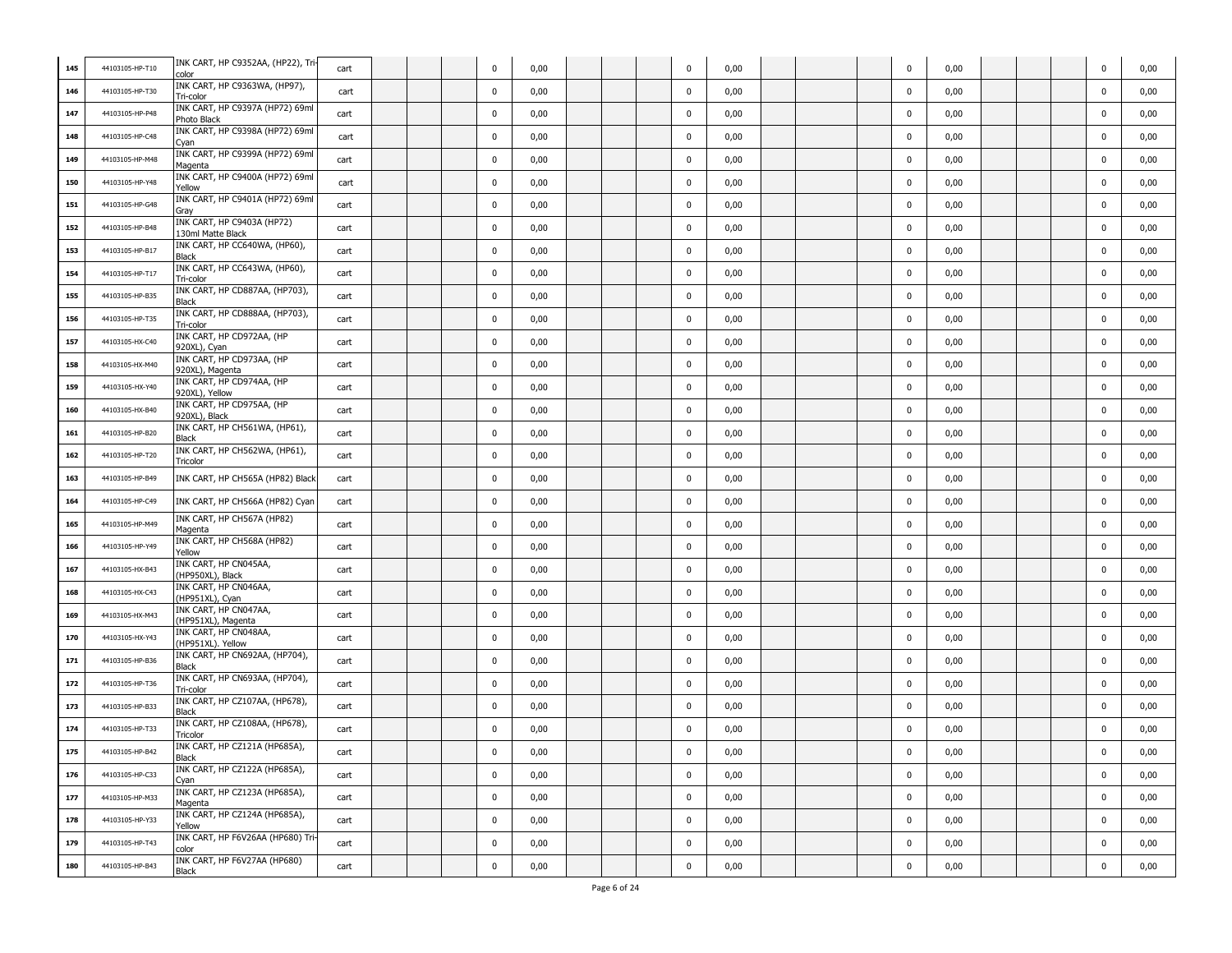| 145 | 44103105-HP-T10 | INK CART, HP C9352AA, (HP22), Tri<br>color      | cart |  | 0           | 0,00 |  | 0           | 0,00 |  | $\mathbf 0$ | 0,00 |  | 0           | 0,00 |
|-----|-----------------|-------------------------------------------------|------|--|-------------|------|--|-------------|------|--|-------------|------|--|-------------|------|
| 146 | 44103105-HP-T30 | INK CART, HP C9363WA, (HP97),<br>Tri-color      | cart |  | 0           | 0,00 |  | $\mathbf 0$ | 0,00 |  | 0           | 0,00 |  | $\mathbf 0$ | 0,00 |
| 147 | 44103105-HP-P48 | INK CART, HP C9397A (HP72) 69ml<br>Photo Black  | cart |  | $\mathbf 0$ | 0,00 |  | $\mathbf 0$ | 0,00 |  | $\mathbf 0$ | 0,00 |  | $\mathbf 0$ | 0,00 |
| 148 | 44103105-HP-C48 | INK CART, HP C9398A (HP72) 69ml<br>Cyan         | cart |  | $\mathbf 0$ | 0,00 |  | $\mathbf 0$ | 0,00 |  | $\mathbf 0$ | 0,00 |  | $\mathbf 0$ | 0,00 |
| 149 | 44103105-HP-M48 | INK CART, HP C9399A (HP72) 69ml<br>Magenta      | cart |  | 0           | 0,00 |  | $\mathbf 0$ | 0,00 |  | 0           | 0,00 |  | $\mathbf 0$ | 0,00 |
| 150 | 44103105-HP-Y48 | INK CART, HP C9400A (HP72) 69ml<br>Yellow       | cart |  | 0           | 0,00 |  | $\pmb{0}$   | 0,00 |  | $\mathbf 0$ | 0,00 |  | $\mathbf 0$ | 0,00 |
| 151 | 44103105-HP-G48 | INK CART, HP C9401A (HP72) 69ml<br>Gray         | cart |  | $\mathbf 0$ | 0,00 |  | $\pmb{0}$   | 0,00 |  | $\mathbf 0$ | 0,00 |  | $\mathbf 0$ | 0,00 |
| 152 | 44103105-HP-B48 | INK CART, HP C9403A (HP72)<br>130ml Matte Black | cart |  | $\mathbf 0$ | 0,00 |  | $\pmb{0}$   | 0,00 |  | $\mathbf 0$ | 0,00 |  | $\mathbf 0$ | 0,00 |
| 153 | 44103105-HP-B17 | INK CART, HP CC640WA, (HP60),<br>Black          | cart |  | 0           | 0,00 |  | $\mathbf 0$ | 0,00 |  | 0           | 0,00 |  | $\mathbf 0$ | 0,00 |
| 154 | 44103105-HP-T17 | INK CART, HP CC643WA, (HP60),<br>Tri-color      | cart |  | 0           | 0,00 |  | $\pmb{0}$   | 0,00 |  | 0           | 0,00 |  | $\mathbf 0$ | 0,00 |
| 155 | 44103105-HP-B35 | INK CART, HP CD887AA, (HP703),<br><b>Black</b>  | cart |  | $\mathbf 0$ | 0,00 |  | $\mathbf 0$ | 0,00 |  | $\mathbf 0$ | 0,00 |  | $\mathbf 0$ | 0,00 |
| 156 | 44103105-HP-T35 | INK CART, HP CD888AA, (HP703),<br>Tri-color     | cart |  | $\mathbf 0$ | 0,00 |  | $\mathbf 0$ | 0,00 |  | $\mathbf 0$ | 0,00 |  | $\mathbf 0$ | 0,00 |
| 157 | 44103105-HX-C40 | INK CART, HP CD972AA, (HP<br>920XL), Cyan       | cart |  | $\mathbf 0$ | 0,00 |  | $\mathbf 0$ | 0,00 |  | $\mathbf 0$ | 0,00 |  | $\mathbf 0$ | 0,00 |
| 158 | 44103105-HX-M40 | INK CART, HP CD973AA, (HP<br>920XL), Magenta    | cart |  | 0           | 0,00 |  | $\mathbf 0$ | 0,00 |  | 0           | 0,00 |  | $\mathbf 0$ | 0,00 |
| 159 | 44103105-HX-Y40 | INK CART, HP CD974AA, (HP<br>920XL), Yellow     | cart |  | 0           | 0,00 |  | $\pmb{0}$   | 0,00 |  | $\mathbf 0$ | 0,00 |  | $\mathbf 0$ | 0,00 |
| 160 | 44103105-HX-B40 | INK CART, HP CD975AA, (HP<br>920XL), Black      | cart |  | $\mathbf 0$ | 0,00 |  | $\mathbf 0$ | 0,00 |  | $\mathbf 0$ | 0,00 |  | $\mathbf 0$ | 0,00 |
| 161 | 44103105-HP-B20 | INK CART, HP CH561WA, (HP61),<br>Black          | cart |  | $\mathbf 0$ | 0,00 |  | $\mathbf 0$ | 0,00 |  | $\mathbf 0$ | 0,00 |  | $\mathbf 0$ | 0,00 |
| 162 | 44103105-HP-T20 | INK CART, HP CH562WA, (HP61),<br>Tricolor       | cart |  | 0           | 0,00 |  | $\mathbf 0$ | 0,00 |  | 0           | 0,00 |  | 0           | 0,00 |
| 163 | 44103105-HP-B49 | INK CART, HP CH565A (HP82) Black                | cart |  | 0           | 0,00 |  | $\pmb{0}$   | 0,00 |  | 0           | 0,00 |  | $\mathbf 0$ | 0,00 |
| 164 | 44103105-HP-C49 | INK CART, HP CH566A (HP82) Cyan                 | cart |  | $\mathbf 0$ | 0,00 |  | $\mathbf 0$ | 0,00 |  | $\mathbf 0$ | 0,00 |  | $\mathbf 0$ | 0,00 |
| 165 | 44103105-HP-M49 | INK CART, HP CH567A (HP82)<br>Magenta           | cart |  | $\mathbf 0$ | 0,00 |  | $\mathbf 0$ | 0,00 |  | 0           | 0,00 |  | $\mathbf 0$ | 0,00 |
| 166 | 44103105-HP-Y49 | INK CART, HP CH568A (HP82)<br>Yellow            | cart |  | 0           | 0,00 |  | $\mathbf 0$ | 0,00 |  | 0           | 0,00 |  | $\mathbf 0$ | 0,00 |
| 167 | 44103105-HX-B43 | INK CART, HP CN045AA,<br>(HP950XL), Black       | cart |  | 0           | 0,00 |  | $\pmb{0}$   | 0,00 |  | 0           | 0,00 |  | $\mathbf 0$ | 0,00 |
| 168 | 44103105-HX-C43 | INK CART, HP CN046AA,<br>(HP951XL), Cyan        | cart |  | $\mathbf 0$ | 0,00 |  | $\pmb{0}$   | 0,00 |  | $\mathbf 0$ | 0,00 |  | $\mathbf 0$ | 0,00 |
| 169 | 44103105-HX-M43 | INK CART, HP CN047AA,<br>(HP951XL), Magenta     | cart |  | $\mathbf 0$ | 0,00 |  | $\mathbf 0$ | 0,00 |  | $\mathbf 0$ | 0,00 |  | $\mathbf 0$ | 0,00 |
| 170 | 44103105-HX-Y43 | INK CART, HP CN048AA,<br>(HP951XL). Yellow      | cart |  | $\mathbf 0$ | 0,00 |  | $\mathbf 0$ | 0,00 |  | $\mathbf 0$ | 0,00 |  | $\mathbf 0$ | 0,00 |
| 171 | 44103105-HP-B36 | INK CART, HP CN692AA, (HP704),<br>Black         | cart |  | 0           | 0,00 |  | $\mathbf 0$ | 0,00 |  | 0           | 0,00 |  | $\mathbf 0$ | 0,00 |
| 172 | 44103105-HP-T36 | INK CART, HP CN693AA, (HP704),<br>Tri-color     | cart |  | $\mathbf 0$ | 0,00 |  | $\mathbf 0$ | 0,00 |  | $\mathbf 0$ | 0,00 |  | $\mathbf 0$ | 0,00 |
| 173 | 44103105-HP-B33 | INK CART, HP CZ107AA, (HP678),<br><b>Black</b>  | cart |  | 0           | 0,00 |  | $\mathbf 0$ | 0,00 |  | $\mathbf 0$ | 0,00 |  | $\mathbf 0$ | 0,00 |
| 174 | 44103105-HP-T33 | INK CART, HP CZ108AA, (HP678),<br>Tricolor      | cart |  | $\mathbf 0$ | 0,00 |  | $\pmb{0}$   | 0,00 |  | $\mathbf 0$ | 0,00 |  | $\mathbf 0$ | 0,00 |
| 175 | 44103105-HP-B42 | INK CART, HP CZ121A (HP685A),<br>Black          | cart |  |             | 0,00 |  | 0           | 0,00 |  | 0           | 0,00 |  |             | 0,00 |
| 176 | 44103105-HP-C33 | INK CART, HP CZ122A (HP685A),<br>Cyan           | cart |  | $\pmb{0}$   | 0,00 |  | $\pmb{0}$   | 0,00 |  | $\pmb{0}$   | 0,00 |  | $\mathbf 0$ | 0,00 |
| 177 | 44103105-HP-M33 | INK CART, HP CZ123A (HP685A),<br>Magenta        | cart |  | $\pmb{0}$   | 0,00 |  | $\pmb{0}$   | 0,00 |  | $\pmb{0}$   | 0,00 |  | $\mathbf 0$ | 0,00 |
| 178 | 44103105-HP-Y33 | INK CART, HP CZ124A (HP685A),<br>Yellow         | cart |  | $\pmb{0}$   | 0,00 |  | $\pmb{0}$   | 0,00 |  | $\pmb{0}$   | 0,00 |  | $\pmb{0}$   | 0,00 |
| 179 | 44103105-HP-T43 | INK CART, HP F6V26AA (HP680) Tri<br>color       | cart |  | $\mathbf 0$ | 0,00 |  | $\mathbf 0$ | 0,00 |  | $\mathbf 0$ | 0,00 |  | $\mathbf 0$ | 0,00 |
| 180 | 44103105-HP-B43 | INK CART, HP F6V27AA (HP680)<br>Black           | cart |  | $\pmb{0}$   | 0,00 |  | $\pmb{0}$   | 0,00 |  | $\pmb{0}$   | 0,00 |  | $\mathbf 0$ | 0,00 |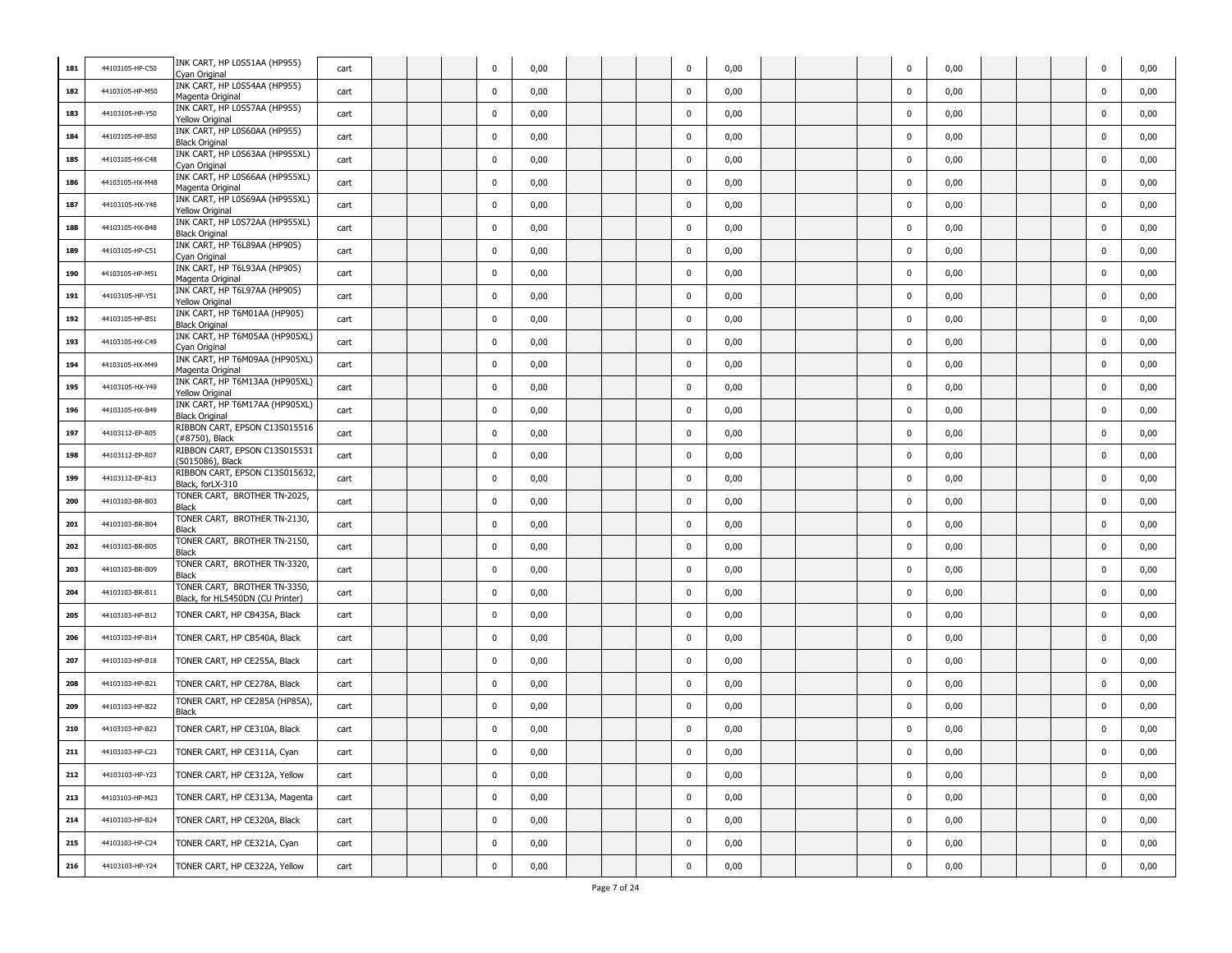| 181 | 44103105-HP-C50 | INK CART, HP LOS51AA (HP955)<br>Cyan Original                    | cart |  | 0           | 0,00 |  | $\mathbf 0$ | 0,00 |  | $\mathbf 0$ | 0,00 |  | $\mathbf 0$ | 0,00 |
|-----|-----------------|------------------------------------------------------------------|------|--|-------------|------|--|-------------|------|--|-------------|------|--|-------------|------|
| 182 | 44103105-HP-M50 | INK CART, HP LOS54AA (HP955)<br>Magenta Original                 | cart |  | $\mathbf 0$ | 0,00 |  | $\mathbf 0$ | 0,00 |  | $\mathbf 0$ | 0,00 |  | $\mathbf 0$ | 0,00 |
| 183 | 44103105-HP-Y50 | INK CART, HP L0S57AA (HP955)<br><b>Yellow Original</b>           | cart |  | $\mathbf 0$ | 0,00 |  | $\mathbf 0$ | 0,00 |  | $\mathbf 0$ | 0,00 |  | $\mathbf 0$ | 0,00 |
| 184 | 44103105-HP-B50 | INK CART, HP L0S60AA (HP955)<br><b>Black Original</b>            | cart |  | $\mathbf 0$ | 0,00 |  | $\pmb{0}$   | 0,00 |  | $\mathbf 0$ | 0,00 |  | $\mathbf 0$ | 0,00 |
| 185 | 44103105-HX-C48 | INK CART, HP L0S63AA (HP955XL)<br>Cyan Original                  | cart |  | 0           | 0,00 |  | $\pmb{0}$   | 0,00 |  | $\mathbf 0$ | 0,00 |  | $\mathbf 0$ | 0,00 |
| 186 | 44103105-HX-M48 | INK CART, HP L0S66AA (HP955XL)<br>Magenta Original               | cart |  | $\mathbf 0$ | 0,00 |  | $\pmb{0}$   | 0,00 |  | $\mathbf 0$ | 0,00 |  | $\mathbf 0$ | 0,00 |
| 187 | 44103105-HX-Y48 | INK CART, HP L0S69AA (HP955XL)<br><b>Yellow Original</b>         | cart |  | $\mathbf 0$ | 0,00 |  | $\pmb{0}$   | 0,00 |  | $\mathbf 0$ | 0,00 |  | $\mathbf 0$ | 0,00 |
| 188 | 44103105-HX-B48 | INK CART, HP L0S72AA (HP955XL)<br><b>Black Original</b>          | cart |  | $\mathbf 0$ | 0,00 |  | $\mathbf 0$ | 0,00 |  | 0           | 0,00 |  | $\mathbf 0$ | 0,00 |
| 189 | 44103105-HP-C51 | INK CART, HP T6L89AA (HP905)<br>Cyan Original                    | cart |  | 0           | 0,00 |  | $\mathbf 0$ | 0,00 |  | $\mathbf 0$ | 0,00 |  | $\mathbf 0$ | 0,00 |
| 190 | 44103105-HP-M51 | INK CART, HP T6L93AA (HP905)<br>Magenta Original                 | cart |  | $\mathbf 0$ | 0,00 |  | $\mathbf 0$ | 0,00 |  | $\mathbf 0$ | 0,00 |  | $\mathbf 0$ | 0,00 |
| 191 | 44103105-HP-Y51 | INK CART, HP T6L97AA (HP905)<br><b>Yellow Original</b>           | cart |  | $\mathbf 0$ | 0,00 |  | $\mathbf 0$ | 0,00 |  | $\mathbf 0$ | 0,00 |  | $\mathbf 0$ | 0,00 |
| 192 | 44103105-HP-B51 | INK CART, HP T6M01AA (HP905)<br><b>Black Original</b>            | cart |  | $\mathbf 0$ | 0,00 |  | $\mathbf 0$ | 0,00 |  | $\mathbf 0$ | 0,00 |  | $\mathbf 0$ | 0,00 |
| 193 | 44103105-HX-C49 | INK CART, HP T6M05AA (HP905XL)<br>Cyan Original                  | cart |  | $\mathbf 0$ | 0,00 |  | $\pmb{0}$   | 0,00 |  | $\mathbf 0$ | 0,00 |  | $\mathbf 0$ | 0,00 |
| 194 | 44103105-HX-M49 | INK CART, HP T6M09AA (HP905XL)<br>Magenta Original               | cart |  | 0           | 0,00 |  | $\pmb{0}$   | 0,00 |  | $\mathbf 0$ | 0,00 |  | $\mathbf 0$ | 0,00 |
| 195 | 44103105-HX-Y49 | INK CART, HP T6M13AA (HP905XL)<br>Yellow Original                | cart |  | $\mathbf 0$ | 0,00 |  | $\mathbf 0$ | 0,00 |  | $\mathbf 0$ | 0,00 |  | $\mathbf 0$ | 0,00 |
| 196 | 44103105-HX-B49 | INK CART, HP T6M17AA (HP905XL)<br><b>Black Original</b>          | cart |  | $\mathbf 0$ | 0,00 |  | $\pmb{0}$   | 0,00 |  | $\mathbf 0$ | 0,00 |  | $\mathbf 0$ | 0,00 |
| 197 | 44103112-EP-R05 | RIBBON CART, EPSON C13S015516<br>#8750), Black                   | cart |  | $\mathbf 0$ | 0,00 |  | $\mathbf 0$ | 0,00 |  | 0           | 0,00 |  | $\mathbf 0$ | 0,00 |
| 198 | 44103112-EP-R07 | RIBBON CART, EPSON C13S015531<br>(S015086), Black                | cart |  | $\mathbf 0$ | 0,00 |  | $\mathbf 0$ | 0,00 |  | $\mathbf 0$ | 0,00 |  | $\mathbf 0$ | 0,00 |
| 199 | 44103112-EP-R13 | RIBBON CART, EPSON C13S015632<br>Black, forLX-310                | cart |  | $\mathbf 0$ | 0,00 |  | $\mathbf 0$ | 0,00 |  | $\mathbf 0$ | 0,00 |  | $\mathbf 0$ | 0,00 |
| 200 | 44103103-BR-B03 | TONER CART, BROTHER TN-2025,<br><b>Black</b>                     | cart |  | $\mathbf 0$ | 0,00 |  | $\mathbf 0$ | 0,00 |  | $\mathbf 0$ | 0,00 |  | $\mathbf 0$ | 0,00 |
| 201 | 44103103-BR-B04 | TONER CART, BROTHER TN-2130,<br>Black                            | cart |  | $\mathbf 0$ | 0,00 |  | $\mathbf 0$ | 0,00 |  | $\mathbf 0$ | 0,00 |  | $\mathbf 0$ | 0,00 |
| 202 | 44103103-BR-B05 | TONER CART, BROTHER TN-2150,<br><b>Black</b>                     | cart |  | $\mathbf 0$ | 0,00 |  | $\pmb{0}$   | 0,00 |  | $\mathbf 0$ | 0,00 |  | $\mathbf 0$ | 0,00 |
| 203 | 44103103-BR-B09 | TONER CART, BROTHER TN-3320,<br>Black                            | cart |  | $\mathbf 0$ | 0,00 |  | $\pmb{0}$   | 0,00 |  | $\mathbf 0$ | 0,00 |  | $\mathbf 0$ | 0,00 |
| 204 | 44103103-BR-B11 | TONER CART, BROTHER TN-3350,<br>Black, for HL5450DN (CU Printer) | cart |  | $\mathbf 0$ | 0,00 |  | $\mathbf 0$ | 0,00 |  | $\mathbf 0$ | 0,00 |  | $\mathbf 0$ | 0,00 |
| 205 | 44103103-HP-B12 | TONER CART, HP CB435A, Black                                     | cart |  | $\mathbf 0$ | 0,00 |  | $\mathbf 0$ | 0,00 |  | $\mathbf 0$ | 0,00 |  | $\mathbf 0$ | 0,00 |
| 206 | 44103103-HP-B14 | TONER CART, HP CB540A, Black                                     | cart |  | $\mathbf 0$ | 0,00 |  | $\pmb{0}$   | 0,00 |  | $\mathbf 0$ | 0,00 |  | $\bf{0}$    | 0,00 |
| 207 | 44103103-HP-B18 | TONER CART, HP CE255A, Black                                     | cart |  | $\mathbf 0$ | 0,00 |  | $\mathbf 0$ | 0,00 |  | $\mathbf 0$ | 0,00 |  | $\mathbf 0$ | 0,00 |
| 208 | 44103103-HP-B21 | TONER CART, HP CE278A, Black                                     | cart |  | $\mathbf 0$ | 0,00 |  | $\mathbf 0$ | 0,00 |  | 0           | 0,00 |  | $\mathbf 0$ | 0,00 |
| 209 | 44103103-HP-B22 | TONER CART, HP CE285A (HP85A),<br>Black                          | cart |  | $\mathbf 0$ | 0,00 |  | $\pmb{0}$   | 0,00 |  | $\mathbf 0$ | 0,00 |  | $\mathbf 0$ | 0,00 |
| 210 | 44103103-HP-B23 | TONER CART, HP CE310A, Black                                     | cart |  | 0           | 0,00 |  | $\mathbf 0$ | 0,00 |  | $\mathbf 0$ | 0,00 |  | 0           | 0,00 |
| 211 | 44103103-HP-C23 | TONER CART, HP CE311A, Cyan                                      | cart |  | 0           | 0,00 |  | 0           | 0,00 |  | $\mathbf 0$ | 0,00 |  | $\Omega$    | 0,00 |
| 212 | 44103103-HP-Y23 | TONER CART, HP CE312A, Yellow                                    | cart |  | $\mathbf 0$ | 0,00 |  | $\mathbf 0$ | 0,00 |  | $\mathbf 0$ | 0,00 |  | $\mathbf 0$ | 0,00 |
| 213 | 44103103-HP-M23 | TONER CART, HP CE313A, Magenta                                   | cart |  | $\mathbf 0$ | 0,00 |  | $\mathbf 0$ | 0,00 |  | $\pmb{0}$   | 0,00 |  | $\mathbf 0$ | 0,00 |
| 214 | 44103103-HP-B24 | TONER CART, HP CE320A, Black                                     | cart |  | $\mathbf 0$ | 0,00 |  | $\mathbf 0$ | 0,00 |  | $\mathbf 0$ | 0,00 |  | $\mathbf 0$ | 0,00 |
| 215 | 44103103-HP-C24 | TONER CART, HP CE321A, Cyan                                      | cart |  | $\mathbf 0$ | 0,00 |  | $\mathbf 0$ | 0,00 |  | $\mathbf 0$ | 0,00 |  | $\mathbf 0$ | 0,00 |
| 216 | 44103103-HP-Y24 | TONER CART, HP CE322A, Yellow                                    | cart |  | $\pmb{0}$   | 0,00 |  | $\pmb{0}$   | 0,00 |  | $\pmb{0}$   | 0,00 |  | $\mathbf 0$ | 0,00 |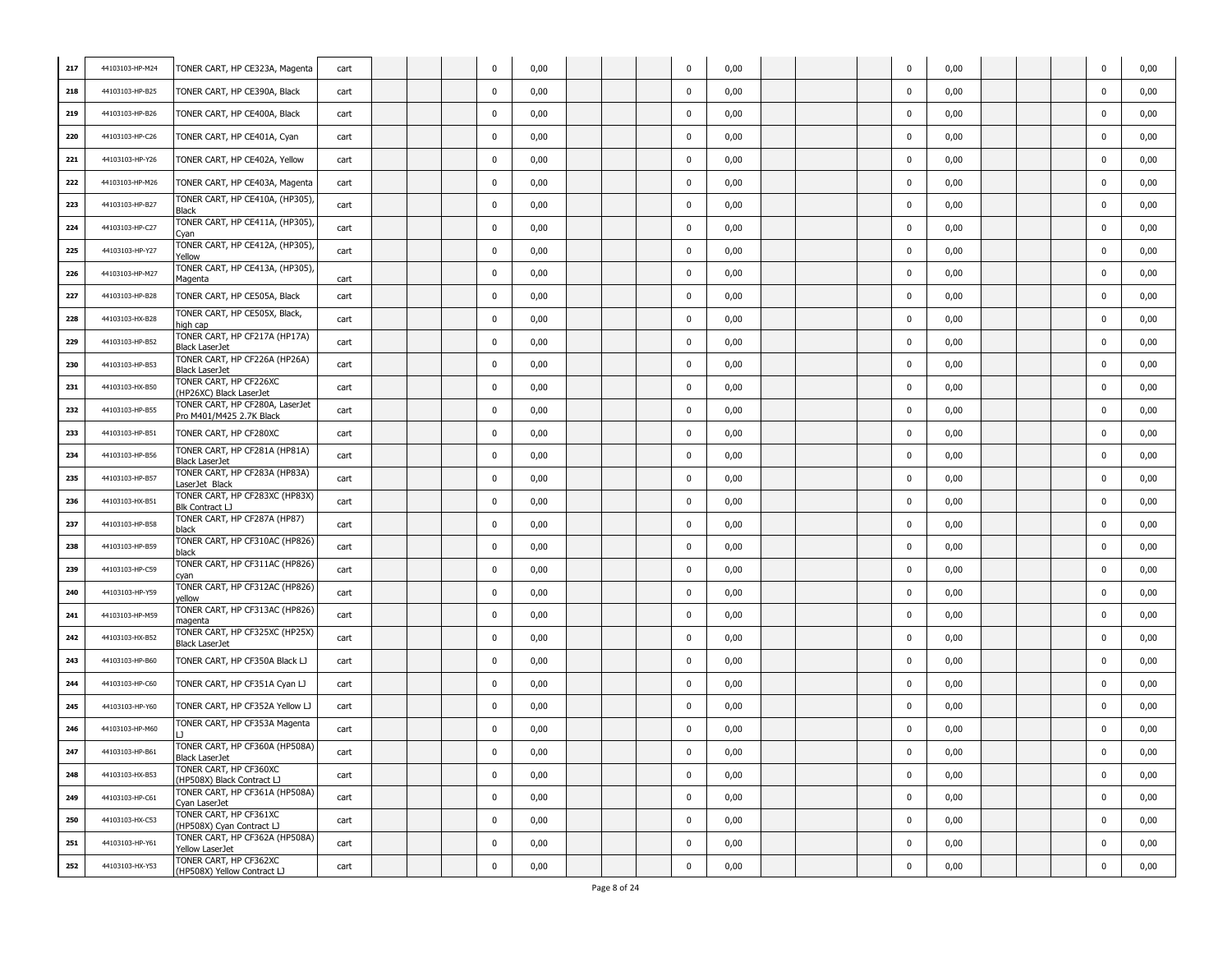| 217 | 44103103-HP-M24 | TONER CART, HP CE323A, Magenta                              | cart |  | $\Omega$    | 0,00 |  | 0           | 0,00 |  | 0           | 0,00 |  | 0           | 0,00 |
|-----|-----------------|-------------------------------------------------------------|------|--|-------------|------|--|-------------|------|--|-------------|------|--|-------------|------|
| 218 | 44103103-HP-B25 | TONER CART, HP CE390A, Black                                | cart |  | 0           | 0,00 |  | $\mathbf 0$ | 0,00 |  | $\mathbf 0$ | 0,00 |  | 0           | 0,00 |
| 219 | 44103103-HP-B26 | TONER CART, HP CE400A, Black                                | cart |  | 0           | 0,00 |  | $\mathbf 0$ | 0,00 |  | $\mathbf 0$ | 0,00 |  | 0           | 0,00 |
| 220 | 44103103-HP-C26 | TONER CART, HP CE401A, Cyan                                 | cart |  | 0           | 0,00 |  | $\mathbf 0$ | 0,00 |  | $\mathbf 0$ | 0,00 |  | 0           | 0,00 |
| 221 | 44103103-HP-Y26 | TONER CART, HP CE402A, Yellow                               | cart |  | 0           | 0,00 |  | $\mathbf 0$ | 0,00 |  | 0           | 0,00 |  | 0           | 0,00 |
| 222 | 44103103-HP-M26 | TONER CART, HP CE403A, Magenta                              | cart |  | 0           | 0,00 |  | $\mathbf 0$ | 0,00 |  | 0           | 0,00 |  | $\mathbf 0$ | 0,00 |
| 223 | 44103103-HP-B27 | TONER CART, HP CE410A, (HP305),<br><b>Black</b>             | cart |  | $\mathbf 0$ | 0,00 |  | $\mathbf 0$ | 0,00 |  | $\mathbf 0$ | 0,00 |  | $\mathbf 0$ | 0,00 |
| 224 | 44103103-HP-C27 | TONER CART, HP CE411A, (HP305),<br>Cyan                     | cart |  | 0           | 0,00 |  | $\mathbf 0$ | 0,00 |  | $\mathbf 0$ | 0,00 |  | 0           | 0,00 |
| 225 | 44103103-HP-Y27 | TONER CART, HP CE412A, (HP305)<br>Yellow                    | cart |  | $\mathbf 0$ | 0,00 |  | $\mathbf 0$ | 0,00 |  | 0           | 0,00 |  | 0           | 0,00 |
| 226 | 44103103-HP-M27 | TONER CART, HP CE413A, (HP305),<br>Magenta                  | cart |  | 0           | 0,00 |  | $\mathbf 0$ | 0,00 |  | 0           | 0,00 |  | 0           | 0,00 |
| 227 | 44103103-HP-B28 | TONER CART, HP CE505A, Black                                | cart |  | 0           | 0,00 |  | $\mathbf 0$ | 0,00 |  | $\mathbf 0$ | 0,00 |  | $\mathbf 0$ | 0,00 |
| 228 | 44103103-HX-B28 | TONER CART, HP CE505X, Black,<br>high cap                   | cart |  | 0           | 0,00 |  | $\mathbf 0$ | 0,00 |  | $\mathbf 0$ | 0,00 |  | 0           | 0,00 |
| 229 | 44103103-HP-B52 | TONER CART, HP CF217A (HP17A)<br>Black LaserJet             | cart |  | 0           | 0,00 |  | $\mathbf 0$ | 0,00 |  | $\mathbf 0$ | 0,00 |  | 0           | 0,00 |
| 230 | 44103103-HP-B53 | TONER CART, HP CF226A (HP26A)<br><b>Black LaserJet</b>      | cart |  | 0           | 0,00 |  | 0           | 0,00 |  | 0           | 0,00 |  | 0           | 0,00 |
| 231 | 44103103-HX-B50 | TONER CART, HP CF226XC<br>(HP26XC) Black LaserJet           | cart |  | 0           | 0,00 |  | $\mathbf 0$ | 0,00 |  | $\mathbf 0$ | 0,00 |  | $\mathbf 0$ | 0,00 |
| 232 | 44103103-HP-B55 | TONER CART, HP CF280A, LaserJet<br>Pro M401/M425 2.7K Black | cart |  | 0           | 0,00 |  | $\mathbf 0$ | 0,00 |  | $\mathbf 0$ | 0,00 |  | $\mathbf 0$ | 0,00 |
| 233 | 44103103-HP-B51 | TONER CART, HP CF280XC                                      | cart |  | 0           | 0,00 |  | $\mathbf 0$ | 0,00 |  | $\mathbf 0$ | 0,00 |  | $\mathbf 0$ | 0,00 |
| 234 | 44103103-HP-B56 | TONER CART, HP CF281A (HP81A)<br><b>Black LaserJet</b>      | cart |  | 0           | 0,00 |  | $\mathbf 0$ | 0,00 |  | 0           | 0,00 |  | 0           | 0,00 |
| 235 | 44103103-HP-B57 | TONER CART, HP CF283A (HP83A)<br>LaserJet Black             | cart |  | 0           | 0,00 |  | 0           | 0,00 |  | $\mathbf 0$ | 0,00 |  | $\mathbf 0$ | 0,00 |
| 236 | 44103103-HX-B51 | TONER CART, HP CF283XC (HP83X)<br>Blk Contract LJ           | cart |  | 0           | 0,00 |  | $\mathbf 0$ | 0,00 |  | $\mathbf 0$ | 0,00 |  | $\mathbf 0$ | 0,00 |
| 237 | 44103103-HP-B58 | TONER CART, HP CF287A (HP87)<br>black                       | cart |  | 0           | 0,00 |  | $\mathbf 0$ | 0,00 |  | $\mathbf 0$ | 0,00 |  | 0           | 0,00 |
| 238 | 44103103-HP-B59 | TONER CART, HP CF310AC (HP826)<br>black                     | cart |  | 0           | 0,00 |  | 0           | 0,00 |  | 0           | 0,00 |  | 0           | 0,00 |
| 239 | 44103103-HP-C59 | TONER CART, HP CF311AC (HP826)<br>cyan                      | cart |  | 0           | 0,00 |  | $\mathbf 0$ | 0,00 |  | 0           | 0,00 |  | 0           | 0,00 |
| 240 | 44103103-HP-Y59 | TONER CART, HP CF312AC (HP826)<br>yellow                    | cart |  | 0           | 0,00 |  | $\mathbf 0$ | 0,00 |  | $\mathbf 0$ | 0,00 |  | $\mathbf 0$ | 0,00 |
| 241 | 44103103-HP-M59 | TONER CART, HP CF313AC (HP826)<br>magenta                   | cart |  | 0           | 0,00 |  | $\mathbf 0$ | 0,00 |  | $\mathbf 0$ | 0,00 |  | $\mathbf 0$ | 0,00 |
| 242 | 44103103-HX-B52 | TONER CART, HP CF325XC (HP25X)<br><b>Black LaserJet</b>     | cart |  | 0           | 0,00 |  | $\mathbf 0$ | 0,00 |  | 0           | 0,00 |  | 0           | 0,00 |
| 243 | 44103103-HP-B60 | TONER CART, HP CF350A Black LJ                              | cart |  | 0           | 0,00 |  | $\mathbf 0$ | 0,00 |  | 0           | 0,00 |  | 0           | 0,00 |
| 244 | 44103103-HP-C60 | TONER CART, HP CF351A Cyan LJ                               | cart |  | 0           | 0,00 |  | $\mathbf 0$ | 0,00 |  | $\mathbf 0$ | 0,00 |  | $\mathbf 0$ | 0,00 |
| 245 | 44103103-HP-Y60 | TONER CART, HP CF352A Yellow LJ                             | cart |  | 0           | 0,00 |  | $\mathbf 0$ | 0,00 |  | 0           | 0,00 |  | $\mathbf 0$ | 0,00 |
| 246 | 44103103-HP-M60 | TONER CART, HP CF353A Magenta                               | cart |  | 0           | 0,00 |  | $\mathbf 0$ | 0,00 |  | $\mathbf 0$ | 0,00 |  | 0           | 0,00 |
| 247 | 44103103-HP-B61 | TONER CART, HP CF360A (HP508A)<br><b>Black LaserJet</b>     | cart |  |             | 0,00 |  | $\pmb{0}$   | 0,00 |  | 0           | 0,00 |  |             | 0,00 |
| 248 | 44103103-HX-B53 | TONER CART, HP CF360XC<br>(HP508X) Black Contract LJ        | cart |  | $\pmb{0}$   | 0,00 |  | $\pmb{0}$   | 0,00 |  | $\pmb{0}$   | 0,00 |  | $\mathbf 0$ | 0,00 |
| 249 | 44103103-HP-C61 | TONER CART, HP CF361A (HP508A)<br>Cyan LaserJet             | cart |  | $\pmb{0}$   | 0,00 |  | $\mathbf 0$ | 0,00 |  | $\pmb{0}$   | 0,00 |  | $\mathbf 0$ | 0,00 |
| 250 | 44103103-HX-C53 | TONER CART, HP CF361XC<br>(HP508X) Cyan Contract LJ         | cart |  | $\pmb{0}$   | 0,00 |  | $\mathbf 0$ | 0,00 |  | $\pmb{0}$   | 0,00 |  | $\mathbf 0$ | 0,00 |
| 251 | 44103103-HP-Y61 | TONER CART, HP CF362A (HP508A)<br>Yellow LaserJet           | cart |  | $\mathbf 0$ | 0,00 |  | $\mathbf 0$ | 0,00 |  | $\pmb{0}$   | 0,00 |  | $\mathbf 0$ | 0,00 |
| 252 | 44103103-HX-Y53 | TONER CART, HP CF362XC<br>(HP508X) Yellow Contract LJ       | cart |  | $\mathbf 0$ | 0,00 |  | $\mathbf 0$ | 0,00 |  | $\mathbf 0$ | 0,00 |  | $\mathbf 0$ | 0,00 |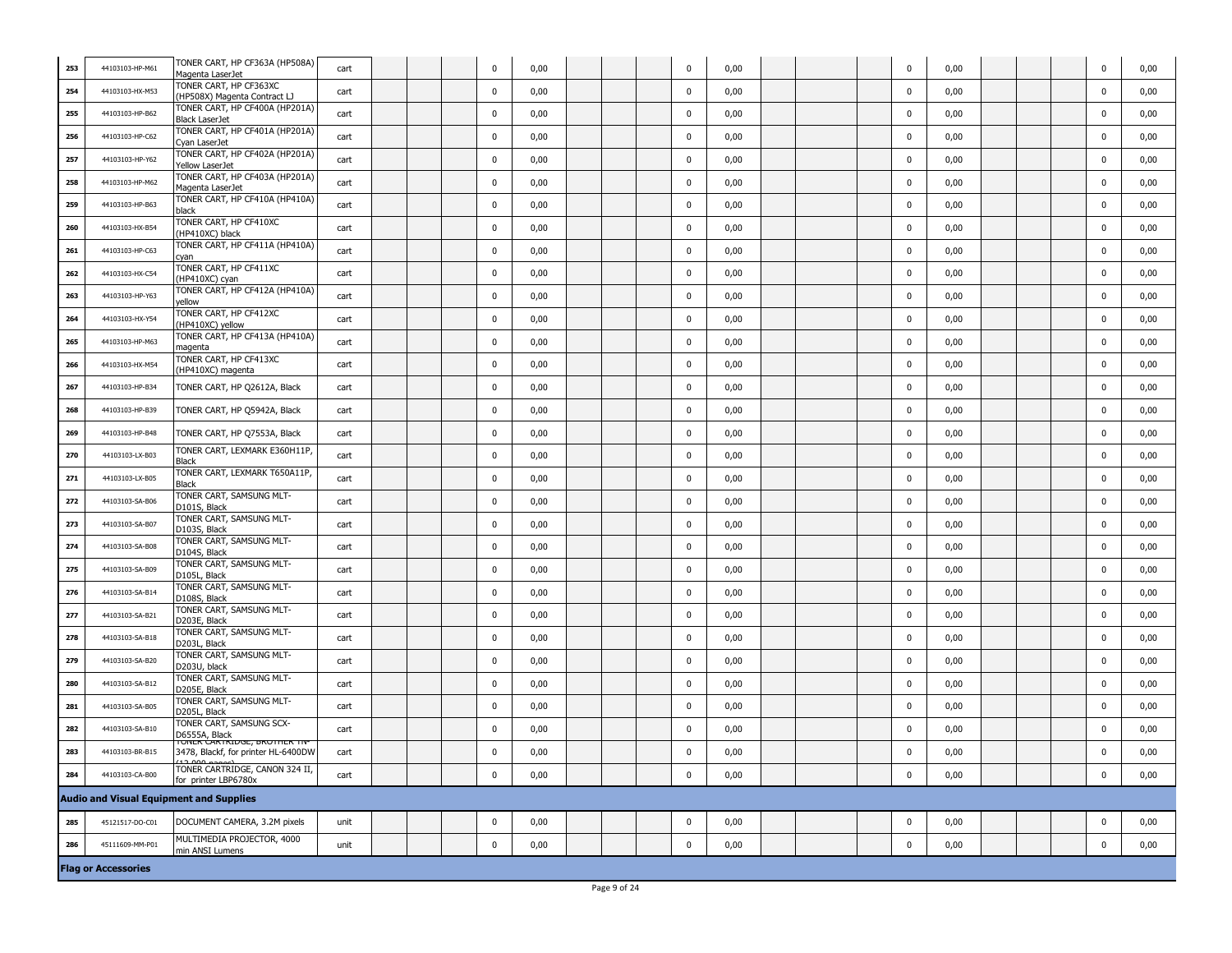| 253 | 44103103-HP-M61            | TONER CART, HP CF363A (HP508A)<br>Magenta LaserJet                               | cart |  | $\Omega$    | 0,00 |  | $\mathbf 0$ | 0,00 |  | $\mathbf 0$ | 0,00 |  | 0           | 0,00 |
|-----|----------------------------|----------------------------------------------------------------------------------|------|--|-------------|------|--|-------------|------|--|-------------|------|--|-------------|------|
| 254 | 44103103-HX-M53            | TONER CART, HP CF363XC<br>(HP508X) Magenta Contract LJ                           | cart |  | 0           | 0,00 |  | $\mathbf 0$ | 0,00 |  | 0           | 0,00 |  | 0           | 0,00 |
| 255 | 44103103-HP-B62            | TONER CART, HP CF400A (HP201A)<br><b>Black LaserJet</b>                          | cart |  | 0           | 0,00 |  | $\mathbf 0$ | 0,00 |  | 0           | 0,00 |  | 0           | 0,00 |
| 256 | 44103103-HP-C62            | TONER CART, HP CF401A (HP201A)<br>Cyan LaserJet                                  | cart |  | 0           | 0,00 |  | $\mathbf 0$ | 0,00 |  | $\mathbf 0$ | 0,00 |  | $\mathbf 0$ | 0,00 |
| 257 | 44103103-HP-Y62            | TONER CART, HP CF402A (HP201A)<br>Yellow LaserJet                                | cart |  | $\mathbf 0$ | 0,00 |  | $\mathbf 0$ | 0,00 |  | $\mathbf 0$ | 0,00 |  | $\mathbf 0$ | 0,00 |
| 258 | 44103103-HP-M62            | TONER CART, HP CF403A (HP201A)<br>Magenta LaserJet                               | cart |  | $\mathbf 0$ | 0,00 |  | $\mathbf 0$ | 0,00 |  | $\mathbf 0$ | 0,00 |  | $\mathbf 0$ | 0,00 |
| 259 | 44103103-HP-B63            | TONER CART, HP CF410A (HP410A)<br>black                                          | cart |  | $\mathbf 0$ | 0,00 |  | $\mathbf 0$ | 0,00 |  | $\mathbf 0$ | 0,00 |  | $\mathbf 0$ | 0,00 |
| 260 | 44103103-HX-B54            | TONER CART, HP CF410XC<br>(HP410XC) black                                        | cart |  | $\mathbf 0$ | 0,00 |  | $\mathbf 0$ | 0,00 |  | $\mathbf 0$ | 0,00 |  | $\mathbf 0$ | 0,00 |
| 261 | 44103103-HP-C63            | TONER CART, HP CF411A (HP410A)<br>cyan                                           | cart |  | 0           | 0,00 |  | $\mathbf 0$ | 0,00 |  | $\mathbf 0$ | 0,00 |  | $\mathbf 0$ | 0,00 |
| 262 | 44103103-HX-C54            | TONER CART, HP CF411XC<br>(HP410XC) cyan                                         | cart |  | 0           | 0,00 |  | $\mathbf 0$ | 0,00 |  | $\mathbf 0$ | 0,00 |  | $\mathbf 0$ | 0,00 |
| 263 | 44103103-HP-Y63            | TONER CART, HP CF412A (HP410A)<br>yellow                                         | cart |  | $\mathbf 0$ | 0,00 |  | $\pmb{0}$   | 0,00 |  | $\mathbf 0$ | 0,00 |  | $\mathbf 0$ | 0,00 |
| 264 | 44103103-HX-Y54            | TONER CART, HP CF412XC<br>(HP410XC) yellow                                       | cart |  | 0           | 0,00 |  | $\mathbf 0$ | 0,00 |  | $\mathbf 0$ | 0,00 |  | 0           | 0,00 |
| 265 | 44103103-HP-M63            | TONER CART, HP CF413A (HP410A)<br>magenta                                        | cart |  | $\mathbf 0$ | 0,00 |  | $\mathbf 0$ | 0,00 |  | $\mathbf 0$ | 0,00 |  | $\mathbf 0$ | 0,00 |
| 266 | 44103103-HX-M54            | TONER CART, HP CF413XC<br>(HP410XC) magenta                                      | cart |  | $\mathbf 0$ | 0,00 |  | $\mathbf 0$ | 0,00 |  | $\mathbf 0$ | 0,00 |  | $\mathbf 0$ | 0,00 |
| 267 | 44103103-HP-B34            | TONER CART, HP Q2612A, Black                                                     | cart |  | $\mathbf 0$ | 0,00 |  | $\mathbf 0$ | 0,00 |  | $\mathbf 0$ | 0,00 |  | $\mathbf 0$ | 0,00 |
| 268 | 44103103-HP-B39            | TONER CART, HP Q5942A, Black                                                     | cart |  | $\mathbf 0$ | 0,00 |  | $\mathbf 0$ | 0,00 |  | $\mathbf 0$ | 0,00 |  | $\mathbf 0$ | 0,00 |
| 269 | 44103103-HP-B48            | TONER CART, HP Q7553A, Black                                                     | cart |  | 0           | 0,00 |  | $\mathbf 0$ | 0,00 |  | $\mathbf 0$ | 0,00 |  | $\mathbf 0$ | 0,00 |
| 270 | 44103103-LX-B03            | TONER CART, LEXMARK E360H11P,<br>Black                                           | cart |  | $\mathbf 0$ | 0,00 |  | $\mathbf 0$ | 0,00 |  | $\mathbf 0$ | 0,00 |  | $\mathbf 0$ | 0,00 |
| 271 | 44103103-LX-B05            | TONER CART, LEXMARK T650A11P,<br>Black                                           | cart |  | $\mathbf 0$ | 0,00 |  | $\mathbf 0$ | 0,00 |  | $\mathbf 0$ | 0,00 |  | $\mathbf 0$ | 0,00 |
| 272 | 44103103-SA-B06            | TONER CART, SAMSUNG MLT-<br>D101S, Black                                         | cart |  | 0           | 0,00 |  | $\mathbf 0$ | 0,00 |  | 0           | 0,00 |  | $\mathbf 0$ | 0,00 |
| 273 | 44103103-SA-B07            | TONER CART, SAMSUNG MLT-<br>D103S, Black                                         | cart |  | 0           | 0,00 |  | $\mathbf 0$ | 0,00 |  | $\mathbf 0$ | 0,00 |  | 0           | 0,00 |
| 274 | 44103103-SA-B08            | TONER CART, SAMSUNG MLT-<br>D104S, Black                                         | cart |  | $\mathbf 0$ | 0,00 |  | $\mathbf 0$ | 0,00 |  | $\mathbf 0$ | 0,00 |  | $\mathbf 0$ | 0,00 |
| 275 | 44103103-SA-B09            | TONER CART, SAMSUNG MLT-<br>D105L, Black                                         | cart |  | $\mathbf 0$ | 0,00 |  | $\mathbf 0$ | 0,00 |  | $\mathbf 0$ | 0,00 |  | $\mathbf 0$ | 0,00 |
| 276 | 44103103-SA-B14            | TONER CART, SAMSUNG MLT-<br>D108S, Black                                         | cart |  | $\mathbf 0$ | 0,00 |  | $\mathbf 0$ | 0,00 |  | $\mathbf 0$ | 0,00 |  | $\mathbf 0$ | 0,00 |
| 277 | 44103103-SA-B21            | TONER CART, SAMSUNG MLT-<br>D203E, Black                                         | cart |  | $\mathbf 0$ | 0,00 |  | $\mathbf 0$ | 0,00 |  | $\mathbf 0$ | 0,00 |  | $\mathbf 0$ | 0,00 |
| 278 | 44103103-SA-B18            | TONER CART, SAMSUNG MLT-<br>D203L, Black                                         | cart |  | $\mathbf 0$ | 0,00 |  | $\mathbf 0$ | 0,00 |  | $\mathbf 0$ | 0,00 |  | $\mathbf 0$ | 0,00 |
| 279 | 44103103-SA-B20            | TONER CART, SAMSUNG MLT-<br>D203U, black                                         | cart |  | 0           | 0,00 |  | $\mathbf 0$ | 0,00 |  | $\mathbf 0$ | 0,00 |  | $\mathbf 0$ | 0,00 |
| 280 | 44103103-SA-B12            | TONER CART, SAMSUNG MLT-<br>D205E, Black                                         | cart |  | 0           | 0,00 |  | $\mathbf 0$ | 0,00 |  | $\mathbf 0$ | 0,00 |  | $\mathbf 0$ | 0,00 |
| 281 | 44103103-SA-B05            | TONER CART, SAMSUNG MLT-<br>D205L, Black                                         | cart |  | 0           | 0,00 |  | $\mathbf 0$ | 0,00 |  | $\mathbf 0$ | 0,00 |  | $\mathbf 0$ | 0,00 |
| 282 | 44103103-SA-B10            | TONER CART, SAMSUNG SCX-<br>D6555A, Black<br><u>TUNER CARTRIDUE, DRUTHER TIV</u> | cart |  | $\mathbf 0$ | 0,00 |  | $\mathbf 0$ | 0,00 |  | $\mathbf 0$ | 0,00 |  | $\mathbf 0$ | 0,00 |
| 283 | 44103103-BR-B15            | 3478, Blackf, for printer HL-6400DW<br>12.000                                    | cart |  | $\Omega$    | 0,00 |  | $\mathbf 0$ | 0,00 |  | $\mathbf 0$ | 0,00 |  | $\Omega$    | 0,00 |
| 284 | 44103103-CA-B00            | TONER CARTRIDGE, CANON 324 II,<br>for printer LBP6780x                           | cart |  | $\mathbf 0$ | 0,00 |  | $\pmb{0}$   | 0,00 |  | $\pmb{0}$   | 0,00 |  | $\mathbf 0$ | 0,00 |
|     |                            | <b>Audio and Visual Equipment and Supplies</b>                                   |      |  |             |      |  |             |      |  |             |      |  |             |      |
| 285 | 45121517-DO-C01            | DOCUMENT CAMERA, 3.2M pixels                                                     | unit |  | $\mathbf 0$ | 0,00 |  | $\pmb{0}$   | 0,00 |  | $\mathbf 0$ | 0,00 |  | $\mathbf 0$ | 0,00 |
| 286 | 45111609-MM-P01            | MULTIMEDIA PROJECTOR, 4000<br>min ANSI Lumens                                    | unit |  | $\mathbf 0$ | 0,00 |  | $\mathbf 0$ | 0,00 |  | $\mathbf 0$ | 0,00 |  | $\mathbf 0$ | 0,00 |
|     | <b>Flag or Accessories</b> |                                                                                  |      |  |             |      |  |             |      |  |             |      |  |             |      |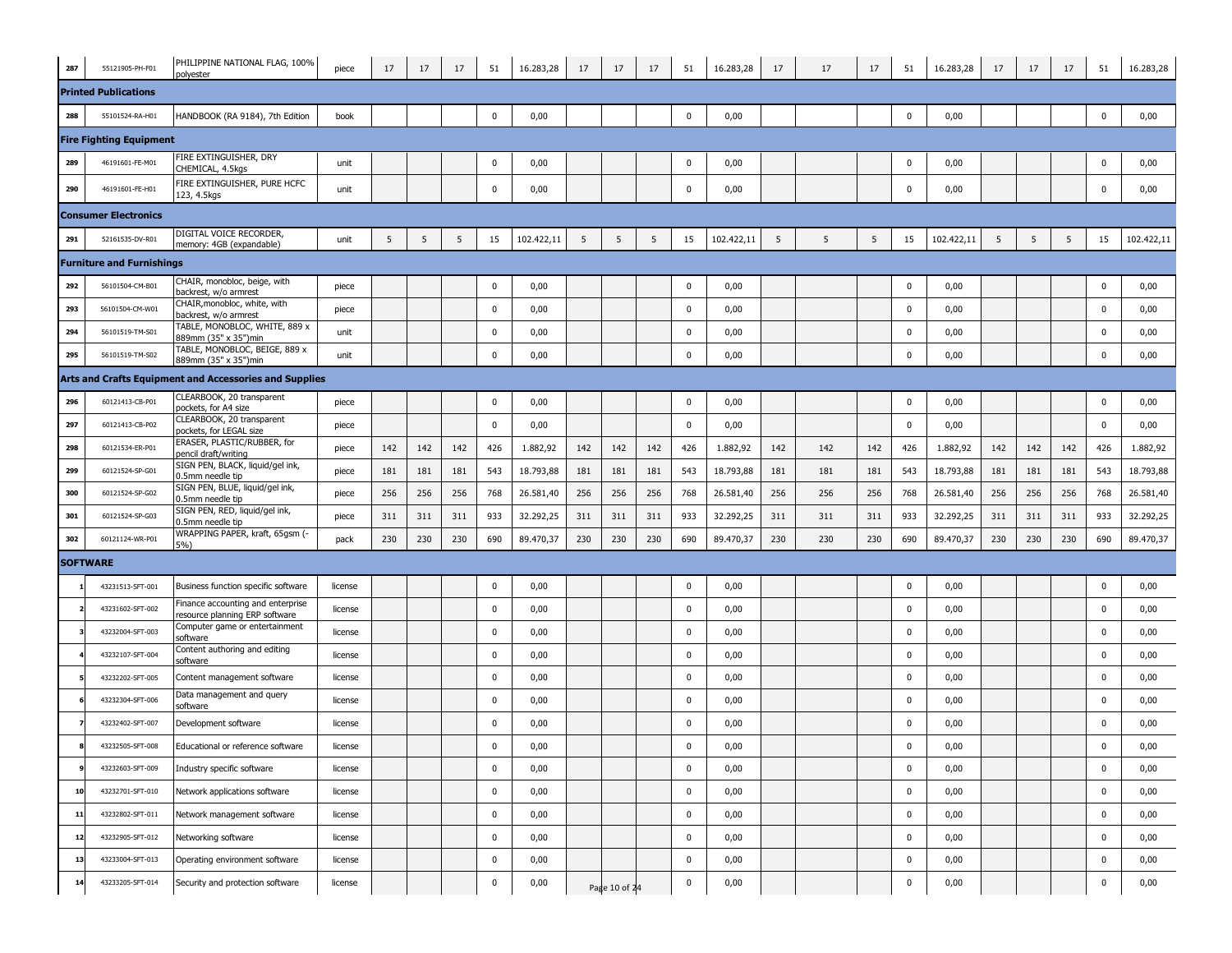| 287 | 55121905-PH-F01                  | PHILIPPINE NATIONAL FLAG, 100%<br>polyester                        | piece   | 17  | 17  | 17  | 51          | 16.283,28  | 17  | 17            | 17  | 51          | 16.283,28  | 17  | 17  | 17  | 51          | 16.283,28  | 17  | 17  | 17  | 51          | 16.283,28  |
|-----|----------------------------------|--------------------------------------------------------------------|---------|-----|-----|-----|-------------|------------|-----|---------------|-----|-------------|------------|-----|-----|-----|-------------|------------|-----|-----|-----|-------------|------------|
|     | <b>Printed Publications</b>      |                                                                    |         |     |     |     |             |            |     |               |     |             |            |     |     |     |             |            |     |     |     |             |            |
| 288 | 55101524-RA-H01                  | HANDBOOK (RA 9184), 7th Edition                                    | book    |     |     |     | $\mathbf 0$ | 0,00       |     |               |     | $\mathbf 0$ | 0,00       |     |     |     | $\mathbf 0$ | 0,00       |     |     |     | $\mathbf 0$ | 0,00       |
|     | <b>Fire Fighting Equipment</b>   |                                                                    |         |     |     |     |             |            |     |               |     |             |            |     |     |     |             |            |     |     |     |             |            |
| 289 | 46191601-FE-M01                  | FIRE EXTINGUISHER, DRY<br>CHEMICAL, 4.5kgs                         | unit    |     |     |     | $\mathbf 0$ | 0,00       |     |               |     | $\pmb{0}$   | 0,00       |     |     |     | 0           | 0,00       |     |     |     | $\bf{0}$    | 0,00       |
| 290 | 46191601-FE-H01                  | FIRE EXTINGUISHER, PURE HCFC<br>123, 4.5kgs                        | unit    |     |     |     | 0           | 0,00       |     |               |     | 0           | 0,00       |     |     |     | 0           | 0,00       |     |     |     | 0           | 0,00       |
|     | <b>Consumer Electronics</b>      |                                                                    |         |     |     |     |             |            |     |               |     |             |            |     |     |     |             |            |     |     |     |             |            |
| 291 | 52161535-DV-R01                  | DIGITAL VOICE RECORDER.<br>memory: 4GB (expandable)                | unit    | 5   | 5   | 5   | 15          | 102.422,11 | 5   | 5             | 5   | 15          | 102.422,11 | 5   | 5   | 5   | 15          | 102.422,11 | 5   | 5   | 5   | 15          | 102.422,11 |
|     | <b>Furniture and Furnishings</b> |                                                                    |         |     |     |     |             |            |     |               |     |             |            |     |     |     |             |            |     |     |     |             |            |
| 292 | 56101504-CM-B01                  | CHAIR, monobloc, beige, with<br>backrest, w/o armrest              | piece   |     |     |     | $\mathbf 0$ | 0,00       |     |               |     | $\mathbf 0$ | 0,00       |     |     |     | 0           | 0,00       |     |     |     | $\mathbf 0$ | 0,00       |
| 293 | 56101504-CM-W01                  | CHAIR, monobloc, white, with<br>backrest, w/o armrest              | piece   |     |     |     | 0           | 0,00       |     |               |     | 0           | 0,00       |     |     |     | 0           | 0,00       |     |     |     | 0           | 0,00       |
| 294 | 56101519-TM-S01                  | <b>FABLE, MONOBLOC, WHITE, 889 x</b><br>889mm (35" x 35")min       | unit    |     |     |     | 0           | 0,00       |     |               |     | 0           | 0,00       |     |     |     | 0           | 0,00       |     |     |     | 0           | 0,00       |
| 295 | 56101519-TM-S02                  | TABLE, MONOBLOC, BEIGE, 889 x<br>889mm (35" x 35")min              | unit    |     |     |     | $\mathbf 0$ | 0,00       |     |               |     | $\mathbf 0$ | 0,00       |     |     |     | 0           | 0,00       |     |     |     | $\bf{0}$    | 0,00       |
|     |                                  | Arts and Crafts Equipment and Accessories and Supplies             |         |     |     |     |             |            |     |               |     |             |            |     |     |     |             |            |     |     |     |             |            |
| 296 | 60121413-CB-P01                  | CLEARBOOK, 20 transparent<br>oockets, for A4 size                  | piece   |     |     |     | 0           | 0,00       |     |               |     | 0           | 0,00       |     |     |     | 0           | 0,00       |     |     |     | 0           | 0,00       |
| 297 | 60121413-CB-P02                  | CLEARBOOK, 20 transparent<br>pockets, for LEGAL size               | piece   |     |     |     | 0           | 0,00       |     |               |     | 0           | 0,00       |     |     |     | 0           | 0,00       |     |     |     | $\mathbf 0$ | 0,00       |
| 298 | 60121534-ER-P01                  | ERASER, PLASTIC/RUBBER, for<br>pencil draft/writing                | piece   | 142 | 142 | 142 | 426         | 1.882,92   | 142 | 142           | 142 | 426         | 1.882,92   | 142 | 142 | 142 | 426         | 1.882,92   | 142 | 142 | 142 | 426         | 1.882,92   |
| 299 | 60121524-SP-G01                  | SIGN PEN, BLACK, liquid/gel ink,<br>0.5mm needle tip               | piece   | 181 | 181 | 181 | 543         | 18.793,88  | 181 | 181           | 181 | 543         | 18.793,88  | 181 | 181 | 181 | 543         | 18.793,88  | 181 | 181 | 181 | 543         | 18.793,88  |
| 300 | 60121524-SP-G02                  | SIGN PEN, BLUE, liquid/gel ink,<br>0.5mm needle tip                | piece   | 256 | 256 | 256 | 768         | 26.581,40  | 256 | 256           | 256 | 768         | 26.581,40  | 256 | 256 | 256 | 768         | 26.581,40  | 256 | 256 | 256 | 768         | 26.581,40  |
| 301 | 60121524-SP-G03                  | SIGN PEN, RED, liquid/gel ink,<br>0.5mm needle tip                 | piece   | 311 | 311 | 311 | 933         | 32.292,25  | 311 | 311           | 311 | 933         | 32.292,25  | 311 | 311 | 311 | 933         | 32.292,25  | 311 | 311 | 311 | 933         | 32.292,25  |
| 302 | 60121124-WR-P01                  | WRAPPING PAPER, kraft, 65gsm (-<br>5%)                             | pack    | 230 | 230 | 230 | 690         | 89.470,37  | 230 | 230           | 230 | 690         | 89.470,37  | 230 | 230 | 230 | 690         | 89.470,37  | 230 | 230 | 230 | 690         | 89.470,37  |
|     | <b>SOFTWARE</b>                  |                                                                    |         |     |     |     |             |            |     |               |     |             |            |     |     |     |             |            |     |     |     |             |            |
|     | 43231513-SFT-001                 | Business function specific software                                | license |     |     |     | 0           | 0,00       |     |               |     | 0           | 0,00       |     |     |     | 0           | 0,00       |     |     |     | 0           | 0,00       |
|     | 43231602-SFT-002                 | Finance accounting and enterprise<br>esource planning ERP software | license |     |     |     | 0           | 0,00       |     |               |     | 0           | 0,00       |     |     |     | 0           | 0,00       |     |     |     | 0           | 0,00       |
|     | 43232004-SFT-003                 | Computer game or entertainment<br>software                         | license |     |     |     | 0           | 0,00       |     |               |     | $\mathbf 0$ | 0,00       |     |     |     | 0           | 0,00       |     |     |     | 0           | 0,00       |
|     | 43232107-SFT-004                 | Content authoring and editing<br>software                          | license |     |     |     | 0           | 0,00       |     |               |     | 0           | 0,00       |     |     |     | 0           | 0,00       |     |     |     | 0           | 0,00       |
|     | 43232202-SFT-005                 | Content management software                                        | license |     |     |     | 0           | 0,00       |     |               |     | $\pmb{0}$   | 0,00       |     |     |     | 0           | 0,00       |     |     |     | 0           | 0,00       |
|     | 43232304-SFT-006                 | Data management and query<br>software                              | license |     |     |     | 0           | 0,00       |     |               |     | 0           | 0,00       |     |     |     | 0           | 0,00       |     |     |     | 0           | 0,00       |
|     | 43232402-SFT-007                 | Development software                                               | license |     |     |     | $\mathbf 0$ | 0,00       |     |               |     | $\mathbf 0$ | 0,00       |     |     |     | 0           | 0,00       |     |     |     | $\mathbf 0$ | 0,00       |
|     | 43232505-SFT-008                 | Educational or reference software                                  | license |     |     |     | $\mathbf 0$ | 0,00       |     |               |     | $\mathbf 0$ | 0,00       |     |     |     | 0           | 0,00       |     |     |     | $\mathbf 0$ | 0,00       |
|     | 43232603-SFT-009                 | Industry specific software                                         | license |     |     |     | $\mathbf 0$ | 0,00       |     |               |     | $\mathbf 0$ | 0,00       |     |     |     | $\mathbf 0$ | 0,00       |     |     |     | $\mathbf 0$ | 0,00       |
| 10  | 43232701-SFT-010                 | Network applications software                                      | license |     |     |     | $\mathbf 0$ | 0,00       |     |               |     | $\mathbf 0$ | 0,00       |     |     |     | $\mathbf 0$ | 0,00       |     |     |     | $\mathbf 0$ | 0,00       |
| 11  | 43232802-SFT-011                 | Network management software                                        | license |     |     |     | $\mathbf 0$ | 0,00       |     |               |     | $\mathbf 0$ | 0,00       |     |     |     | $\mathbf 0$ | 0,00       |     |     |     | $\bf{0}$    | 0,00       |
| 12  | 43232905-SFT-012                 | Networking software                                                | license |     |     |     | $\mathbf 0$ | 0,00       |     |               |     | $\mathbf 0$ | 0,00       |     |     |     | $\mathbf 0$ | 0,00       |     |     |     | $\bf{0}$    | 0,00       |
| 13  | 43233004-SFT-013                 | Operating environment software                                     | license |     |     |     | $\bf{0}$    | 0,00       |     |               |     | $\mathbf 0$ | 0,00       |     |     |     | 0           | 0,00       |     |     |     | $\bf{0}$    | 0,00       |
| 14  | 43233205-SFT-014                 | Security and protection software                                   | license |     |     |     | $\mathbf 0$ | 0,00       |     | Page 10 of 24 |     | $\mathbf 0$ | 0,00       |     |     |     | 0           | 0,00       |     |     |     | 0           | 0,00       |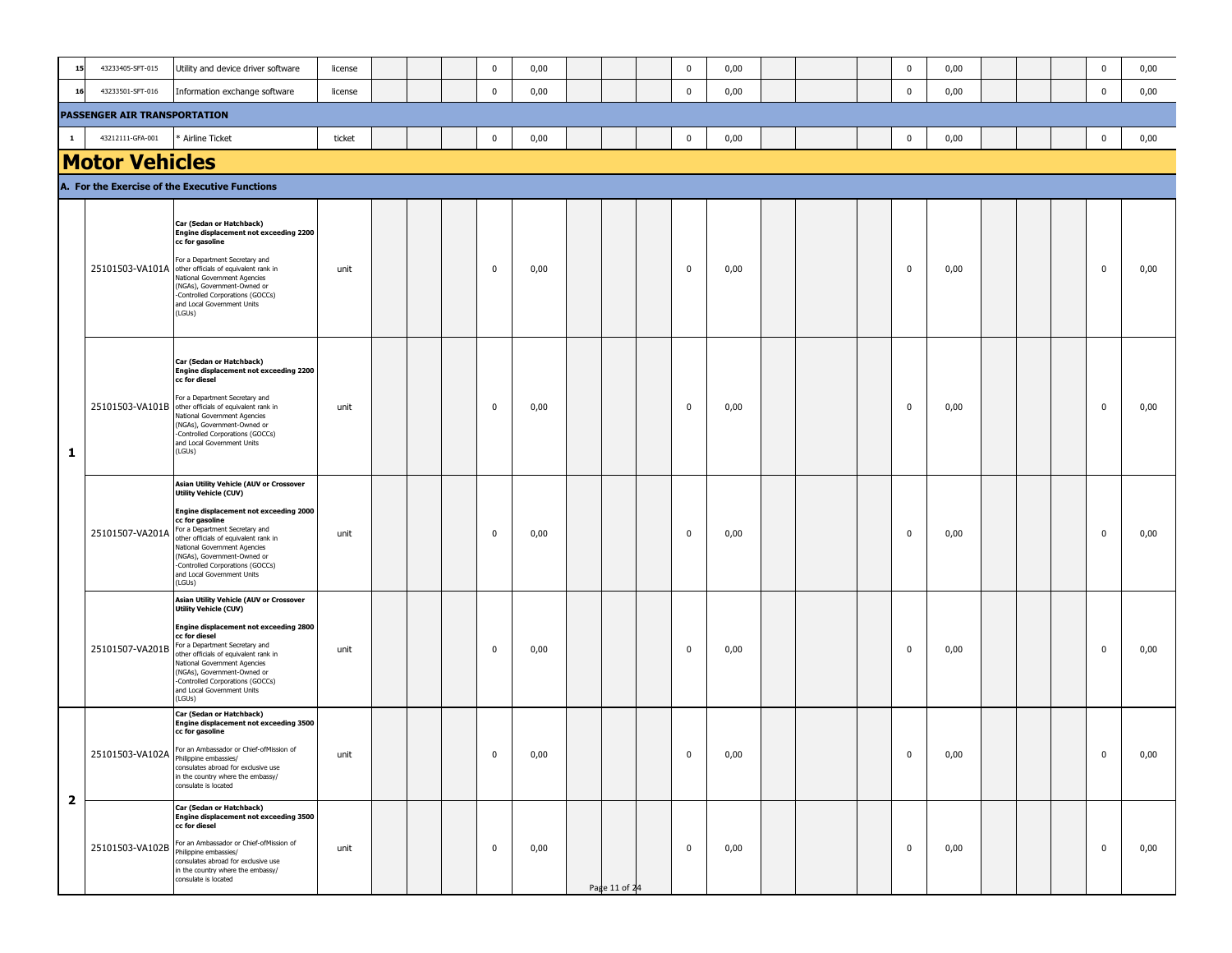| 15                      | 43233405-SFT-015                    | Utility and device driver software                                                                                                                                                                                                                                                                                                                         | license |  | 0           | 0,00 |               | $\mathbf 0$ | 0,00 |  | 0           | 0,00 |  | 0            | 0,00 |
|-------------------------|-------------------------------------|------------------------------------------------------------------------------------------------------------------------------------------------------------------------------------------------------------------------------------------------------------------------------------------------------------------------------------------------------------|---------|--|-------------|------|---------------|-------------|------|--|-------------|------|--|--------------|------|
| 16                      | 43233501-SFT-016                    | Information exchange software                                                                                                                                                                                                                                                                                                                              | license |  | $\bf{0}$    | 0,00 |               | $\mathbf 0$ | 0,00 |  | $\mathbf 0$ | 0,00 |  | $\bf{0}$     | 0,00 |
|                         | <b>PASSENGER AIR TRANSPORTATION</b> |                                                                                                                                                                                                                                                                                                                                                            |         |  |             |      |               |             |      |  |             |      |  |              |      |
| $\mathbf{1}$            | 43212111-GFA-001                    | Airline Ticket                                                                                                                                                                                                                                                                                                                                             | ticket  |  | $\bf{0}$    | 0,00 |               | $\mathbf 0$ | 0,00 |  | $\mathbf 0$ | 0,00 |  | $\mathbf 0$  | 0,00 |
|                         | <b>Motor Vehicles</b>               |                                                                                                                                                                                                                                                                                                                                                            |         |  |             |      |               |             |      |  |             |      |  |              |      |
|                         |                                     | A. For the Exercise of the Executive Functions                                                                                                                                                                                                                                                                                                             |         |  |             |      |               |             |      |  |             |      |  |              |      |
|                         |                                     | Car (Sedan or Hatchback)<br><b>Engine displacement not exceeding 2200</b><br>cc for gasoline<br>For a Department Secretary and<br>25101503-VA101A other officials of equivalent rank in<br>National Government Agencies<br>(NGAs), Government-Owned or<br>-Controlled Corporations (GOCCs)<br>and Local Government Units<br>(LGUs)                         | unit    |  | $\mathbf 0$ | 0,00 |               | $\mathbf 0$ | 0,00 |  | $\mathbf 0$ | 0,00 |  | $\mathbf 0$  | 0,00 |
| 1                       |                                     | Car (Sedan or Hatchback)<br>Engine displacement not exceeding 2200<br>cc for diesel<br>For a Department Secretary and<br>25101503-VA101B other officials of equivalent rank in<br>National Government Agencies<br>(NGAs), Government-Owned or<br>-Controlled Corporations (GOCCs)<br>and Local Government Units<br>(LGUs)                                  | unit    |  | $\mathbf 0$ | 0,00 |               | $\mathbf 0$ | 0,00 |  | 0           | 0,00 |  | 0            | 0,00 |
|                         | 25101507-VA201A                     | Asian Utility Vehicle (AUV or Crossover<br><b>Utility Vehicle (CUV)</b><br>Engine displacement not exceeding 2000<br>cc for gasoline<br>For a Department Secretary and<br>other officials of equivalent rank in<br>National Government Agencies<br>(NGAs), Government-Owned or<br>-Controlled Corporations (GOCCs)<br>and Local Government Units<br>(LGUs) | unit    |  | 0           | 0,00 |               | $\mathbf 0$ | 0,00 |  | 0           | 0,00 |  | $\mathbf{0}$ | 0,00 |
|                         | 25101507-VA201B                     | Asian Utility Vehicle (AUV or Crossover<br><b>Utility Vehicle (CUV)</b><br>Engine displacement not exceeding 2800<br>cc for diesel<br>For a Department Secretary and<br>other officials of equivalent rank in<br>National Government Agencies<br>(NGAs), Government-Owned or<br>-Controlled Corporations (GOCCs)<br>and Local Government Units<br>(LGUs)   | unit    |  | $\mathbf 0$ | 0,00 |               | 0           | 0,00 |  | 0           | 0,00 |  | 0            | 0,00 |
|                         | 25101503-VA102A   TOT an Allium     | Car (Sedan or Hatchback)<br><b>Engine displacement not exceeding 3500</b><br>cc for gasoline<br>or an Ambassador or Chief-ofMission of<br>consulates abroad for exclusive use<br>in the country where the embassy/<br>consulate is located                                                                                                                 | unit    |  | 0           | 0,00 |               | 0           | 0,00 |  | 0           | 0,00 |  | $\bf{0}$     | 0,00 |
| $\overline{\mathbf{2}}$ |                                     | Car (Sedan or Hatchback)<br>Engine displacement not exceeding 3500<br>cc for diesel<br>25101503-VA102B For an Ambassador or Chief-ofMission of<br>Philippine embassies/<br>consulates abroad for exclusive use<br>in the country where the embassy/<br>consulate is located                                                                                | unit    |  | 0           | 0,00 | Page 11 of 24 | $\mathbf 0$ | 0,00 |  | 0           | 0,00 |  | $\mathbf 0$  | 0,00 |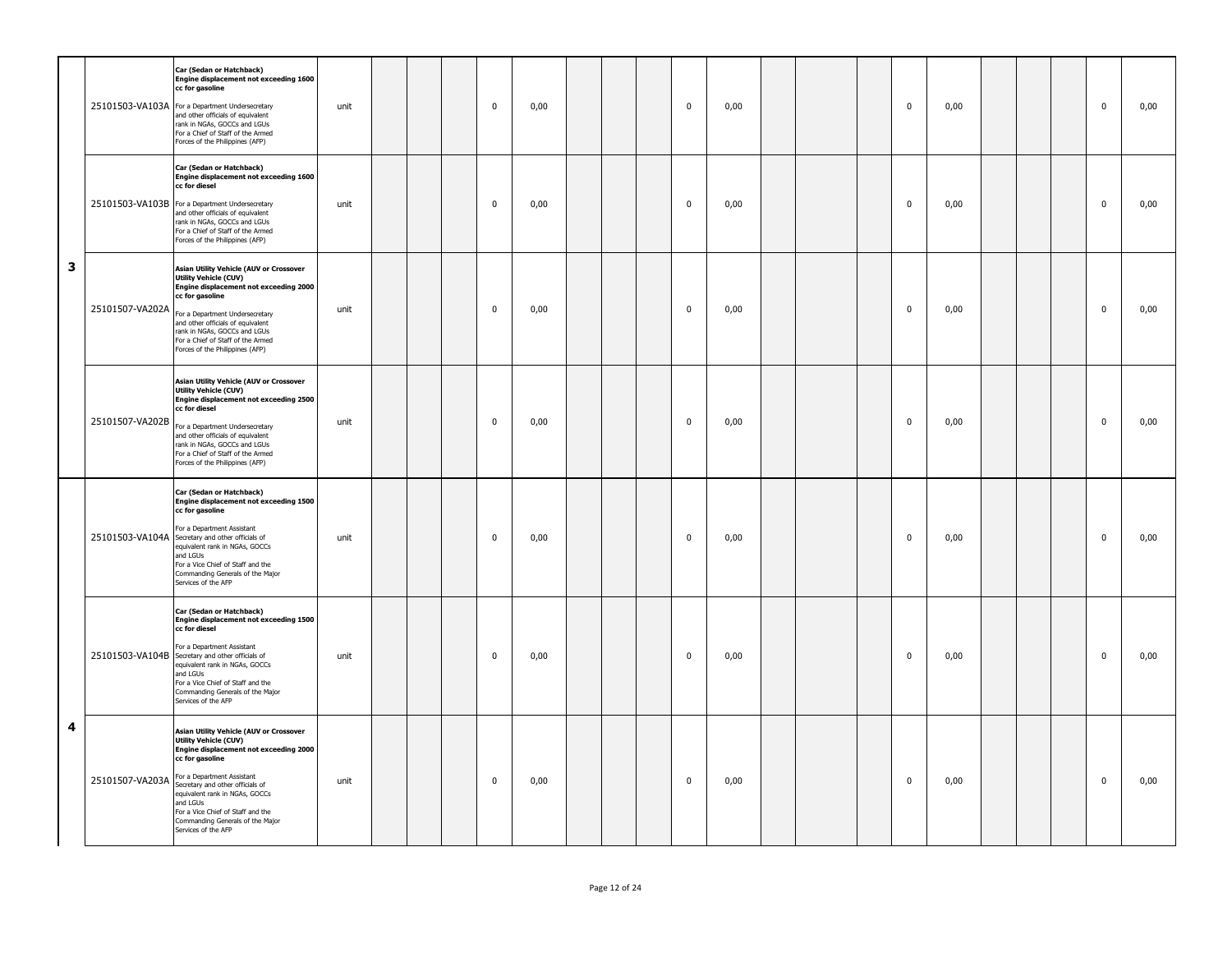|   |                 | Car (Sedan or Hatchback)<br>Engine displacement not exceeding 1600<br>cc for gasoline<br>25101503-VA103A For a Department Undersecretary<br>and other officials of equivalent<br>rank in NGAs, GOCCs and LGUs<br>For a Chief of Staff of the Armed<br>Forces of the Philippines (AFP)                                                                       | unit |  | $\mathbf 0$ | 0,00 |  | $\mathbf 0$ | 0,00 |  | $\mathbf 0$ | 0,00 |  | $\mathbf 0$ | 0,00 |
|---|-----------------|-------------------------------------------------------------------------------------------------------------------------------------------------------------------------------------------------------------------------------------------------------------------------------------------------------------------------------------------------------------|------|--|-------------|------|--|-------------|------|--|-------------|------|--|-------------|------|
|   |                 | Car (Sedan or Hatchback)<br>Engine displacement not exceeding 1600<br>cc for diesel<br>25101503-VA103B For a Department Undersecretary<br>and other officials of equivalent<br>rank in NGAs, GOCCs and LGUs<br>For a Chief of Staff of the Armed<br>Forces of the Philippines (AFP)                                                                         | unit |  | $\mathbf 0$ | 0,00 |  | $\mathbf 0$ | 0,00 |  | $\mathbf 0$ | 0,00 |  | $\mathbf 0$ | 0,00 |
| 3 | 25101507-VA202A | Asian Utility Vehicle (AUV or Crossover<br>Utility Vehicle (CUV)<br>Engine displacement not exceeding 2000<br>cc for gasoline<br>For a Department Undersecretary<br>and other officials of equivalent<br>rank in NGAs, GOCCs and LGUs<br>For a Chief of Staff of the Armed<br>Forces of the Philippines (AFP)                                               | unit |  | 0           | 0,00 |  | 0           | 0,00 |  | 0           | 0,00 |  | $\mathbf 0$ | 0,00 |
|   | 25101507-VA202B | Asian Utility Vehicle (AUV or Crossover<br>Utility Vehicle (CUV)<br><b>Engine displacement not exceeding 2500</b><br>cc for diesel<br>For a Department Undersecretary<br>and other officials of equivalent<br>rank in NGAs, GOCCs and LGUs<br>For a Chief of Staff of the Armed<br>Forces of the Philippines (AFP)                                          | unit |  | $\mathbf 0$ | 0,00 |  | $\mathbf 0$ | 0,00 |  | $\mathbf 0$ | 0,00 |  | $\mathbf 0$ | 0,00 |
|   |                 | Car (Sedan or Hatchback)<br>Engine displacement not exceeding 1500<br>cc for gasoline<br>For a Department Assistant<br>25101503-VA104A Secretary and other officials of<br>equivalent rank in NGAs, GOCCs<br>and LGUs<br>For a Vice Chief of Staff and the<br>Commanding Generals of the Major<br>Services of the AFP                                       | unit |  | $\mathbf 0$ | 0,00 |  | $\mathbf 0$ | 0,00 |  | $\mathbf 0$ | 0,00 |  | $\mathbf 0$ | 0,00 |
|   |                 | Car (Sedan or Hatchback)<br>Engine displacement not exceeding 1500<br>cc for diesel<br>For a Department Assistant<br>25101503-VA104B Secretary and other officials of<br>equivalent rank in NGAs, GOCCs<br>and LGUs<br>For a Vice Chief of Staff and the<br>Commanding Generals of the Major<br>Services of the AFP                                         | unit |  | $\mathbf 0$ | 0,00 |  | $\mathbf 0$ | 0,00 |  | $\mathbf 0$ | 0,00 |  | $\mathbf 0$ | 0,00 |
| 4 | 25101507-VA203A | <b>Asian Utility Vehicle (AUV or Crossover</b><br><b>Utility Vehicle (CUV)</b><br>Engine displacement not exceeding 2000<br>cc for gasoline<br>For a Department Assistant<br>Secretary and other officials of<br>equivalent rank in NGAs, GOCCs<br>and LGUs<br>For a Vice Chief of Staff and the<br>Commanding Generals of the Major<br>Services of the AFP | unit |  | $\mathbf 0$ | 0,00 |  | $\mathbf 0$ | 0,00 |  | $\mathbf 0$ | 0,00 |  | $\mathbf 0$ | 0,00 |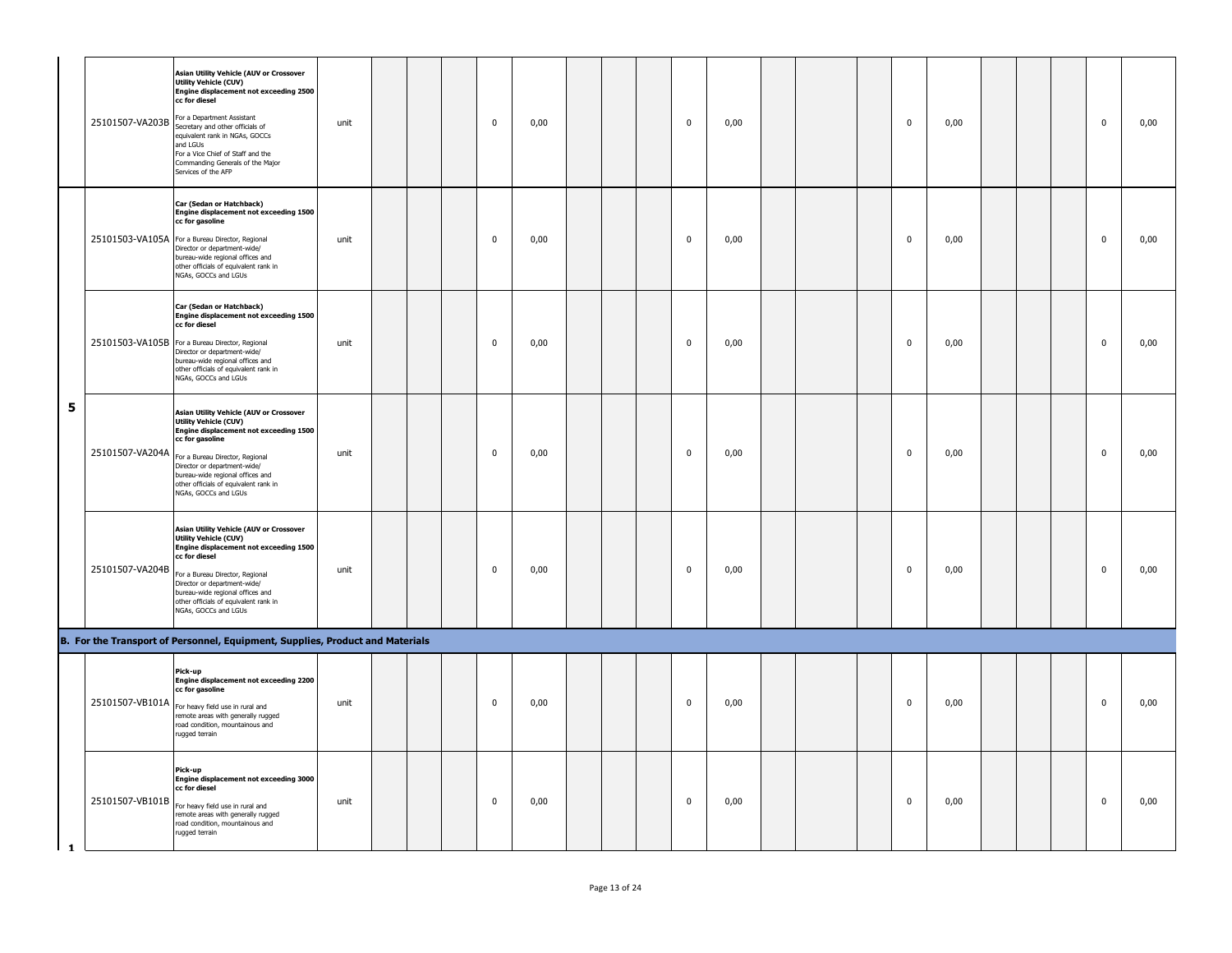|              |                 | <b>Asian Utility Vehicle (AUV or Crossover</b><br><b>Utility Vehicle (CUV)</b><br>Engine displacement not exceeding 2500<br>cc for diesel<br>25101507-VA203B For a Department Assistant<br>Secretary and other officials of<br>equivalent rank in NGAs, GOCCs<br>and LGUs<br>For a Vice Chief of Staff and the<br>Commanding Generals of the Major<br>Services of the AFP | unit |  | $\mathbf 0$ | 0,00 |  | $\mathbf 0$ | 0,00 |  | $\mathbf 0$             | 0,00 |  | $\mathbf 0$ | 0,00 |
|--------------|-----------------|---------------------------------------------------------------------------------------------------------------------------------------------------------------------------------------------------------------------------------------------------------------------------------------------------------------------------------------------------------------------------|------|--|-------------|------|--|-------------|------|--|-------------------------|------|--|-------------|------|
|              |                 | Car (Sedan or Hatchback)<br>Engine displacement not exceeding 1500<br>cc for gasoline<br>25101503-VA105A For a Bureau Director, Regional<br>Director or department-wide/<br>bureau-wide regional offices and<br>other officials of equivalent rank in<br>NGAs, GOCCs and LGUs                                                                                             | unit |  | $\mathbf 0$ | 0,00 |  | $\mathbf 0$ | 0,00 |  | $\mathbf 0$             | 0,00 |  | $\mathbf 0$ | 0,00 |
|              |                 | Car (Sedan or Hatchback)<br>Engine displacement not exceeding 1500<br>cc for diesel<br>25101503-VA105B For a Bureau Director, Regional<br>Director or department-wide/<br>bureau-wide regional offices and<br>other officials of equivalent rank in<br>NGAs, GOCCs and LGUs                                                                                               | unit |  | 0           | 0,00 |  | 0           | 0,00 |  | $\overline{\mathbf{0}}$ | 0,00 |  | 0           | 0,00 |
| 5            |                 | Asian Utility Vehicle (AUV or Crossover<br><b>Utility Vehicle (CUV)</b><br>Engine displacement not exceeding 1500<br>cc for gasoline<br>25101507-VA204A For a Bureau Director, Regional<br>Director or department-wide/<br>bureau-wide regional offices and<br>other officials of equivalent rank in<br>NGAs, GOCCs and LGUs                                              | unit |  | 0           | 0,00 |  | 0           | 0,00 |  | $\overline{\mathbf{0}}$ | 0,00 |  | 0           | 0,00 |
|              | 25101507-VA204B | Asian Utility Vehicle (AUV or Crossover<br><b>Utility Vehicle (CUV)</b><br>Engine displacement not exceeding 1500<br>cc for diesel<br>For a Bureau Director, Regional<br>Director or department-wide/<br>bureau-wide regional offices and<br>other officials of equivalent rank in<br>NGAs, GOCCs and LGUs                                                                | unit |  | $\mathbf 0$ | 0,00 |  | $\mathbf 0$ | 0,00 |  | $\mathbf 0$             | 0,00 |  | $\mathbf 0$ | 0,00 |
|              |                 | B. For the Transport of Personnel, Equipment, Supplies, Product and Materials                                                                                                                                                                                                                                                                                             |      |  |             |      |  |             |      |  |                         |      |  |             |      |
|              | 25101507-VB101A | Pick-up<br>Engine displacement not exceeding 2200<br>cc for gasoline<br>For heavy field use in rural and<br>remote areas with generally rugged<br>road condition, mountainous and<br>rugged terrain                                                                                                                                                                       | unit |  | $\mathbf 0$ | 0,00 |  | $\mathbf 0$ | 0,00 |  | $\mathbf 0$             | 0,00 |  | 0           | 0,00 |
| $\mathbf{1}$ | 25101507-VB101B | Pick-up<br>Engine displacement not exceeding 3000<br>cc for diesel<br>For heavy field use in rural and<br>remote areas with generally rugged<br>road condition, mountainous and<br>rugged terrain                                                                                                                                                                         | unit |  | 0           | 0,00 |  | $\mathbf 0$ | 0,00 |  | $\mathbf 0$             | 0,00 |  | 0           | 0,00 |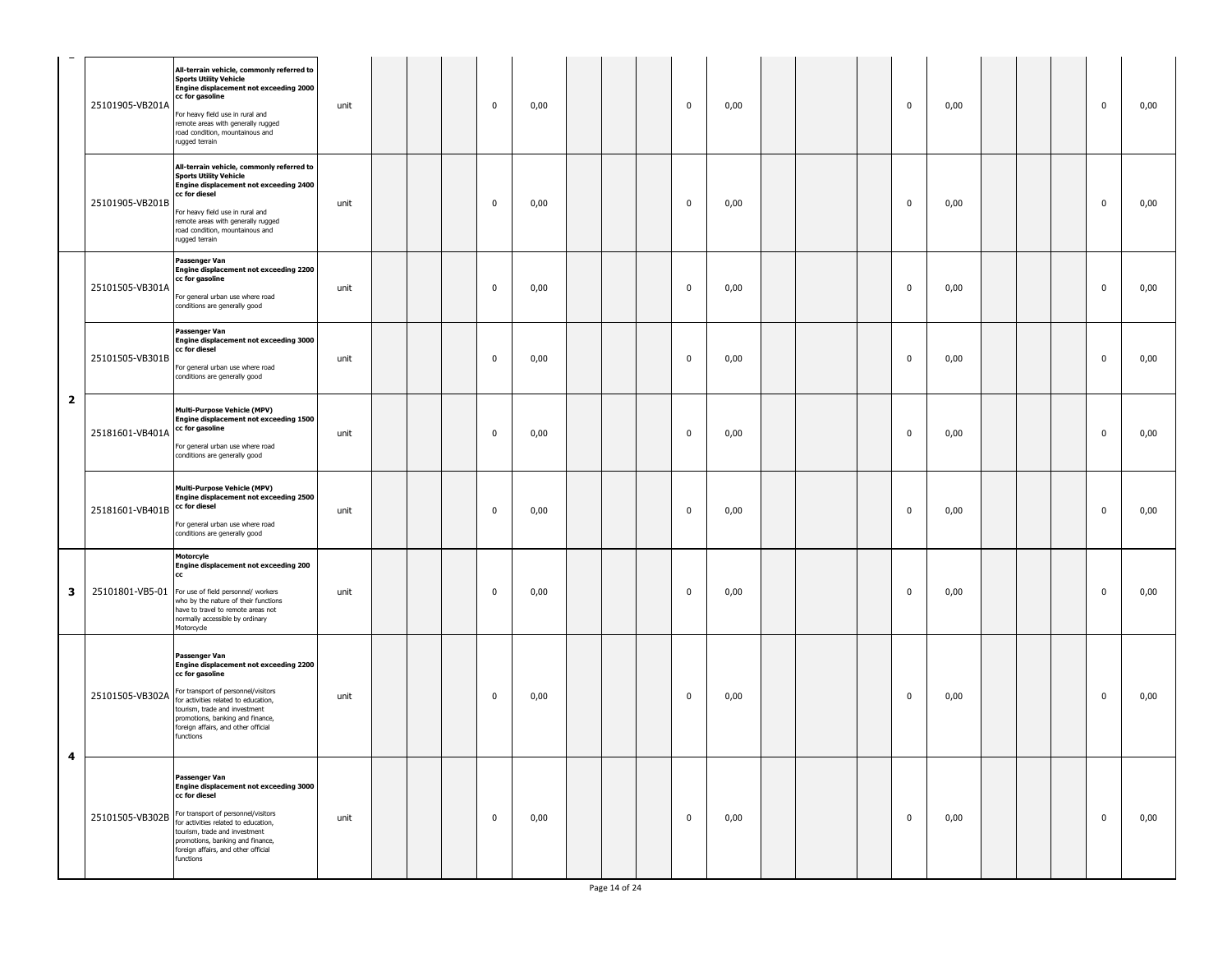|                         | 25101905-VB201A | All-terrain vehicle, commonly referred to<br><b>Sports Utility Vehicle</b><br>Engine displacement not exceeding 2000<br>cc for gasoline<br>For heavy field use in rural and<br>remote areas with generally rugged<br>road condition, mountainous and<br>rugged terrain                             | unit |  | 0           | 0,00 |  | $\mathbf 0$ | 0,00 |  | $\mathbf 0$ | 0,00 |  | $\mathbf 0$  | 0,00 |
|-------------------------|-----------------|----------------------------------------------------------------------------------------------------------------------------------------------------------------------------------------------------------------------------------------------------------------------------------------------------|------|--|-------------|------|--|-------------|------|--|-------------|------|--|--------------|------|
|                         | 25101905-VB201B | All-terrain vehicle, commonly referred to<br><b>Sports Utility Vehicle</b><br>Engine displacement not exceeding 2400<br>cc for diesel<br>For heavy field use in rural and<br>remote areas with generally rugged<br>road condition, mountainous and<br>rugged terrain                               | unit |  | $\mathbf 0$ | 0,00 |  | $\mathbf 0$ | 0,00 |  | $\mathbf 0$ | 0,00 |  | $\mathbf 0$  | 0,00 |
|                         | 25101505-VB301A | Passenger Van<br>Engine displacement not exceeding 2200<br>cc for gasoline<br>For general urban use where road<br>conditions are generally good                                                                                                                                                    | unit |  | $\mathbf 0$ | 0,00 |  | $\pmb{0}$   | 0,00 |  | $\mathbf 0$ | 0,00 |  | $\mathbf 0$  | 0,00 |
|                         | 25101505-VB301B | Passenger Van<br>Engine displacement not exceeding 3000<br>cc for diesel<br>For general urban use where road<br>conditions are generally good                                                                                                                                                      | unit |  | 0           | 0,00 |  | $\mathbf 0$ | 0,00 |  | 0           | 0,00 |  | $\mathbf{0}$ | 0,00 |
| $\overline{\mathbf{2}}$ | 25181601-VB401A | Multi-Purpose Vehicle (MPV)<br>Engine displacement not exceeding 1500<br>cc for gasoline<br>For general urban use where road<br>conditions are generally good                                                                                                                                      | unit |  | 0           | 0,00 |  | $\mathbf 0$ | 0,00 |  | 0           | 0,00 |  | $\mathbf{0}$ | 0,00 |
|                         | 25181601-VB401B | <b>Multi-Purpose Vehicle (MPV)</b><br>Engine displacement not exceeding 2500<br>cc for diesel<br>For general urban use where road<br>conditions are generally good                                                                                                                                 | unit |  | $\mathbf 0$ | 0,00 |  | $\mathbf 0$ | 0,00 |  | $\mathbf 0$ | 0,00 |  | $\mathbf 0$  | 0,00 |
| 3                       |                 | Motorcyle<br>Engine displacement not exceeding 200<br>cc<br>25101801-VB5-01 For use of field personnel/ workers<br>who by the nature of their functions<br>have to travel to remote areas not<br>normally accessible by ordinary<br>Motorcycle                                                     | unit |  | $\mathbf 0$ | 0,00 |  | $\mathbf 0$ | 0,00 |  | $\mathbf 0$ | 0,00 |  | $\mathbf{0}$ | 0,00 |
|                         |                 | Passenger Van<br>Engine displacement not exceeding 2200<br>cc for gasoline<br>25101505-VB302A For transport of personnel/visitors<br>for activities related to education,<br>tourism, trade and investment<br>promotions, banking and finance,<br>foreign affairs, and other official<br>functions | unit |  | 0           | 0,00 |  | $\mathbf 0$ | 0,00 |  | $\mathbf 0$ | 0,00 |  | $\mathbf 0$  | 0,00 |
| 4                       |                 | Passenger Van<br>Engine displacement not exceeding 3000<br>cc for diesel<br>25101505-VB302B For transport of personnel/visitors<br>for activities related to education,<br>tourism, trade and investment<br>promotions, banking and finance,<br>foreign affairs, and other official<br>functions   | unit |  | 0           | 0,00 |  | 0           | 0,00 |  | $\mathbf 0$ | 0,00 |  | $\mathbf 0$  | 0,00 |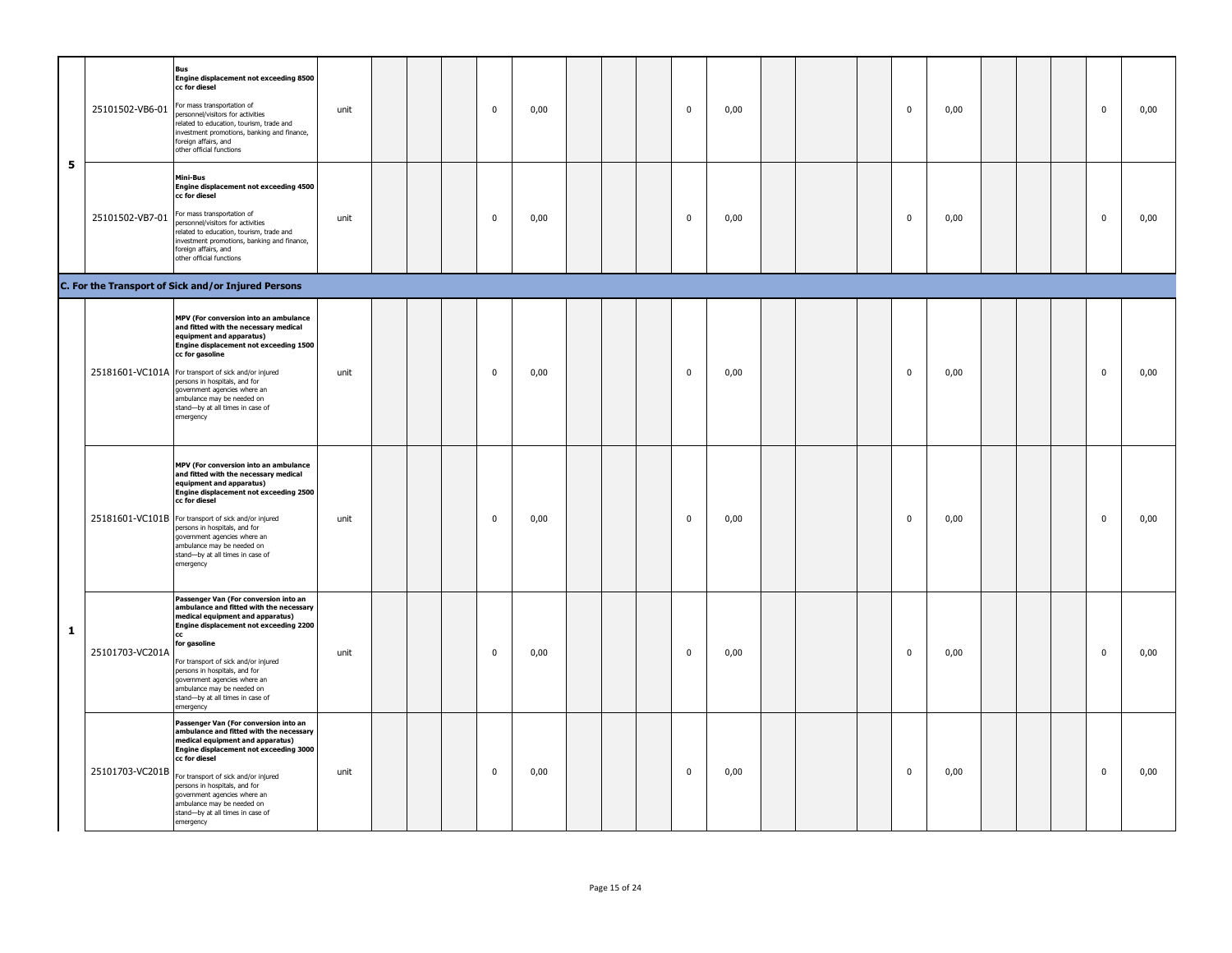|   | 25101502-VB6-01 | <b>Bus</b><br>Engine displacement not exceeding 8500<br>cc for diesel<br>For mass transportation of<br>personnel/visitors for activities<br>elated to education, tourism, trade and<br>investment promotions, banking and finance,<br>foreign affairs, and<br>other official functions                                                                                                 | unit |  | $\pmb{0}$   | 0,00 |  | $\mathbf 0$ | 0,00 |  | $\pmb{0}$      | 0,00 |  | $\pmb{0}$   | 0,00 |
|---|-----------------|----------------------------------------------------------------------------------------------------------------------------------------------------------------------------------------------------------------------------------------------------------------------------------------------------------------------------------------------------------------------------------------|------|--|-------------|------|--|-------------|------|--|----------------|------|--|-------------|------|
| 5 |                 | Mini-Bus<br>Engine displacement not exceeding 4500<br>cc for diesel<br>25101502-VB7-01 For mass transportation of<br>personnel/visitors for activities<br>elated to education, tourism, trade and<br>nvestment promotions, banking and finance,<br>foreign affairs, and<br>other official functions                                                                                    | unit |  | $\pmb{0}$   | 0,00 |  | $\pmb{0}$   | 0,00 |  | $\pmb{0}$      | 0,00 |  | $\pmb{0}$   | 0,00 |
|   |                 | C. For the Transport of Sick and/or Injured Persons                                                                                                                                                                                                                                                                                                                                    |      |  |             |      |  |             |      |  |                |      |  |             |      |
|   |                 | MPV (For conversion into an ambulance<br>and fitted with the necessary medical<br>equipment and apparatus)<br><b>Engine displacement not exceeding 1500</b><br>cc for gasoline<br>25181601-VC101A For transport of sick and/or injured<br>persons in hospitals, and for<br>government agencies where an<br>ambulance may be needed on<br>stand-by at all times in case of<br>emergency | unit |  | $\mathbf 0$ | 0,00 |  | $\mathbf 0$ | 0,00 |  | $\mathbf 0$    | 0,00 |  | $\mathbf 0$ | 0,00 |
|   |                 | MPV (For conversion into an ambulance<br>and fitted with the necessary medical<br>equipment and apparatus)<br>Engine displacement not exceeding 2500<br>cc for diesel<br>25181601-VC101B For transport of sick and/or injured<br>persons in hospitals, and for<br>government agencies where an<br>ambulance may be needed on<br>stand-by at all times in case of<br>emergency          | unit |  | $\mathbf 0$ | 0,00 |  | $\mathbf 0$ | 0,00 |  | $\overline{0}$ | 0,00 |  | $\mathbf 0$ | 0,00 |
| 1 | 25101703-VC201A | Passenger Van (For conversion into an<br>ambulance and fitted with the necessary<br>medical equipment and apparatus)<br>Engine displacement not exceeding 2200<br>cc<br>for gasoline<br>For transport of sick and/or injured<br>persons in hospitals, and for<br>government agencies where an<br>ambulance may be needed on<br>stand-by at all times in case of<br>emergency           | unit |  | $\mathbf 0$ | 0,00 |  | $\mathbf 0$ | 0,00 |  | $\mathbf 0$    | 0,00 |  | $\mathbf 0$ | 0,00 |
|   | 25101703-VC201B | Passenger Van (For conversion into an<br>ambulance and fitted with the necessary<br>medical equipment and apparatus)<br><b>Engine displacement not exceeding 3000</b><br>cc for diesel<br>For transport of sick and/or injured<br>persons in hospitals, and for<br>government agencies where an<br>ambulance may be needed on<br>stand-by at all times in case of<br>emergency         | unit |  | 0           | 0,00 |  | 0           | 0,00 |  | 0              | 0,00 |  | $\bf{0}$    | 0,00 |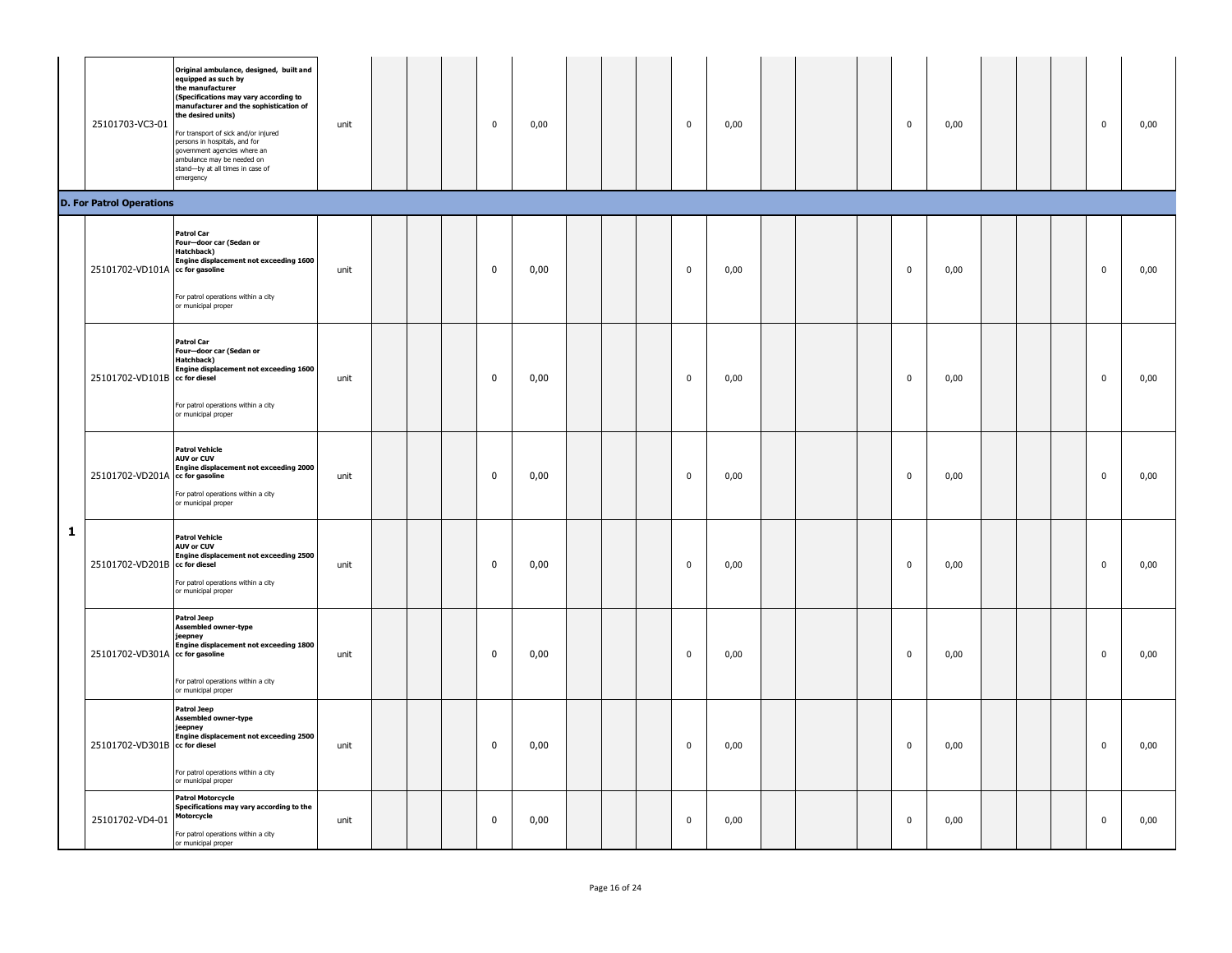|   | 25101703-VC3-01                 | Original ambulance, designed, built and<br>equipped as such by<br>the manufacturer<br>(Specifications may vary according to<br>manufacturer and the sophistication of<br>the desired units)<br>For transport of sick and/or injured<br>persons in hospitals, and for<br>government agencies where an<br>ambulance may be needed on<br>stand-by at all times in case of<br>emergency | unit |  | $\mathbf 0$ | 0,00 |  | $\mathbf 0$ | 0,00 |  | $\mathbf 0$ | 0,00 |  | $\bf{0}$ | 0,00 |
|---|---------------------------------|-------------------------------------------------------------------------------------------------------------------------------------------------------------------------------------------------------------------------------------------------------------------------------------------------------------------------------------------------------------------------------------|------|--|-------------|------|--|-------------|------|--|-------------|------|--|----------|------|
|   | <b>D. For Patrol Operations</b> | <b>Patrol Car</b><br>Four-door car (Sedan or<br>Hatchback)                                                                                                                                                                                                                                                                                                                          |      |  |             |      |  |             |      |  |             |      |  |          |      |
|   | 25101702-VD101A cc for gasoline | Engine displacement not exceeding 1600<br>For patrol operations within a city<br>or municipal proper                                                                                                                                                                                                                                                                                | unit |  | 0           | 0,00 |  | $\mathbf 0$ | 0,00 |  | 0           | 0,00 |  | 0        | 0,00 |
|   | 25101702-VD101B cc for diesel   | <b>Patrol Car</b><br>Four-door car (Sedan or<br>Hatchback)<br>Engine displacement not exceeding 1600<br>For patrol operations within a city<br>or municipal proper                                                                                                                                                                                                                  | unit |  | $\mathbf 0$ | 0,00 |  | $\mathbf 0$ | 0,00 |  | $\mathbf 0$ | 0,00 |  | $\bf{0}$ | 0,00 |
|   | 25101702-VD201A cc for gasoline | <b>Patrol Vehicle</b><br><b>AUV or CUV</b><br>Engine displacement not exceeding 2000<br>For patrol operations within a city<br>or municipal proper                                                                                                                                                                                                                                  | unit |  | $\mathbf 0$ | 0,00 |  | $\mathbf 0$ | 0,00 |  | 0           | 0,00 |  | $\bf{0}$ | 0,00 |
| 1 | 25101702-VD201B cc for diesel   | <b>Patrol Vehicle</b><br><b>AUV or CUV</b><br>Engine displacement not exceeding 2500<br>For patrol operations within a city<br>or municipal proper                                                                                                                                                                                                                                  | unit |  | 0           | 0,00 |  | $\mathbf 0$ | 0,00 |  | $\mathbf 0$ | 0,00 |  | $\bf{0}$ | 0,00 |
|   | 25101702-VD301A cc for gasoline | <b>Patrol Jeep</b><br><b>Assembled owner-type</b><br>jeepney<br>Engine displacement not exceeding 1800<br>For patrol operations within a city<br>or municipal proper                                                                                                                                                                                                                | unit |  | $\mathbf 0$ | 0,00 |  | 0           | 0,00 |  | 0           | 0,00 |  | 0        | 0,00 |
|   | 25101702-VD301B cc for diesel   | <b>Patrol Jeep</b><br><b>Assembled owner-type</b><br>jeepney<br>Engine displacement not exceeding 2500<br>For patrol operations within a city<br>or municipal proper                                                                                                                                                                                                                | unit |  | $\mathbf 0$ | 0,00 |  | $\pmb{0}$   | 0,00 |  | 0           | 0,00 |  | 0        | 0,00 |
|   | 25101702-VD4-01                 | <b>Patrol Motorcycle</b><br>Specifications may vary according to the<br>Motorcycle<br>For patrol operations within a city<br>or municipal proper                                                                                                                                                                                                                                    | unit |  | 0           | 0,00 |  | 0           | 0,00 |  | 0           | 0,00 |  | $\bf{0}$ | 0,00 |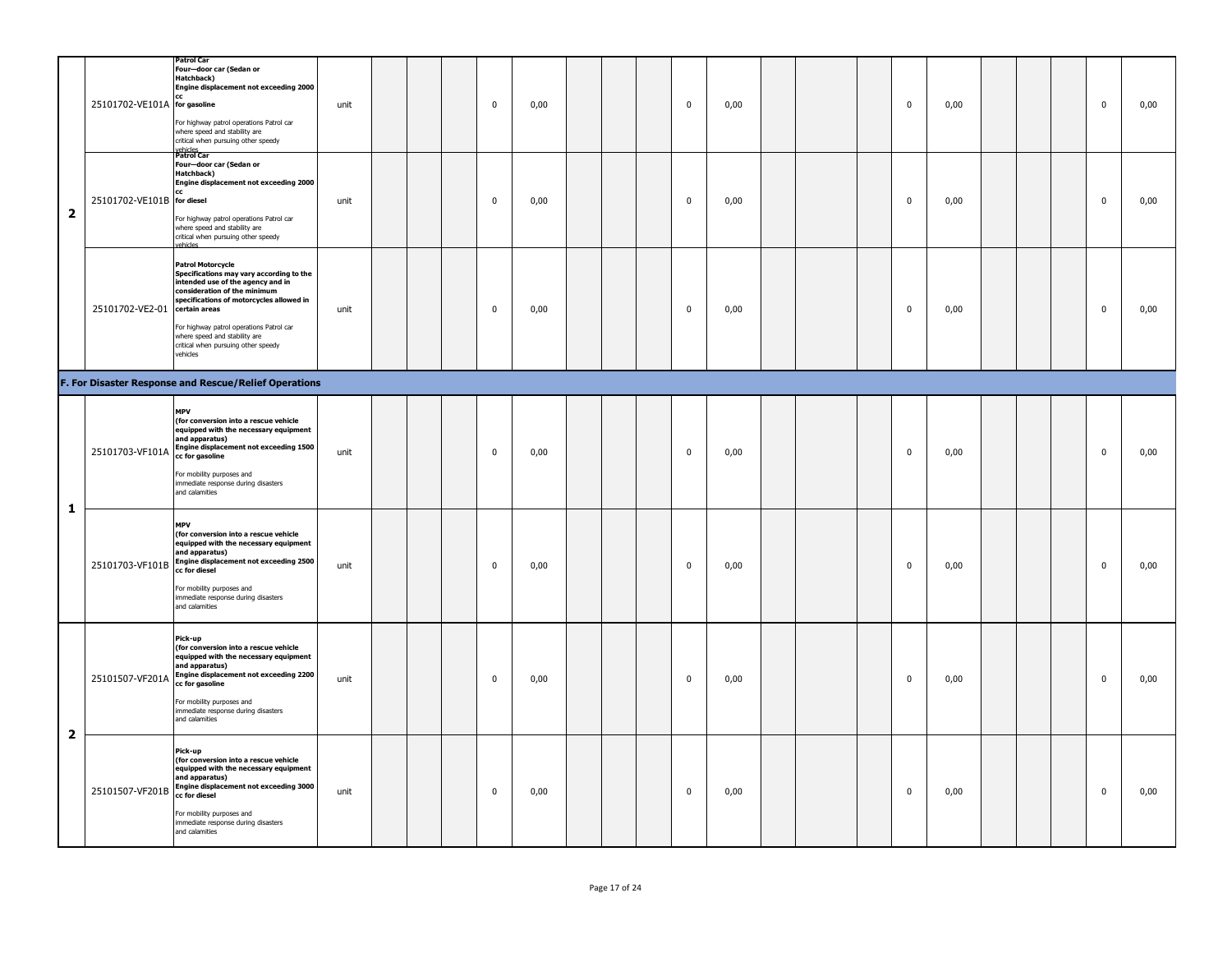|                         | 25101702-VE101A for gasoline  | <b>Patrol Car</b><br>Four-door car (Sedan or<br>Hatchback)<br>Engine displacement not exceeding 2000<br>cc<br>For highway patrol operations Patrol car<br>where speed and stability are<br>critical when pursuing other speedy                                                                                        | unit |  | $\mathbf 0$ | 0,00 |  | $\mathbf 0$ | 0,00 |  | $\mathbf 0$ | 0,00 |  | $\mathbf{0}$ | 0,00 |
|-------------------------|-------------------------------|-----------------------------------------------------------------------------------------------------------------------------------------------------------------------------------------------------------------------------------------------------------------------------------------------------------------------|------|--|-------------|------|--|-------------|------|--|-------------|------|--|--------------|------|
| $\overline{\mathbf{2}}$ | 25101702-VE101B for diesel    | vehicles<br><b>Patrol Car</b><br>Four-door car (Sedan or<br>Hatchback)<br>Engine displacement not exceeding 2000<br>cc.<br>For highway patrol operations Patrol car<br>where speed and stability are<br>critical when pursuing other speedy<br>vehicles                                                               | unit |  | $\mathbf 0$ | 0,00 |  | $\mathbf 0$ | 0,00 |  | $\mathbf 0$ | 0,00 |  | $\mathbf 0$  | 0,00 |
|                         | 25101702-VE2-01 certain areas | <b>Patrol Motorcycle</b><br>Specifications may vary according to the<br>intended use of the agency and in<br>consideration of the minimum<br>specifications of motorcycles allowed in<br>For highway patrol operations Patrol car<br>where speed and stability are<br>critical when pursuing other speedy<br>vehicles | unit |  | $\mathbf 0$ | 0,00 |  | $\mathbf 0$ | 0,00 |  | $\mathbf 0$ | 0,00 |  | $\mathbf 0$  | 0,00 |
|                         |                               | F. For Disaster Response and Rescue/Relief Operations                                                                                                                                                                                                                                                                 |      |  |             |      |  |             |      |  |             |      |  |              |      |
| 1                       | 25101703-VF101A               | <b>MPV</b><br>(for conversion into a rescue vehicle<br>equipped with the necessary equipment<br>and apparatus)<br>Engine displacement not exceeding 1500<br>cc for gasoline<br>For mobility purposes and<br>immediate response during disasters<br>and calamities                                                     | unit |  | $\pmb{0}$   | 0,00 |  | $\mathbf 0$ | 0,00 |  | $\mathbf 0$ | 0,00 |  | $\mathbf 0$  | 0,00 |
|                         |                               | <b>MPV</b><br>(for conversion into a rescue vehicle<br>equipped with the necessary equipment<br>and apparatus)<br>25101703-VF101B Engine displacement not exceeding 2500<br>cc for diesel<br>For mobility purposes and<br>immediate response during disasters<br>and calamities                                       | unit |  | $\mathbf 0$ | 0,00 |  | $\mathbf 0$ | 0,00 |  | $\mathbf 0$ | 0,00 |  | $\mathbf 0$  | 0,00 |
| $\overline{\mathbf{2}}$ | 25101507-VF201A               | Pick-up<br>(for conversion into a rescue vehicle<br>equipped with the necessary equipment<br>and apparatus)<br>Engine displacement not exceeding 2200<br>cc for gasoline<br>For mobility purposes and<br>immediate response during disasters<br>and calamities                                                        | unit |  | $\mathbf 0$ | 0,00 |  | $\mathbf 0$ | 0,00 |  | 0           | 0,00 |  | 0            | 0,00 |
|                         | 25101507-VF201B               | Pick-up<br>(for conversion into a rescue vehicle<br>equipped with the necessary equipment<br>and apparatus)<br>Engine displacement not exceeding 3000<br>cc for diesel<br>For mobility purposes and<br>immediate response during disasters<br>and calamities                                                          | unit |  | $\mathbf 0$ | 0,00 |  | $\mathbf 0$ | 0,00 |  | $\mathbf 0$ | 0,00 |  | $\mathbf 0$  | 0,00 |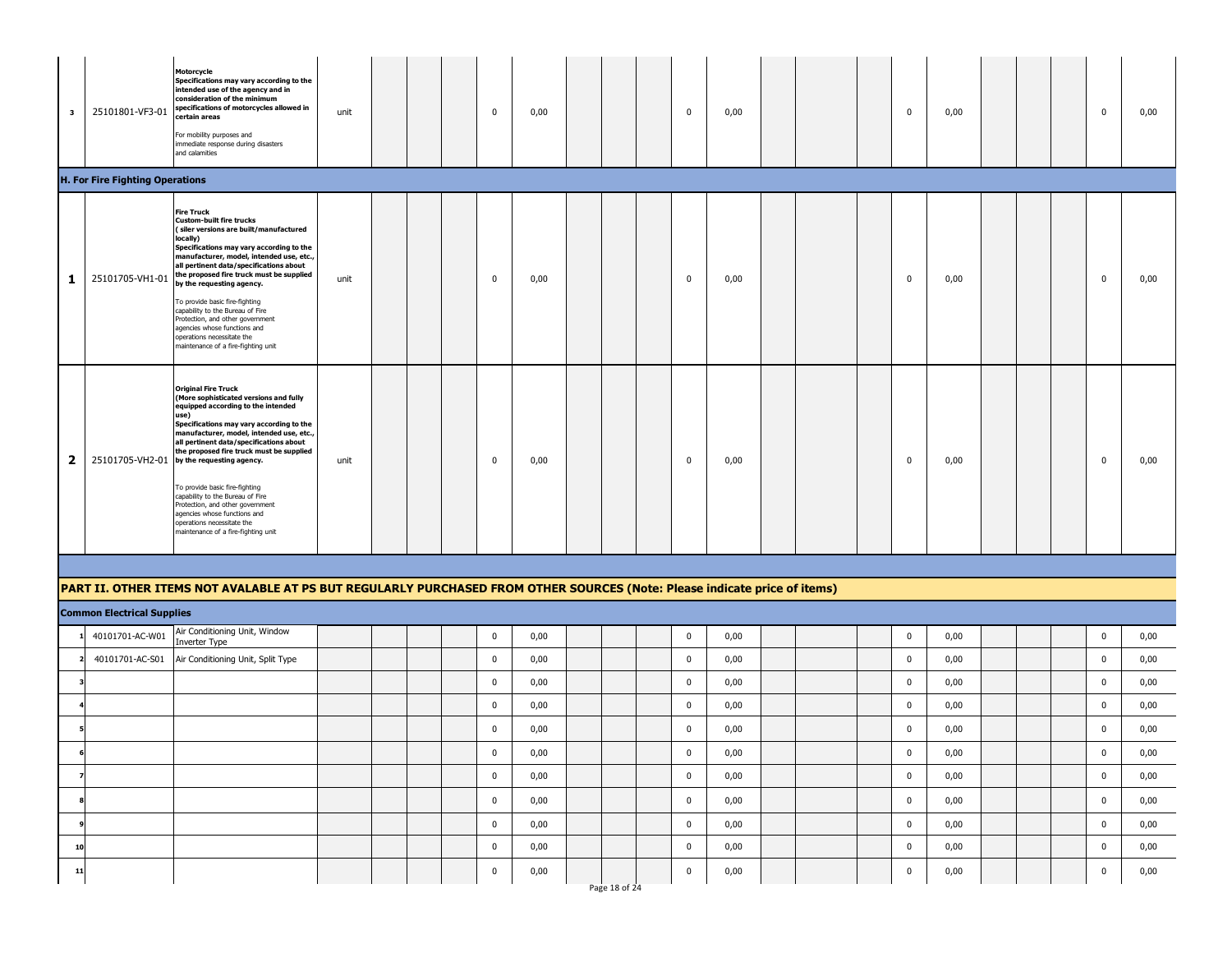| $\mathbf{3}$ | 25101801-VF3-01                        | Motorcycle<br>Specifications may vary according to the<br>intended use of the agency and in<br>consideration of the minimum<br>specifications of motorcycles allowed in<br>certain areas<br>For mobility purposes and<br>immediate response during disasters<br>and calamities                                                                                                                                                                                                                                                                                | unit |  | $\mathbf 0$  | 0,00 |               | $\mathbf 0$    | 0,00 |  | $\mathbf 0$ | 0,00 |  | 0           | 0,00 |
|--------------|----------------------------------------|---------------------------------------------------------------------------------------------------------------------------------------------------------------------------------------------------------------------------------------------------------------------------------------------------------------------------------------------------------------------------------------------------------------------------------------------------------------------------------------------------------------------------------------------------------------|------|--|--------------|------|---------------|----------------|------|--|-------------|------|--|-------------|------|
|              | <b>H. For Fire Fighting Operations</b> |                                                                                                                                                                                                                                                                                                                                                                                                                                                                                                                                                               |      |  |              |      |               |                |      |  |             |      |  |             |      |
| 1            | 25101705-VH1-01                        | <b>Fire Truck</b><br><b>Custom-built fire trucks</b><br>(siler versions are built/manufactured<br>locally)<br>Specifications may vary according to the<br>manufacturer, model, intended use, etc.,<br>all pertinent data/specifications about<br>the proposed fire truck must be supplied<br>by the requesting agency.<br>To provide basic fire-fighting<br>capability to the Bureau of Fire<br>Protection, and other government<br>agencies whose functions and<br>operations necessitate the<br>maintenance of a fire-fighting unit                         | unit |  | $\mathbf 0$  | 0,00 |               | $\mathbf 0$    | 0,00 |  | $\mathbf 0$ | 0,00 |  | $\mathbf 0$ | 0,00 |
| 2            |                                        | <b>Original Fire Truck</b><br>(More sophisticated versions and fully<br>equipped according to the intended<br>use)<br>Specifications may vary according to the<br>manufacturer, model, intended use, etc.,<br>all pertinent data/specifications about<br>the proposed fire truck must be supplied<br>25101705-VH2-01 by the requesting agency.<br>To provide basic fire-fighting<br>capability to the Bureau of Fire<br>Protection, and other government<br>agencies whose functions and<br>operations necessitate the<br>maintenance of a fire-fighting unit | unit |  | $\mathbf{0}$ | 0,00 |               | 0              | 0,00 |  | $\mathbf 0$ | 0,00 |  | $\mathbf 0$ | 0,00 |
|              |                                        |                                                                                                                                                                                                                                                                                                                                                                                                                                                                                                                                                               |      |  |              |      |               |                |      |  |             |      |  |             |      |
|              |                                        | PART II. OTHER ITEMS NOT AVALABLE AT PS BUT REGULARLY PURCHASED FROM OTHER SOURCES (Note: Please indicate price of items)                                                                                                                                                                                                                                                                                                                                                                                                                                     |      |  |              |      |               |                |      |  |             |      |  |             |      |
|              | <b>Common Electrical Supplies</b>      |                                                                                                                                                                                                                                                                                                                                                                                                                                                                                                                                                               |      |  |              |      |               |                |      |  |             |      |  |             |      |
|              | 40101701-AC-W01                        | Air Conditioning Unit, Window<br>Inverter Type                                                                                                                                                                                                                                                                                                                                                                                                                                                                                                                |      |  | $\mathbf 0$  | 0,00 |               | $\mathbf 0$    | 0,00 |  | $\pmb{0}$   | 0,00 |  | $\pmb{0}$   | 0,00 |
|              | 40101701-AC-S01                        | Air Conditioning Unit, Split Type                                                                                                                                                                                                                                                                                                                                                                                                                                                                                                                             |      |  | $\mathbf 0$  | 0,00 |               | $\mathbf 0$    | 0,00 |  | $\mathbf 0$ | 0,00 |  | $\pmb{0}$   | 0,00 |
|              |                                        |                                                                                                                                                                                                                                                                                                                                                                                                                                                                                                                                                               |      |  | $\bf{0}$     | 0,00 |               | $\mathbf 0$    | 0,00 |  | $\pmb{0}$   | 0,00 |  | $\pmb{0}$   | 0,00 |
|              |                                        |                                                                                                                                                                                                                                                                                                                                                                                                                                                                                                                                                               |      |  | 0            | 0,00 |               | 0              | 0,00 |  | $\mathbf 0$ | 0,00 |  | $\mathbf 0$ | 0,00 |
|              |                                        |                                                                                                                                                                                                                                                                                                                                                                                                                                                                                                                                                               |      |  | $\mathbf 0$  | 0,00 |               | $\mathbf 0$    | 0,00 |  | $\mathbf 0$ | 0,00 |  | $\mathbf 0$ | 0,00 |
| 6            |                                        |                                                                                                                                                                                                                                                                                                                                                                                                                                                                                                                                                               |      |  | 0            | 0,00 |               | $\mathbf 0$    | 0,00 |  | $\mathbf 0$ | 0,00 |  | $\pmb{0}$   | 0,00 |
| 7            |                                        |                                                                                                                                                                                                                                                                                                                                                                                                                                                                                                                                                               |      |  | $\pmb{0}$    | 0,00 |               | $\overline{0}$ | 0,00 |  | $\mathbf 0$ | 0,00 |  | $\pmb{0}$   | 0,00 |
|              |                                        |                                                                                                                                                                                                                                                                                                                                                                                                                                                                                                                                                               |      |  | $\bf{0}$     | 0,00 |               | $\bf{0}$       | 0,00 |  | $\mathbf 0$ | 0,00 |  | $\pmb{0}$   | 0,00 |
|              |                                        |                                                                                                                                                                                                                                                                                                                                                                                                                                                                                                                                                               |      |  | $\mathbf 0$  | 0,00 |               | $\mathbf 0$    | 0,00 |  | $\pmb{0}$   | 0,00 |  | $\pmb{0}$   | 0,00 |
| 10           |                                        |                                                                                                                                                                                                                                                                                                                                                                                                                                                                                                                                                               |      |  | $\mathbf{0}$ | 0,00 |               | $\mathbf 0$    | 0,00 |  | $\mathbf 0$ | 0,00 |  | $\pmb{0}$   | 0,00 |
| 11           |                                        |                                                                                                                                                                                                                                                                                                                                                                                                                                                                                                                                                               |      |  | $\mathbf 0$  | 0,00 | Page 18 of 24 | $\mathbf 0$    | 0,00 |  | $\bf{0}$    | 0,00 |  | $\pmb{0}$   | 0,00 |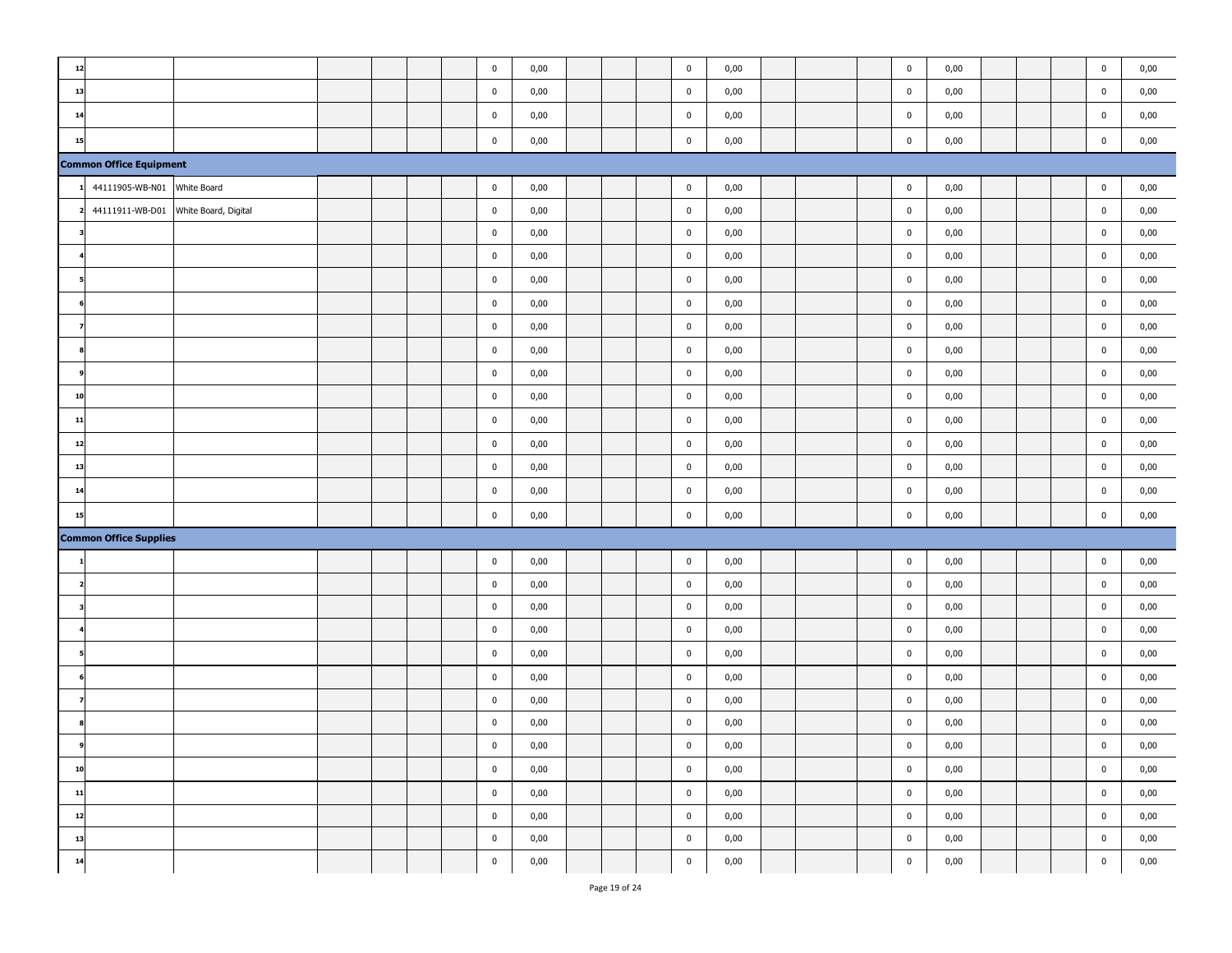| 12 |                                |                      |  |  | $\pmb{0}$   | 0,00 |  | $\mathbf 0$ | 0,00 |  | $\pmb{0}$   | 0,00 |  | $\pmb{0}$   | 0,00 |
|----|--------------------------------|----------------------|--|--|-------------|------|--|-------------|------|--|-------------|------|--|-------------|------|
| 13 |                                |                      |  |  | $\mathbf 0$ | 0,00 |  | $\pmb{0}$   | 0,00 |  | $\pmb{0}$   | 0,00 |  | $\pmb{0}$   | 0,00 |
| 14 |                                |                      |  |  | $\pmb{0}$   | 0,00 |  | $\pmb{0}$   | 0,00 |  | $\pmb{0}$   | 0,00 |  | $\pmb{0}$   | 0,00 |
| 15 |                                |                      |  |  | $\pmb{0}$   | 0,00 |  | $\pmb{0}$   | 0,00 |  | $\mathbf 0$ | 0,00 |  | $\bf{0}$    | 0,00 |
|    | <b>Common Office Equipment</b> |                      |  |  |             |      |  |             |      |  |             |      |  |             |      |
|    | 44111905-WB-N01                | White Board          |  |  | $\pmb{0}$   | 0,00 |  | $\mathbf 0$ | 0,00 |  | $\pmb{0}$   | 0,00 |  | $\pmb{0}$   | 0,00 |
|    | 44111911-WB-D01                | White Board, Digital |  |  | $\pmb{0}$   | 0,00 |  | $\mathbf 0$ | 0,00 |  | $\pmb{0}$   | 0,00 |  | $\mathbf 0$ | 0,00 |
|    |                                |                      |  |  | $\pmb{0}$   | 0,00 |  | $\mathbf 0$ | 0,00 |  | $\pmb{0}$   | 0,00 |  | $\pmb{0}$   | 0,00 |
|    |                                |                      |  |  | $\mathbf 0$ | 0,00 |  | $\pmb{0}$   | 0,00 |  | $\pmb{0}$   | 0,00 |  | $\pmb{0}$   | 0,00 |
|    |                                |                      |  |  | $\pmb{0}$   | 0,00 |  | $\mathbf 0$ | 0,00 |  | $\pmb{0}$   | 0,00 |  | $\pmb{0}$   | 0,00 |
|    |                                |                      |  |  | $\pmb{0}$   | 0,00 |  | $\mathbf 0$ | 0,00 |  | $\pmb{0}$   | 0,00 |  | $\mathbf 0$ | 0,00 |
|    |                                |                      |  |  | $\pmb{0}$   | 0,00 |  | $\mathbf 0$ | 0,00 |  | $\pmb{0}$   | 0,00 |  | $\pmb{0}$   | 0,00 |
|    |                                |                      |  |  | $\mathbf 0$ | 0,00 |  | $\mathbf 0$ | 0,00 |  | $\mathbf 0$ | 0,00 |  | $\bf{0}$    | 0,00 |
|    |                                |                      |  |  | $\mathbf 0$ | 0,00 |  | $\mathbf 0$ | 0,00 |  | $\bf{0}$    | 0,00 |  | $\bf{0}$    | 0,00 |
| 10 |                                |                      |  |  | $\pmb{0}$   | 0,00 |  | $\mathbf 0$ | 0,00 |  | $\pmb{0}$   | 0,00 |  | $\pmb{0}$   | 0,00 |
| 11 |                                |                      |  |  | $\mathbf 0$ | 0,00 |  | $\mathbf 0$ | 0,00 |  | $\mathbf 0$ | 0,00 |  | $\bf{0}$    | 0,00 |
| 12 |                                |                      |  |  | $\pmb{0}$   | 0,00 |  | $\mathbf 0$ | 0,00 |  | $\pmb{0}$   | 0,00 |  | $\mathbf 0$ | 0,00 |
| 13 |                                |                      |  |  | $\pmb{0}$   | 0,00 |  | $\mathbf 0$ | 0,00 |  | $\pmb{0}$   | 0,00 |  | $\pmb{0}$   | 0,00 |
| 14 |                                |                      |  |  | $\pmb{0}$   | 0,00 |  | $\mathbf 0$ | 0,00 |  | $\pmb{0}$   | 0,00 |  | $\mathbf 0$ | 0,00 |
| 15 |                                |                      |  |  | $\pmb{0}$   | 0,00 |  | $\pmb{0}$   | 0,00 |  | $\pmb{0}$   | 0,00 |  | $\pmb{0}$   | 0,00 |
|    | <b>Common Office Supplies</b>  |                      |  |  |             |      |  |             |      |  |             |      |  |             |      |
|    |                                |                      |  |  | $\pmb{0}$   | 0,00 |  | $\pmb{0}$   | 0,00 |  | $\pmb{0}$   | 0,00 |  | $\pmb{0}$   | 0,00 |
|    |                                |                      |  |  | $\pmb{0}$   | 0,00 |  | $\mathbf 0$ | 0,00 |  | $\pmb{0}$   | 0,00 |  | $\pmb{0}$   | 0,00 |
|    |                                |                      |  |  | $\pmb{0}$   | 0,00 |  | $\mathbf 0$ | 0,00 |  | $\pmb{0}$   | 0,00 |  | $\mathbf 0$ | 0,00 |
|    |                                |                      |  |  | $\mathbf 0$ | 0,00 |  | $\mathbf 0$ | 0,00 |  | $\pmb{0}$   | 0,00 |  | $\pmb{0}$   | 0,00 |
|    |                                |                      |  |  | $\pmb{0}$   | 0,00 |  | $\mathbf 0$ | 0,00 |  | $\bf{0}$    | 0,00 |  | $\bf{0}$    | 0,00 |
|    |                                |                      |  |  | $\pmb{0}$   | 0,00 |  | $\pmb{0}$   | 0,00 |  | $\pmb{0}$   | 0,00 |  | $\mathbf 0$ | 0,00 |
|    |                                |                      |  |  | $\mathbf 0$ | 0,00 |  | $\mathbf 0$ | 0,00 |  | $\bf{0}$    | 0,00 |  | $\mathbf 0$ | 0,00 |
|    |                                |                      |  |  | $\pmb{0}$   | 0,00 |  | $\mathbf 0$ | 0,00 |  | $\pmb{0}$   | 0,00 |  | $\pmb{0}$   | 0,00 |
|    |                                |                      |  |  | $\pmb{0}$   | 0,00 |  | $\mathbf 0$ | 0,00 |  | $\pmb{0}$   | 0,00 |  | $\pmb{0}$   | 0,00 |
| 10 |                                |                      |  |  | $\pmb{0}$   | 0,00 |  | $\pmb{0}$   | 0,00 |  | $\mathbf 0$ | 0,00 |  | $\pmb{0}$   | 0,00 |
| 11 |                                |                      |  |  | $\pmb{0}$   | 0,00 |  | $\pmb{0}$   | 0,00 |  | $\mathbf 0$ | 0,00 |  | $\pmb{0}$   | 0,00 |
| 12 |                                |                      |  |  | $\mathbf 0$ | 0,00 |  | $\pmb{0}$   | 0,00 |  | $\pmb{0}$   | 0,00 |  | $\mathbf 0$ | 0,00 |
| 13 |                                |                      |  |  | $\mathbf 0$ | 0,00 |  | $\pmb{0}$   | 0,00 |  | $\mathbf 0$ | 0,00 |  | $\bf{0}$    | 0,00 |
| 14 |                                |                      |  |  | $\pmb{0}$   | 0,00 |  | $\mathbf 0$ | 0,00 |  | $\mathbf 0$ | 0,00 |  | $\bf{0}$    | 0,00 |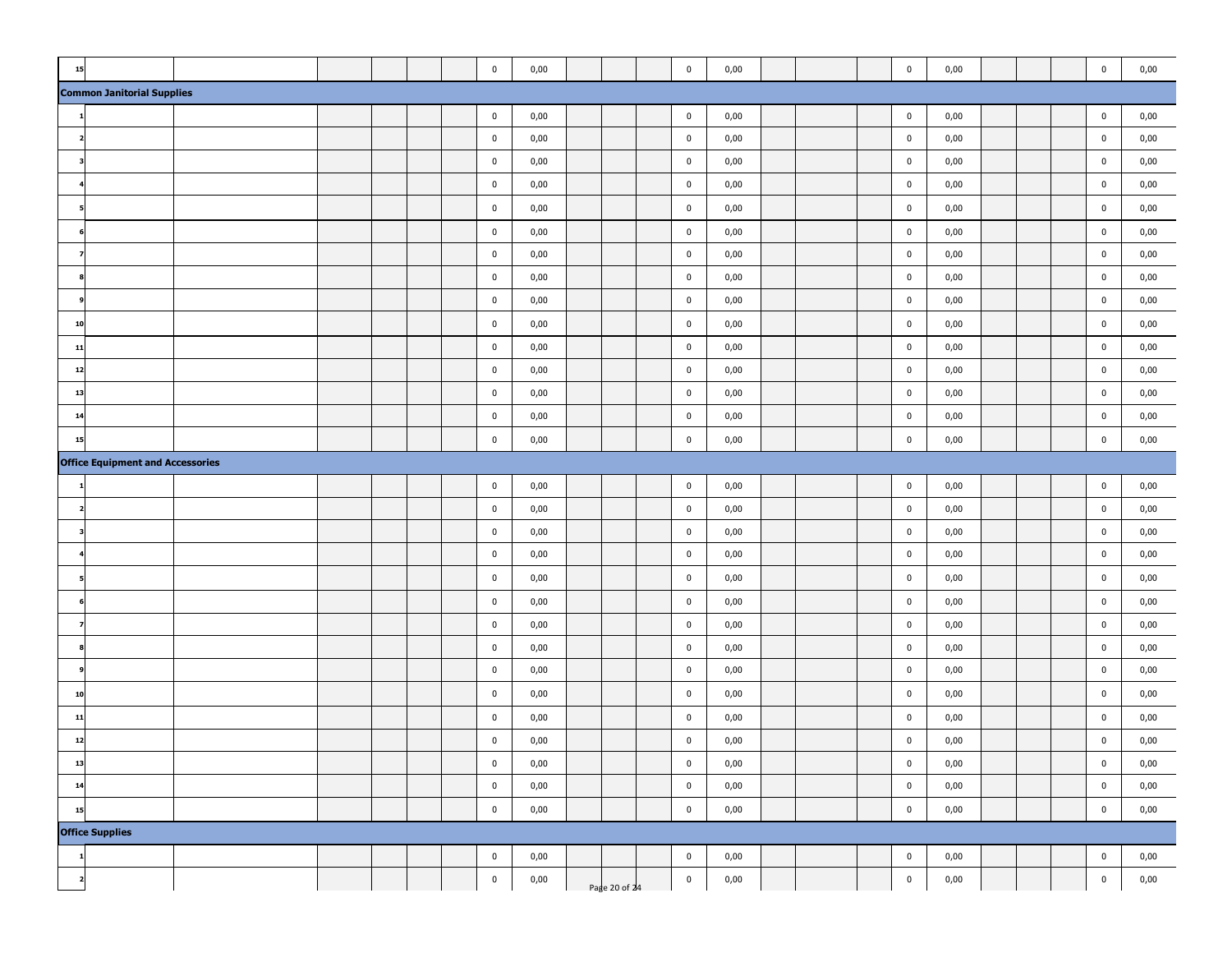| 15                      |                                         |  |  | $\pmb{0}$   | 0,00     |               | $\mathbf 0$ | 0,00 |  | $\pmb{0}$   | 0,00 |  | $\pmb{0}$   | 0,00 |
|-------------------------|-----------------------------------------|--|--|-------------|----------|---------------|-------------|------|--|-------------|------|--|-------------|------|
|                         | <b>Common Janitorial Supplies</b>       |  |  |             |          |               |             |      |  |             |      |  |             |      |
|                         |                                         |  |  | $\pmb{0}$   | 0,00     |               | $\pmb{0}$   | 0,00 |  | $\pmb{0}$   | 0,00 |  | $\pmb{0}$   | 0,00 |
|                         |                                         |  |  | $\mathbf 0$ | 0,00     |               | $\mathbf 0$ | 0,00 |  | $\mathbf 0$ | 0,00 |  | $\mathbf 0$ | 0,00 |
|                         |                                         |  |  | $\mathbf 0$ | 0,00     |               | $\mathbf 0$ | 0,00 |  | $\mathbf 0$ | 0,00 |  | $\mathbf 0$ | 0,00 |
|                         |                                         |  |  | $\pmb{0}$   | 0,00     |               | $\mathbf 0$ | 0,00 |  | $\pmb{0}$   | 0,00 |  | $\pmb{0}$   | 0,00 |
|                         |                                         |  |  | $\mathbf 0$ | 0,00     |               | $\mathbf 0$ | 0,00 |  | $\bf{0}$    | 0,00 |  | $\bf{0}$    | 0,00 |
|                         |                                         |  |  | $\mathbf 0$ | 0,00     |               | $\pmb{0}$   | 0,00 |  | $\pmb{0}$   | 0,00 |  | $\mathbf 0$ | 0,00 |
|                         |                                         |  |  | $\mathbf 0$ | 0,00     |               | $\mathbf 0$ | 0,00 |  | $\mathbf 0$ | 0,00 |  | $\mathbf 0$ | 0,00 |
|                         |                                         |  |  | $\mathbf 0$ | 0,00     |               | $\mathbf 0$ | 0,00 |  | $\pmb{0}$   | 0,00 |  | $\pmb{0}$   | 0,00 |
|                         |                                         |  |  | $\mathbf 0$ | 0,00     |               | $\mathbf 0$ | 0,00 |  | $\mathbf 0$ | 0,00 |  | $\bf{0}$    | 0,00 |
| 10                      |                                         |  |  | $\mathbf 0$ | 0,00     |               | $\mathbf 0$ | 0,00 |  | $\pmb{0}$   | 0,00 |  | $\mathbf 0$ | 0,00 |
| 11                      |                                         |  |  | $\mathbf 0$ | 0,00     |               | $\mathbf 0$ | 0,00 |  | $\mathbf 0$ | 0,00 |  | $\mathbf 0$ | 0,00 |
| 12                      |                                         |  |  | $\mathbf 0$ | 0,00     |               | $\pmb{0}$   | 0,00 |  | $\pmb{0}$   | 0,00 |  | $\pmb{0}$   | 0,00 |
| 13                      |                                         |  |  | $\bf{0}$    | 0,00     |               | $\bf{0}$    | 0,00 |  | $\bf{0}$    | 0,00 |  | $\bf{0}$    | 0,00 |
| 14                      |                                         |  |  | $\bf{0}$    | 0,00     |               | $\mathbf 0$ | 0,00 |  | $\bf{0}$    | 0,00 |  | $\bf{0}$    | 0,00 |
| 15                      |                                         |  |  | $\mathbf 0$ | 0,00     |               | $\mathbf 0$ | 0,00 |  | $\mathbf 0$ | 0,00 |  | $\bf{0}$    | 0,00 |
|                         | <b>Office Equipment and Accessories</b> |  |  |             |          |               |             |      |  |             |      |  |             |      |
|                         |                                         |  |  | $\bf{0}$    | 0,00     |               | $\mathbf 0$ | 0,00 |  | $\bf{0}$    | 0,00 |  | $\bf{0}$    | 0,00 |
|                         |                                         |  |  | $\bf{0}$    | 0,00     |               | $\mathbf 0$ | 0,00 |  | $\bf{0}$    | 0,00 |  | $\bf{0}$    | 0,00 |
|                         |                                         |  |  | $\bf{0}$    | 0,00     |               | $\bf{0}$    | 0,00 |  | $\bf{0}$    | 0,00 |  | $\bf{0}$    | 0,00 |
|                         |                                         |  |  | $\mathbf 0$ | 0,00     |               | $\pmb{0}$   | 0,00 |  | $\pmb{0}$   | 0,00 |  | $\pmb{0}$   | 0,00 |
|                         |                                         |  |  | $\mathbf 0$ | 0,00     |               | 0           | 0,00 |  | $\bm{0}$    | 0,00 |  | 0           | 0,00 |
|                         |                                         |  |  | $\pmb{0}$   | 0,00     |               | $\mathbf 0$ | 0,00 |  | $\pmb{0}$   | 0,00 |  | $\mathbf 0$ | 0,00 |
|                         |                                         |  |  | $\mathbf 0$ | 0,00     |               | $\mathbf 0$ | 0,00 |  | $\pmb{0}$   | 0,00 |  | $\mathbf 0$ | 0,00 |
|                         |                                         |  |  | $\mathbf 0$ | 0,00     |               | $\mathbf 0$ | 0,00 |  | $\mathbf 0$ | 0,00 |  | $\mathbf 0$ | 0,00 |
|                         |                                         |  |  | $\mathbf 0$ | 0,00     |               | $\mathbf 0$ | 0,00 |  | $\pmb{0}$   | 0,00 |  | $\pmb{0}$   | 0,00 |
| 10                      |                                         |  |  | $\bf{0}$    | 0,00     |               | $\bf{0}$    | 0,00 |  | $\bf{0}$    | 0,00 |  | $\bf{0}$    | 0,00 |
| 11                      |                                         |  |  | $\pmb{0}$   | 0,00     |               | $\mathbf 0$ | 0,00 |  | $\mathbf 0$ | 0,00 |  | $\bf{0}$    | 0,00 |
| 12                      |                                         |  |  | $\mathbf 0$ | 0,00     |               | $\mathbf 0$ | 0,00 |  | $\pmb{0}$   | 0,00 |  | $\bf{0}$    | 0,00 |
| 13                      |                                         |  |  | $\pmb{0}$   | 0,00     |               | $\mathbf 0$ | 0,00 |  | $\pmb{0}$   | 0,00 |  | $\pmb{0}$   | 0,00 |
| 14                      |                                         |  |  | $\mathbf 0$ | 0,00     |               | $\mathbf 0$ | 0,00 |  | $\mathbf 0$ | 0,00 |  | $\pmb{0}$   | 0,00 |
| 15                      |                                         |  |  | $\pmb{0}$   | $0,\!00$ |               | $\mathbf 0$ | 0,00 |  | $\pmb{0}$   | 0,00 |  | $\pmb{0}$   | 0,00 |
|                         | <b>Office Supplies</b>                  |  |  |             |          |               |             |      |  |             |      |  |             |      |
|                         |                                         |  |  | $\pmb{0}$   | 0,00     |               | $\mathbf 0$ | 0,00 |  | $\pmb{0}$   | 0,00 |  | $\pmb{0}$   | 0,00 |
| $\overline{\mathbf{2}}$ |                                         |  |  | $\pmb{0}$   | 0,00     | Page 20 of 24 | $\mathbf 0$ | 0,00 |  | $\pmb{0}$   | 0,00 |  | $\pmb{0}$   | 0,00 |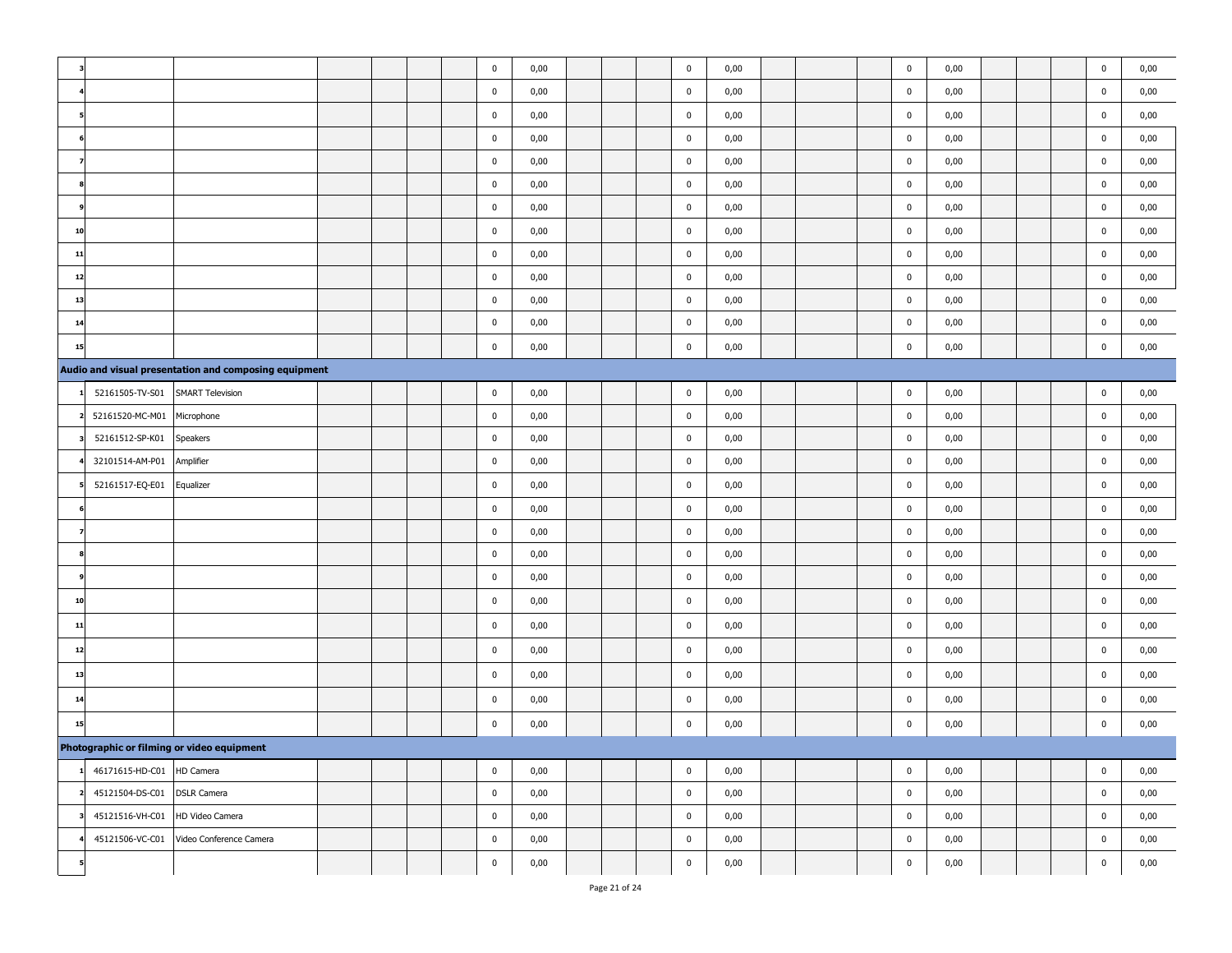|    |                                 |                                                       |  |  | $\mathbf 0$ | 0,00 |  | $\pmb{0}$   | 0,00 |  | $\pmb{0}$   | 0,00 |  | $\mathbf 0$ | 0,00 |
|----|---------------------------------|-------------------------------------------------------|--|--|-------------|------|--|-------------|------|--|-------------|------|--|-------------|------|
|    |                                 |                                                       |  |  | $\pmb{0}$   | 0,00 |  | $\pmb{0}$   | 0,00 |  | $\mathbf 0$ | 0,00 |  | $\bf{0}$    | 0,00 |
|    |                                 |                                                       |  |  | $\mathbf 0$ | 0,00 |  | $\mathbf 0$ | 0,00 |  | $\pmb{0}$   | 0,00 |  | $\pmb{0}$   | 0,00 |
|    |                                 |                                                       |  |  | $\bf{0}$    | 0,00 |  | $\mathbf 0$ | 0,00 |  | $\mathbf 0$ | 0,00 |  | $\pmb{0}$   | 0,00 |
|    |                                 |                                                       |  |  | $\mathbf 0$ | 0,00 |  | $\pmb{0}$   | 0,00 |  | $\pmb{0}$   | 0,00 |  | $\pmb{0}$   | 0,00 |
|    |                                 |                                                       |  |  | $\bf{0}$    | 0,00 |  | $\pmb{0}$   | 0,00 |  | $\mathbf 0$ | 0,00 |  | $\bf{0}$    | 0,00 |
|    |                                 |                                                       |  |  | $\mathbf 0$ | 0,00 |  | $\pmb{0}$   | 0,00 |  | $\pmb{0}$   | 0,00 |  | $\bf{0}$    | 0,00 |
| 10 |                                 |                                                       |  |  | $\bf{0}$    | 0,00 |  | $\mathbf 0$ | 0,00 |  | $\mathbf 0$ | 0,00 |  | $\bf{0}$    | 0,00 |
| 11 |                                 |                                                       |  |  | $\mathbf 0$ | 0,00 |  | $\mathbf 0$ | 0,00 |  | $\mathbf 0$ | 0,00 |  | $\pmb{0}$   | 0,00 |
| 12 |                                 |                                                       |  |  | $\mathbf 0$ | 0,00 |  | $\pmb{0}$   | 0,00 |  | $\pmb{0}$   | 0,00 |  | $\pmb{0}$   | 0,00 |
| 13 |                                 |                                                       |  |  | $\pmb{0}$   | 0,00 |  | $\pmb{0}$   | 0,00 |  | $\pmb{0}$   | 0,00 |  | $\bf{0}$    | 0,00 |
| 14 |                                 |                                                       |  |  | $\mathbf 0$ | 0,00 |  | $\pmb{0}$   | 0,00 |  | $\mathbf 0$ | 0,00 |  | $\pmb{0}$   | 0,00 |
| 15 |                                 |                                                       |  |  | $\mathbf 0$ | 0,00 |  | $\pmb{0}$   | 0,00 |  | $\mathbf 0$ | 0,00 |  | $\bf{0}$    | 0,00 |
|    |                                 | Audio and visual presentation and composing equipment |  |  |             |      |  |             |      |  |             |      |  |             |      |
|    | 52161505-TV-S01                 | <b>SMART Television</b>                               |  |  | $\mathbf 0$ | 0,00 |  | $\pmb{0}$   | 0,00 |  | $\pmb{0}$   | 0,00 |  | $\pmb{0}$   | 0,00 |
|    | 52161520-MC-M01                 | Microphone                                            |  |  | $\mathbf 0$ | 0,00 |  | $\pmb{0}$   | 0,00 |  | $\pmb{0}$   | 0,00 |  | $\pmb{0}$   | 0,00 |
|    | 52161512-SP-K01                 | Speakers                                              |  |  | $\bf{0}$    | 0,00 |  | $\mathbf 0$ | 0,00 |  | $\mathbf 0$ | 0,00 |  | $\bf{0}$    | 0,00 |
|    | 32101514-AM-P01                 | Amplifier                                             |  |  | $\mathbf 0$ | 0,00 |  | $\pmb{0}$   | 0,00 |  | $\mathbf 0$ | 0,00 |  | $\bf{0}$    | 0,00 |
|    | 52161517-EQ-E01                 | Equalizer                                             |  |  | $\bf{0}$    | 0,00 |  | $\mathbf 0$ | 0,00 |  | $\mathbf 0$ | 0,00 |  | $\bf{0}$    | 0,00 |
|    |                                 |                                                       |  |  | $\mathbf 0$ | 0,00 |  | $\pmb{0}$   | 0,00 |  | $\mathbf 0$ | 0,00 |  | $\pmb{0}$   | 0,00 |
|    |                                 |                                                       |  |  | $\bf{0}$    | 0,00 |  | $\mathbf 0$ | 0,00 |  | $\mathbf 0$ | 0,00 |  | $\bf{0}$    | 0,00 |
|    |                                 |                                                       |  |  | $\mathbf 0$ | 0,00 |  | $\mathbf 0$ | 0,00 |  | $\pmb{0}$   | 0,00 |  | $\bf{0}$    | 0,00 |
|    |                                 |                                                       |  |  | $\bf{0}$    | 0,00 |  | $\mathbf 0$ | 0,00 |  | $\pmb{0}$   | 0,00 |  | $\mathbf 0$ | 0,00 |
| 10 |                                 |                                                       |  |  | $\mathbf 0$ | 0,00 |  | $\mathbf 0$ | 0,00 |  | $\mathbf 0$ | 0,00 |  | $\bf{0}$    | 0,00 |
| 11 |                                 |                                                       |  |  | $\mathbf 0$ | 0,00 |  | $\mathbf 0$ | 0,00 |  | $\pmb{0}$   | 0,00 |  | $\pmb{0}$   | 0,00 |
| 12 |                                 |                                                       |  |  | $\bf{0}$    | 0,00 |  | $\pmb{0}$   | 0,00 |  | $\mathbf 0$ | 0,00 |  | $\bf{0}$    | 0,00 |
| 13 |                                 |                                                       |  |  | $\mathbf 0$ | 0,00 |  | $\pmb{0}$   | 0,00 |  | $\pmb{0}$   | 0,00 |  | $\pmb{0}$   | 0,00 |
| 14 |                                 |                                                       |  |  | $\bf{0}$    | 0,00 |  | $\mathbf 0$ | 0,00 |  | $\mathbf 0$ | 0,00 |  | $\bf{0}$    | 0,00 |
| 15 |                                 |                                                       |  |  | $\mathbf 0$ | 0,00 |  | $\pmb{0}$   | 0,00 |  | $\mathbf 0$ | 0,00 |  | $\pmb{0}$   | 0,00 |
|    |                                 | Photographic or filming or video equipment            |  |  |             |      |  |             |      |  |             |      |  |             |      |
|    | 46171615-HD-C01 HD Camera       |                                                       |  |  | $\mathbf 0$ | 0,00 |  | $\pmb{0}$   | 0,00 |  | $\mathbf 0$ | 0,00 |  | $\mathbf 0$ | 0,00 |
|    | 45121504-DS-C01                 | <b>DSLR Camera</b>                                    |  |  | $\mathbf 0$ | 0,00 |  | $\mathbf 0$ | 0,00 |  | $\pmb{0}$   | 0,00 |  | $\bf{0}$    | 0,00 |
|    | 45121516-VH-C01 HD Video Camera |                                                       |  |  | $\mathbf 0$ | 0,00 |  | $\mathbf 0$ | 0,00 |  | $\mathbf 0$ | 0,00 |  | $\bf{0}$    | 0,00 |
|    |                                 | 45121506-VC-C01 Video Conference Camera               |  |  | $\mathbf 0$ | 0,00 |  | $\bf{0}$    | 0,00 |  | $\bf{0}$    | 0,00 |  | 0           | 0,00 |
|    |                                 |                                                       |  |  | $\mathbf 0$ | 0,00 |  | $\pmb{0}$   | 0,00 |  | $\pmb{0}$   | 0,00 |  | $\bf{0}$    | 0,00 |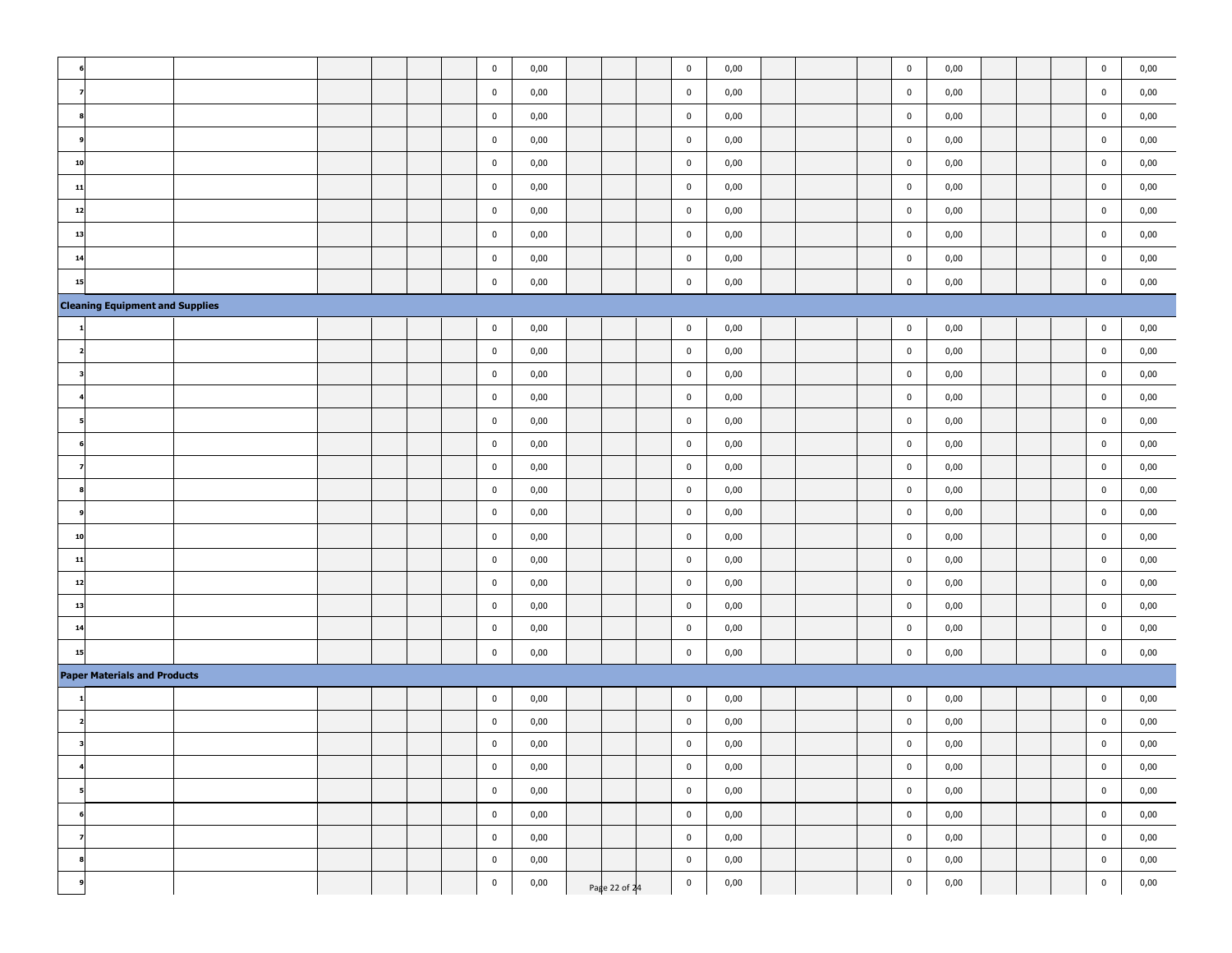|                          |                                        |  |  | $\mathbf 0$ | 0,00 |               | $\mathbf 0$    | 0,00 |  | $\pmb{0}$   | 0,00 |  | $\mathbf 0$             | 0,00 |
|--------------------------|----------------------------------------|--|--|-------------|------|---------------|----------------|------|--|-------------|------|--|-------------------------|------|
|                          |                                        |  |  | $\bf{0}$    | 0,00 |               | $\mathbf 0$    | 0,00 |  | $\pmb{0}$   | 0,00 |  | $\overline{\mathbf{0}}$ | 0,00 |
|                          |                                        |  |  | $\bf{0}$    | 0,00 |               | $\mathbf 0$    | 0,00 |  | $\mathbf 0$ | 0,00 |  | $\bf{0}$                | 0,00 |
|                          |                                        |  |  | $\bf{0}$    | 0,00 |               | $\mathbf 0$    | 0,00 |  | $\bf{0}$    | 0,00 |  | $\overline{\mathbf{0}}$ | 0,00 |
| 10                       |                                        |  |  | $\bf{0}$    | 0,00 |               | $\mathbf 0$    | 0,00 |  | $\mathbf 0$ | 0,00 |  | $\mathbf 0$             | 0,00 |
| 11                       |                                        |  |  | $\bf{0}$    | 0,00 |               | $\mathbf 0$    | 0,00 |  | $\mathbf 0$ | 0,00 |  | $\overline{\mathbf{0}}$ | 0,00 |
| 12                       |                                        |  |  | $\mathbf 0$ | 0,00 |               | $\bf{0}$       | 0,00 |  | $\pmb{0}$   | 0,00 |  | $\pmb{0}$               | 0,00 |
| 13                       |                                        |  |  | $\mathbf 0$ | 0,00 |               | $\overline{0}$ | 0,00 |  | $\mathbf 0$ | 0,00 |  | $\overline{\mathbf{0}}$ | 0,00 |
| 14                       |                                        |  |  | $\bf{0}$    | 0,00 |               | $\mathbf 0$    | 0,00 |  | $\pmb{0}$   | 0,00 |  | $\overline{\mathbf{0}}$ | 0,00 |
| 15                       |                                        |  |  | $\pmb{0}$   | 0,00 |               | $\mathbf 0$    | 0,00 |  | $\pmb{0}$   | 0,00 |  | $\bf{0}$                | 0,00 |
|                          | <b>Cleaning Equipment and Supplies</b> |  |  |             |      |               |                |      |  |             |      |  |                         |      |
|                          |                                        |  |  | $\bf{0}$    | 0,00 |               | $\bf{0}$       | 0,00 |  | $\mathbf 0$ | 0,00 |  | $\bf{0}$                | 0,00 |
| 2                        |                                        |  |  | $\bf{0}$    | 0,00 |               | $\bf{0}$       | 0,00 |  | $\pmb{0}$   | 0,00 |  | $\overline{\mathbf{0}}$ | 0,00 |
|                          |                                        |  |  | $\mathbf 0$ | 0,00 |               | $\mathbf 0$    | 0,00 |  | $\mathbf 0$ | 0,00 |  | $\overline{\mathbf{0}}$ | 0,00 |
|                          |                                        |  |  | $\mathbf 0$ | 0,00 |               | $\bf{0}$       | 0,00 |  | $\bf{0}$    | 0,00 |  | $\bf{0}$                | 0,00 |
|                          |                                        |  |  | $\mathbf 0$ | 0,00 |               | $\mathbf 0$    | 0,00 |  | $\pmb{0}$   | 0,00 |  | $\mathbf 0$             | 0,00 |
|                          |                                        |  |  | $\mathbf 0$ | 0,00 |               | $\bf{0}$       | 0,00 |  | $\pmb{0}$   | 0,00 |  | $\pmb{0}$               | 0,00 |
|                          |                                        |  |  | $\bf{0}$    | 0,00 |               | $\mathbf 0$    | 0,00 |  | $\mathbf 0$ | 0,00 |  | $\bf{0}$                | 0,00 |
|                          |                                        |  |  | $\mathbf 0$ | 0,00 |               | $\mathbf 0$    | 0,00 |  | $\mathbf 0$ | 0,00 |  | $\mathbf 0$             | 0,00 |
|                          |                                        |  |  | $\bf{0}$    | 0,00 |               | $\bf{0}$       | 0,00 |  | $\bf{0}$    | 0,00 |  | $\bf{0}$                | 0,00 |
| 10                       |                                        |  |  | $\mathbf 0$ | 0,00 |               | $\bf{0}$       | 0,00 |  | $\bf{0}$    | 0,00 |  | $\bf{0}$                | 0,00 |
| 11                       |                                        |  |  | $\bf{0}$    | 0,00 |               | $\mathbf 0$    | 0,00 |  | $\bf{0}$    | 0,00 |  | $\bf{0}$                | 0,00 |
| 12                       |                                        |  |  | $\mathbf 0$ | 0,00 |               | $\mathbf 0$    | 0,00 |  | $\bf{0}$    | 0,00 |  | $\mathbf 0$             | 0,00 |
| 13                       |                                        |  |  | $\bf{0}$    | 0,00 |               | $\bf{0}$       | 0,00 |  | $\bf{0}$    | 0,00 |  | $\bf{0}$                | 0,00 |
| 14                       |                                        |  |  | $\mathbf 0$ | 0,00 |               | $\bf{0}$       | 0,00 |  | $\pmb{0}$   | 0,00 |  | $\mathbf 0$             | 0,00 |
| 15                       |                                        |  |  | $\mathbf 0$ | 0,00 |               | $\mathbf 0$    | 0,00 |  | $\pmb{0}$   | 0,00 |  | $\overline{\mathbf{0}}$ | 0,00 |
|                          | <b>Paper Materials and Products</b>    |  |  |             |      |               |                |      |  |             |      |  |                         |      |
|                          |                                        |  |  | $\mathbf 0$ | 0,00 |               | $\bf{0}$       | 0,00 |  | $\pmb{0}$   | 0,00 |  | $\bf{0}$                | 0,00 |
|                          |                                        |  |  | $\mathbf 0$ | 0,00 |               | $\bf{0}$       | 0,00 |  | $\mathbf 0$ | 0,00 |  | $\bf{0}$                | 0,00 |
| з                        |                                        |  |  | $\bf{0}$    | 0,00 |               | $\mathbf 0$    | 0,00 |  | $\bf{0}$    | 0,00 |  | $\bf{0}$                | 0,00 |
|                          |                                        |  |  | $\pmb{0}$   | 0,00 |               | $\overline{0}$ | 0,00 |  | $\pmb{0}$   | 0,00 |  | $\mathbf 0$             | 0,00 |
| 5                        |                                        |  |  | $\mathbf 0$ | 0,00 |               | $\mathbf 0$    | 0,00 |  | $\pmb{0}$   | 0,00 |  | $\mathbf 0$             | 0,00 |
|                          |                                        |  |  | $\mathbf 0$ | 0,00 |               | $\mathbf 0$    | 0,00 |  | $\pmb{0}$   | 0,00 |  | $\mathbf 0$             | 0,00 |
| $\overline{\phantom{a}}$ |                                        |  |  | $\mathbf 0$ | 0,00 |               | $\mathbf 0$    | 0,00 |  | $\pmb{0}$   | 0,00 |  | $\bf{0}$                | 0,00 |
| 8                        |                                        |  |  | $\mathbf 0$ | 0,00 |               | $\mathbf 0$    | 0,00 |  | $\pmb{0}$   | 0,00 |  | $\mathbf 0$             | 0,00 |
|                          |                                        |  |  | $\mathbf 0$ | 0,00 | Page 22 of 24 | $\mathbf 0$    | 0,00 |  | $\pmb{0}$   | 0,00 |  | $\mathbf 0$             | 0,00 |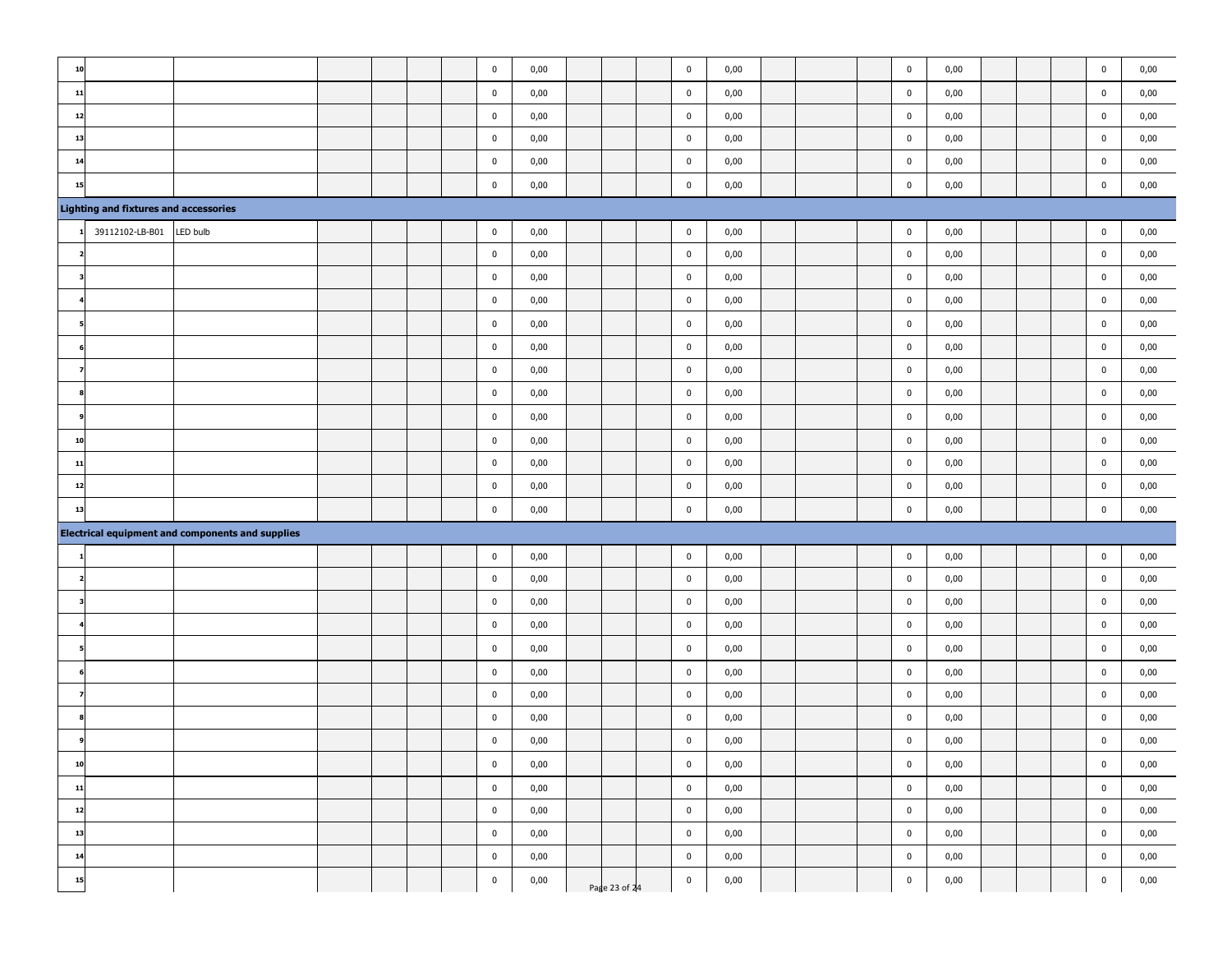| 10 |                                              |                                                         |  |  | $\pmb{0}$   | 0,00         |               | $\pmb{0}$   | 0,00         |  | $\mathbf 0$    | 0,00         |  | $\bf{0}$    | 0,00         |
|----|----------------------------------------------|---------------------------------------------------------|--|--|-------------|--------------|---------------|-------------|--------------|--|----------------|--------------|--|-------------|--------------|
| 11 |                                              |                                                         |  |  | $\mathbf 0$ | 0,00         |               | $\mathbf 0$ | 0,00         |  | $\mathbf 0$    | 0,00         |  | $\bf{0}$    | 0,00         |
| 12 |                                              |                                                         |  |  | $\mathbf 0$ | 0,00         |               | $\mathbf 0$ | 0,00         |  | $\mathbf 0$    | 0,00         |  | $\bf{0}$    | 0,00         |
| 13 |                                              |                                                         |  |  | $\mathbf 0$ | 0,00         |               | $\mathbf 0$ | 0,00         |  | $\mathbf 0$    | 0,00         |  | 0           | 0,00         |
| 14 |                                              |                                                         |  |  | $\pmb{0}$   | 0,00         |               | $\pmb{0}$   | 0,00         |  | $\pmb{0}$      | 0,00         |  | $\bf{0}$    | 0,00         |
| 15 |                                              |                                                         |  |  | $\pmb{0}$   | 0,00         |               | $\pmb{0}$   | 0,00         |  | $\mathbf 0$    | 0,00         |  | $\bf{0}$    | 0,00         |
|    | <b>Lighting and fixtures and accessories</b> |                                                         |  |  |             |              |               |             |              |  |                |              |  |             |              |
|    | 39112102-LB-B01                              | LED bulb                                                |  |  | $\pmb{0}$   | 0,00         |               | $\mathbf 0$ | 0,00         |  | $\mathbf 0$    | 0,00         |  | $\bf{0}$    | 0,00         |
|    |                                              |                                                         |  |  | $\pmb{0}$   | 0,00         |               | $\pmb{0}$   | 0,00         |  | $\mathbf 0$    | 0,00         |  | $\mathbf 0$ | 0,00         |
|    |                                              |                                                         |  |  | $\mathbf 0$ | 0,00         |               | $\pmb{0}$   | 0,00         |  | $\mathbf 0$    | 0,00         |  | $\bf{0}$    | 0,00         |
|    |                                              |                                                         |  |  | $\bf{0}$    | 0,00         |               | $\mathbf 0$ | 0,00         |  | $\mathbf 0$    | 0,00         |  | $\bf{0}$    | 0,00         |
|    |                                              |                                                         |  |  | $\bf{0}$    | 0,00         |               | $\mathbf 0$ | 0,00         |  | $\mathbf 0$    | 0,00         |  | 0           | 0,00         |
|    |                                              |                                                         |  |  | $\mathbf 0$ | 0,00         |               | $\pmb{0}$   | 0,00         |  | $\mathbf 0$    | 0,00         |  | $\bf{0}$    | 0,00         |
|    |                                              |                                                         |  |  | $\pmb{0}$   | 0,00         |               | $\pmb{0}$   | 0,00         |  | $\mathbf 0$    | 0,00         |  | $\mathbf 0$ | 0,00         |
|    |                                              |                                                         |  |  | $\pmb{0}$   | 0,00         |               | $\pmb{0}$   | 0,00         |  | $\mathbf 0$    | 0,00         |  | $\mathbf 0$ | 0,00         |
|    |                                              |                                                         |  |  | $\mathbf 0$ | 0,00         |               | $\mathbf 0$ | 0,00         |  | $\mathbf 0$    | 0,00         |  | $\mathbf 0$ | 0,00         |
| 10 |                                              |                                                         |  |  | $\mathbf 0$ |              |               | $\pmb{0}$   |              |  | $\mathbf 0$    |              |  | $\bf{0}$    |              |
| 11 |                                              |                                                         |  |  | $\mathbf 0$ | 0,00         |               | $\mathbf 0$ | 0,00         |  | $\mathbf 0$    | 0,00<br>0,00 |  | $\bf{0}$    | 0,00<br>0,00 |
| 12 |                                              |                                                         |  |  | $\mathbf 0$ | 0,00         |               | $\pmb{0}$   | 0,00         |  | $\mathbf 0$    | 0,00         |  | $\mathbf 0$ | 0,00         |
| 13 |                                              |                                                         |  |  |             | 0,00         |               |             | 0,00         |  |                |              |  |             |              |
|    |                                              |                                                         |  |  | $\bf{0}$    | 0,00         |               | $\mathbf 0$ | 0,00         |  | $\mathbf 0$    | 0,00         |  | $\bf{0}$    | 0,00         |
|    |                                              | <b>Electrical equipment and components and supplies</b> |  |  | $\pmb{0}$   |              |               | $\pmb{0}$   |              |  | $\mathbf 0$    |              |  | $\pmb{0}$   |              |
|    |                                              |                                                         |  |  | $\mathbf 0$ | 0,00         |               | $\pmb{0}$   | 0,00         |  | $\mathbf 0$    | 0,00         |  | $\bf{0}$    | 0,00         |
|    |                                              |                                                         |  |  | $\bf{0}$    | 0,00<br>0,00 |               | $\mathbf 0$ | 0,00<br>0,00 |  | $\mathbf 0$    | 0,00<br>0,00 |  | $\bf{0}$    | 0,00<br>0,00 |
|    |                                              |                                                         |  |  | $\mathbf 0$ | 0,00         |               | $\pmb{0}$   | 0,00         |  | $\mathbf 0$    | 0,00         |  | $\bf{0}$    | 0,00         |
|    |                                              |                                                         |  |  |             |              |               |             |              |  |                |              |  |             |              |
|    |                                              |                                                         |  |  | $\mathbf 0$ | 0,00         |               | $\mathbf 0$ | 0,00         |  | $\mathbf 0$    | 0,00         |  | $\bf{0}$    | 0,00         |
|    |                                              |                                                         |  |  | $\mathbf 0$ | 0,00         |               | $\pmb{0}$   | 0,00         |  | $\mathbf 0$    | 0,00         |  | $\bf{0}$    | 0,00         |
|    |                                              |                                                         |  |  | $\pmb{0}$   | 0,00         |               | $\pmb{0}$   | 0,00         |  | $\mathbf 0$    | 0,00         |  | $\bf{0}$    | 0,00         |
|    |                                              |                                                         |  |  | $\mathbf 0$ | 0,00         |               | $\mathbf 0$ | 0,00         |  | $\mathbf 0$    | 0,00         |  | 0           | 0,00         |
|    |                                              |                                                         |  |  | $\pmb{0}$   | 0,00         |               | $\mathbf 0$ | 0,00         |  | $\mathbf 0$    | 0,00         |  | $\bf{0}$    | 0,00         |
| 10 |                                              |                                                         |  |  | $\pmb{0}$   | 0,00         |               | $\mathbf 0$ | 0,00         |  | $\mathbf 0$    | 0,00         |  | $\bf{0}$    | 0,00         |
| 11 |                                              |                                                         |  |  | $\mathbf 0$ | 0,00         |               | $\pmb{0}$   | 0,00         |  | $\mathbf{0}$   | 0,00         |  | $\mathbf 0$ | 0,00         |
| 12 |                                              |                                                         |  |  | $\mathbf 0$ | 0,00         |               | $\mathbf 0$ | 0,00         |  | $\mathbf 0$    | 0,00         |  | $\pmb{0}$   | 0,00         |
| 13 |                                              |                                                         |  |  | $\pmb{0}$   | 0,00         |               | $\mathbf 0$ | 0,00         |  | $\overline{0}$ | 0,00         |  | $\pmb{0}$   | 0,00         |
| 14 |                                              |                                                         |  |  | $\pmb{0}$   | 0,00         |               | $\mathbf 0$ | 0,00         |  | $\overline{0}$ | 0,00         |  | $\pmb{0}$   | 0,00         |
| 15 |                                              |                                                         |  |  | $\pmb{0}$   | 0,00         | Page 23 of 24 | $\mathbf 0$ | 0,00         |  | $\overline{0}$ | 0,00         |  | $\pmb{0}$   | 0,00         |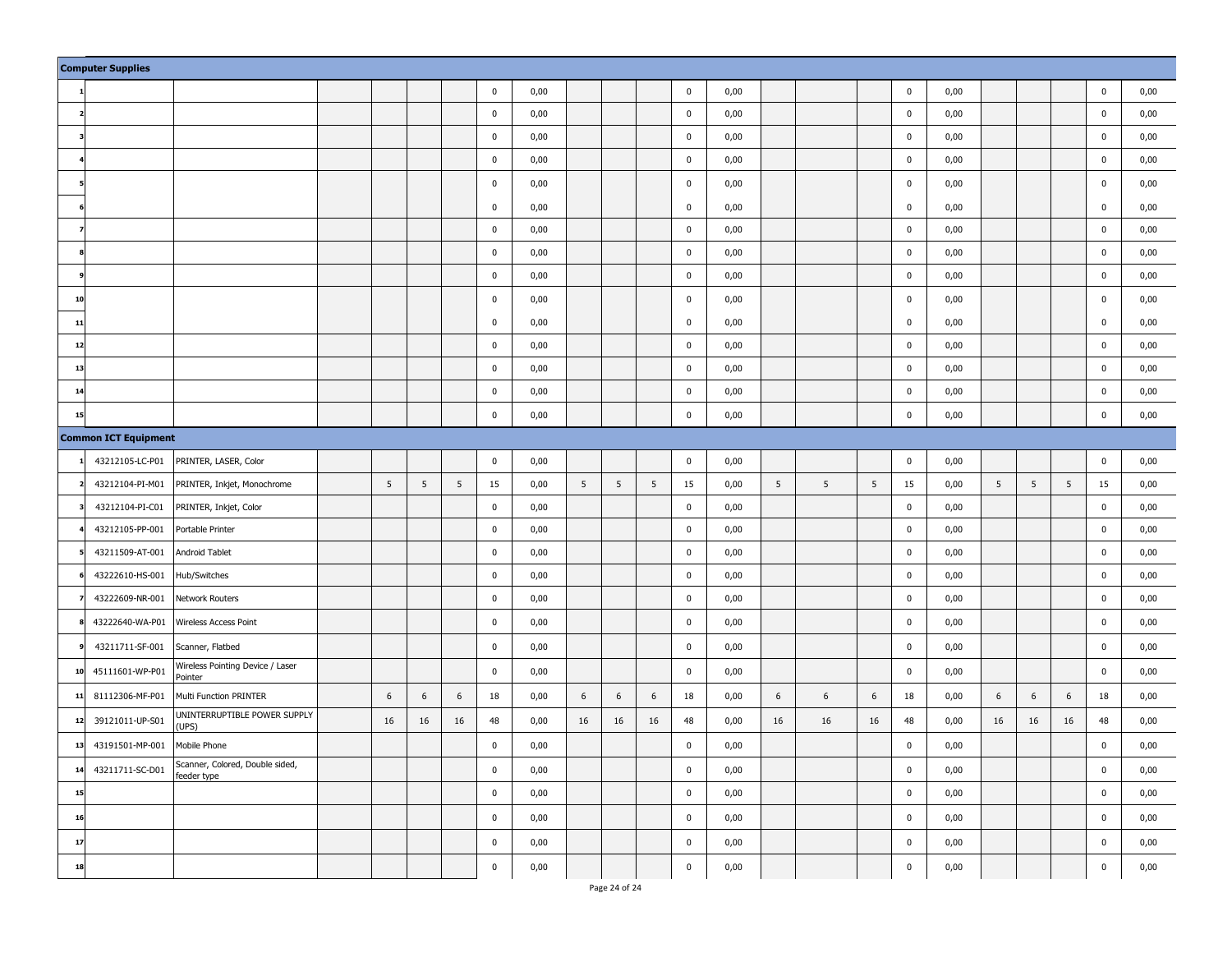|    | <b>Computer Supplies</b>    |                                             |    |    |    |             |      |    |    |    |             |      |                 |    |    |             |      |    |    |    |             |      |
|----|-----------------------------|---------------------------------------------|----|----|----|-------------|------|----|----|----|-------------|------|-----------------|----|----|-------------|------|----|----|----|-------------|------|
|    |                             |                                             |    |    |    | $\mathbf 0$ | 0,00 |    |    |    | $\mathbf 0$ | 0,00 |                 |    |    | $\mathbf 0$ | 0,00 |    |    |    | $\mathbf 0$ | 0,00 |
|    |                             |                                             |    |    |    | $\pmb{0}$   | 0,00 |    |    |    | $\pmb{0}$   | 0,00 |                 |    |    | $\pmb{0}$   | 0,00 |    |    |    | $\pmb{0}$   | 0,00 |
|    |                             |                                             |    |    |    | $\mathbf 0$ | 0,00 |    |    |    | $\pmb{0}$   | 0,00 |                 |    |    | $\pmb{0}$   | 0,00 |    |    |    | $\pmb{0}$   | 0,00 |
|    |                             |                                             |    |    |    | $\pmb{0}$   | 0,00 |    |    |    | $\pmb{0}$   | 0,00 |                 |    |    | $\mathbf 0$ | 0,00 |    |    |    | $\pmb{0}$   | 0,00 |
|    |                             |                                             |    |    |    | $\mathbf 0$ | 0,00 |    |    |    | $\pmb{0}$   | 0,00 |                 |    |    | $\mathbf 0$ | 0,00 |    |    |    | $\pmb{0}$   | 0,00 |
|    |                             |                                             |    |    |    | $\mathbf 0$ | 0,00 |    |    |    | $\pmb{0}$   | 0,00 |                 |    |    | $\mathbf 0$ | 0,00 |    |    |    | $\pmb{0}$   | 0,00 |
|    |                             |                                             |    |    |    | $\pmb{0}$   | 0,00 |    |    |    | $\pmb{0}$   | 0,00 |                 |    |    | $\pmb{0}$   | 0,00 |    |    |    | $\pmb{0}$   | 0,00 |
|    |                             |                                             |    |    |    | $\pmb{0}$   | 0,00 |    |    |    | $\pmb{0}$   | 0,00 |                 |    |    | $\mathbf 0$ | 0,00 |    |    |    | $\pmb{0}$   | 0,00 |
|    |                             |                                             |    |    |    | $\pmb{0}$   | 0,00 |    |    |    | $\pmb{0}$   | 0,00 |                 |    |    | $\pmb{0}$   | 0,00 |    |    |    | $\pmb{0}$   | 0,00 |
| 10 |                             |                                             |    |    |    | $\pmb{0}$   | 0,00 |    |    |    | $\pmb{0}$   | 0,00 |                 |    |    | 0           | 0,00 |    |    |    | $\mathbf 0$ | 0,00 |
| 11 |                             |                                             |    |    |    | $\mathbf 0$ | 0,00 |    |    |    | $\mathbf 0$ | 0,00 |                 |    |    | $\mathbf 0$ | 0,00 |    |    |    | $\mathbf 0$ | 0,00 |
| 12 |                             |                                             |    |    |    | $\pmb{0}$   | 0,00 |    |    |    | $\pmb{0}$   | 0,00 |                 |    |    | $\pmb{0}$   | 0,00 |    |    |    | $\pmb{0}$   | 0,00 |
| 13 |                             |                                             |    |    |    | $\pmb{0}$   | 0,00 |    |    |    | $\pmb{0}$   | 0,00 |                 |    |    | $\mathbf 0$ | 0,00 |    |    |    | $\pmb{0}$   | 0,00 |
| 14 |                             |                                             |    |    |    | $\pmb{0}$   | 0,00 |    |    |    | $\pmb{0}$   | 0,00 |                 |    |    | $\pmb{0}$   | 0,00 |    |    |    | $\pmb{0}$   | 0,00 |
| 15 |                             |                                             |    |    |    | $\pmb{0}$   | 0,00 |    |    |    | $\pmb{0}$   | 0,00 |                 |    |    | $\pmb{0}$   | 0,00 |    |    |    | $\pmb{0}$   | 0,00 |
|    | <b>Common ICT Equipment</b> |                                             |    |    |    |             |      |    |    |    |             |      |                 |    |    |             |      |    |    |    |             |      |
|    | 43212105-LC-P01             | PRINTER, LASER, Color                       |    |    |    | $\pmb{0}$   | 0,00 |    |    |    | $\pmb{0}$   | 0,00 |                 |    |    | $\pmb{0}$   | 0,00 |    |    |    | $\pmb{0}$   | 0,00 |
|    | 43212104-PI-M01             | PRINTER, Inkjet, Monochrome                 | 5  | 5  | 5  | 15          | 0,00 | 5  | 5  | 5  | 15          | 0,00 | 5               | 5  | 5  | 15          | 0,00 | 5  | 5  | 5  | 15          | 0,00 |
|    | 43212104-PI-C01             | PRINTER, Inkjet, Color                      |    |    |    | $\pmb{0}$   | 0,00 |    |    |    | $\pmb{0}$   | 0,00 |                 |    |    | $\pmb{0}$   | 0,00 |    |    |    | $\pmb{0}$   | 0,00 |
|    | 43212105-PP-001             | Portable Printer                            |    |    |    | $\mathbf 0$ | 0,00 |    |    |    | $\pmb{0}$   | 0,00 |                 |    |    | $\pmb{0}$   | 0,00 |    |    |    | $\pmb{0}$   | 0,00 |
|    | 43211509-AT-001             | Android Tablet                              |    |    |    | $\mathbf 0$ | 0,00 |    |    |    | $\pmb{0}$   | 0,00 |                 |    |    | $\pmb{0}$   | 0,00 |    |    |    | $\pmb{0}$   | 0,00 |
|    | 43222610-HS-001             | Hub/Switches                                |    |    |    | $\mathbf 0$ | 0,00 |    |    |    | $\pmb{0}$   | 0,00 |                 |    |    | $\pmb{0}$   | 0,00 |    |    |    | $\pmb{0}$   | 0,00 |
|    | 43222609-NR-001             | Network Routers                             |    |    |    | $\pmb{0}$   | 0,00 |    |    |    | $\pmb{0}$   | 0,00 |                 |    |    | $\pmb{0}$   | 0,00 |    |    |    | $\pmb{0}$   | 0,00 |
|    | 43222640-WA-P01             | Wireless Access Point                       |    |    |    | $\mathbf 0$ | 0,00 |    |    |    | $\pmb{0}$   | 0,00 |                 |    |    | $\mathbf 0$ | 0,00 |    |    |    | $\pmb{0}$   | 0,00 |
|    | 43211711-SF-001             | Scanner, Flatbed                            |    |    |    | $\pmb{0}$   | 0,00 |    |    |    | $\pmb{0}$   | 0,00 |                 |    |    | $\pmb{0}$   | 0,00 |    |    |    | $\pmb{0}$   | 0,00 |
| 10 | 45111601-WP-P01             | Wireless Pointing Device / Laser<br>Pointer |    |    |    | $\pmb{0}$   | 0,00 |    |    |    | $\pmb{0}$   | 0,00 |                 |    |    | $\pmb{0}$   | 0,00 |    |    |    | $\pmb{0}$   | 0,00 |
| 11 | 81112306-MF-P01             | Multi Function PRINTER                      | 6  | 6  | 6  | 18          | 0,00 | 6  | 6  | 6  | 18          | 0,00 | $6\phantom{.}6$ | 6  | 6  | 18          | 0,00 | 6  | 6  | 6  | 18          | 0,00 |
| 12 | 39121011-UP-S01             | UNINTERRUPTIBLE POWER SUPPLY<br>(UPS)       | 16 | 16 | 16 | 48          | 0,00 | 16 | 16 | 16 | 48          | 0,00 | 16              | 16 | 16 | 48          | 0,00 | 16 | 16 | 16 | 48          | 0,00 |
| 13 | 43191501-MP-001             | Mobile Phone                                |    |    |    | $\mathbf 0$ | 0,00 |    |    |    | $\pmb{0}$   | 0,00 |                 |    |    | $\mathbf 0$ | 0,00 |    |    |    | $\pmb{0}$   | 0,00 |
| 14 | 43211711-SC-D01             | Scanner, Colored, Double sided,             |    |    |    | $\mathbf 0$ | 0,00 |    |    |    | $\pmb{0}$   | 0,00 |                 |    |    | $\pmb{0}$   | 0,00 |    |    |    | $\pmb{0}$   | 0,00 |
| 15 |                             | feeder type                                 |    |    |    | $\pmb{0}$   | 0,00 |    |    |    | $\pmb{0}$   | 0,00 |                 |    |    | $\pmb{0}$   | 0,00 |    |    |    | $\pmb{0}$   | 0,00 |
| 16 |                             |                                             |    |    |    | $\pmb{0}$   | 0,00 |    |    |    | $\pmb{0}$   | 0,00 |                 |    |    | $\pmb{0}$   | 0,00 |    |    |    | $\mathbf 0$ | 0,00 |
| 17 |                             |                                             |    |    |    | $\pmb{0}$   | 0,00 |    |    |    | $\pmb{0}$   | 0,00 |                 |    |    | $\pmb{0}$   | 0,00 |    |    |    | $\pmb{0}$   | 0,00 |
| 18 |                             |                                             |    |    |    | $\pmb{0}$   | 0,00 |    |    |    | $\pmb{0}$   | 0,00 |                 |    |    | $\pmb{0}$   | 0,00 |    |    |    | $\pmb{0}$   | 0,00 |
|    |                             |                                             |    |    |    |             |      |    |    |    |             |      |                 |    |    |             |      |    |    |    |             |      |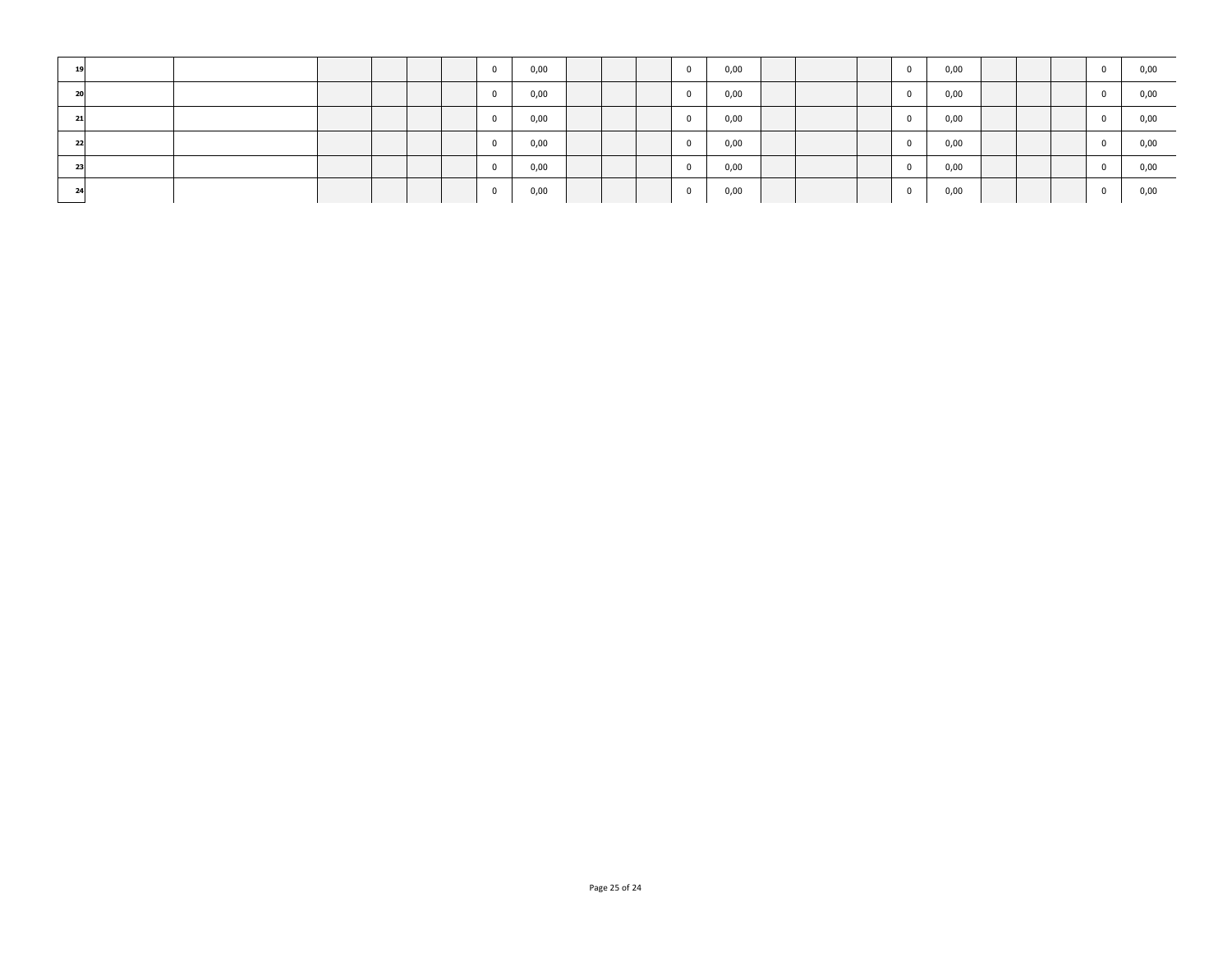| 19     |  |  |  | n        | 0,00 |  |        | 0,00 |  | $\mathbf{0}$ | 0,00 |  |  | 0,00 |
|--------|--|--|--|----------|------|--|--------|------|--|--------------|------|--|--|------|
| $\sim$ |  |  |  |          | 0,00 |  |        | 0,00 |  | $^{\circ}$   | 0,00 |  |  | 0,00 |
| 21     |  |  |  |          | 0,00 |  |        | 0,00 |  | $\mathbf{0}$ | 0,00 |  |  | 0,00 |
| 22     |  |  |  | $\sim$   | 0,00 |  |        | 0,00 |  | $\mathbf{0}$ | 0,00 |  |  | 0,00 |
| 23     |  |  |  |          | 0,00 |  | $\sim$ | 0,00 |  | $\Omega$     | 0,00 |  |  | 0,00 |
| 24     |  |  |  | $\Omega$ | 0,00 |  |        | 0,00 |  | $\mathbf{0}$ | 0,00 |  |  | 0,00 |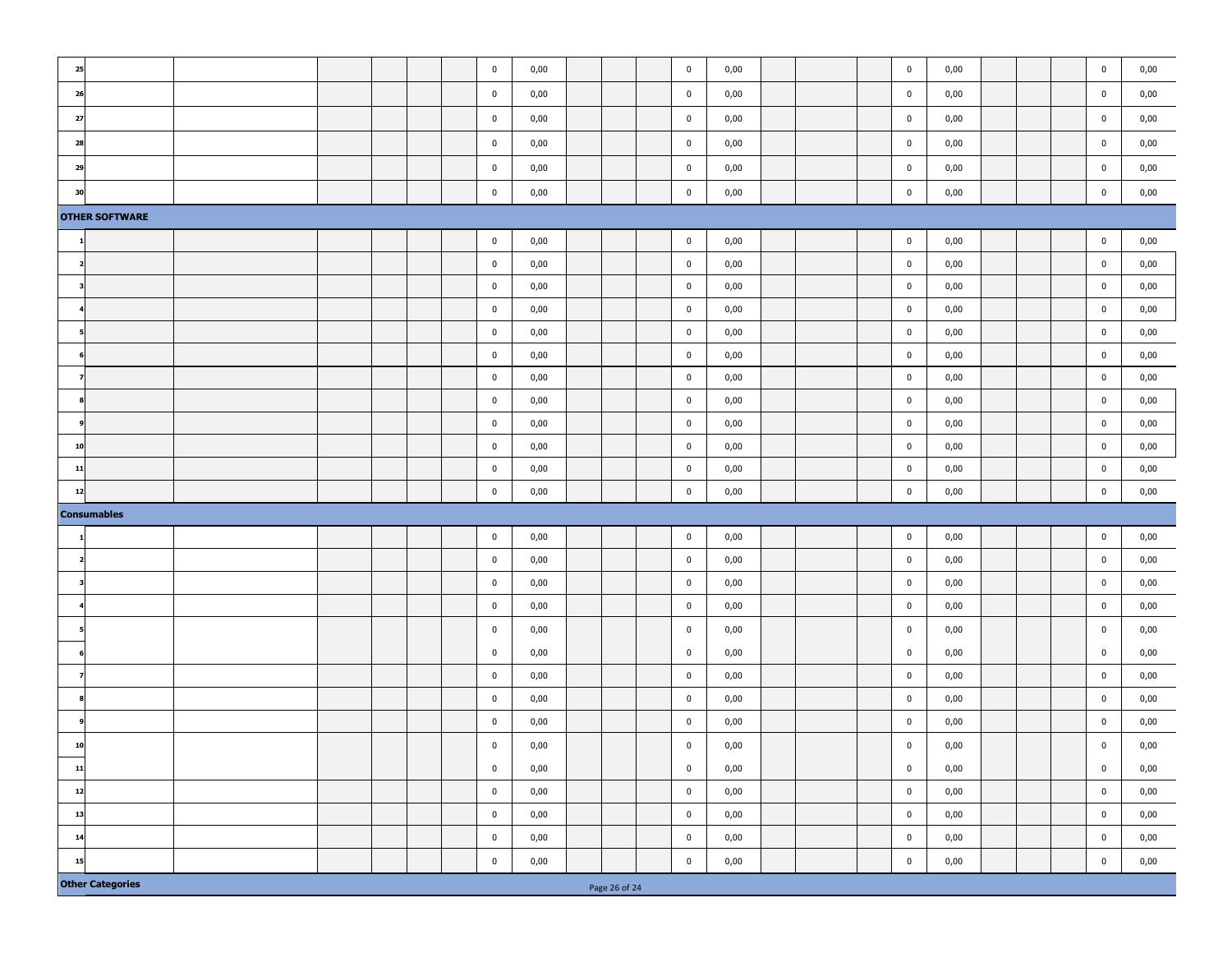| 25 |                                                                                    |  |  |  |  |  | $\pmb{0}$             | 0,00         |  |  |  | $\mathbf 0$                | 0,00         |  | $\mathbf 0$                | 0,00         |  | $\pmb{0}$                  | 0,00         |
|----|------------------------------------------------------------------------------------|--|--|--|--|--|-----------------------|--------------|--|--|--|----------------------------|--------------|--|----------------------------|--------------|--|----------------------------|--------------|
| 26 |                                                                                    |  |  |  |  |  | $\pmb{0}$             | 0,00         |  |  |  | $\pmb{0}$                  | 0,00         |  | $\mathbf 0$                | 0,00         |  | $\pmb{0}$                  | 0,00         |
| 27 |                                                                                    |  |  |  |  |  | $\bf{0}$              | 0,00         |  |  |  | $\mathbf 0$                | 0,00         |  | $\bf{0}$                   | 0,00         |  | $\pmb{0}$                  | 0,00         |
| 28 |                                                                                    |  |  |  |  |  | $\bf{0}$              | 0,00         |  |  |  | $\mathbf 0$                | 0,00         |  | $\pmb{0}$                  | 0,00         |  | $\pmb{0}$                  | 0,00         |
| 29 |                                                                                    |  |  |  |  |  | $\pmb{0}$             | 0,00         |  |  |  | $\pmb{0}$                  | 0,00         |  | $\mathbf 0$                | 0,00         |  | $\pmb{0}$                  | 0,00         |
| 30 |                                                                                    |  |  |  |  |  | $\pmb{0}$             | 0,00         |  |  |  | $\mathbf 0$                | 0,00         |  | $\pmb{0}$                  | 0,00         |  | $\mathbf 0$                | 0,00         |
|    | <b>OTHER SOFTWARE</b>                                                              |  |  |  |  |  |                       |              |  |  |  |                            |              |  |                            |              |  |                            |              |
|    |                                                                                    |  |  |  |  |  | $\bf{0}$              | 0,00         |  |  |  | $\pmb{0}$                  | 0,00         |  | $\pmb{0}$                  | 0,00         |  | $\pmb{0}$                  | 0,00         |
|    |                                                                                    |  |  |  |  |  | $\bf{0}$              | 0,00         |  |  |  | $\bf{0}$                   | 0,00         |  | $\mathbf 0$                | 0,00         |  | $\pmb{0}$                  | 0,00         |
| 3  |                                                                                    |  |  |  |  |  | $\bf{0}$              | 0,00         |  |  |  | $\pmb{0}$                  | 0,00         |  | $\mathbf 0$                | 0,00         |  | $\mathbf 0$                | 0,00         |
|    |                                                                                    |  |  |  |  |  | $\pmb{0}$             | 0,00         |  |  |  | $\mathbf 0$                | 0,00         |  | $\mathbf 0$                | 0,00         |  | $\mathbf 0$                | 0,00         |
|    |                                                                                    |  |  |  |  |  | $\pmb{0}$             | 0,00         |  |  |  | $\pmb{0}$                  | 0,00         |  | $\pmb{0}$                  | 0,00         |  | $\pmb{0}$                  | 0,00         |
|    |                                                                                    |  |  |  |  |  | $\pmb{0}$             | 0,00         |  |  |  | $\pmb{0}$                  | 0,00         |  | $\mathbf 0$                | 0,00         |  | $\mathbf 0$                | 0,00         |
|    |                                                                                    |  |  |  |  |  | $\pmb{0}$             | 0,00         |  |  |  | $\mathbf 0$                | 0,00         |  | $\mathbf 0$                | 0,00         |  | $\mathbf 0$                | 0,00         |
|    |                                                                                    |  |  |  |  |  | $\mathbf 0$           | 0,00         |  |  |  | $\mathbf 0$                | 0,00         |  | $\mathbf 0$                | 0,00         |  | $\mathbf 0$                | 0,00         |
|    |                                                                                    |  |  |  |  |  | $\pmb{0}$             | 0,00         |  |  |  | $\mathbf 0$                | 0,00         |  | $\mathbf 0$                | 0,00         |  | $\mathbf 0$                | 0,00         |
| 10 |                                                                                    |  |  |  |  |  | $\pmb{0}$             | 0,00         |  |  |  | $\mathbf 0$                | 0,00         |  | $\mathbf 0$                | 0,00         |  | $\mathbf 0$                | 0,00         |
| 11 |                                                                                    |  |  |  |  |  | $\bf{0}$              | 0,00         |  |  |  | $\pmb{0}$                  | 0,00         |  | $\mathbf 0$                | 0,00         |  | $\mathbf 0$                | 0,00         |
| 12 | $\pmb{0}$<br>$\pmb{0}$<br>$\mathbf 0$<br>$\pmb{0}$<br>0,00<br>0,00<br>0,00<br>0,00 |  |  |  |  |  |                       |              |  |  |  |                            |              |  |                            |              |  |                            |              |
|    | <b>Consumables</b>                                                                 |  |  |  |  |  |                       |              |  |  |  |                            |              |  |                            |              |  |                            |              |
|    | $\pmb{0}$<br>0,00<br>$\mathbf 0$<br>0,00<br>$\pmb{0}$<br>0,00<br>$\pmb{0}$<br>0,00 |  |  |  |  |  |                       |              |  |  |  |                            |              |  |                            |              |  |                            |              |
|    |                                                                                    |  |  |  |  |  | $\mathbf 0$           | 0,00         |  |  |  | $\pmb{0}$                  | 0,00         |  | $\mathbf 0$                | 0,00         |  | $\mathbf 0$                | 0,00         |
|    |                                                                                    |  |  |  |  |  | $\pmb{0}$             | 0,00         |  |  |  | $\mathbf 0$                | 0,00         |  | $\mathbf 0$                | 0,00         |  | $\mathbf 0$                | 0,00         |
|    |                                                                                    |  |  |  |  |  | $\bf{0}$              | 0,00         |  |  |  | $\mathbf 0$                | 0,00         |  | $\bf{0}$                   | 0,00         |  | $\mathbf 0$                | 0,00         |
|    |                                                                                    |  |  |  |  |  | $\mathbf 0$           | 0,00         |  |  |  | $\bf{0}$                   | 0,00         |  | $\mathbf 0$                | 0,00         |  | $\bf{0}$                   | 0,00         |
|    |                                                                                    |  |  |  |  |  | $\mathbf 0$           | 0,00         |  |  |  | $\mathbf 0$                | 0,00         |  | $\mathbf 0$                | 0,00         |  | $\mathbf 0$                | 0,00         |
|    |                                                                                    |  |  |  |  |  | $\pmb{0}$             | 0,00         |  |  |  | $\mathbf 0$<br>$\mathbf 0$ | 0,00         |  | $\mathbf 0$<br>$\mathbf 0$ | 0,00         |  | $\mathbf 0$<br>$\mathbf 0$ | 0,00         |
|    |                                                                                    |  |  |  |  |  | $\bf{0}$<br>$\pmb{0}$ | 0,00<br>0,00 |  |  |  | $\pmb{0}$                  | 0,00<br>0,00 |  | $\mathbf 0$                | 0,00<br>0,00 |  | $\pmb{0}$                  | 0,00<br>0,00 |
| 10 |                                                                                    |  |  |  |  |  | $\pmb{0}$             | 0,00         |  |  |  | $\pmb{0}$                  | 0,00         |  | $\pmb{0}$                  | 0,00         |  | $\pmb{0}$                  | 0,00         |
| 11 |                                                                                    |  |  |  |  |  | $\pmb{0}$             | 0,00         |  |  |  | $\mathbf 0$                | 0,00         |  | $\mathbf 0$                | 0,00         |  | $\mathbf 0$                | 0,00         |
| 12 |                                                                                    |  |  |  |  |  | $\pmb{0}$             | 0,00         |  |  |  | $\pmb{0}$                  | 0,00         |  | $\mathbf 0$                | 0,00         |  | $\pmb{0}$                  | 0,00         |
| 13 |                                                                                    |  |  |  |  |  | $\pmb{0}$             | 0,00         |  |  |  | $\pmb{0}$                  | 0,00         |  | $\mathbf 0$                | 0,00         |  | $\mathbf 0$                | 0,00         |
| 14 |                                                                                    |  |  |  |  |  | $\pmb{0}$             | 0,00         |  |  |  | $\mathbf 0$                | 0,00         |  | $\mathbf 0$                | 0,00         |  | $\mathbf 0$                | 0,00         |
| 15 |                                                                                    |  |  |  |  |  | $\mathbf 0$           | 0,00         |  |  |  | $\mathbf 0$                | 0,00         |  | $\mathbf 0$                | 0,00         |  | $\pmb{0}$                  | 0,00         |
|    |                                                                                    |  |  |  |  |  |                       |              |  |  |  |                            |              |  |                            |              |  |                            |              |
|    | <b>Other Categories</b><br>Page 26 of 24                                           |  |  |  |  |  |                       |              |  |  |  |                            |              |  |                            |              |  |                            |              |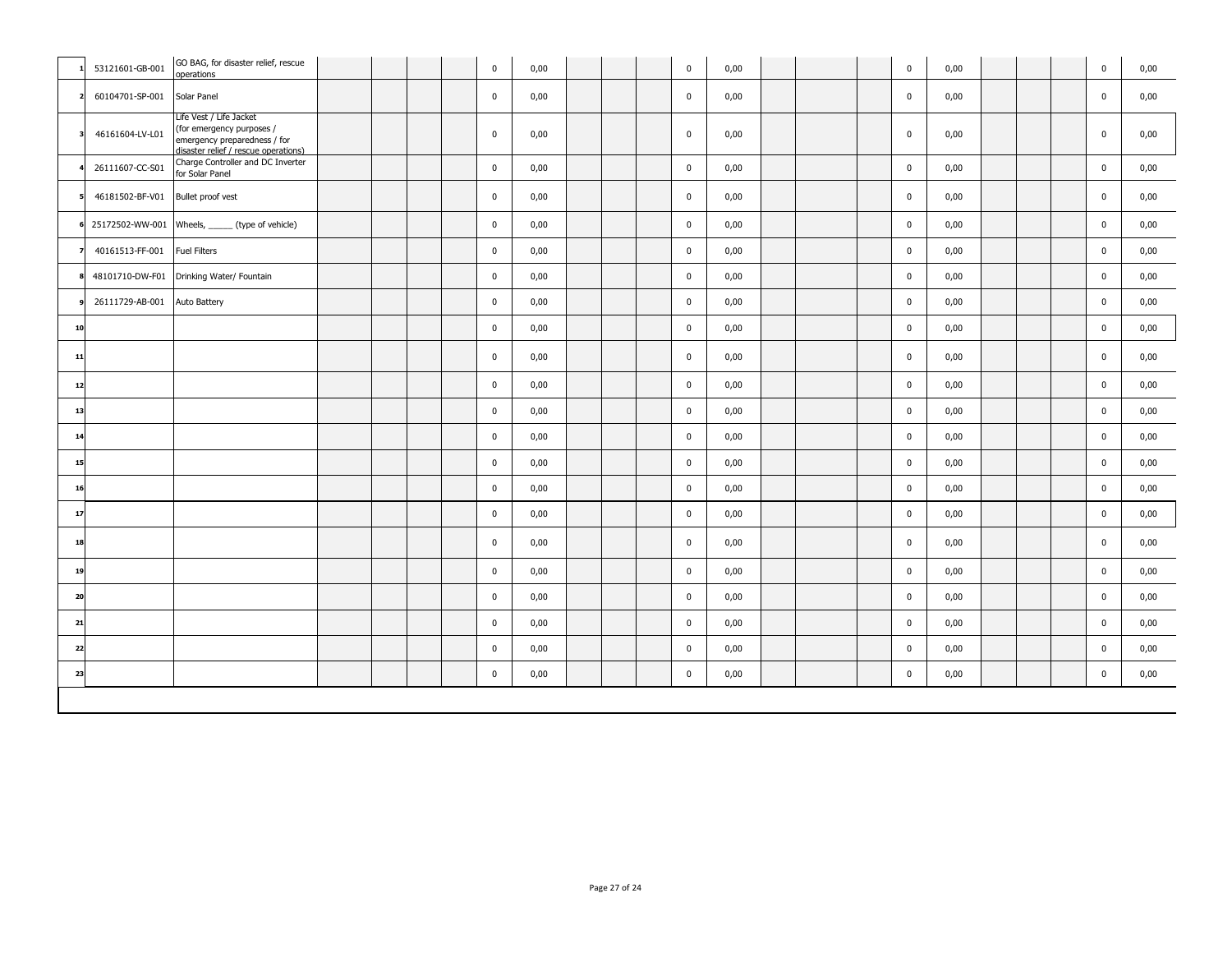|                         | 53121601-GB-001 | GO BAG, for disaster relief, rescue<br>operations                                                                            |  |  | $\pmb{0}$   | 0,00 |  | $\mathbf 0$ | 0,00 |  | $\mathbf 0$ | 0,00 |  | $\mathbf 0$ | 0,00 |
|-------------------------|-----------------|------------------------------------------------------------------------------------------------------------------------------|--|--|-------------|------|--|-------------|------|--|-------------|------|--|-------------|------|
|                         | 60104701-SP-001 | Solar Panel                                                                                                                  |  |  | $\pmb{0}$   | 0,00 |  | $\pmb{0}$   | 0,00 |  | $\mathbf 0$ | 0,00 |  | $\mathbf 0$ | 0,00 |
| $\overline{\mathbf{3}}$ | 46161604-LV-L01 | Life Vest / Life Jacket<br>(for emergency purposes /<br>emergency preparedness / for<br>disaster relief / rescue operations) |  |  | $\pmb{0}$   | 0,00 |  | $\mathbf 0$ | 0,00 |  | $\mathbf 0$ | 0,00 |  | $\mathbf 0$ | 0,00 |
|                         | 26111607-CC-S01 | Charge Controller and DC Inverter<br>for Solar Panel                                                                         |  |  | $\pmb{0}$   | 0,00 |  | $\pmb{0}$   | 0,00 |  | $\mathbf 0$ | 0,00 |  | $\mathbf 0$ | 0,00 |
|                         | 46181502-BF-V01 | Bullet proof vest                                                                                                            |  |  | $\mathbf 0$ | 0,00 |  | $\mathbf 0$ | 0,00 |  | $\mathbf 0$ | 0,00 |  | $\mathbf 0$ | 0,00 |
|                         |                 | 25172502-WW-001 Wheels, ______ (type of vehicle)                                                                             |  |  | $\pmb{0}$   | 0,00 |  | $\mathbf 0$ | 0,00 |  | $\mathbf 0$ | 0,00 |  | $\mathbf 0$ | 0,00 |
|                         | 40161513-FF-001 | Fuel Filters                                                                                                                 |  |  | $\pmb{0}$   | 0,00 |  | $\pmb{0}$   | 0,00 |  | $\mathbf 0$ | 0,00 |  | $\mathbf 0$ | 0,00 |
|                         | 48101710-DW-F01 | Drinking Water/ Fountain                                                                                                     |  |  | $\pmb{0}$   | 0,00 |  | $\pmb{0}$   | 0,00 |  | $\mathbf 0$ | 0,00 |  | $\mathbf 0$ | 0,00 |
|                         | 26111729-AB-001 | Auto Battery                                                                                                                 |  |  | $\pmb{0}$   | 0,00 |  | $\pmb{0}$   | 0,00 |  | $\mathbf 0$ | 0,00 |  | $\mathbf 0$ | 0,00 |
| 10                      |                 |                                                                                                                              |  |  | $\mathbf 0$ | 0,00 |  | $\pmb{0}$   | 0,00 |  | $\mathbf 0$ | 0,00 |  | $\mathbf 0$ | 0,00 |
| 11                      |                 |                                                                                                                              |  |  | $\mathbf 0$ | 0,00 |  | $\pmb{0}$   | 0,00 |  | $\mathbf 0$ | 0,00 |  | $\mathbf 0$ | 0,00 |
| 12                      |                 |                                                                                                                              |  |  | $\mathbf 0$ | 0,00 |  | $\pmb{0}$   | 0,00 |  | $\mathbf 0$ | 0,00 |  | $\mathbf 0$ | 0,00 |
| 13                      |                 |                                                                                                                              |  |  | $\mathbf 0$ | 0,00 |  | $\pmb{0}$   | 0,00 |  | $\mathbf 0$ | 0,00 |  | $\mathbf 0$ | 0,00 |
| 14                      |                 |                                                                                                                              |  |  | $\mathbf 0$ | 0,00 |  | $\pmb{0}$   | 0,00 |  | $\mathbf 0$ | 0,00 |  | $\mathbf 0$ | 0,00 |
| 15                      |                 |                                                                                                                              |  |  | $\pmb{0}$   | 0,00 |  | $\pmb{0}$   | 0,00 |  | $\mathbf 0$ | 0,00 |  | $\mathbf 0$ | 0,00 |
| 16                      |                 |                                                                                                                              |  |  | $\pmb{0}$   | 0,00 |  | $\pmb{0}$   | 0,00 |  | $\mathbf 0$ | 0,00 |  | $\mathbf 0$ | 0,00 |
| 17                      |                 |                                                                                                                              |  |  | $\pmb{0}$   | 0,00 |  | $\pmb{0}$   | 0,00 |  | $\mathbf 0$ | 0,00 |  | $\mathbf 0$ | 0,00 |
| 18                      |                 |                                                                                                                              |  |  | $\mathbf 0$ | 0,00 |  | $\pmb{0}$   | 0,00 |  | $\mathbf 0$ | 0,00 |  | $\mathbf 0$ | 0,00 |
| 19                      |                 |                                                                                                                              |  |  | $\pmb{0}$   | 0,00 |  | $\pmb{0}$   | 0,00 |  | $\mathbf 0$ | 0,00 |  | $\mathbf 0$ | 0,00 |
| 20                      |                 |                                                                                                                              |  |  | $\mathbf 0$ | 0,00 |  | $\pmb{0}$   | 0,00 |  | $\mathbf 0$ | 0,00 |  | $\mathbf 0$ | 0,00 |
| 21                      |                 |                                                                                                                              |  |  | $\mathbf 0$ | 0,00 |  | $\pmb{0}$   | 0,00 |  | $\mathbf 0$ | 0,00 |  | $\bf{0}$    | 0,00 |
| 22                      |                 |                                                                                                                              |  |  | $\pmb{0}$   | 0,00 |  | $\pmb{0}$   | 0,00 |  | $\mathbf 0$ | 0,00 |  | $\mathbf 0$ | 0,00 |
| 23                      |                 |                                                                                                                              |  |  | $\mathbf 0$ | 0,00 |  | $\pmb{0}$   | 0,00 |  | $\mathbf 0$ | 0,00 |  | $\mathbf 0$ | 0,00 |
|                         |                 |                                                                                                                              |  |  |             |      |  |             |      |  |             |      |  |             |      |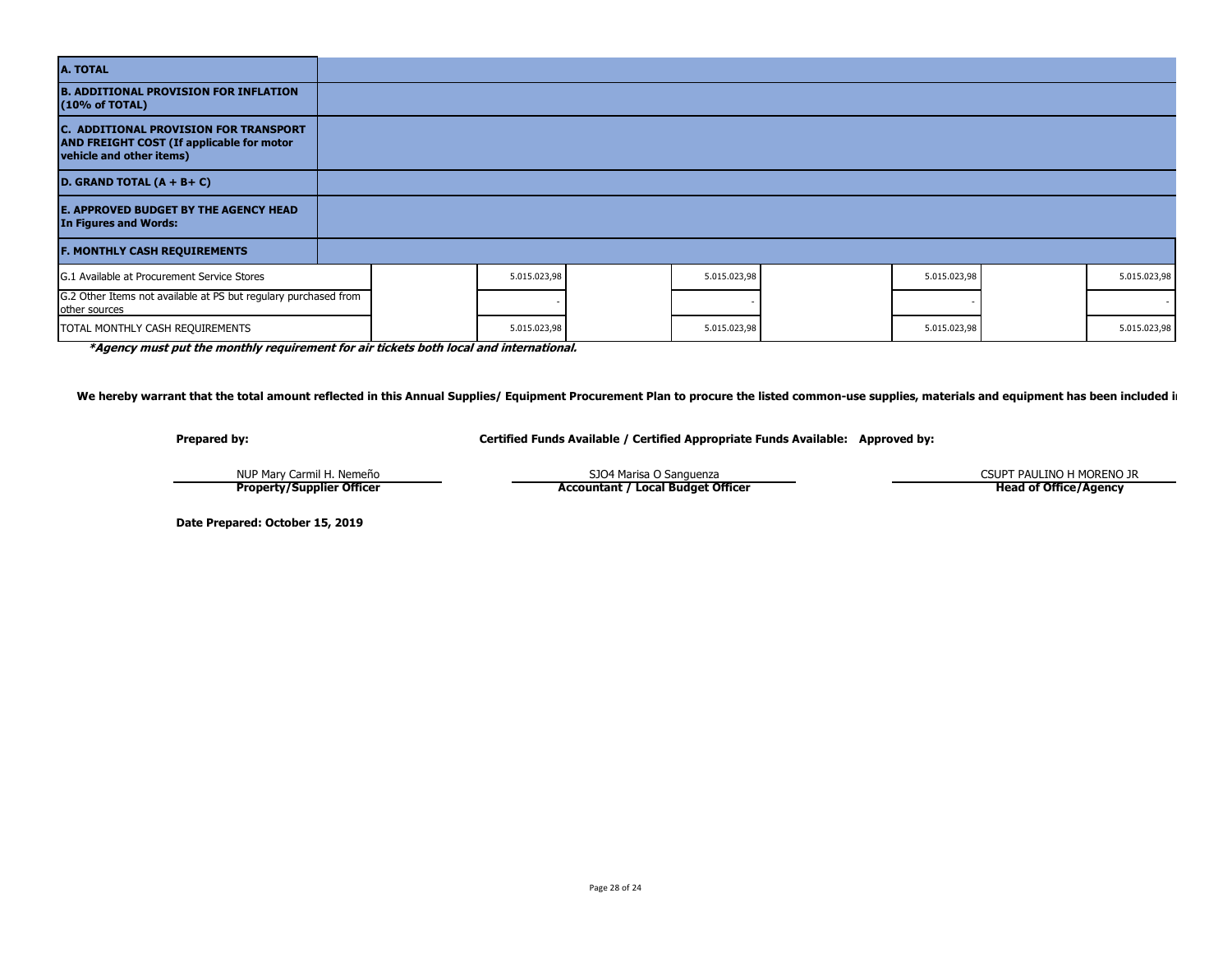| <b>A. TOTAL</b>                                                                                                              |  |              |              |              |              |
|------------------------------------------------------------------------------------------------------------------------------|--|--------------|--------------|--------------|--------------|
| <b>B. ADDITIONAL PROVISION FOR INFLATION</b><br>(10% of TOTAL)                                                               |  |              |              |              |              |
| <b>C. ADDITIONAL PROVISION FOR TRANSPORT</b><br><b>AND FREIGHT COST (If applicable for motor</b><br>vehicle and other items) |  |              |              |              |              |
| D. GRAND TOTAL $(A + B + C)$                                                                                                 |  |              |              |              |              |
| <b>E. APPROVED BUDGET BY THE AGENCY HEAD</b><br>In Figures and Words:                                                        |  |              |              |              |              |
| <b>F. MONTHLY CASH REQUIREMENTS</b>                                                                                          |  |              |              |              |              |
| G.1 Available at Procurement Service Stores                                                                                  |  | 5.015.023,98 | 5.015.023,98 | 5.015.023,98 | 5.015.023,98 |
| G.2 Other Items not available at PS but regulary purchased from<br>other sources                                             |  |              |              |              |              |
| TOTAL MONTHLY CASH REQUIREMENTS                                                                                              |  | 5.015.023,98 | 5.015.023,98 | 5.015.023,98 | 5.015.023,98 |

**\*Agency must put the monthly requirement for air tickets both local and international.**

We hereby warrant that the total amount reflected in this Annual Supplies/ Equipment Procurement Plan to procure the listed common-use supplies, materials and equipment has been included i

**Prepared by: Certified Funds Available / Certified Appropriate Funds Available: Approved by:**

NUP Mary Carmil H. Nemeño SJO4 Marisa O Sanguenza **Property/Supplier Officer**

**Accountant / Local Budget Officer**

CSUPT PAULINO H MORENO JR

**Head of Office/Agency**

**Date Prepared: October 15, 2019**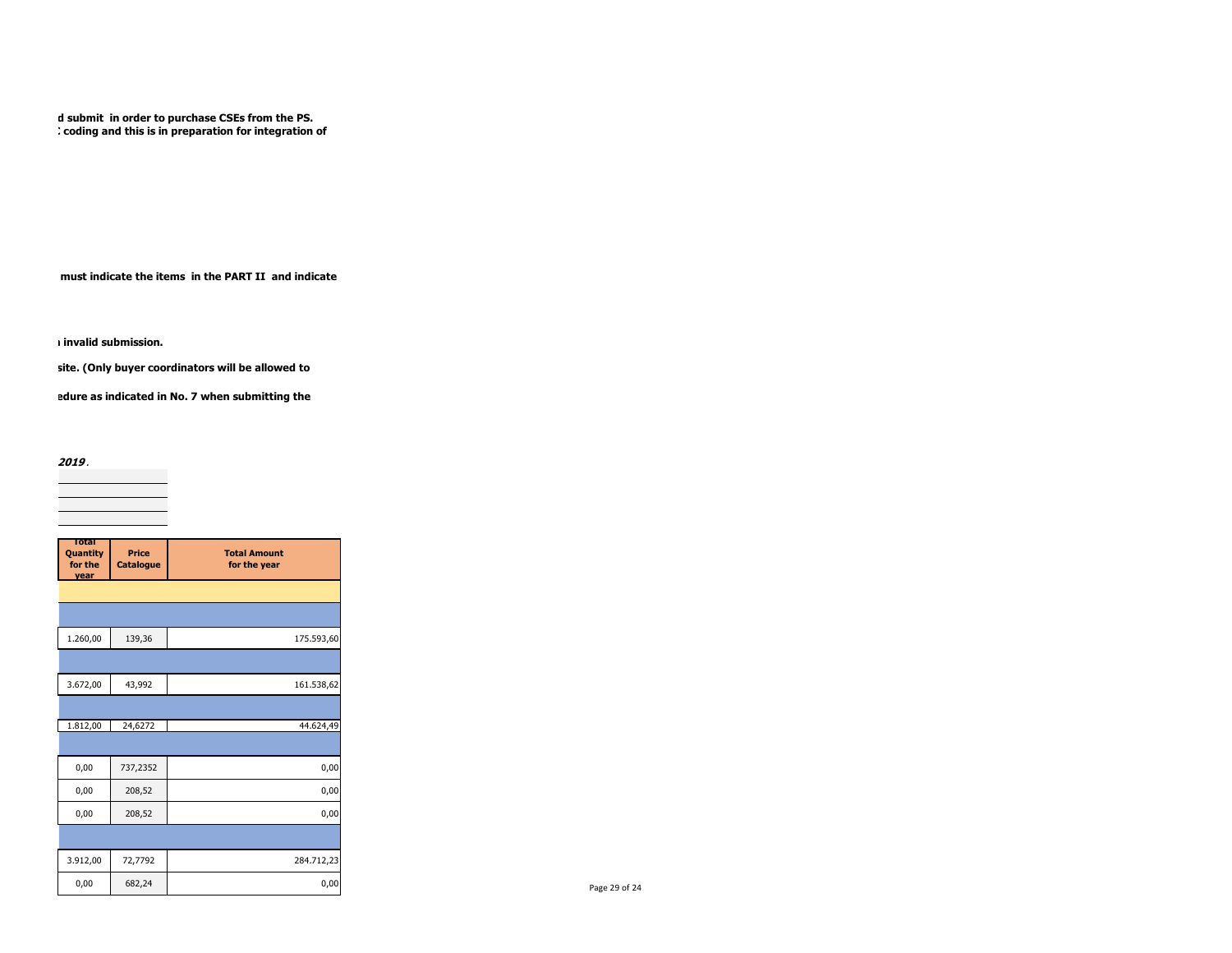d submit in order to purchase CSEs from the PS. coding and this is in preparation for integration of

must indicate the items in the PART II and indicate

invalid submission.

site. (Only buyer coordinators will be allowed to

edure as indicated in No. 7 when submitting the

Note: Consistent with **Memorandum Circular No. 2019 -1 dated 03 September 2019, issued by AO 25,** the APP-CSE for FY 2020 must be submitted on or before **October 31, 2019**.  $\overline{\phantom{a}}$ 

| Total                       |                           |                                     |
|-----------------------------|---------------------------|-------------------------------------|
| Quantity<br>for the<br>vear | Price<br><b>Catalogue</b> | <b>Total Amount</b><br>for the year |
|                             |                           |                                     |
|                             |                           |                                     |
| 1.260,00                    | 139,36                    | 175.593,60                          |
|                             |                           |                                     |
| 3.672,00                    | 43,992                    | 161.538,62                          |
|                             |                           |                                     |
| 1.812,00                    | 24,6272                   | 44.624,49                           |
|                             |                           |                                     |
| 0,00                        | 737,2352                  | 0,00                                |
| 0,00                        | 208,52                    | 0,00                                |
| 0,00                        | 208,52                    | 0,00                                |
|                             |                           |                                     |
| 3.912,00                    | 72,7792                   | 284.712,23                          |
| 0,00                        | 682,24                    | 0,00                                |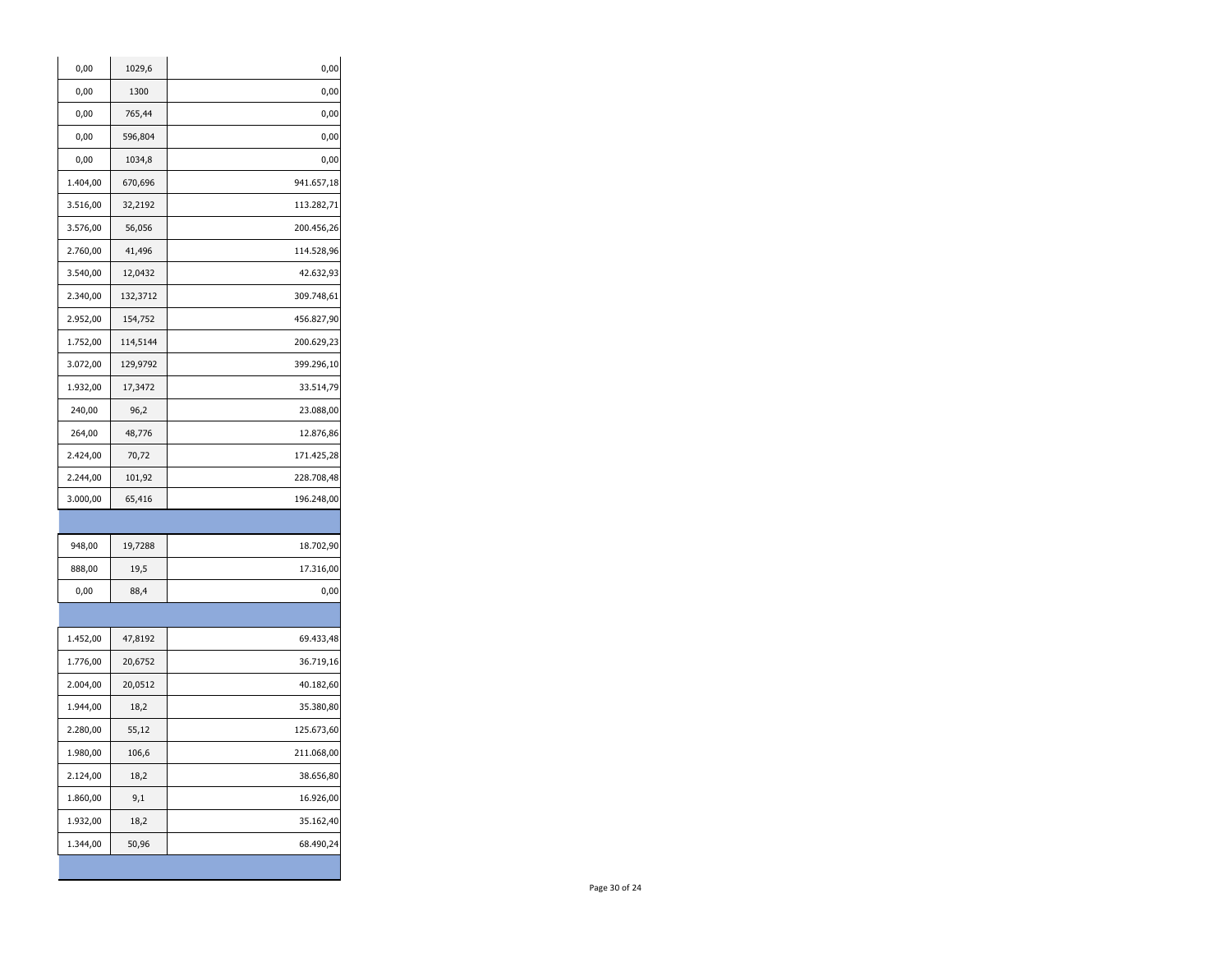| 0,00     | 1029,6   | 0,00       |
|----------|----------|------------|
| 0,00     | 1300     | 0,00       |
| 0,00     | 765,44   | 0,00       |
| 0,00     | 596,804  | 0,00       |
| 0,00     | 1034,8   | 0,00       |
| 1.404,00 | 670,696  | 941.657,18 |
| 3.516,00 | 32,2192  | 113.282,71 |
| 3.576,00 | 56,056   | 200.456,26 |
| 2.760,00 | 41,496   | 114.528,96 |
| 3.540,00 | 12,0432  | 42.632,93  |
| 2.340,00 | 132,3712 | 309.748,61 |
| 2.952,00 | 154,752  | 456.827,90 |
| 1.752,00 | 114,5144 | 200.629,23 |
| 3.072,00 | 129,9792 | 399.296,10 |
| 1.932,00 | 17,3472  | 33.514,79  |
| 240,00   | 96,2     | 23.088,00  |
| 264,00   | 48,776   | 12.876,86  |
| 2.424,00 | 70,72    | 171.425,28 |
| 2.244,00 | 101,92   | 228.708,48 |
| 3.000,00 | 65,416   | 196.248,00 |
|          |          |            |
| 948,00   | 19,7288  | 18.702,90  |
| 888,00   | 19,5     | 17.316,00  |
| 0,00     | 88,4     | 0,00       |
|          |          |            |
| 1.452,00 | 47,8192  | 69.433,48  |
| 1.776,00 | 20,6752  | 36.719,16  |
| 2.004,00 | 20,0512  | 40.182,60  |
| 1.944,00 | 18,2     | 35.380,80  |
| 2.280,00 | 55,12    | 125.673,60 |
| 1.980,00 | 106,6    | 211.068,00 |
| 2.124,00 | 18,2     | 38.656,80  |
|          |          |            |
| 1.860,00 | 9,1      | 16.926,00  |
| 1.932,00 | 18,2     | 35.162,40  |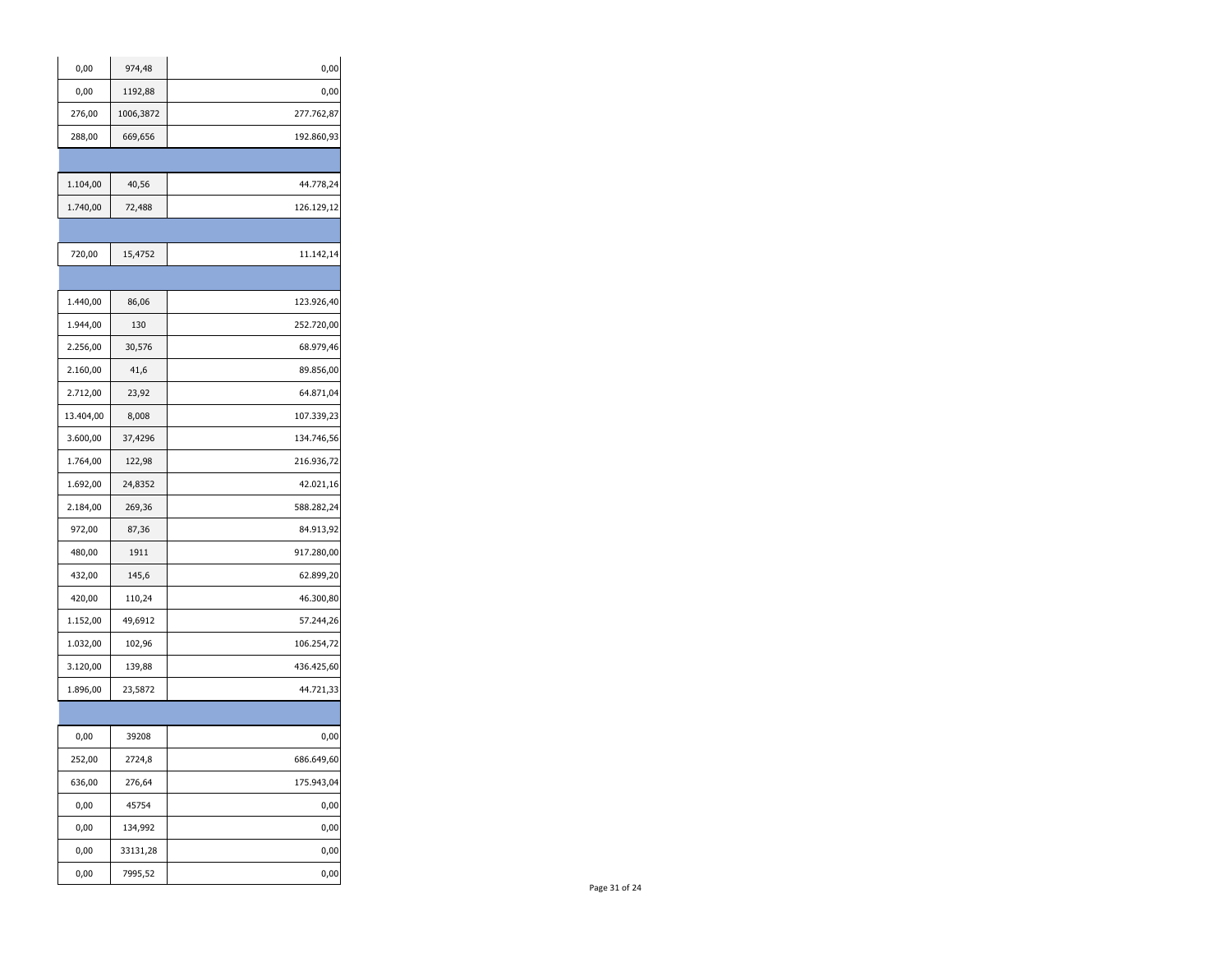| 0,00      | 974,48    | 0,00       |
|-----------|-----------|------------|
| 0,00      | 1192,88   | 0,00       |
| 276,00    | 1006,3872 | 277.762,87 |
| 288,00    | 669,656   | 192.860,93 |
|           |           |            |
| 1.104,00  | 40,56     | 44.778,24  |
| 1.740,00  | 72,488    | 126.129,12 |
|           |           |            |
| 720,00    | 15,4752   | 11.142,14  |
|           |           |            |
| 1.440,00  | 86,06     | 123.926,40 |
| 1.944,00  | 130       | 252.720,00 |
| 2.256,00  | 30,576    | 68.979,46  |
| 2.160,00  | 41,6      | 89.856,00  |
| 2.712,00  | 23,92     | 64.871,04  |
| 13.404,00 | 8,008     | 107.339,23 |
| 3.600,00  | 37,4296   | 134.746,56 |
| 1.764,00  | 122,98    | 216.936,72 |
| 1.692,00  | 24,8352   | 42.021,16  |
| 2.184,00  | 269,36    | 588.282,24 |
| 972,00    | 87,36     | 84.913,92  |
| 480,00    | 1911      | 917.280,00 |
| 432,00    | 145,6     | 62.899,20  |
| 420,00    | 110,24    | 46.300,80  |
| 1.152,00  | 49,6912   | 57.244,26  |
| 1.032,00  | 102,96    | 106.254,72 |
| 3.120,00  | 139,88    | 436.425,60 |
| 1.896,00  | 23,5872   | 44.721,33  |
|           |           |            |
| 0,00      | 39208     | 0,00       |
| 252,00    | 2724,8    | 686.649,60 |
| 636,00    | 276,64    | 175.943,04 |
| 0,00      | 45754     | 0,00       |
| 0,00      | 134,992   | 0,00       |
| 0,00      | 33131,28  | 0,00       |
| 0,00      | 7995,52   | 0,00       |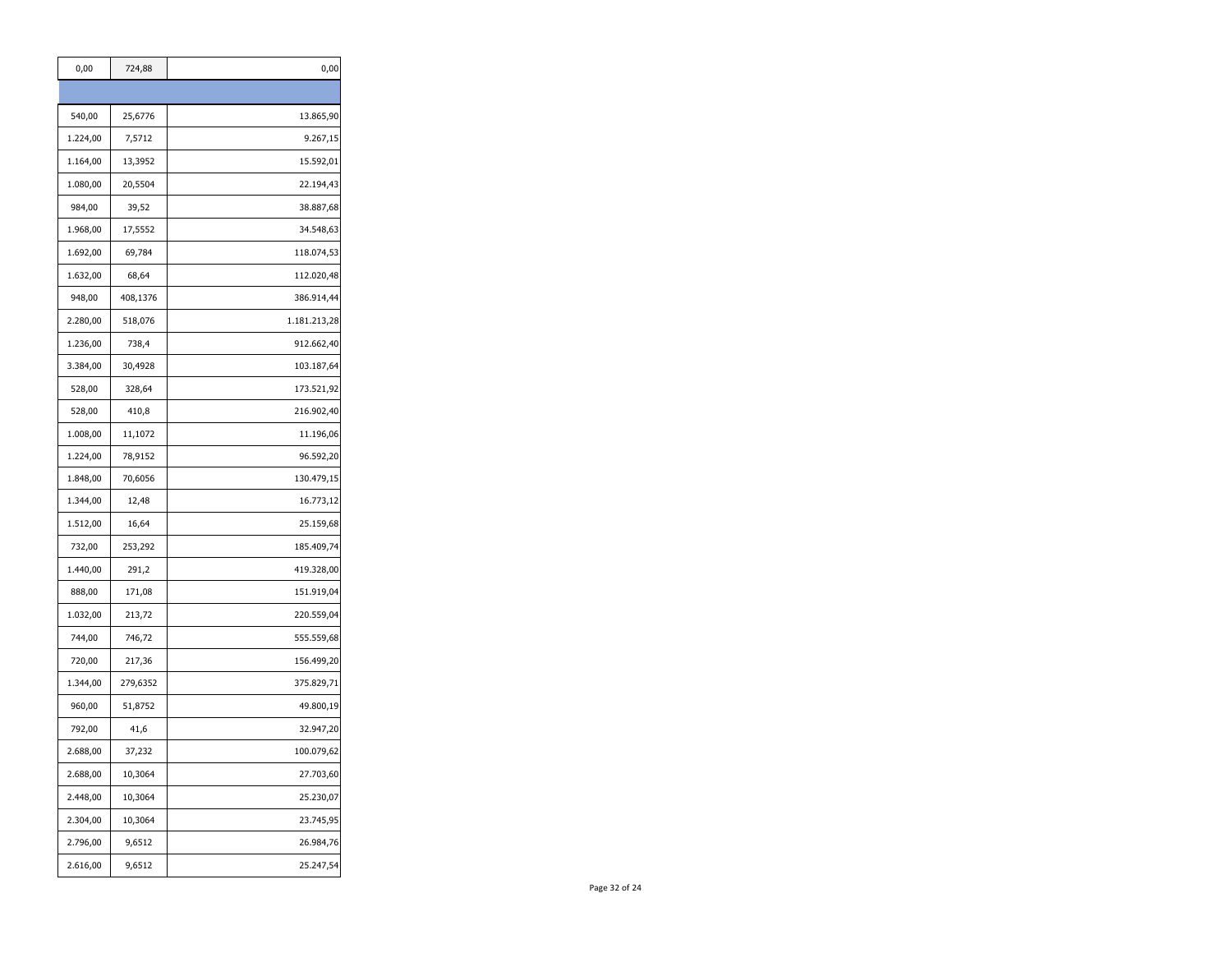| 0,00     | 724,88   | 0,00         |
|----------|----------|--------------|
|          |          |              |
| 540,00   | 25,6776  | 13.865,90    |
| 1.224,00 | 7,5712   | 9.267,15     |
| 1.164,00 | 13,3952  | 15.592,01    |
| 1.080,00 | 20,5504  | 22.194,43    |
| 984,00   | 39,52    | 38.887,68    |
| 1.968,00 | 17,5552  | 34.548,63    |
| 1.692,00 | 69,784   | 118.074,53   |
| 1.632,00 | 68,64    | 112.020,48   |
| 948,00   | 408,1376 | 386.914,44   |
| 2.280,00 | 518,076  | 1.181.213,28 |
| 1.236,00 | 738,4    | 912.662,40   |
| 3.384,00 | 30,4928  | 103.187,64   |
| 528,00   | 328,64   | 173.521,92   |
| 528,00   | 410,8    | 216.902,40   |
| 1.008,00 | 11,1072  | 11.196,06    |
| 1.224,00 | 78,9152  | 96.592,20    |
| 1.848,00 | 70,6056  | 130.479,15   |
| 1.344,00 | 12,48    | 16.773,12    |
| 1.512,00 | 16,64    | 25.159,68    |
| 732,00   | 253,292  | 185.409,74   |
| 1.440,00 | 291,2    | 419.328,00   |
| 888,00   | 171,08   | 151.919,04   |
| 1.032,00 | 213,72   | 220.559,04   |
| 744,00   | 746,72   | 555.559,68   |
| 720,00   | 217,36   | 156.499,20   |
| 1.344,00 | 279,6352 | 375.829,71   |
| 960,00   | 51,8752  | 49.800,19    |
| 792,00   | 41,6     | 32.947,20    |
| 2.688,00 | 37,232   | 100.079,62   |
| 2.688,00 | 10,3064  | 27.703,60    |
| 2.448,00 | 10,3064  | 25.230,07    |
| 2.304,00 | 10,3064  | 23.745,95    |
| 2.796,00 | 9,6512   | 26.984,76    |
| 2.616,00 | 9,6512   | 25.247,54    |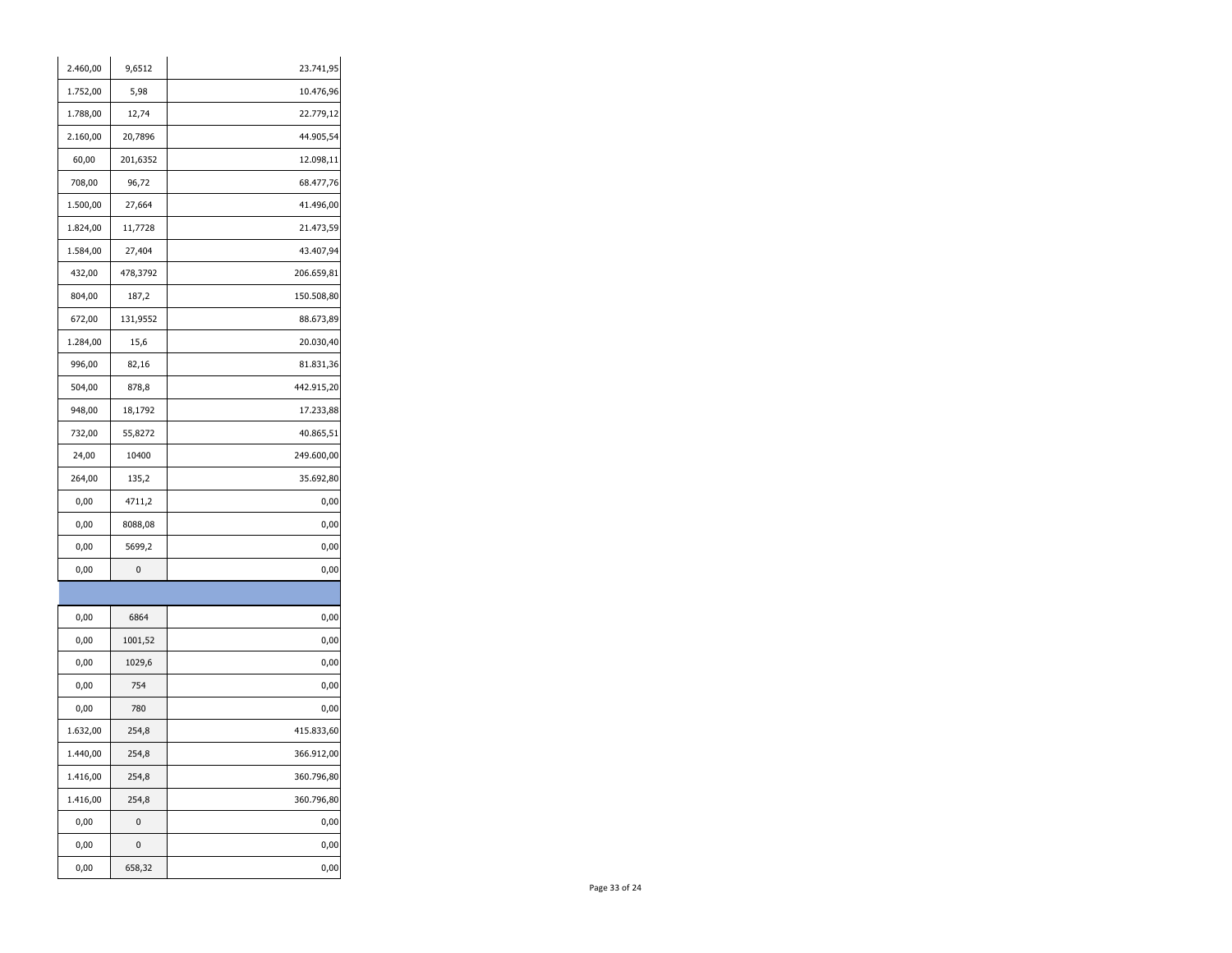| 2.460,00 | 9,6512   | 23.741,95  |
|----------|----------|------------|
| 1.752,00 | 5,98     | 10.476,96  |
| 1.788,00 | 12,74    | 22.779,12  |
| 2.160,00 | 20,7896  | 44.905,54  |
| 60,00    | 201,6352 | 12.098,11  |
| 708,00   | 96,72    | 68.477,76  |
| 1.500,00 | 27,664   | 41.496,00  |
| 1.824,00 | 11,7728  | 21.473,59  |
| 1.584,00 | 27,404   | 43.407,94  |
| 432,00   | 478,3792 | 206.659,81 |
| 804,00   | 187,2    | 150.508,80 |
| 672,00   | 131,9552 | 88.673,89  |
| 1.284,00 | 15,6     | 20.030,40  |
| 996,00   | 82,16    | 81.831,36  |
| 504,00   | 878,8    | 442.915,20 |
| 948,00   | 18,1792  | 17.233,88  |
| 732,00   | 55,8272  | 40.865,51  |
| 24,00    | 10400    | 249.600,00 |
| 264,00   | 135,2    | 35.692,80  |
| 0,00     | 4711,2   | 0,00       |
| 0,00     | 8088,08  | 0,00       |
| 0,00     | 5699,2   | 0,00       |
| 0,00     | 0        | 0,00       |
|          |          |            |
| 0,00     | 6864     | 0,00       |
| 0,00     | 1001,52  | 0,00       |
| 0,00     | 1029,6   | 0,00       |
| 0,00     | 754      | 0,00       |
| 0,00     | 780      | 0,00       |
| 1.632,00 | 254,8    | 415.833,60 |
| 1.440,00 | 254,8    | 366.912,00 |
| 1.416,00 | 254,8    | 360.796,80 |
| 1.416,00 | 254,8    | 360.796,80 |
| 0,00     | 0        | 0,00       |
| 0,00     | 0        | 0,00       |
| 0,00     | 658,32   | 0,00       |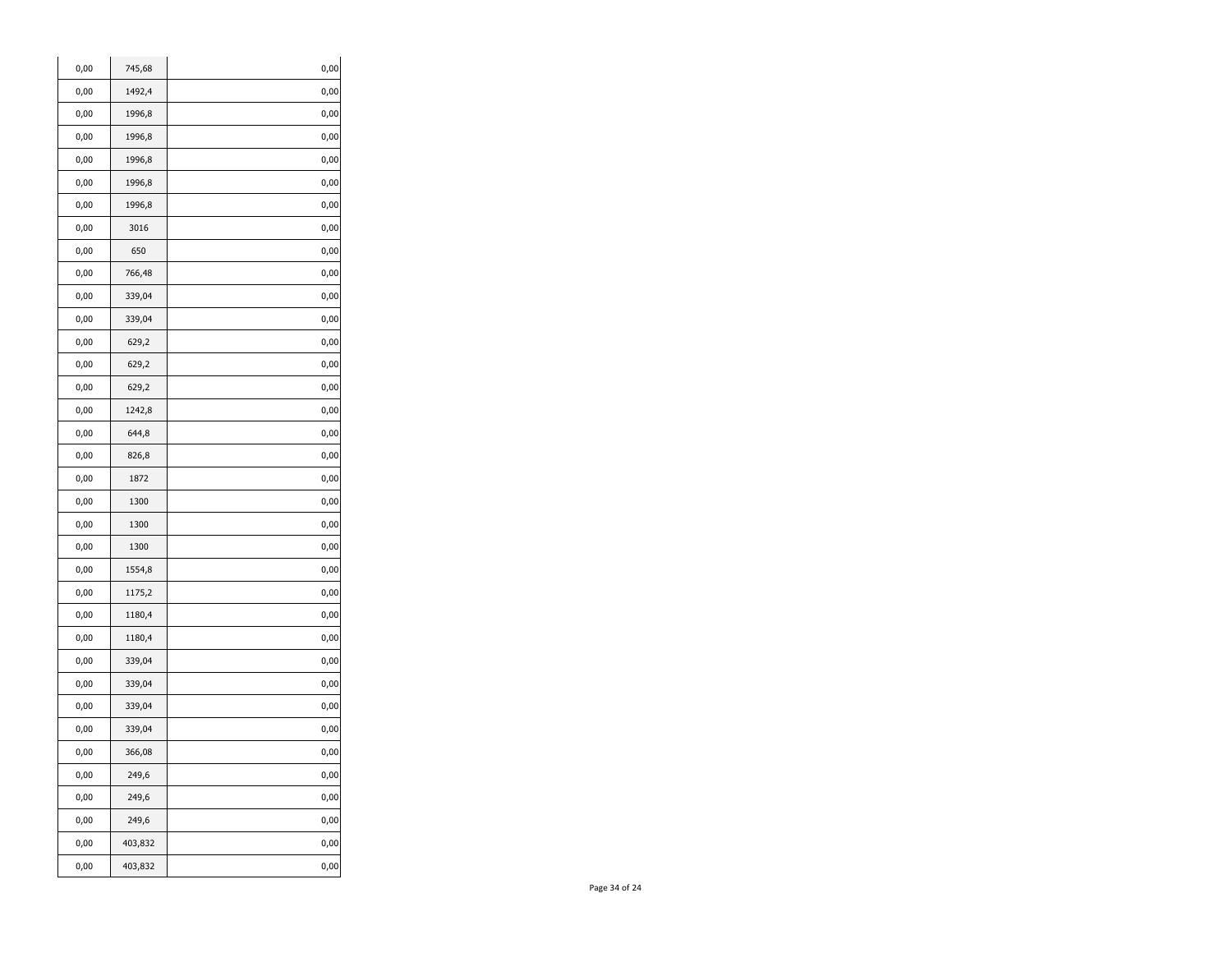| 745,68<br>0,00<br>0,00<br>0,00<br>1492,4<br>0,00<br>0,00<br>1996,8<br>0,00<br>0,00<br>0,00<br>1996,8<br>0,00<br>1996,8<br>0,00<br>0,00<br>1996,8<br>0,00<br>0,00<br>0,00<br>1996,8<br>3016<br>0,00<br>0,00<br>0,00<br>650<br>0,00<br>0,00<br>766,48<br>0,00<br>0,00<br>339,04<br>0,00<br>0,00<br>339,04<br>0,00<br>0,00<br>0,00<br>629,2<br>0,00<br>629,2<br>0,00<br>0,00<br>629,2<br>0,00<br>0,00<br>0,00<br>1242,8<br>0,00<br>644,8<br>0,00<br>0,00<br>826,8<br>0,00<br>0,00<br>1872<br>0,00<br>0,00<br>1300<br>0,00<br>0,00<br>1300<br>0,00<br>0,00<br>1300<br>0,00<br>0,00<br>1554,8<br>0,00<br>1175,2<br>0,00<br>0,00<br>0,00<br>1180,4<br>0,00<br>0,00<br>1180,4<br>0,00<br>0,00<br>339,04<br>0,00<br>0,00<br>339,04<br>0,00<br>339,04<br>0,00<br>0,00<br>0,00<br>339,04<br>0,00<br>366,08<br>0,00<br>0,00<br>0,00<br>249,6<br>0,00<br>0,00<br>249,6<br>0,00<br>0,00<br>249,6<br>0,00<br>0,00<br>403,832<br>0,00<br>0,00<br>403,832<br>0,00 |  |  |
|---------------------------------------------------------------------------------------------------------------------------------------------------------------------------------------------------------------------------------------------------------------------------------------------------------------------------------------------------------------------------------------------------------------------------------------------------------------------------------------------------------------------------------------------------------------------------------------------------------------------------------------------------------------------------------------------------------------------------------------------------------------------------------------------------------------------------------------------------------------------------------------------------------------------------------------------------|--|--|
|                                                                                                                                                                                                                                                                                                                                                                                                                                                                                                                                                                                                                                                                                                                                                                                                                                                                                                                                                   |  |  |
|                                                                                                                                                                                                                                                                                                                                                                                                                                                                                                                                                                                                                                                                                                                                                                                                                                                                                                                                                   |  |  |
|                                                                                                                                                                                                                                                                                                                                                                                                                                                                                                                                                                                                                                                                                                                                                                                                                                                                                                                                                   |  |  |
|                                                                                                                                                                                                                                                                                                                                                                                                                                                                                                                                                                                                                                                                                                                                                                                                                                                                                                                                                   |  |  |
|                                                                                                                                                                                                                                                                                                                                                                                                                                                                                                                                                                                                                                                                                                                                                                                                                                                                                                                                                   |  |  |
|                                                                                                                                                                                                                                                                                                                                                                                                                                                                                                                                                                                                                                                                                                                                                                                                                                                                                                                                                   |  |  |
|                                                                                                                                                                                                                                                                                                                                                                                                                                                                                                                                                                                                                                                                                                                                                                                                                                                                                                                                                   |  |  |
|                                                                                                                                                                                                                                                                                                                                                                                                                                                                                                                                                                                                                                                                                                                                                                                                                                                                                                                                                   |  |  |
|                                                                                                                                                                                                                                                                                                                                                                                                                                                                                                                                                                                                                                                                                                                                                                                                                                                                                                                                                   |  |  |
|                                                                                                                                                                                                                                                                                                                                                                                                                                                                                                                                                                                                                                                                                                                                                                                                                                                                                                                                                   |  |  |
|                                                                                                                                                                                                                                                                                                                                                                                                                                                                                                                                                                                                                                                                                                                                                                                                                                                                                                                                                   |  |  |
|                                                                                                                                                                                                                                                                                                                                                                                                                                                                                                                                                                                                                                                                                                                                                                                                                                                                                                                                                   |  |  |
|                                                                                                                                                                                                                                                                                                                                                                                                                                                                                                                                                                                                                                                                                                                                                                                                                                                                                                                                                   |  |  |
|                                                                                                                                                                                                                                                                                                                                                                                                                                                                                                                                                                                                                                                                                                                                                                                                                                                                                                                                                   |  |  |
|                                                                                                                                                                                                                                                                                                                                                                                                                                                                                                                                                                                                                                                                                                                                                                                                                                                                                                                                                   |  |  |
|                                                                                                                                                                                                                                                                                                                                                                                                                                                                                                                                                                                                                                                                                                                                                                                                                                                                                                                                                   |  |  |
|                                                                                                                                                                                                                                                                                                                                                                                                                                                                                                                                                                                                                                                                                                                                                                                                                                                                                                                                                   |  |  |
|                                                                                                                                                                                                                                                                                                                                                                                                                                                                                                                                                                                                                                                                                                                                                                                                                                                                                                                                                   |  |  |
|                                                                                                                                                                                                                                                                                                                                                                                                                                                                                                                                                                                                                                                                                                                                                                                                                                                                                                                                                   |  |  |
|                                                                                                                                                                                                                                                                                                                                                                                                                                                                                                                                                                                                                                                                                                                                                                                                                                                                                                                                                   |  |  |
|                                                                                                                                                                                                                                                                                                                                                                                                                                                                                                                                                                                                                                                                                                                                                                                                                                                                                                                                                   |  |  |
|                                                                                                                                                                                                                                                                                                                                                                                                                                                                                                                                                                                                                                                                                                                                                                                                                                                                                                                                                   |  |  |
|                                                                                                                                                                                                                                                                                                                                                                                                                                                                                                                                                                                                                                                                                                                                                                                                                                                                                                                                                   |  |  |
|                                                                                                                                                                                                                                                                                                                                                                                                                                                                                                                                                                                                                                                                                                                                                                                                                                                                                                                                                   |  |  |
|                                                                                                                                                                                                                                                                                                                                                                                                                                                                                                                                                                                                                                                                                                                                                                                                                                                                                                                                                   |  |  |
|                                                                                                                                                                                                                                                                                                                                                                                                                                                                                                                                                                                                                                                                                                                                                                                                                                                                                                                                                   |  |  |
|                                                                                                                                                                                                                                                                                                                                                                                                                                                                                                                                                                                                                                                                                                                                                                                                                                                                                                                                                   |  |  |
|                                                                                                                                                                                                                                                                                                                                                                                                                                                                                                                                                                                                                                                                                                                                                                                                                                                                                                                                                   |  |  |
|                                                                                                                                                                                                                                                                                                                                                                                                                                                                                                                                                                                                                                                                                                                                                                                                                                                                                                                                                   |  |  |
|                                                                                                                                                                                                                                                                                                                                                                                                                                                                                                                                                                                                                                                                                                                                                                                                                                                                                                                                                   |  |  |
|                                                                                                                                                                                                                                                                                                                                                                                                                                                                                                                                                                                                                                                                                                                                                                                                                                                                                                                                                   |  |  |
|                                                                                                                                                                                                                                                                                                                                                                                                                                                                                                                                                                                                                                                                                                                                                                                                                                                                                                                                                   |  |  |
|                                                                                                                                                                                                                                                                                                                                                                                                                                                                                                                                                                                                                                                                                                                                                                                                                                                                                                                                                   |  |  |
|                                                                                                                                                                                                                                                                                                                                                                                                                                                                                                                                                                                                                                                                                                                                                                                                                                                                                                                                                   |  |  |
|                                                                                                                                                                                                                                                                                                                                                                                                                                                                                                                                                                                                                                                                                                                                                                                                                                                                                                                                                   |  |  |
|                                                                                                                                                                                                                                                                                                                                                                                                                                                                                                                                                                                                                                                                                                                                                                                                                                                                                                                                                   |  |  |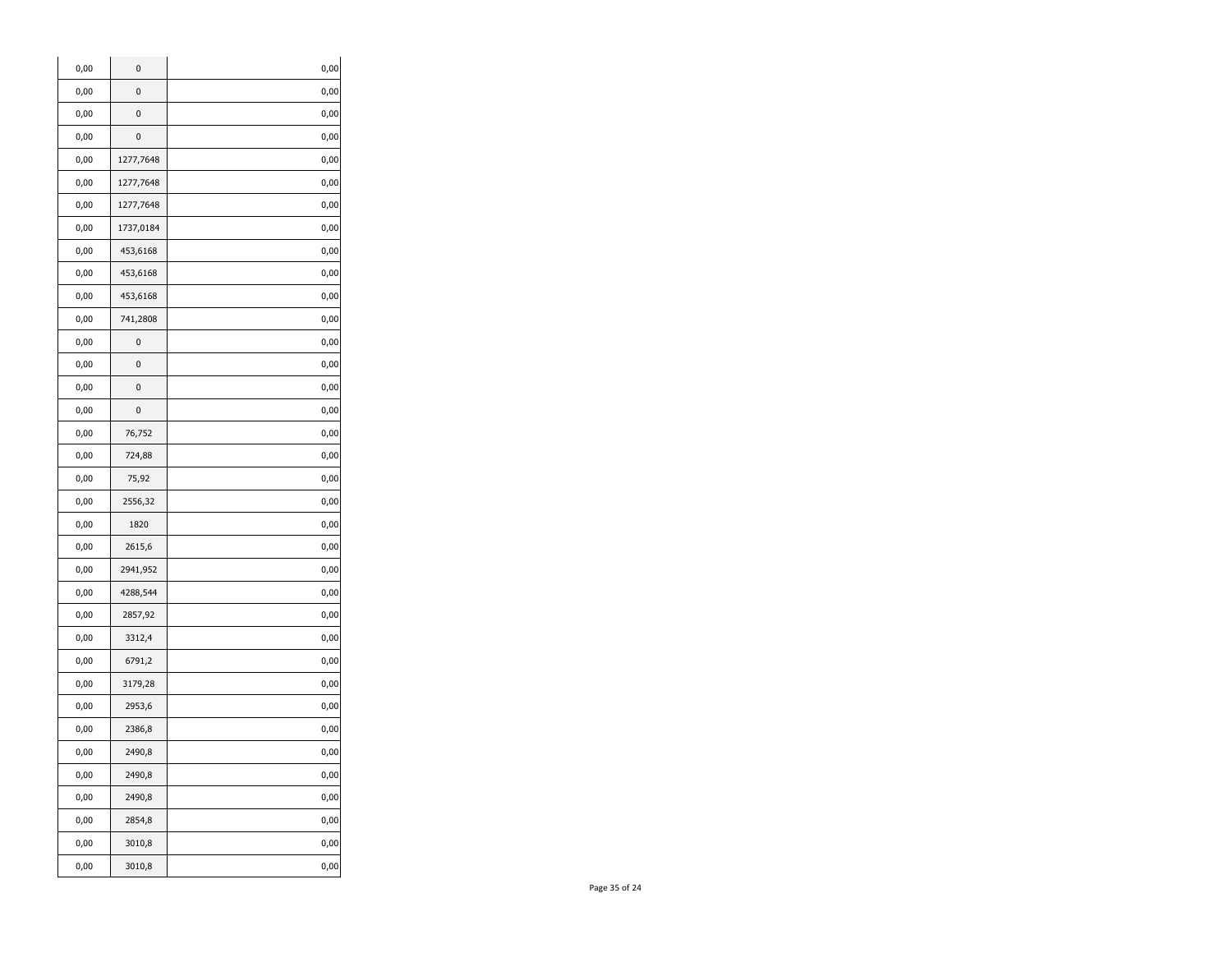| 0,00<br>0<br>0,00<br>0,00<br>0<br>0,00<br>0,00<br>0<br>0,00<br>0,00<br>1277,7648<br>0,00<br>0,00<br>1277,7648<br>0,00<br>0,00<br>1277,7648<br>0,00<br>0,00<br>1737,0184<br>0,00<br>0,00<br>453,6168<br>0,00<br>0,00<br>453,6168<br>0,00<br>0,00<br>453,6168<br>0,00<br>0,00<br>741,2808<br>0,00<br>0,00<br>0<br>0,00<br>0<br>0,00<br>0,00<br>0<br>0,00<br>0,00<br>0,00<br>0<br>0,00<br>0,00<br>76,752<br>0,00<br>0,00<br>724,88<br>0,00<br>0,00<br>75,92<br>0,00<br>0,00<br>2556,32<br>0,00<br>0,00<br>1820<br>0,00<br>0,00<br>2615,6<br>0,00<br>0,00<br>2941,952<br>0,00<br>0,00<br>4288,544<br>0,00<br>0,00<br>2857,92<br>0,00<br>0,00<br>3312,4<br>0,00<br>0,00<br>6791,2<br>0,00<br>0,00<br>3179,28<br>0,00<br>0,00<br>2953,6<br>0,00<br>0,00<br>2386,8<br>0,00<br>0,00<br>2490,8<br>0,00<br>0,00<br>2490,8<br>0,00<br>0,00<br>2490,8<br>0,00<br>0,00<br>2854,8<br>0,00<br>0,00<br>3010,8<br>0,00<br>0,00<br>3010,8<br>0,00 | 0,00 | 0 | 0,00 |
|---------------------------------------------------------------------------------------------------------------------------------------------------------------------------------------------------------------------------------------------------------------------------------------------------------------------------------------------------------------------------------------------------------------------------------------------------------------------------------------------------------------------------------------------------------------------------------------------------------------------------------------------------------------------------------------------------------------------------------------------------------------------------------------------------------------------------------------------------------------------------------------------------------------------------------|------|---|------|
|                                                                                                                                                                                                                                                                                                                                                                                                                                                                                                                                                                                                                                                                                                                                                                                                                                                                                                                                 |      |   |      |
|                                                                                                                                                                                                                                                                                                                                                                                                                                                                                                                                                                                                                                                                                                                                                                                                                                                                                                                                 |      |   |      |
|                                                                                                                                                                                                                                                                                                                                                                                                                                                                                                                                                                                                                                                                                                                                                                                                                                                                                                                                 |      |   |      |
|                                                                                                                                                                                                                                                                                                                                                                                                                                                                                                                                                                                                                                                                                                                                                                                                                                                                                                                                 |      |   |      |
|                                                                                                                                                                                                                                                                                                                                                                                                                                                                                                                                                                                                                                                                                                                                                                                                                                                                                                                                 |      |   |      |
|                                                                                                                                                                                                                                                                                                                                                                                                                                                                                                                                                                                                                                                                                                                                                                                                                                                                                                                                 |      |   |      |
|                                                                                                                                                                                                                                                                                                                                                                                                                                                                                                                                                                                                                                                                                                                                                                                                                                                                                                                                 |      |   |      |
|                                                                                                                                                                                                                                                                                                                                                                                                                                                                                                                                                                                                                                                                                                                                                                                                                                                                                                                                 |      |   |      |
|                                                                                                                                                                                                                                                                                                                                                                                                                                                                                                                                                                                                                                                                                                                                                                                                                                                                                                                                 |      |   |      |
|                                                                                                                                                                                                                                                                                                                                                                                                                                                                                                                                                                                                                                                                                                                                                                                                                                                                                                                                 |      |   |      |
|                                                                                                                                                                                                                                                                                                                                                                                                                                                                                                                                                                                                                                                                                                                                                                                                                                                                                                                                 |      |   |      |
|                                                                                                                                                                                                                                                                                                                                                                                                                                                                                                                                                                                                                                                                                                                                                                                                                                                                                                                                 |      |   |      |
|                                                                                                                                                                                                                                                                                                                                                                                                                                                                                                                                                                                                                                                                                                                                                                                                                                                                                                                                 |      |   |      |
|                                                                                                                                                                                                                                                                                                                                                                                                                                                                                                                                                                                                                                                                                                                                                                                                                                                                                                                                 |      |   |      |
|                                                                                                                                                                                                                                                                                                                                                                                                                                                                                                                                                                                                                                                                                                                                                                                                                                                                                                                                 |      |   |      |
|                                                                                                                                                                                                                                                                                                                                                                                                                                                                                                                                                                                                                                                                                                                                                                                                                                                                                                                                 |      |   |      |
|                                                                                                                                                                                                                                                                                                                                                                                                                                                                                                                                                                                                                                                                                                                                                                                                                                                                                                                                 |      |   |      |
|                                                                                                                                                                                                                                                                                                                                                                                                                                                                                                                                                                                                                                                                                                                                                                                                                                                                                                                                 |      |   |      |
|                                                                                                                                                                                                                                                                                                                                                                                                                                                                                                                                                                                                                                                                                                                                                                                                                                                                                                                                 |      |   |      |
|                                                                                                                                                                                                                                                                                                                                                                                                                                                                                                                                                                                                                                                                                                                                                                                                                                                                                                                                 |      |   |      |
|                                                                                                                                                                                                                                                                                                                                                                                                                                                                                                                                                                                                                                                                                                                                                                                                                                                                                                                                 |      |   |      |
|                                                                                                                                                                                                                                                                                                                                                                                                                                                                                                                                                                                                                                                                                                                                                                                                                                                                                                                                 |      |   |      |
|                                                                                                                                                                                                                                                                                                                                                                                                                                                                                                                                                                                                                                                                                                                                                                                                                                                                                                                                 |      |   |      |
|                                                                                                                                                                                                                                                                                                                                                                                                                                                                                                                                                                                                                                                                                                                                                                                                                                                                                                                                 |      |   |      |
|                                                                                                                                                                                                                                                                                                                                                                                                                                                                                                                                                                                                                                                                                                                                                                                                                                                                                                                                 |      |   |      |
|                                                                                                                                                                                                                                                                                                                                                                                                                                                                                                                                                                                                                                                                                                                                                                                                                                                                                                                                 |      |   |      |
|                                                                                                                                                                                                                                                                                                                                                                                                                                                                                                                                                                                                                                                                                                                                                                                                                                                                                                                                 |      |   |      |
|                                                                                                                                                                                                                                                                                                                                                                                                                                                                                                                                                                                                                                                                                                                                                                                                                                                                                                                                 |      |   |      |
|                                                                                                                                                                                                                                                                                                                                                                                                                                                                                                                                                                                                                                                                                                                                                                                                                                                                                                                                 |      |   |      |
|                                                                                                                                                                                                                                                                                                                                                                                                                                                                                                                                                                                                                                                                                                                                                                                                                                                                                                                                 |      |   |      |
|                                                                                                                                                                                                                                                                                                                                                                                                                                                                                                                                                                                                                                                                                                                                                                                                                                                                                                                                 |      |   |      |
|                                                                                                                                                                                                                                                                                                                                                                                                                                                                                                                                                                                                                                                                                                                                                                                                                                                                                                                                 |      |   |      |
|                                                                                                                                                                                                                                                                                                                                                                                                                                                                                                                                                                                                                                                                                                                                                                                                                                                                                                                                 |      |   |      |
|                                                                                                                                                                                                                                                                                                                                                                                                                                                                                                                                                                                                                                                                                                                                                                                                                                                                                                                                 |      |   |      |
|                                                                                                                                                                                                                                                                                                                                                                                                                                                                                                                                                                                                                                                                                                                                                                                                                                                                                                                                 |      |   |      |
|                                                                                                                                                                                                                                                                                                                                                                                                                                                                                                                                                                                                                                                                                                                                                                                                                                                                                                                                 |      |   |      |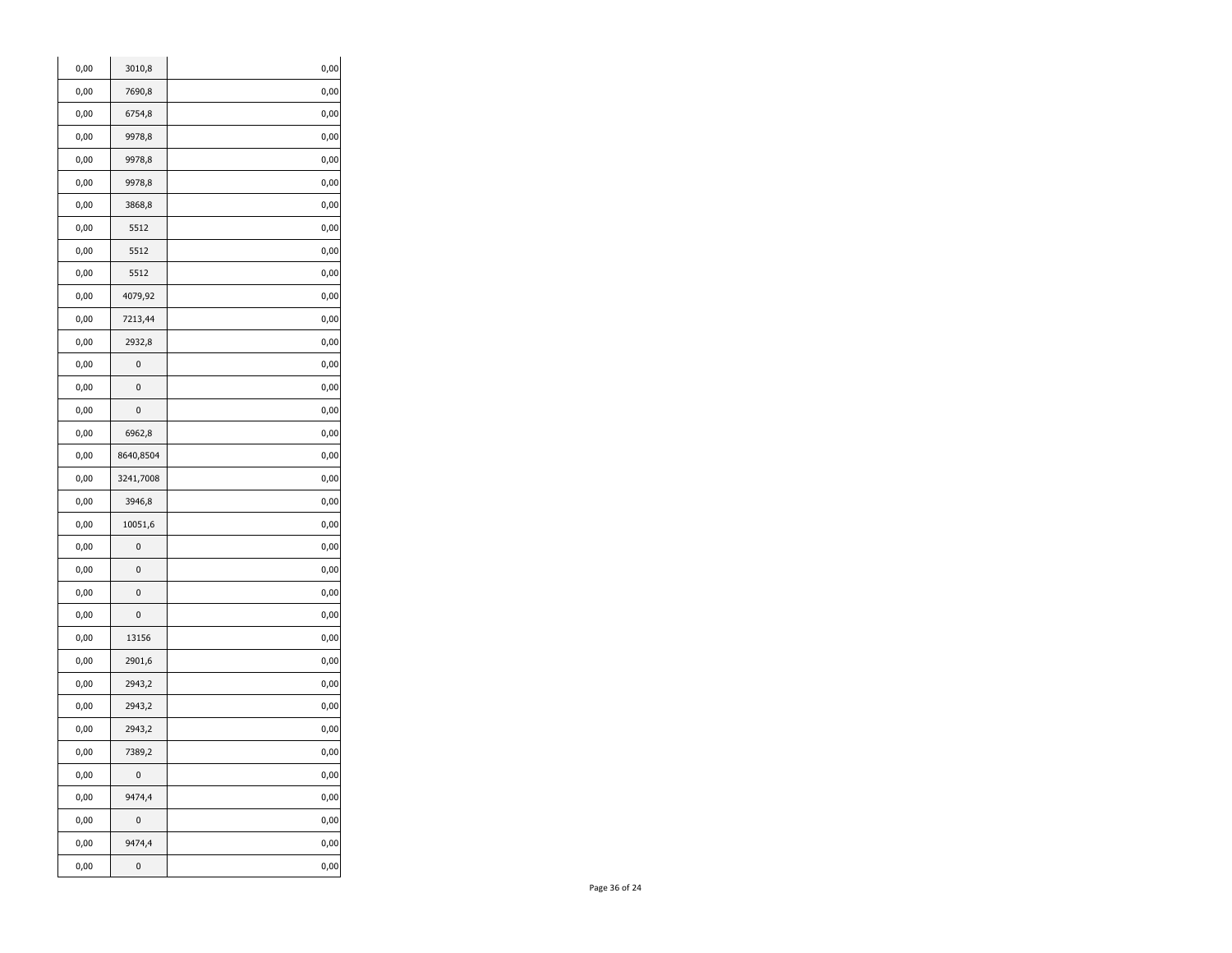| 0,00      | 3010,8    | 0,00 |
|-----------|-----------|------|
| 0,00      | 7690,8    | 0,00 |
| 0,00      | 6754,8    | 0,00 |
| 0,00      | 9978,8    | 0,00 |
| 0,00      | 9978,8    | 0,00 |
| 0,00      | 9978,8    | 0,00 |
| 0,00      | 3868,8    | 0,00 |
| 0,00      | 5512      | 0,00 |
| 0,00      | 5512      | 0,00 |
| 0,00      | 5512      | 0,00 |
| 0,00      | 4079,92   | 0,00 |
| 0,00      | 7213,44   | 0,00 |
| 0,00      | 2932,8    | 0,00 |
| 0,00      | 0         | 0,00 |
| 0,00      | 0         | 0,00 |
| 0,00      | 0         | 0,00 |
| 0,00      | 6962,8    | 0,00 |
| 0,00      | 8640,8504 | 0,00 |
| 0,00      | 3241,7008 | 0,00 |
| 0,00      | 3946,8    | 0,00 |
| 0,00      | 10051,6   | 0,00 |
| 0,00      | 0         | 0,00 |
| 0,00      | 0         | 0,00 |
| 0,00      | 0         | 0,00 |
| 0,00      | 0         | 0,00 |
| 0,00      | 13156     | 0,00 |
| 0,00      | 2901,6    | 0,00 |
| 0,00      | 2943,2    | 0,00 |
| 0,00      | 2943,2    | 0,00 |
| 0,00      | 2943,2    | 0,00 |
| 0,00      | 7389,2    | 0,00 |
| 0,00      | 0         | 0,00 |
| 0,00      | 9474,4    | 0,00 |
| 0,00      | $\pmb{0}$ | 0,00 |
| $_{0,00}$ | 9474,4    | 0,00 |
| 0,00      | 0         | 0,00 |
|           |           |      |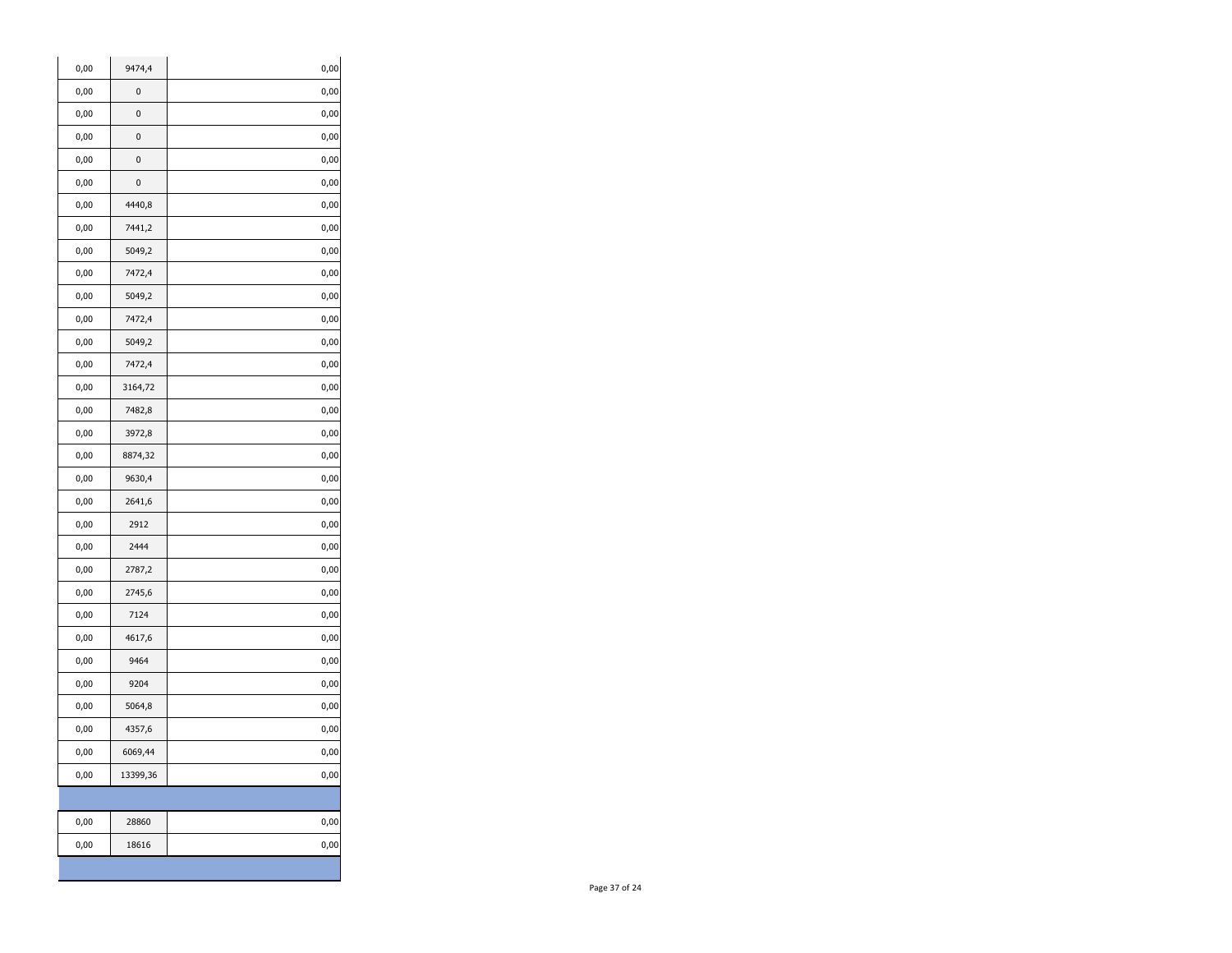| 0,00 | 9474,4   | 0,00 |
|------|----------|------|
| 0,00 | 0        | 0,00 |
| 0,00 | 0        | 0,00 |
| 0,00 | 0        | 0,00 |
| 0,00 | 0        | 0,00 |
| 0,00 | 0        | 0,00 |
| 0,00 | 4440,8   | 0,00 |
| 0,00 | 7441,2   | 0,00 |
| 0,00 | 5049,2   | 0,00 |
| 0,00 | 7472,4   | 0,00 |
| 0,00 | 5049,2   | 0,00 |
| 0,00 | 7472,4   | 0,00 |
| 0,00 | 5049,2   | 0,00 |
| 0,00 | 7472,4   | 0,00 |
| 0,00 | 3164,72  | 0,00 |
| 0,00 | 7482,8   | 0,00 |
| 0,00 | 3972,8   | 0,00 |
| 0,00 | 8874,32  | 0,00 |
| 0,00 | 9630,4   | 0,00 |
| 0,00 | 2641,6   | 0,00 |
| 0,00 | 2912     | 0,00 |
| 0,00 | 2444     | 0,00 |
| 0,00 | 2787,2   | 0,00 |
| 0,00 | 2745,6   | 0,00 |
| 0,00 | 7124     | 0,00 |
| 0,00 | 4617,6   | 0,00 |
| 0,00 | 9464     | 0,00 |
| 0,00 | 9204     | 0,00 |
| 0,00 | 5064,8   | 0,00 |
| 0,00 | 4357,6   | 0,00 |
| 0,00 | 6069,44  | 0,00 |
| 0,00 | 13399,36 | 0,00 |
|      |          |      |
| 0,00 | 28860    | 0,00 |
| 0,00 | 18616    | 0,00 |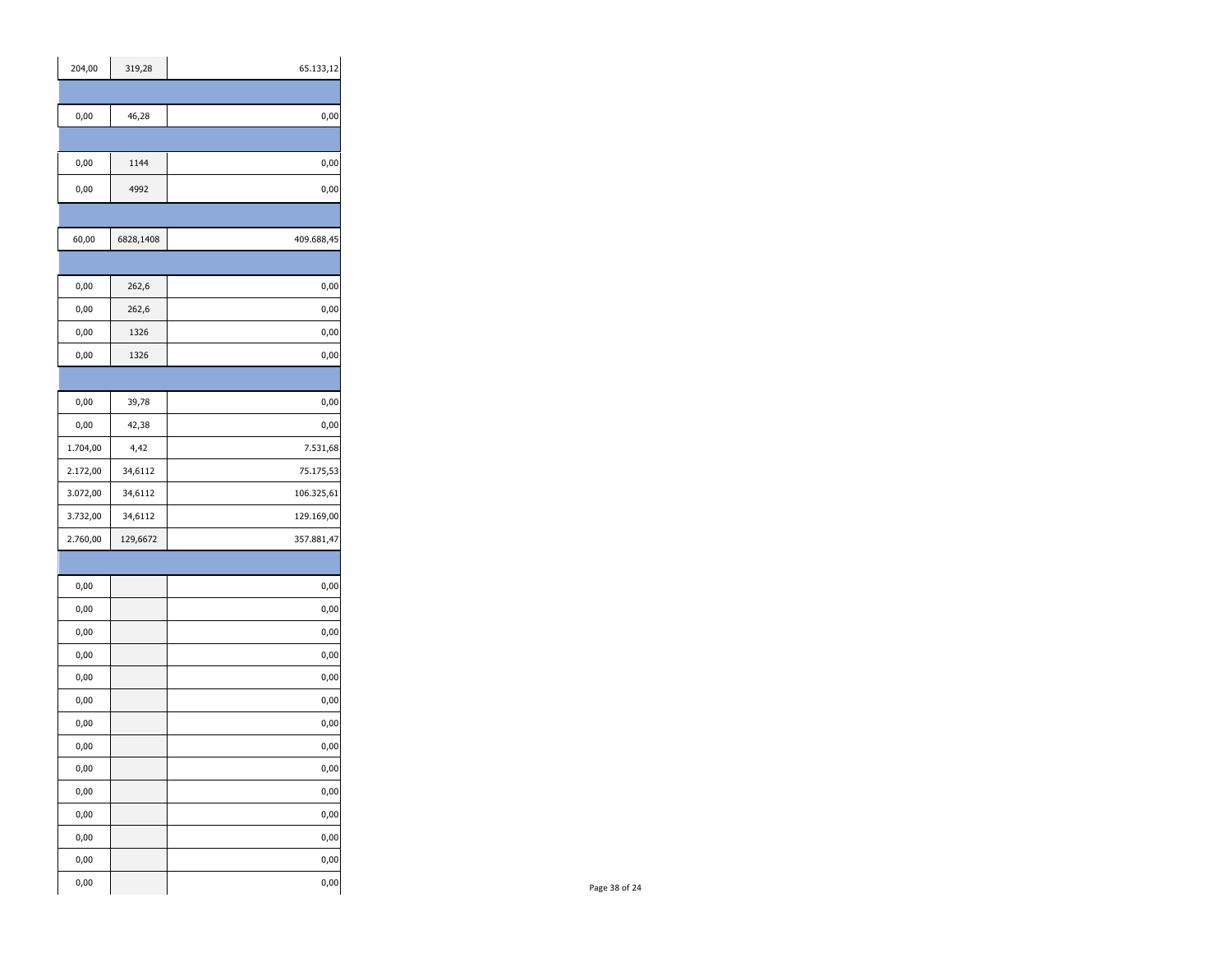| 204,00        | 319,28    | 65.133,12     |
|---------------|-----------|---------------|
|               |           |               |
| $_{\rm 0,00}$ | 46,28     | 0,00          |
|               |           |               |
| $_{\rm 0,00}$ | 1144      | $0,\!00$      |
| $_{\rm 0,00}$ | 4992      | $0,\!00$      |
|               |           |               |
| 60,00         | 6828,1408 | 409.688,45    |
|               |           |               |
| $_{0,00}$     | 262,6     | 0,00          |
| 0,00          | 262,6     | 0,00          |
| $_{0,00}$     | 1326      | $0,\!00$      |
| $_{\rm 0,00}$ | 1326      | $0,\!00$      |
|               |           |               |
| $_{\rm 0,00}$ | 39,78     | $0,\!00$      |
| $_{0,00}$     | 42,38     | $0,\!00$      |
| 1.704,00      | 4,42      | 7.531,68      |
| 2.172,00      | 34,6112   | 75.175,53     |
| 3.072,00      | 34,6112   | 106.325,61    |
| 3.732,00      | 34,6112   | 129.169,00    |
| 2.760,00      | 129,6672  | 357.881,47    |
|               |           |               |
| 0,00          |           | 0,00          |
| 0,00          |           | $0,\!00$      |
| $_{0,00}$     |           | $_{\rm 0,00}$ |
| 0,00          |           | $_{\rm 0,00}$ |
| $_{\rm 0,00}$ |           | $0,\!00$      |
| 0,00          |           | $_{\rm 0,00}$ |
| 0,00          |           | $0,\!00$      |
| 0,00          |           | $0,\!00$      |
| 0,00          |           | 0,00          |
| $_{\rm 0,00}$ |           | 0,00          |
| 0,00          |           | 0,00          |
| 0,00          |           | 0,00          |
| 0,00          |           | 0,00          |
| $_{\rm 0,00}$ |           | 0,00          |
|               |           |               |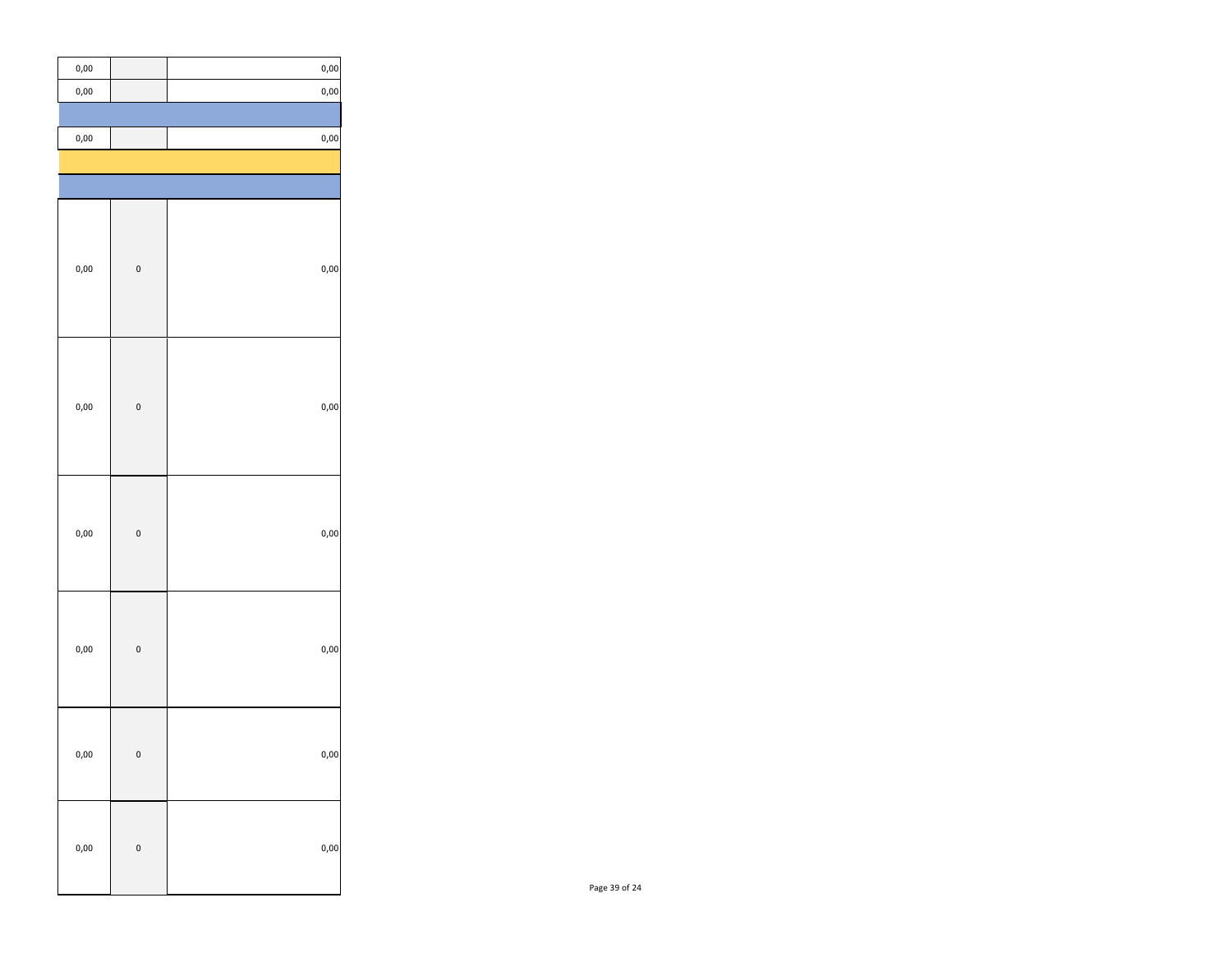| $_{\rm 0,00}$ |              | $_{0,00}$ |
|---------------|--------------|-----------|
| $_{0,00}$     |              | $_{0,00}$ |
|               |              |           |
| 0,00          |              | $_{0,00}$ |
|               |              |           |
|               |              |           |
|               |              |           |
|               |              |           |
| $_{0,00}$     | $\mathbf{0}$ | $_{0,00}$ |
|               |              |           |
|               |              |           |
|               |              |           |
|               |              |           |
|               |              |           |
| 0,00          | $\mathbf{0}$ | $_{0,00}$ |
|               |              |           |
|               |              |           |
|               |              |           |
|               |              |           |
| $_{0,00}$     | $\bf{0}$     | $_{0,00}$ |
|               |              |           |
|               |              |           |
|               |              |           |
|               |              |           |
| 0,00          | $\mathbf{0}$ | $_{0,00}$ |
|               |              |           |
|               |              |           |
|               |              |           |
| 0,00          | $\mathsf{o}$ | 0,00      |
|               |              |           |
|               |              |           |
|               |              |           |
| $_{0,00}$     | $\mathbf{0}$ | $_{0,00}$ |
|               |              |           |
|               |              |           |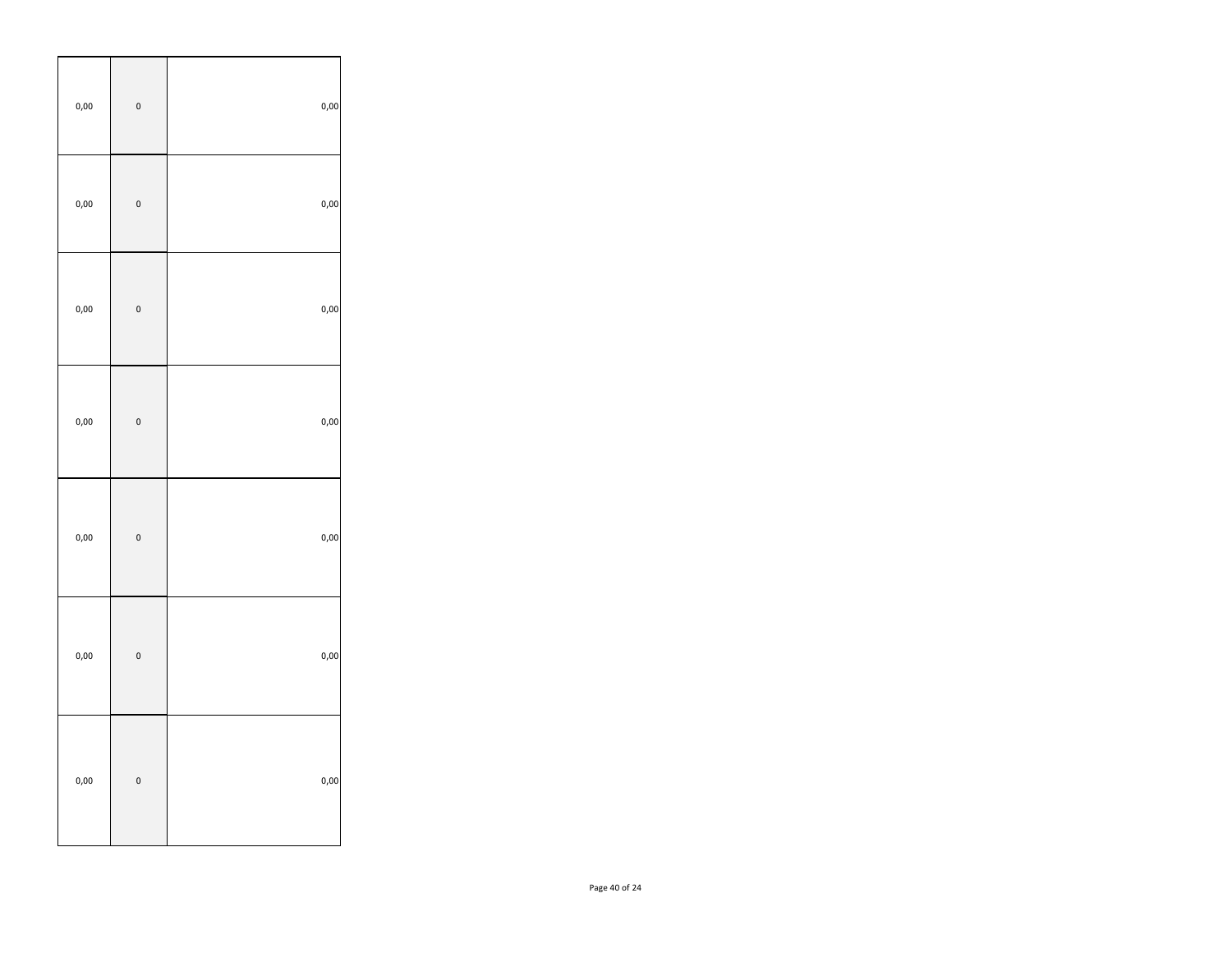| $_{0,00}$ | $\mathbf{0}$ | $_{0,00}$ |
|-----------|--------------|-----------|
| $_{0,00}$ | $\mathbf{0}$ | $_{0,00}$ |
| $_{0,00}$ | $\mathbf{0}$ | $_{0,00}$ |
| $_{0,00}$ | $\mathbf{0}$ | $_{0,00}$ |
| $_{0,00}$ | $\pmb{0}$    | $_{0,00}$ |
| $_{0,00}$ | $\mathbf{0}$ | $_{0,00}$ |
| $_{0,00}$ | $\mathbf{0}$ | $_{0,00}$ |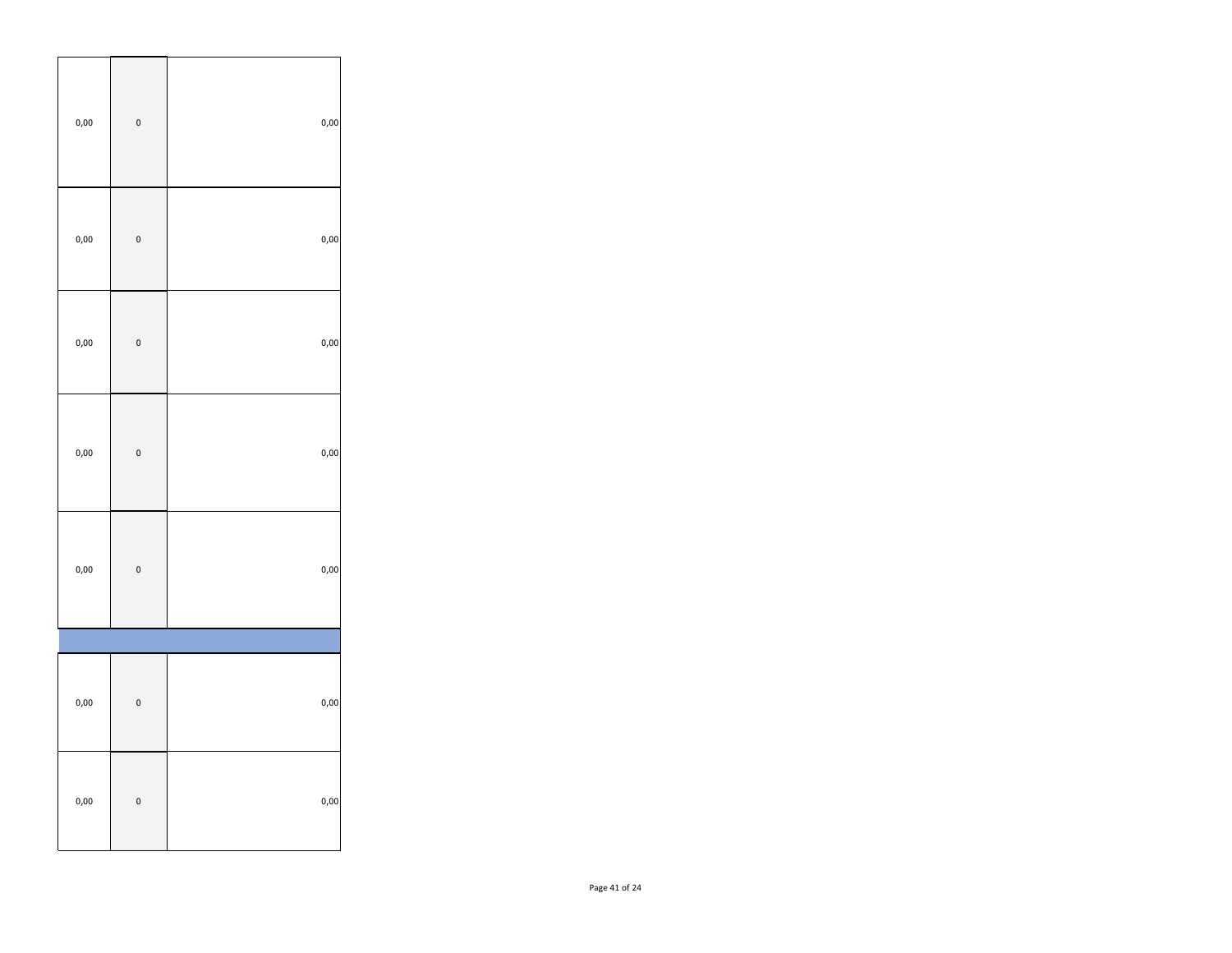| $_{0,00}$ | $\mathbf{0}$ | $_{0,00}$ |
|-----------|--------------|-----------|
| $_{0,00}$ | $\mathbf{0}$ | $_{0,00}$ |
| $_{0,00}$ | $\mathbf{0}$ | $_{0,00}$ |
| $_{0,00}$ | $\mathbf{0}$ | $_{0,00}$ |
| $_{0,00}$ | $\mathbf{0}$ | $_{0,00}$ |
|           |              |           |
| $_{0,00}$ | $\bf{0}$     | $_{0,00}$ |
| $_{0,00}$ | $\bf{0}$     | $_{0,00}$ |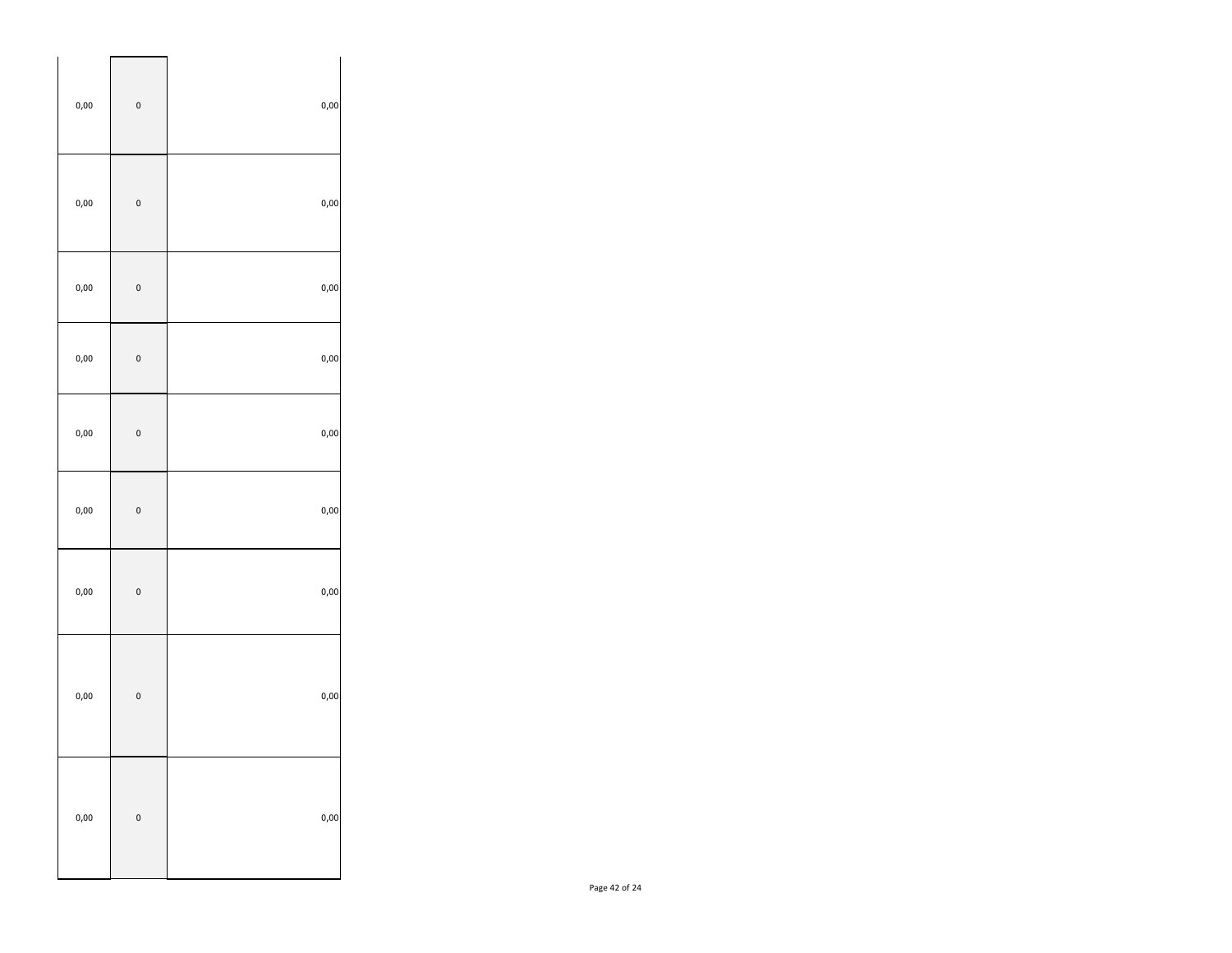| 0,00      | $\bf{0}$     | $_{0,00}$ |
|-----------|--------------|-----------|
| 0,00      | $\mathbf{0}$ | $_{0,00}$ |
| 0,00      | $\mathbf{0}$ | $_{0,00}$ |
| 0,00      | $\mathbf{0}$ | $_{0,00}$ |
| 0,00      | $\bf{0}$     | $_{0,00}$ |
| $_{0,00}$ | $\mathbf{0}$ | $_{0,00}$ |
| 0,00      | $\mathbf{0}$ | $_{0,00}$ |
| 0,00      | $\mathbf{0}$ | $_{0,00}$ |
| $_{0,00}$ | $\mathbf{0}$ | $_{0,00}$ |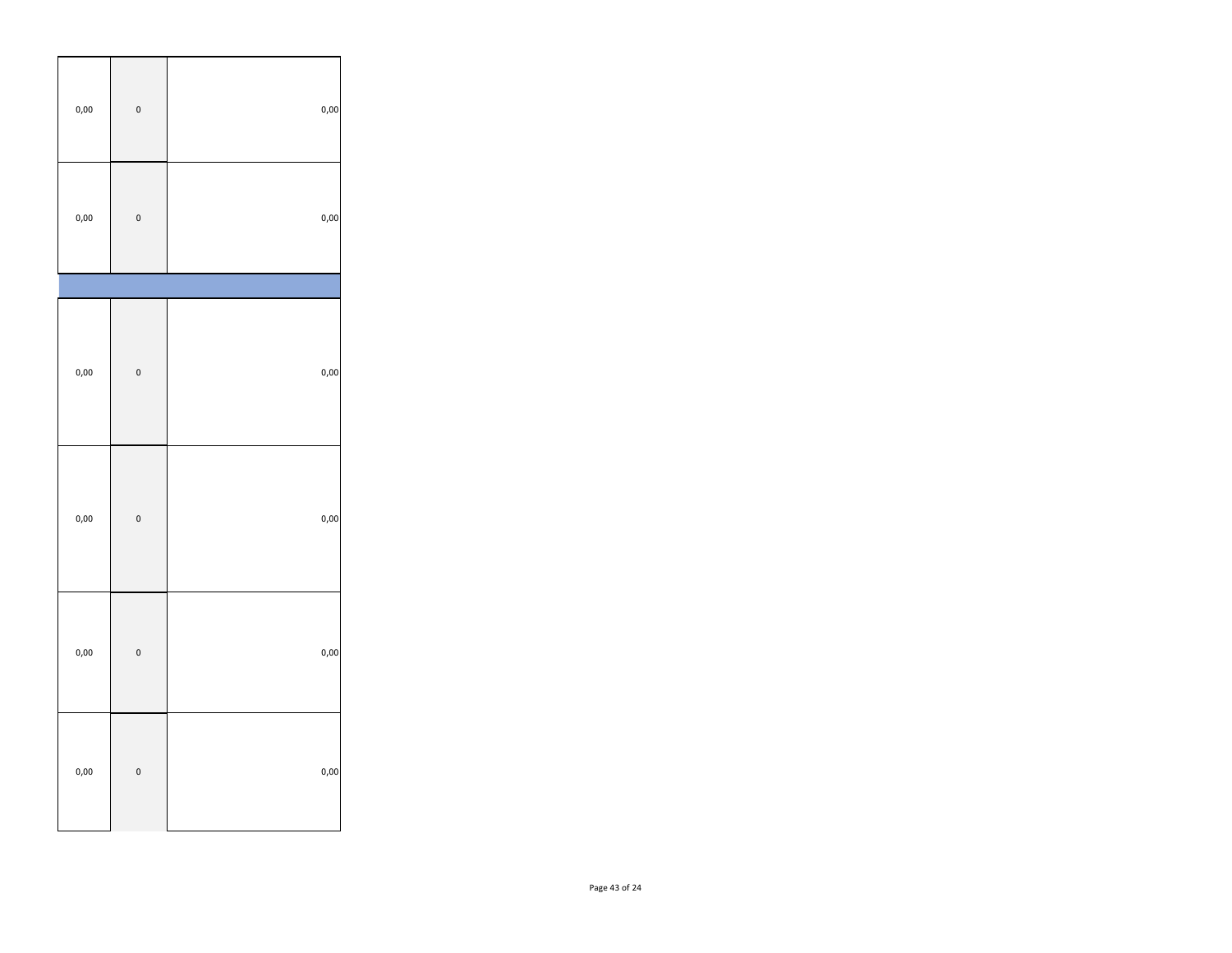| $_{0,00}$ | $\mathbf{0}$ | $_{0,00}$ |
|-----------|--------------|-----------|
| $_{0,00}$ | $\pmb{0}$    | $_{0,00}$ |
|           |              |           |
| $_{0,00}$ | $\mathbf{0}$ | $_{0,00}$ |
| $_{0,00}$ | $\mathbf{0}$ | $_{0,00}$ |
| $_{0,00}$ | $\mathbf{0}$ | $_{0,00}$ |
| $_{0,00}$ | $\mathbf{0}$ | $_{0,00}$ |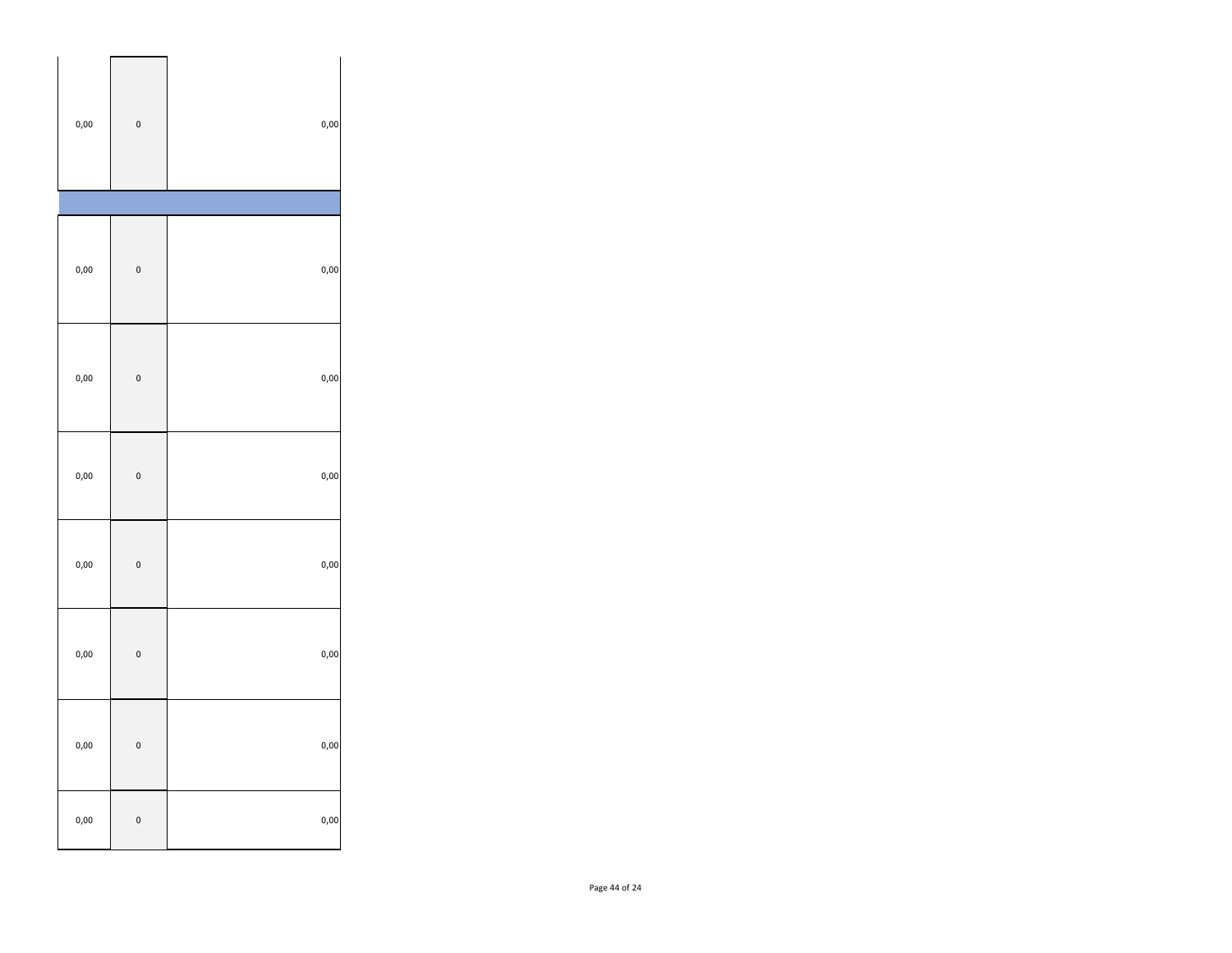| $_{0,00}$ | $\mathbf{0}$ | $_{0,00}$ |
|-----------|--------------|-----------|
|           |              |           |
| $_{0,00}$ | $\mathbf{0}$ | $_{0,00}$ |
| $_{0,00}$ | $\mathbf{0}$ | $_{0,00}$ |
| $_{0,00}$ | $\mathbf{0}$ | 0,00      |
| $_{0,00}$ | $\mathbf{0}$ | 0,00      |
| $_{0,00}$ | $\mathbf{0}$ | 0,00      |
| $_{0,00}$ | $\mathbf{0}$ | 0,00      |
| $_{0,00}$ | $\mathbf{0}$ | $_{0,00}$ |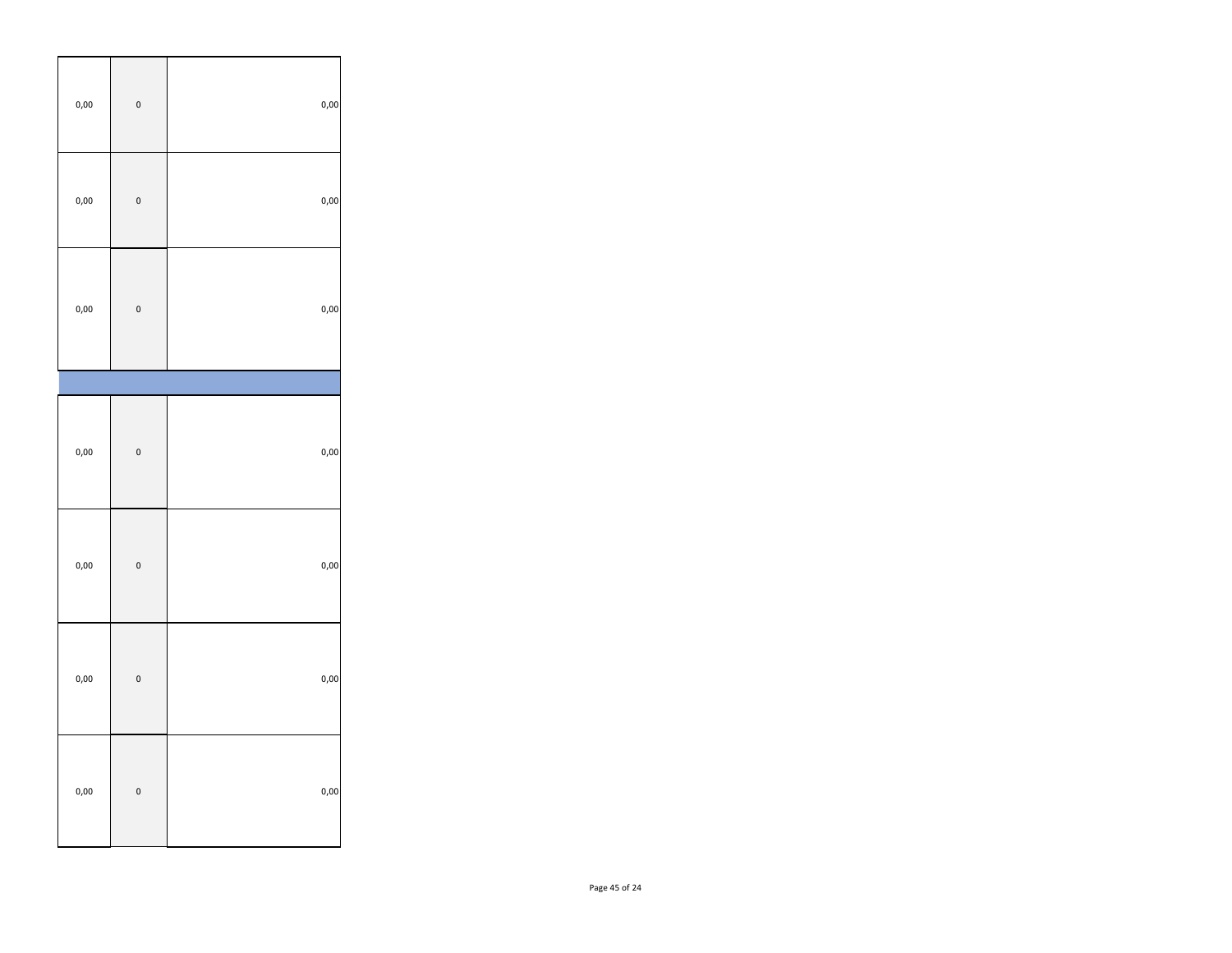| $_{0,00}$ | $\mathbf{0}$ | $_{0,00}$ |
|-----------|--------------|-----------|
| $_{0,00}$ | $\mathbf{0}$ | $_{0,00}$ |
| $_{0,00}$ | $\mathbf{0}$ | $_{0,00}$ |
|           |              |           |
| $_{0,00}$ | $\mathbf{0}$ | $_{0,00}$ |
| $_{0,00}$ | $\mathbf{0}$ | $_{0,00}$ |
| $_{0,00}$ | $\mathbf{0}$ | $_{0,00}$ |
| $_{0,00}$ | $\mathbf{0}$ | $_{0,00}$ |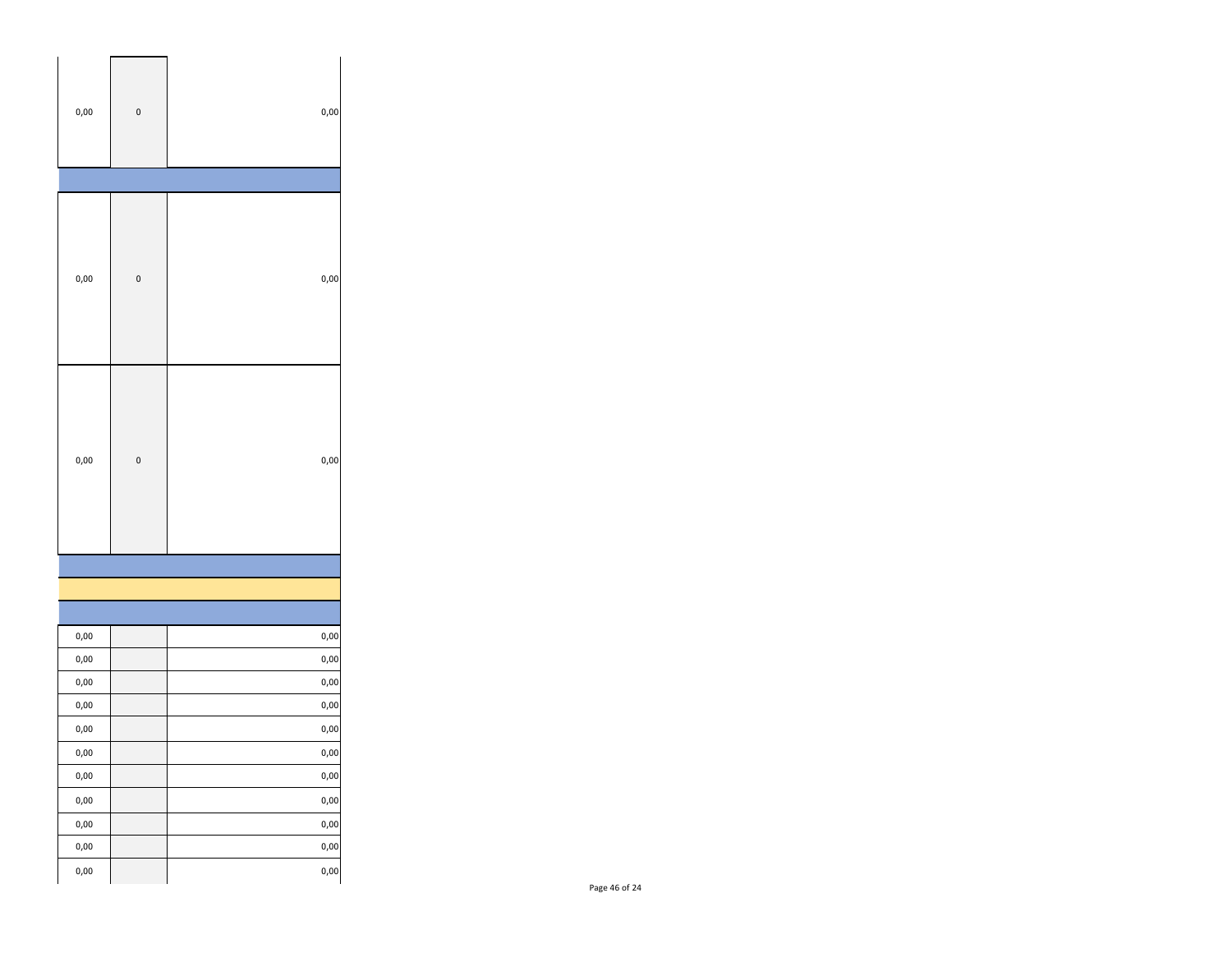| $_{0,00}$     | $\mathbf{0}$ | 0,00      |
|---------------|--------------|-----------|
|               |              |           |
| 0,00          | $\bf{0}$     | 0,00      |
| 0,00          | $\bf{0}$     | $_{0,00}$ |
|               |              |           |
|               |              |           |
|               |              |           |
| $_{0,00}$     |              | 0,00      |
| $_{\rm 0,00}$ |              | 0,00      |
| 0,00          |              | 0,00      |
| $_{0,00}$     |              | 0,00      |
| 0,00          |              | $_{0,00}$ |
| 0,00          |              | 0,00      |
| $_{0,00}$     |              | $_{0,00}$ |
| $_{0,00}$     |              | $_{0,00}$ |
| 0,00          |              | $_{0,00}$ |
| 0,00          |              | 0,00      |
| 0,00          |              | $_{0,00}$ |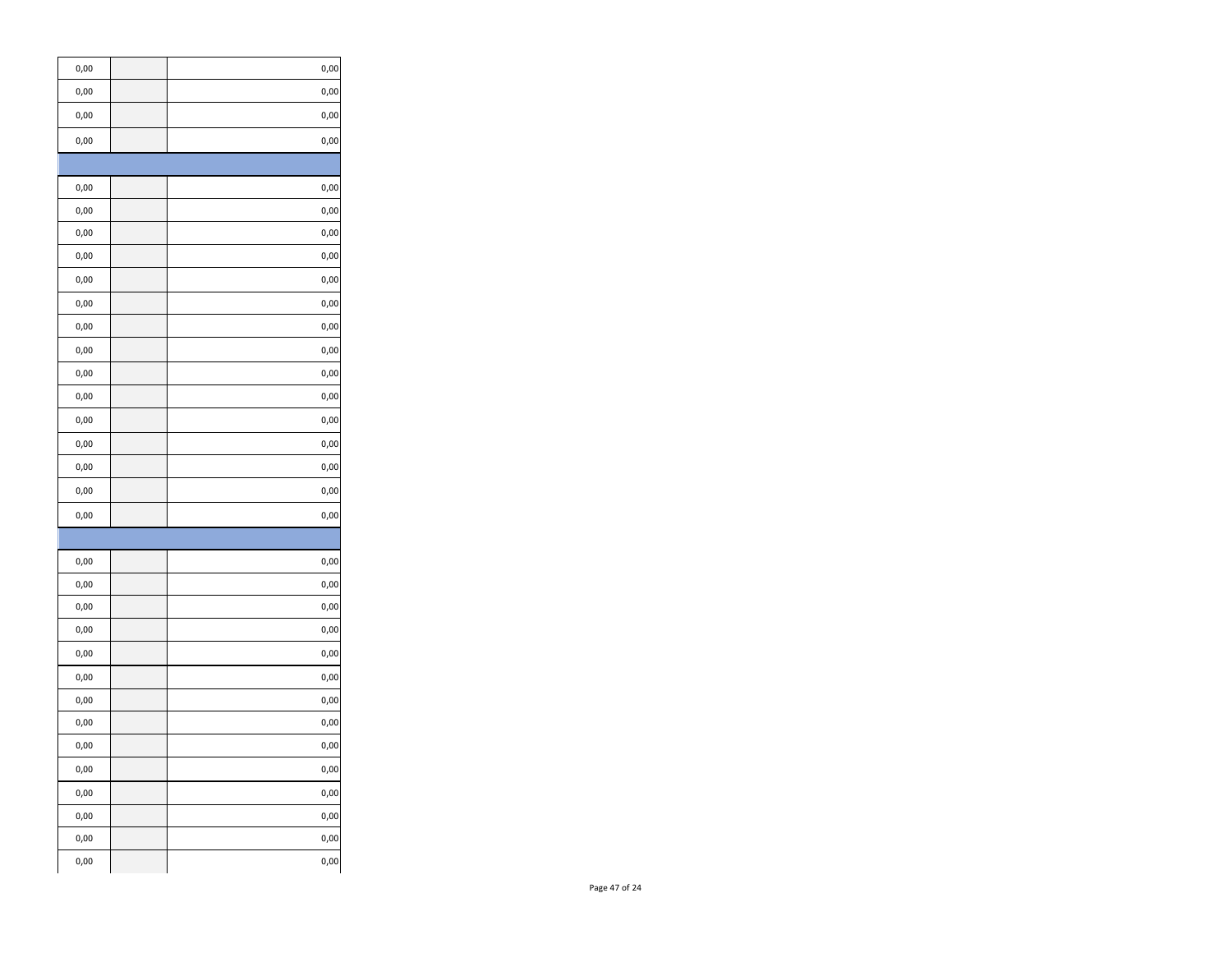| 0,00      | 0,00      |
|-----------|-----------|
| 0,00      | 0,00      |
| 0,00      | 0,00      |
| 0,00      | 0,00      |
|           |           |
| 0,00      | 0,00      |
| 0,00      | 0,00      |
| 0,00      | 0,00      |
| 0,00      | 0,00      |
| 0,00      | 0,00      |
| 0,00      | 0,00      |
| 0,00      | 0,00      |
| 0,00      | 0,00      |
| 0,00      | 0,00      |
| 0,00      | 0,00      |
| 0,00      | 0,00      |
| 0,00      | 0,00      |
| 0,00      | 0,00      |
| 0,00      | 0,00      |
| 0,00      | 0,00      |
|           |           |
| 0,00      | 0,00      |
| 0,00      | 0,00      |
| 0,00      | 0,00      |
| 0,00      | 0,00      |
| 0,00      | 0,00      |
| 0,00      | 0,00      |
| 0,00      | 0,00      |
| 0,00      | 0,00      |
| 0,00      | $_{0,00}$ |
| 0,00      | 0,00      |
| 0,00      | $0,00$    |
| $_{0,00}$ | 0,00      |
| 0,00      | $_{0,00}$ |
| $_{0,00}$ | 0,00      |
|           |           |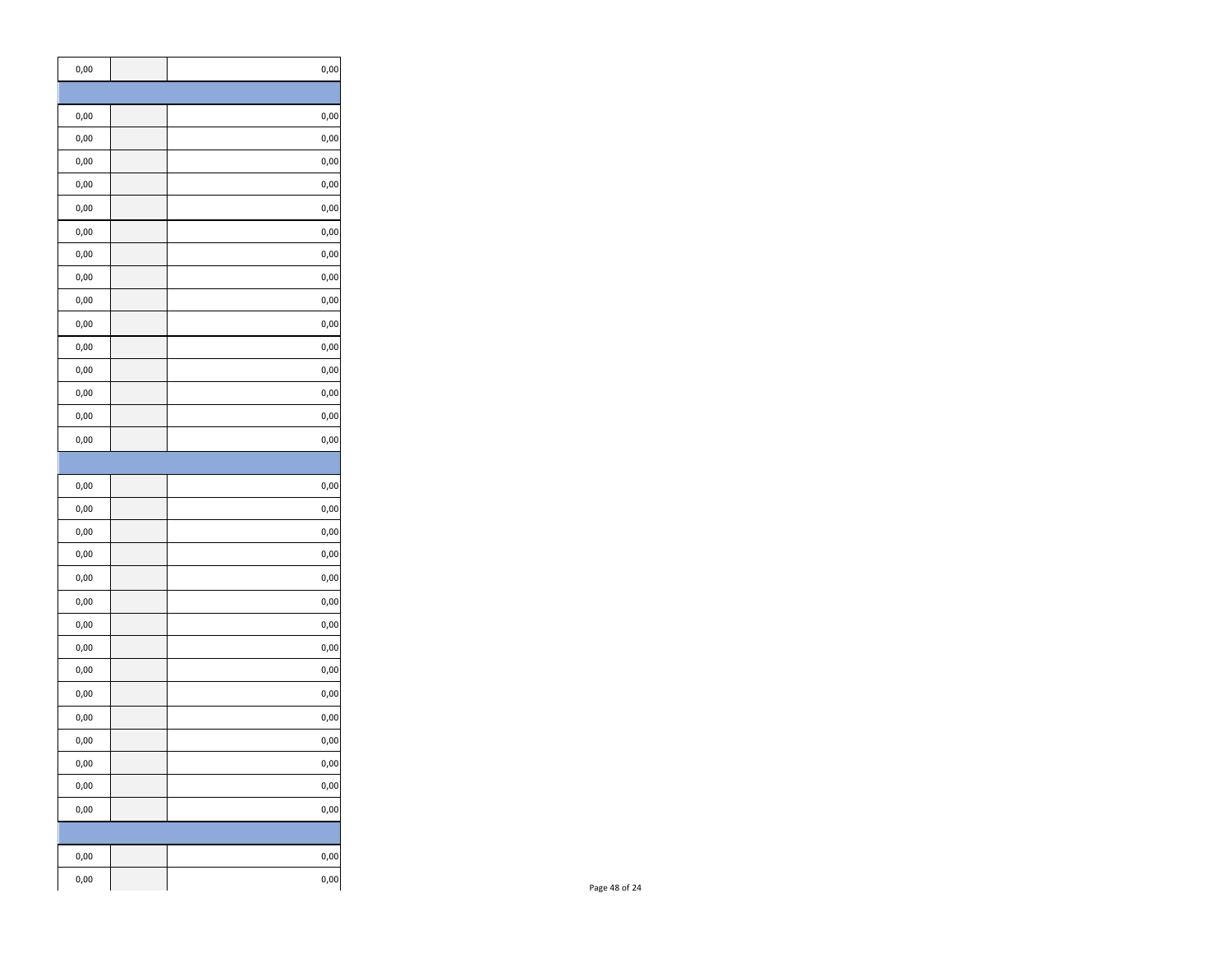| 0,00          | 0,00      |
|---------------|-----------|
|               |           |
| 0,00          | 0,00      |
| 0,00          | 0,00      |
| 0,00          | 0,00      |
| 0,00          | 0,00      |
| 0,00          | 0,00      |
| 0,00          | 0,00      |
| 0,00          | 0,00      |
| 0,00          | 0,00      |
| 0,00          | 0,00      |
| 0,00          | 0,00      |
| 0,00          | 0,00      |
| 0,00          | 0,00      |
| 0,00          | 0,00      |
| 0,00          | 0,00      |
| 0,00          | 0,00      |
|               |           |
| 0,00          | 0,00      |
| 0,00          | 0,00      |
| 0,00          | 0,00      |
| 0,00          | 0,00      |
| 0,00          | 0,00      |
| 0,00          | 0,00      |
| 0,00          | 0,00      |
| 0,00          | 0,00      |
| 0,00          | 0,00      |
| 0,00          | 0,00      |
| 0,00          | 0,00      |
| 0,00          | 0,00      |
| 0,00          | $_{0,00}$ |
| $_{\rm 0,00}$ | 0,00      |
| 0,00          | 0,00      |
|               |           |
| $_{\rm 0,00}$ | 0,00      |
| $_{\rm 0,00}$ | 0,00      |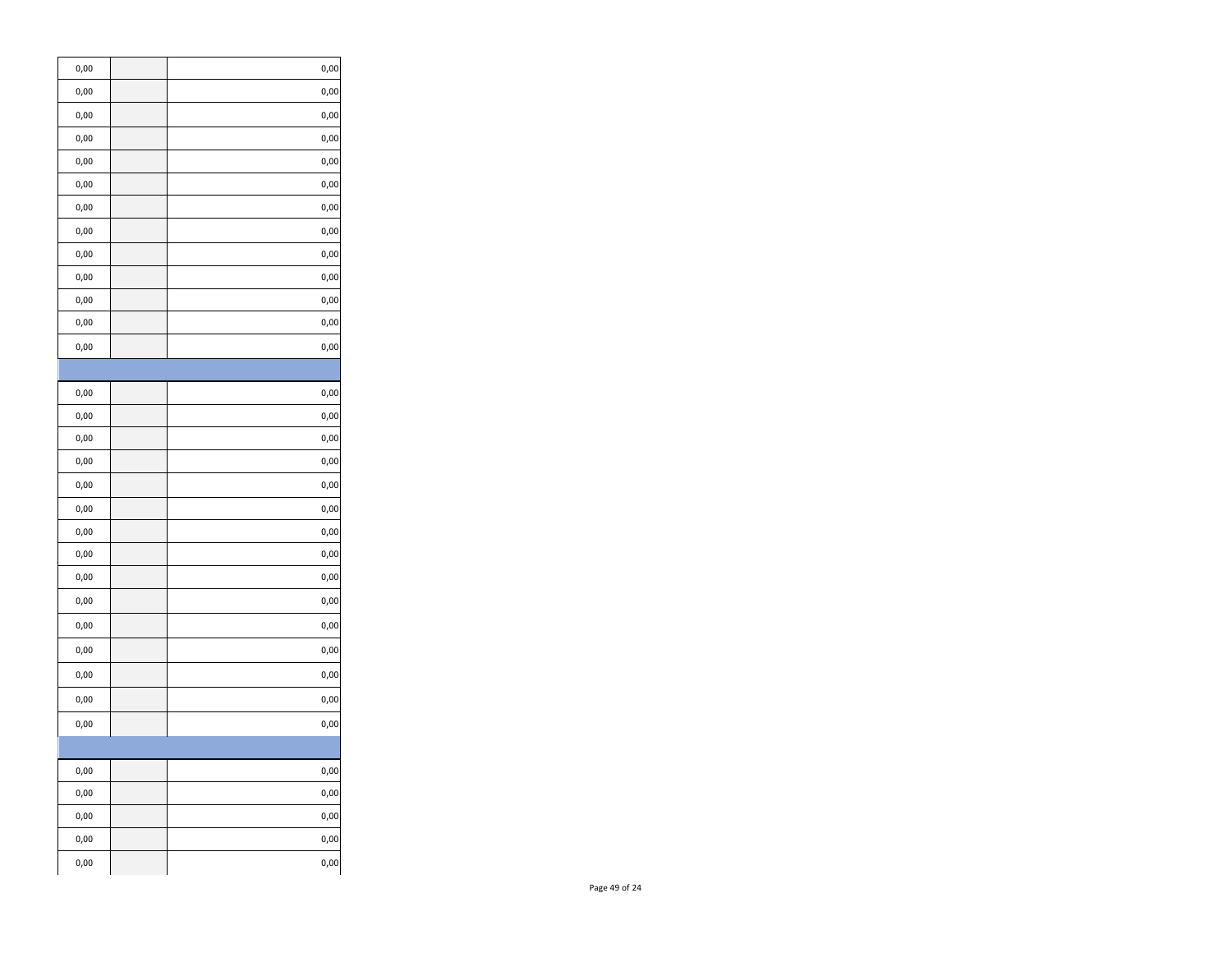| 0,00          | 0,00      |
|---------------|-----------|
| 0,00          | 0,00      |
| 0,00          | 0,00      |
| 0,00          | 0,00      |
| 0,00          | 0,00      |
| 0,00          | 0,00      |
| 0,00          | 0,00      |
| 0,00          | 0,00      |
| 0,00          | 0,00      |
| 0,00          | 0,00      |
| 0,00          | 0,00      |
| 0,00          | 0,00      |
| $_{\rm 0,00}$ | 0,00      |
|               |           |
| 0,00          | 0,00      |
| 0,00          | 0,00      |
| 0,00          | 0,00      |
| 0,00          | 0,00      |
| 0,00          | 0,00      |
| 0,00          | 0,00      |
| 0,00          | 0,00      |
| 0,00          | 0,00      |
| 0,00          | 0,00      |
| 0,00          | 0,00      |
| 0,00          | 0,00      |
| 0,00          | 0,00      |
| 0,00          | 0,00      |
| 0,00          | 0,00      |
| 0,00          | 0,00      |
|               |           |
| $_{\rm 0,00}$ | $_{0,00}$ |
| 0,00          | 0,00      |
| $0,\!00$      | 0,00      |
| 0,00          | 0,00      |
| 0,00          | 0,00      |
|               |           |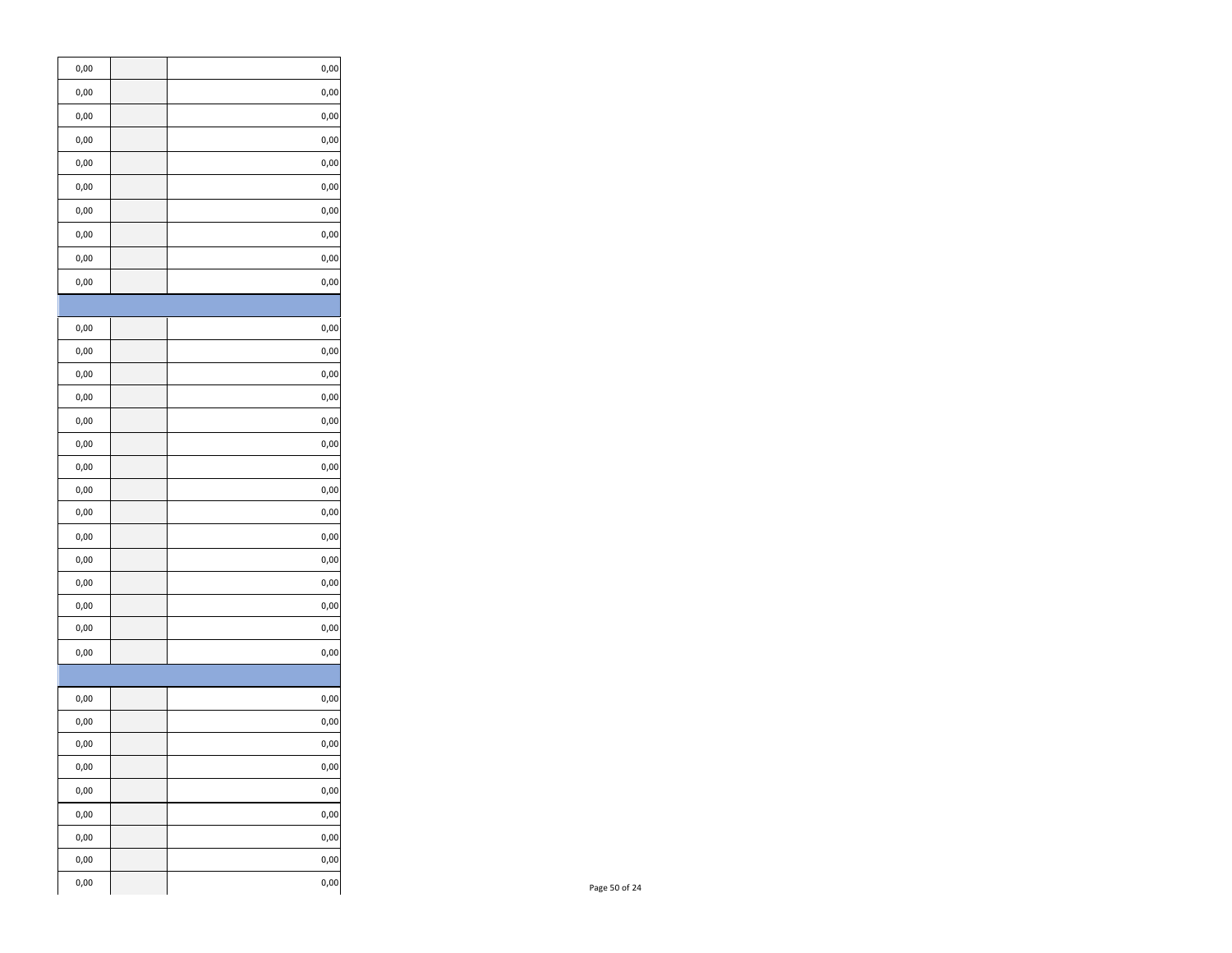| $_{\rm 0,00}$ | $_{\rm 0,00}$ |
|---------------|---------------|
| 0,00          | $_{\rm 0,00}$ |
| $_{\rm 0,00}$ | $_{\rm 0,00}$ |
| 0,00          | $_{\rm 0,00}$ |
| 0,00          | $_{\rm 0,00}$ |
| $_{\rm 0,00}$ | $_{\rm 0,00}$ |
| $0,\!00$      | $_{\rm 0,00}$ |
| 0,00          | $_{\rm 0,00}$ |
| $_{\rm 0,00}$ | $_{\rm 0,00}$ |
| $_{\rm 0,00}$ | 0,00          |
|               |               |
| $_{\rm 0,00}$ | 0,00          |
| $_{\rm 0,00}$ | $_{0,00}$     |
| $_{\rm 0,00}$ | $_{\rm 0,00}$ |
| 0,00          | $_{\rm 0,00}$ |
| $_{\rm 0,00}$ | $_{\rm 0,00}$ |
| $_{\rm 0,00}$ | $_{\rm 0,00}$ |
| 0,00          | $_{\rm 0,00}$ |
| 0,00          | $_{\rm 0,00}$ |
|               |               |
| 0,00          | $_{\rm 0,00}$ |
| 0,00          | $_{\rm 0,00}$ |
| 0,00          | $_{\rm 0,00}$ |
| 0,00          | $_{\rm 0,00}$ |
| 0,00          | $_{\rm 0,00}$ |
| $_{\rm 0,00}$ | $_{\rm 0,00}$ |
| $_{\rm 0,00}$ | 0,00          |
|               |               |
| $0,\!00$      | $_{\rm 0,00}$ |
| $_{\rm 0,00}$ | 0,00          |
| 0,00          | $0,\!00$      |
| 0,00          | 0,00          |
| 0,00          | 0,00          |
| 0,00          | 0,00          |
| 0,00          | 0,00          |
| $_{\rm 0,00}$ | 0,00          |
| 0,00          | $0,\!00$      |
|               |               |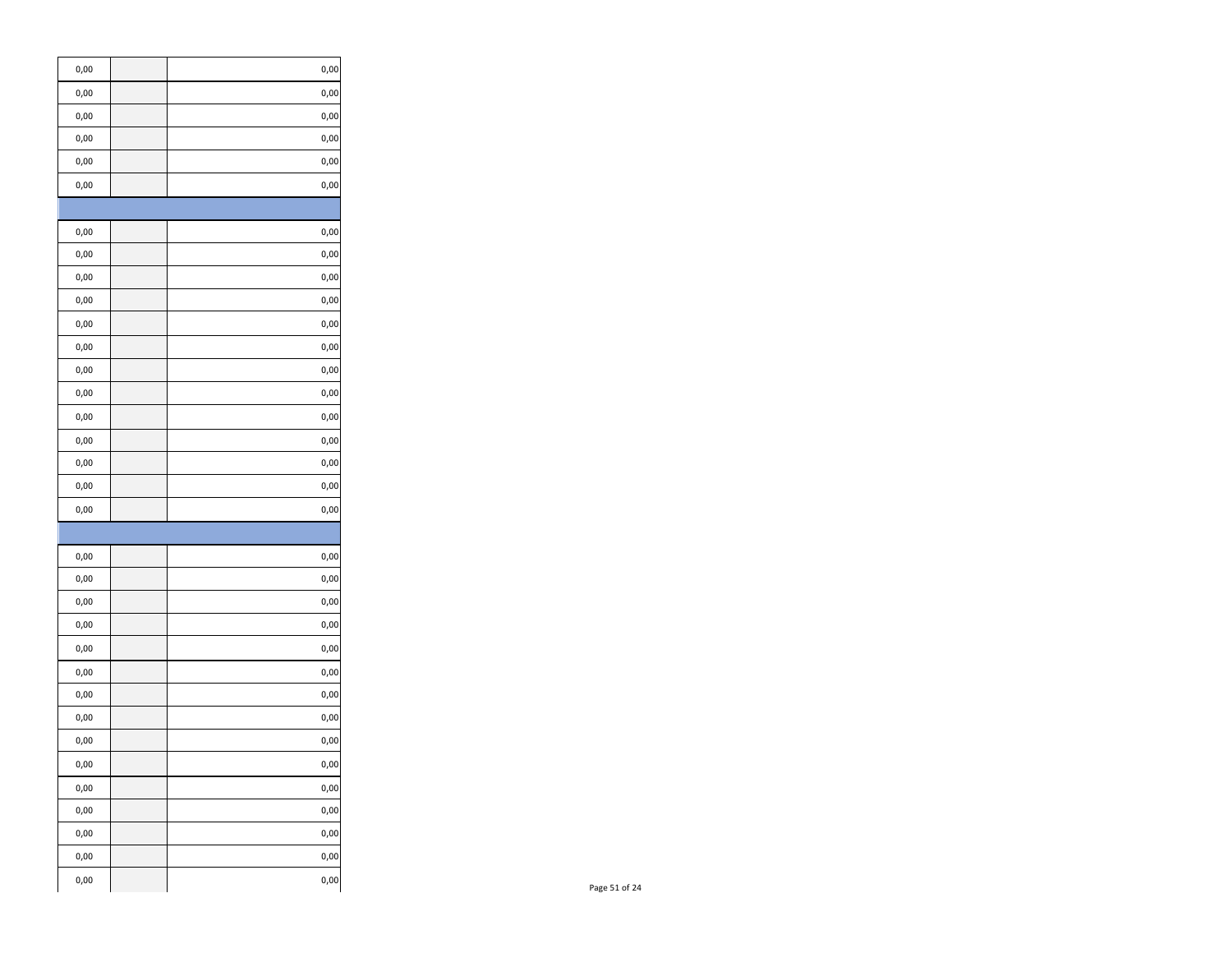| $_{0,00}$     | 0,00 |
|---------------|------|
| 0,00          | 0,00 |
| 0,00          | 0,00 |
| 0,00          | 0,00 |
| 0,00          | 0,00 |
| 0,00          | 0,00 |
|               |      |
| 0,00          | 0,00 |
| 0,00          | 0,00 |
| 0,00          | 0,00 |
| 0,00          | 0,00 |
| 0,00          | 0,00 |
| 0,00          | 0,00 |
| 0,00          | 0,00 |
| 0,00          | 0,00 |
| 0,00          | 0,00 |
| 0,00          | 0,00 |
| 0,00          | 0,00 |
| 0,00          | 0,00 |
| 0,00          | 0,00 |
|               |      |
| 0,00          | 0,00 |
| 0,00          | 0,00 |
| 0,00          | 0,00 |
| 0,00          | 0,00 |
| 0,00          | 0,00 |
| 0,00          | 0,00 |
| 0,00          | 0,00 |
| 0,00          | 0,00 |
| 0,00          | 0,00 |
| $_{\rm 0,00}$ | 0,00 |
| $_{\rm 0,00}$ | 0,00 |
| 0,00          | 0,00 |
| 0,00          | 0,00 |
| 0,00          | 0,00 |
| 0,00          | 0,00 |
|               |      |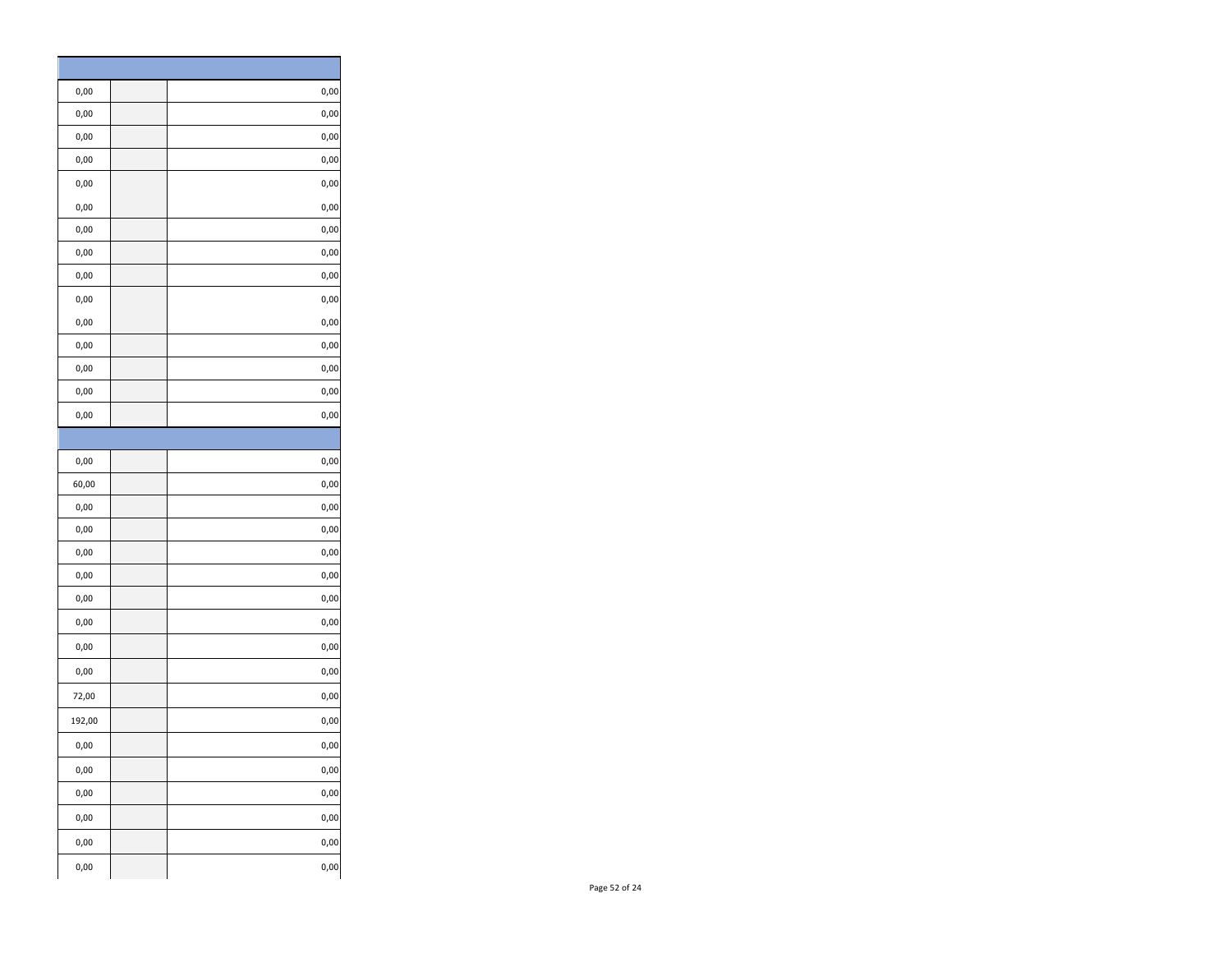| 0,00      | 0,00      |
|-----------|-----------|
| 0,00      | 0,00      |
| 0,00      | 0,00      |
| 0,00      | 0,00      |
| 0,00      | 0,00      |
| 0,00      | $0,00$    |
| 0,00      | 0,00      |
| 0,00      | 0,00      |
| 0,00      | 0,00      |
| 0,00      | 0,00      |
| 0,00      | 0,00      |
| 0,00      | 0,00      |
| 0,00      | 0,00      |
| 0,00      | 0,00      |
| 0,00      | 0,00      |
|           |           |
| 0,00      | 0,00      |
| 60,00     | 0,00      |
| 0,00      | 0,00      |
| $_{0,00}$ | 0,00      |
| 0,00      | 0,00      |
| 0,00      | 0,00      |
| 0,00      | 0,00      |
| 0,00      | 0,00      |
| 0,00      | 0,00      |
| 0,00      | 0,00      |
| 72,00     | 0,00      |
| 192,00    | 0,00      |
| 0,00      | 0,00      |
| 0,00      | $_{0,00}$ |
| 0,00      | 0,00      |
| 0,00      | 0,00      |
| 0,00      | 0,00      |
| $_{0,00}$ | $_{0,00}$ |
|           |           |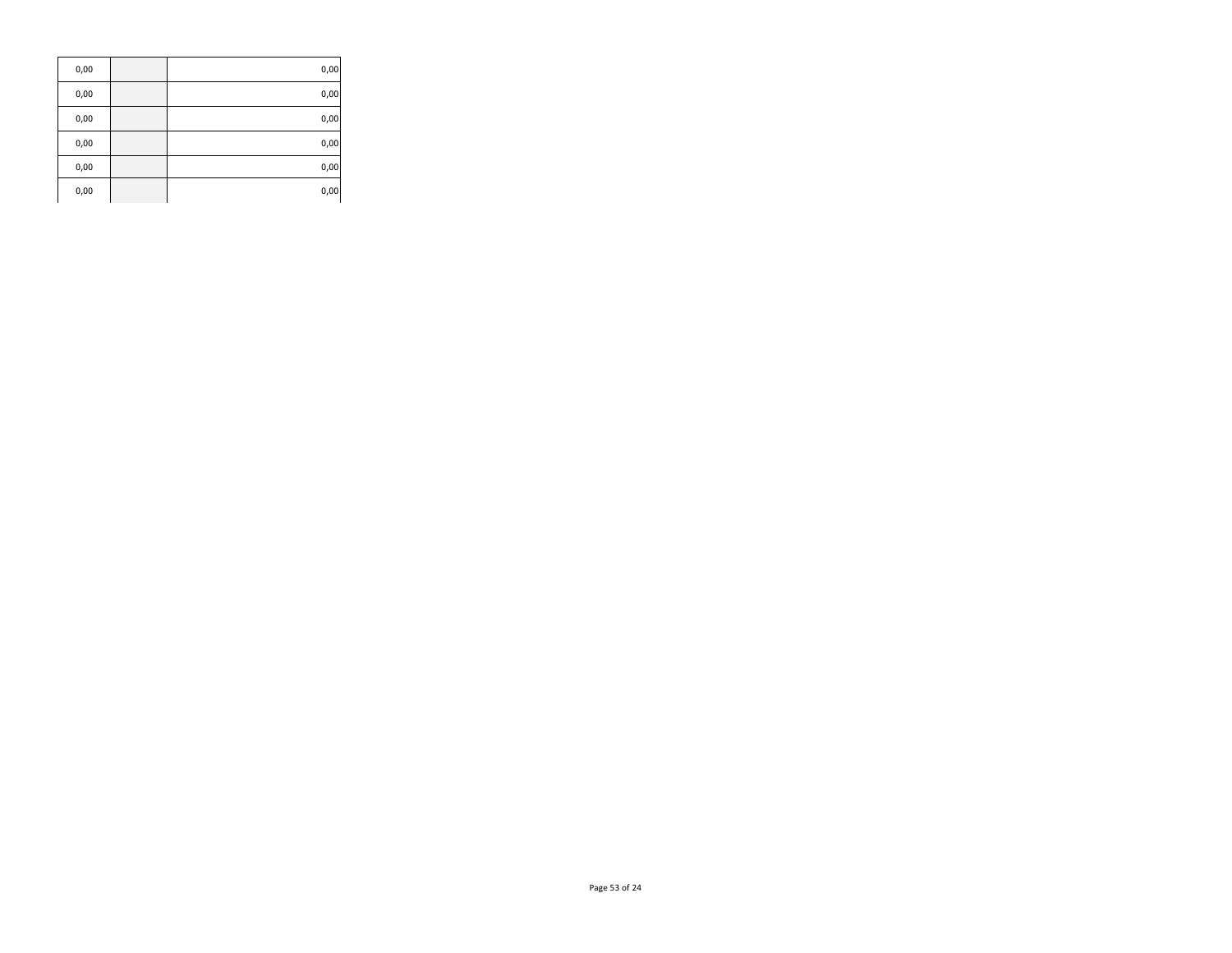| 0,00 | 0,00 |
|------|------|
| 0,00 | 0,00 |
| 0,00 | 0,00 |
| 0,00 | 0,00 |
| 0,00 | 0,00 |
| 0,00 | 0,00 |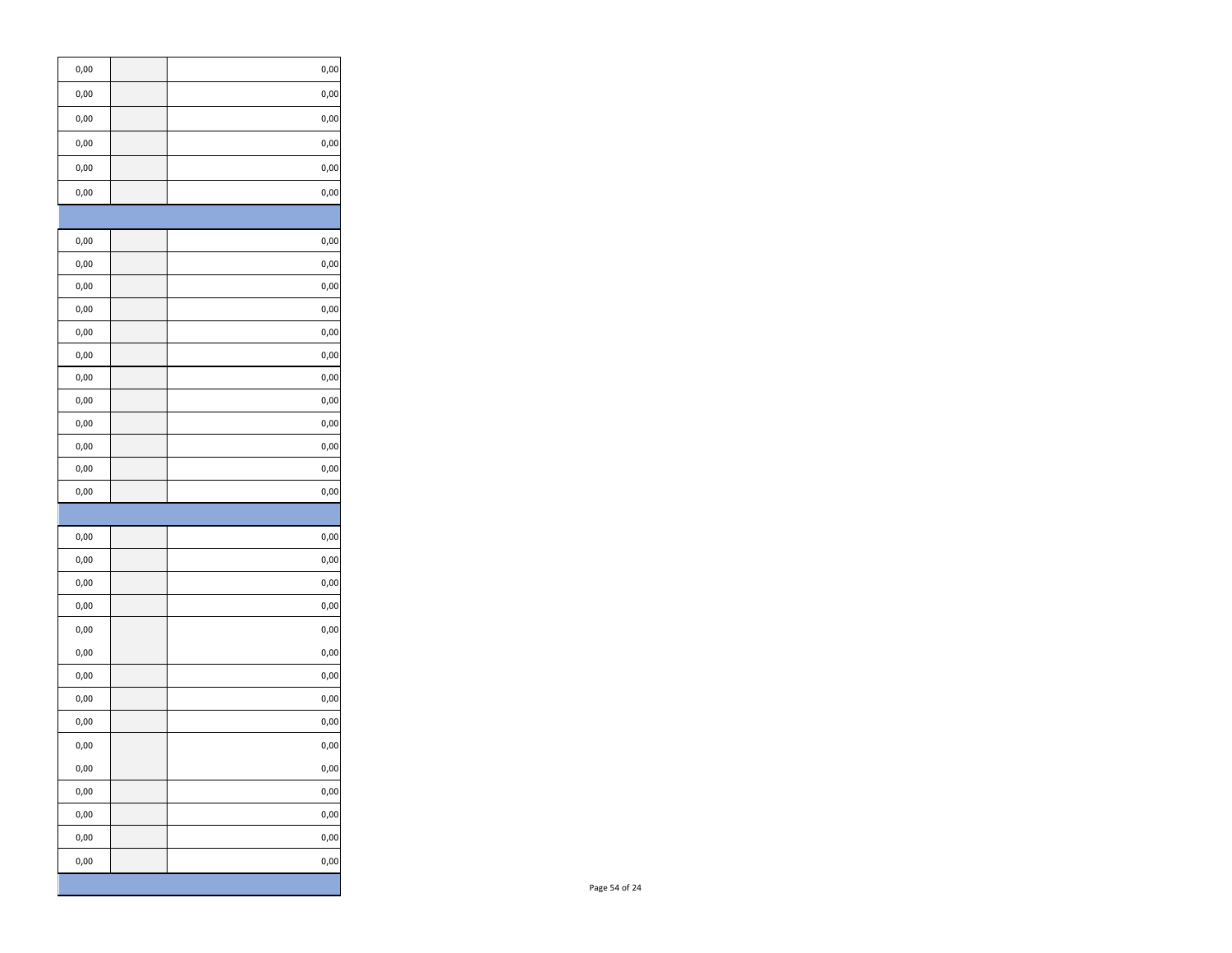| 0,00      | 0,00      |
|-----------|-----------|
| 0,00      | 0,00      |
| 0,00      | 0,00      |
| 0,00      | 0,00      |
| 0,00      | 0,00      |
| 0,00      | 0,00      |
|           |           |
| 0,00      | 0,00      |
| 0,00      | 0,00      |
| 0,00      | 0,00      |
| 0,00      | 0,00      |
| 0,00      | 0,00      |
| 0,00      | 0,00      |
| 0,00      | 0,00      |
| 0,00      | 0,00      |
| 0,00      | 0,00      |
| 0,00      | 0,00      |
| 0,00      | 0,00      |
| 0,00      | 0,00      |
|           |           |
| 0,00      | 0,00      |
| 0,00      | 0,00      |
| 0,00      | 0,00      |
| 0,00      | 0,00      |
| 0,00      | 0,00      |
| 0,00      | 0,00      |
| 0,00      | 0,00      |
| 0,00      | 0,00      |
| 0,00      | 0,00      |
| 0,00      | 0,00      |
| $_{0,00}$ | $_{0,00}$ |
| $_{0,00}$ | 0,00      |
| 0,00      | 0,00      |
| 0,00      | 0,00      |
| 0,00      | 0,00      |
|           |           |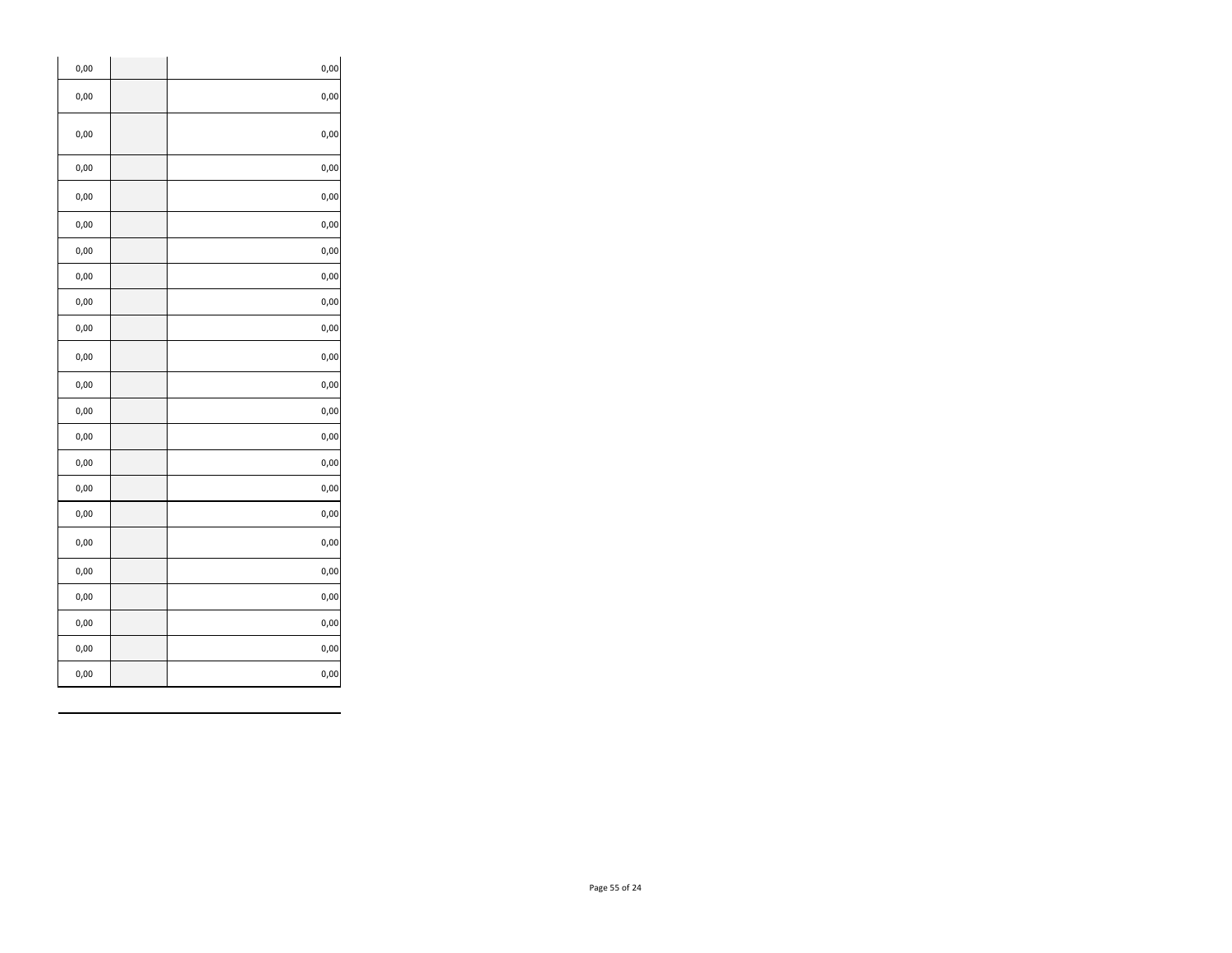| 0,00 | 0,00      |
|------|-----------|
| 0,00 | 0,00      |
| 0,00 | 0,00      |
| 0,00 | 0,00      |
| 0,00 | 0,00      |
| 0,00 | 0,00      |
| 0,00 | 0,00      |
| 0,00 | 0,00      |
| 0,00 | 0,00      |
| 0,00 | 0,00      |
| 0,00 | 0,00      |
| 0,00 | 0,00      |
| 0,00 | 0,00      |
| 0,00 | 0,00      |
| 0,00 | 0,00      |
| 0,00 | 0,00      |
| 0,00 | 0,00      |
| 0,00 | 0,00      |
| 0,00 | 0,00      |
| 0,00 | 0,00      |
| 0,00 | 0,00      |
| 0,00 | 0,00      |
| 0,00 | $_{0,00}$ |